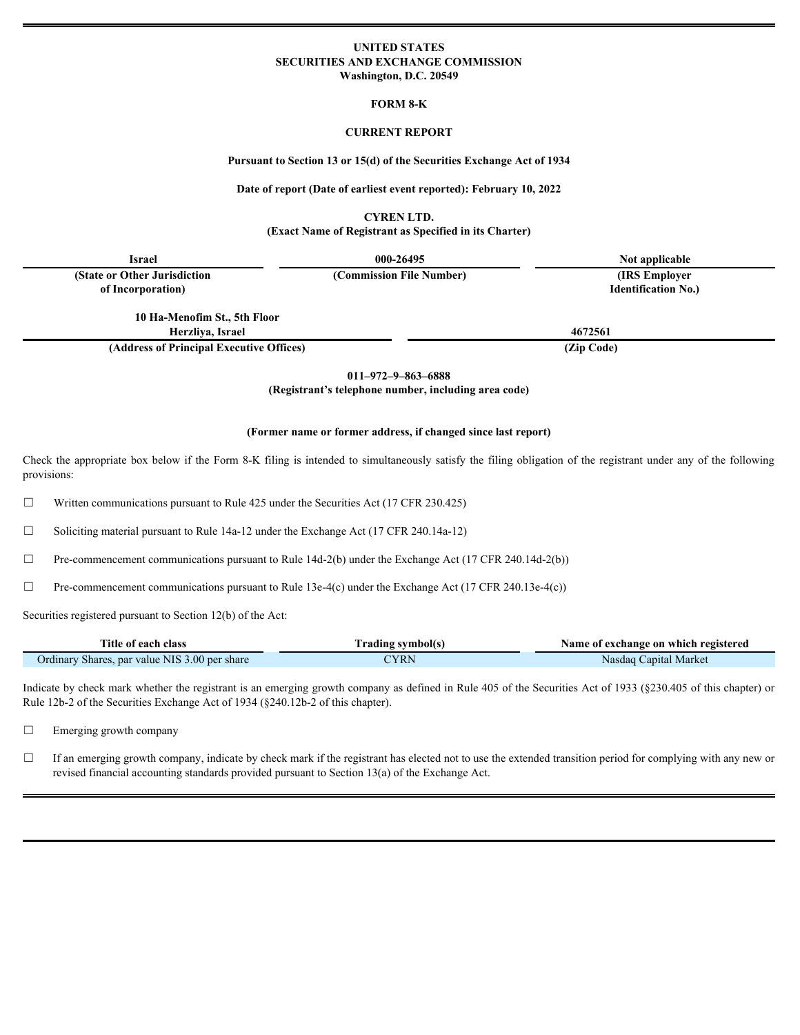# **UNITED STATES SECURITIES AND EXCHANGE COMMISSION Washington, D.C. 20549**

**FORM 8-K**

#### **CURRENT REPORT**

#### **Pursuant to Section 13 or 15(d) of the Securities Exchange Act of 1934**

#### **Date of report (Date of earliest event reported): February 10, 2022**

**CYREN LTD.**

# **(Exact Name of Registrant as Specified in its Charter)**

| <b>Israel</b>                            | 000-26495                | Not applicable             |  |
|------------------------------------------|--------------------------|----------------------------|--|
| (State or Other Jurisdiction)            | (Commission File Number) | (IRS Employer)             |  |
| of Incorporation)                        |                          | <b>Identification No.)</b> |  |
|                                          |                          |                            |  |
| 10 Ha-Menofim St., 5th Floor             |                          |                            |  |
| Herzliva, Israel                         |                          | 4672561                    |  |
| (Address of Principal Executive Offices) |                          | (Zip Code)                 |  |

**011–972–9–863–6888**

**(Registrant's telephone number, including area code)**

### **(Former name or former address, if changed since last report)**

Check the appropriate box below if the Form 8-K filing is intended to simultaneously satisfy the filing obligation of the registrant under any of the following provisions:

 $\Box$  Written communications pursuant to Rule 425 under the Securities Act (17 CFR 230.425)

☐ Soliciting material pursuant to Rule 14a-12 under the Exchange Act (17 CFR 240.14a-12)

 $\Box$  Pre-commencement communications pursuant to Rule 14d-2(b) under the Exchange Act (17 CFR 240.14d-2(b))

 $\Box$  Pre-commencement communications pursuant to Rule 13e-4(c) under the Exchange Act (17 CFR 240.13e-4(c))

Securities registered pursuant to Section 12(b) of the Act:

| Title of each class                                               | Trading symbol(s) | Name of exchange on which registered |
|-------------------------------------------------------------------|-------------------|--------------------------------------|
| ue NIS<br>$3.00$ per share<br>Ordinary<br>/ Shares<br>220<br>vaiu | TYRN              | Capital Market<br>Nasdaq '           |

Indicate by check mark whether the registrant is an emerging growth company as defined in Rule 405 of the Securities Act of 1933 (§230.405 of this chapter) or Rule 12b-2 of the Securities Exchange Act of 1934 (§240.12b-2 of this chapter).

□ Emerging growth company

 $\Box$  If an emerging growth company, indicate by check mark if the registrant has elected not to use the extended transition period for complying with any new or revised financial accounting standards provided pursuant to Section 13(a) of the Exchange Act.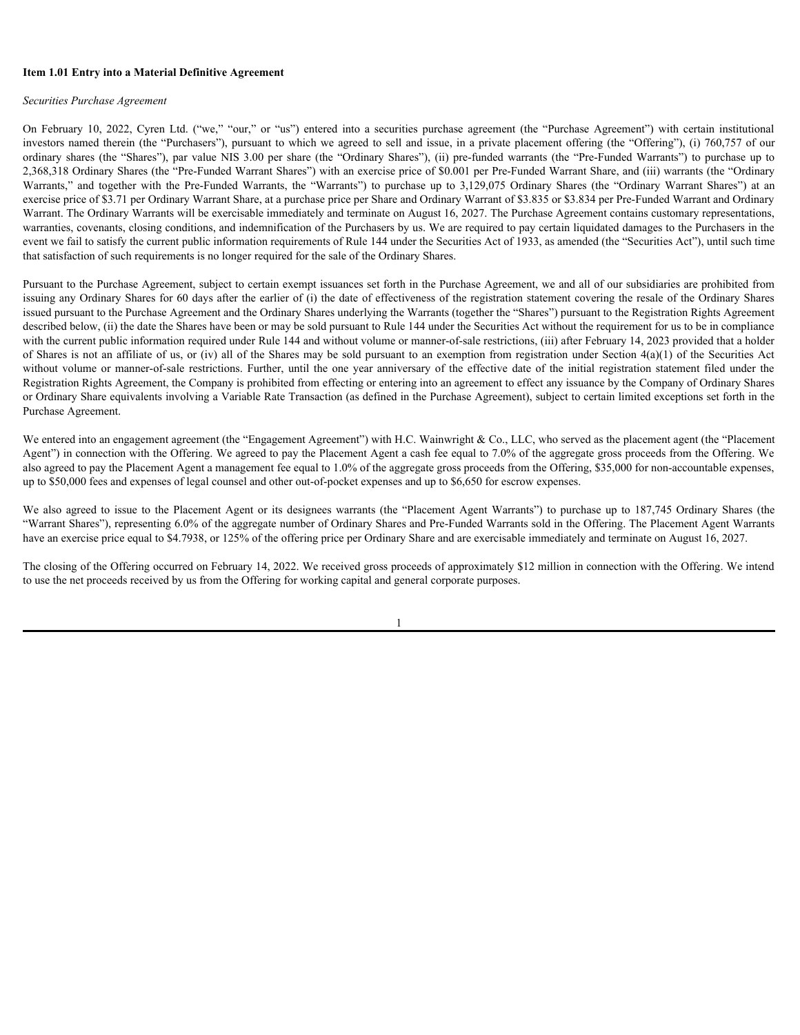# **Item 1.01 Entry into a Material Definitive Agreement**

#### *Securities Purchase Agreement*

Item 1.01 Entry into a Material Definitive Agreement<br>Securities Purchase Agreement<br>On February 10, 2022, Cyren Ltd. ("we," "our," or "us") entered into a securities purchase agreement (the "Purchase Agreement") with certai investors named therein (the "Purchasers"), pursuant to which we agreed to sell and issue, in a private placement offering (the "Offering"), (i) 760,757 of our **Item 1.01 Entry into a Material Definitive Agreement**<br>Securities Purchase Agreement<br>On February 10, 2022, Cyren Ltd. ("we," "our," or "us") entered into a securities purchase agreement (the "Purchase Agreement") with cert 2,368,318 Ordinary Shares (the "Pre-Funded Warrant Shares") with an exercise price of \$0.001 per Pre-Funded Warrant Share, and (iii) warrants (the "Ordinary Item 1.01 Entry into a Material Definitive Agreement<br>Sceurities Purchase Agreement<br>On February 10, 2022, Cyren Ltd. ("we," "our," or "us") entered into a securities purchase agreement (the "Purchase Agreement") with certai exercise price of \$3.71 per Ordinary Warrant Share, at a purchase price per Share and Ordinary Warrant of \$3.835 or \$3.834 per Pre-Funded Warrant and Ordinary Warrant. The Ordinary Warrants will be exercisable immediately and terminate on August 16, 2027. The Purchase Agreement contains customary representations, warranties, covenants, closing conditions, and indemnification of the Purchasers by us. We are required to pay certain liquidated damages to the Purchasers in the event we fail to satisfy the current public information requirements of Rule 144 under the Securities Act of 1933, as amended (the "Securities Act"), until such time that satisfaction of such requirements is no longer required for the sale of the Ordinary Shares. Icen 1.01 Entry into a Material Definitive Agreement<br>Securities Puroleus Agreement<br>Co-irlines Securities Puroleus Agreement Co-irlines and the one of the Puroleus Agreement (the "Puroleus Agreement") with certain restricti Securities Purchase Agreement<br>On February 10, 2022, Cyren Lad ("we," "out" or "as") culcule stop as a securities agreement Agent and account a securities and a securities and a securities and the Place manner and the Place

Pursuant to the Purchase Agreement, subject to certain exempt issuances set forth in the Purchase Agreement, we and all of our subsidiaries are prohibited from issuing any Ordinary Shares for 60 days after the earlier of (i) the date of effectiveness of the registration statement covering the resale of the Ordinary Shares issued pursuant to the Purchase Agreement and the Ordinary Shares underlying the Warrants (together the "Shares") pursuant to the Registration Rights Agreement described below, (ii) the date the Shares have been or may be sold pursuant to Rule 144 under the Securities Act without the requirement for us to be in compliance with the current public information required under Rule 144 and without volume or manner-of-sale restrictions, (iii) after February 14, 2023 provided that a holder of Shares is not an affiliate of us, or (iv) all of the Shares may be sold pursuant to an exemption from registration under Section  $4(a)(1)$  of the Securities Act Registration Rights Agreement, the Company is prohibited from effecting or entering into an agreement to effect any issuance by the Company of Ordinary Shares or Ordinary Share equivalents involving a Variable Rate Transaction (as defined in the Purchase Agreement), subject to certain limited exceptions set forth in the Purchase Agreement.

We entered into an engagement agreement (the "Engagement Agreement") with H.C. Wainwright & Co., LLC, who served as the placement agent (the "Placement Agent") in connection with the Offering. We agreed to pay the Placement Agent a cash fee equal to 7.0% of the aggregate gross proceeds from the Offering. We also agreed to pay the Placement Agent a management fee equal to 1.0% of the aggregate gross proceeds from the Offering, \$35,000 for non-accountable expenses, up to \$50,000 fees and expenses of legal counsel and other out-of-pocket expenses and up to \$6,650 for escrow expenses.

"Warrant Shares"), representing 6.0% of the aggregate number of Ordinary Shares and Pre-Funded Warrants sold in the Offering. The Placement Agent Warrants have an exercise price equal to \$4.7938, or 125% of the offering price per Ordinary Share and are exercisable immediately and terminate on August 16, 2027.

The closing of the Offering occurred on February 14, 2022. We received gross proceeds of approximately \$12 million in connection with the Offering. We intend to use the net proceeds received by us from the Offering for working capital and general corporate purposes.

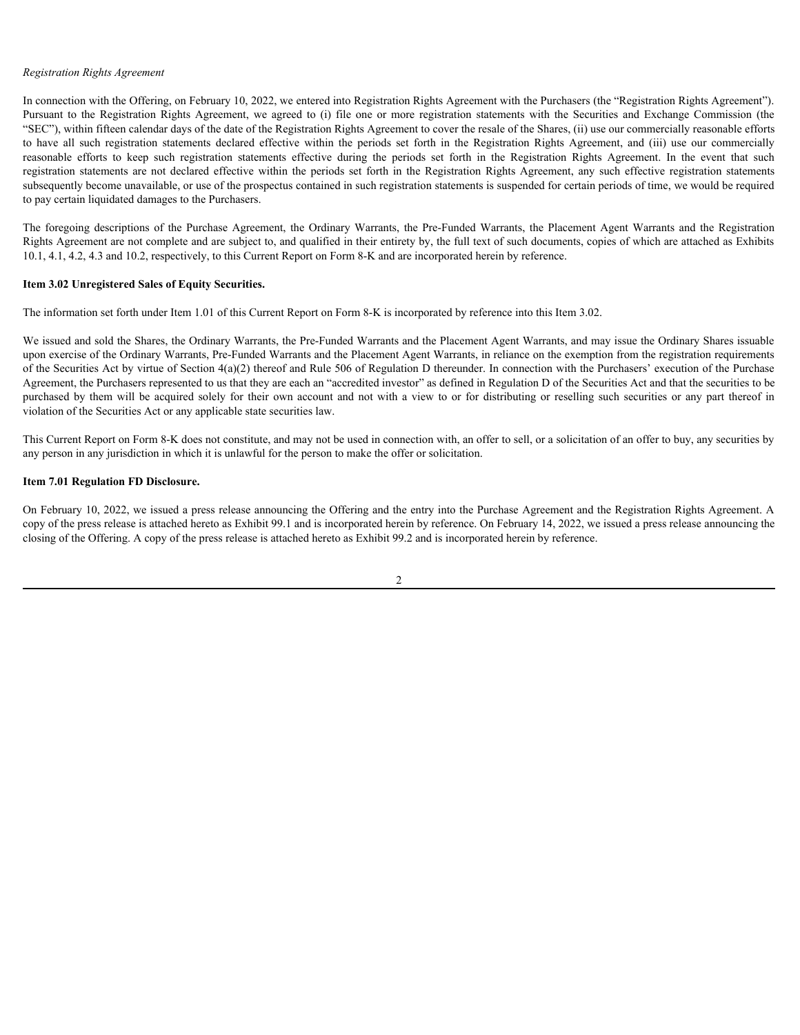## *Registration Rights Agreement*

In connection with the Offering, on February 10, 2022, we entered into Registration Rights Agreement with the Purchasers (the "Registration Rights Agreement"). Registration Rights Agreement<br>In connection with the Offering, on February 10, 2022, we entered into Registration Rights Agreement with the Purchasers (the "Registration Rights Agreement").<br>Pursuant to the Registration Rig "SEC"), within fifteen calendar days of the date of the Registration Rights Agreement to cover the resale of the Shares, (ii) use our commercially reasonable efforts Registration Rights Agreement<br>
In connection with the Offering, on February 10, 2022, we entered into Registration Rights Agreement with the Purchasers (the "Registration Rights Agreement").<br>
Pursuant to the Registration R Registration Rights Agreement<br>In connection with the Offering, on February 10, 2022, we entered into Registration Rights Agreement with the Purchasers (the "Registration Rights Agreement").<br>Pursuant to the Registration Rig Registration Rights Agreement<br>In connection with the Offering, on February 10, 2022, we entered into Registration Rights Agreement with the Purchasers (the "Registration Rights Agreement").<br>Pursuant to the Registration Rig subsequently become unavailable, or use of the prospectus contained in such registration statements is suspended for certain periods of time, we would be required to pay certain liquidated damages to the Purchasers. Registration Rights Agreement<br>In connection with the Offering, on February 10, 2022, we entered into Registration Rights Agreement with the Purchasers (the "Registration Rights Agreement").<br>Pursuant to the Registration Rig Registration Rights Agreement<br>
In automobile Agreement Common Particular and Registration Rights Agreement with the Parkinson Ole Telegistration Rights. Agreement and the acquired and the excellent and Encomment of the St

Rights Agreement are not complete and are subject to, and qualified in their entirety by, the full text of such documents, copies of which are attached as Exhibits 10.1, 4.1, 4.2, 4.3 and 10.2, respectively, to this Current Report on Form 8-K and are incorporated herein by reference.

# **Item 3.02 Unregistered Sales of Equity Securities.**

The information set forth under Item 1.01 of this Current Report on Form 8-K is incorporated by reference into this Item 3.02.

We issued and sold the Shares, the Ordinary Warrants, the Pre-Funded Warrants and the Placement Agent Warrants, and may issue the Ordinary Shares issuable upon exercise of the Ordinary Warrants, Pre-Funded Warrants and the Placement Agent Warrants, in reliance on the exemption from the registration requirements of the Securities Act by virtue of Section  $4(a)(2)$  thereof and Rule 506 of Regulation D thereunder. In connection with the Purchasers' execution of the Purchase Agreement, the Purchasers represented to us that they are each an "accredited investor" as defined in Regulation D of the Securities Act and that the securities to be violation of the Securities Act or any applicable state securities law.

This Current Report on Form 8-K does not constitute, and may not be used in connection with, an offer to sell, or a solicitation of an offer to buy, any securities by any person in any jurisdiction in which it is unlawful for the person to make the offer or solicitation.

# **Item 7.01 Regulation FD Disclosure.**

On February 10, 2022, we issued a press release announcing the Offering and the entry into the Purchase Agreement and the Registration Rights Agreement. A copy of the press release is attached hereto as Exhibit 99.1 and is incorporated herein by reference. On February 14, 2022, we issued a press release announcing the closing of the Offering. A copy of the press release is attached hereto as Exhibit 99.2 and is incorporated herein by reference.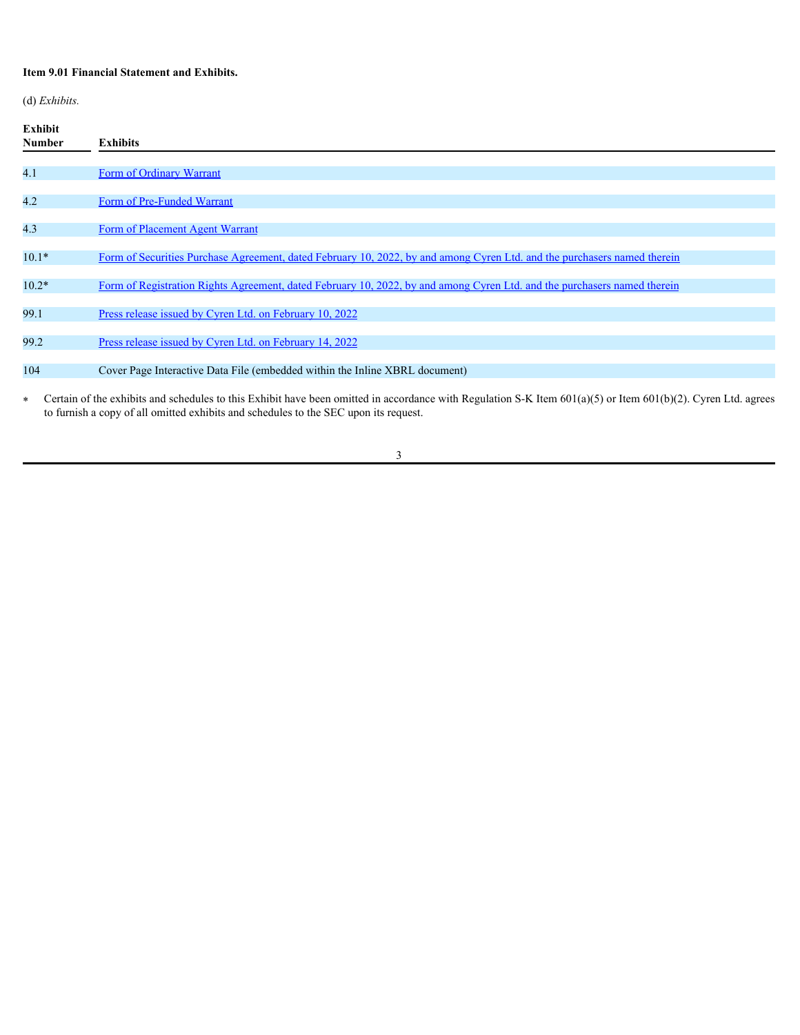# **Item 9.01 Financial Statement and Exhibits.**

(d) *Exhibits.*

| Exhibit<br>Number | <b>Exhibits</b>                                                                                                          |
|-------------------|--------------------------------------------------------------------------------------------------------------------------|
| 4.1               | Form of Ordinary Warrant                                                                                                 |
| 4.2               | Form of Pre-Funded Warrant                                                                                               |
| 4.3               | Form of Placement Agent Warrant                                                                                          |
| $10.1*$           | Form of Securities Purchase Agreement, dated February 10, 2022, by and among Cyren Ltd. and the purchasers named therein |
| $10.2*$           | Form of Registration Rights Agreement, dated February 10, 2022, by and among Cyren Ltd. and the purchasers named therein |
| 99.1              | Press release issued by Cyren Ltd. on February 10, 2022                                                                  |
| 99.2              | Press release issued by Cyren Ltd. on February 14, 2022                                                                  |
| 104               | Cover Page Interactive Data File (embedded within the Inline XBRL document)                                              |
|                   |                                                                                                                          |

Fortain of the exhibits and schedules to this Exhibit have been omitted in accordance with Regulation S-K Item  $601(a)(5)$  or Item  $601(b)(2)$ . Cyren Ltd. agrees to furnish a copy of all omitted exhibits and schedules to the SEC upon its request.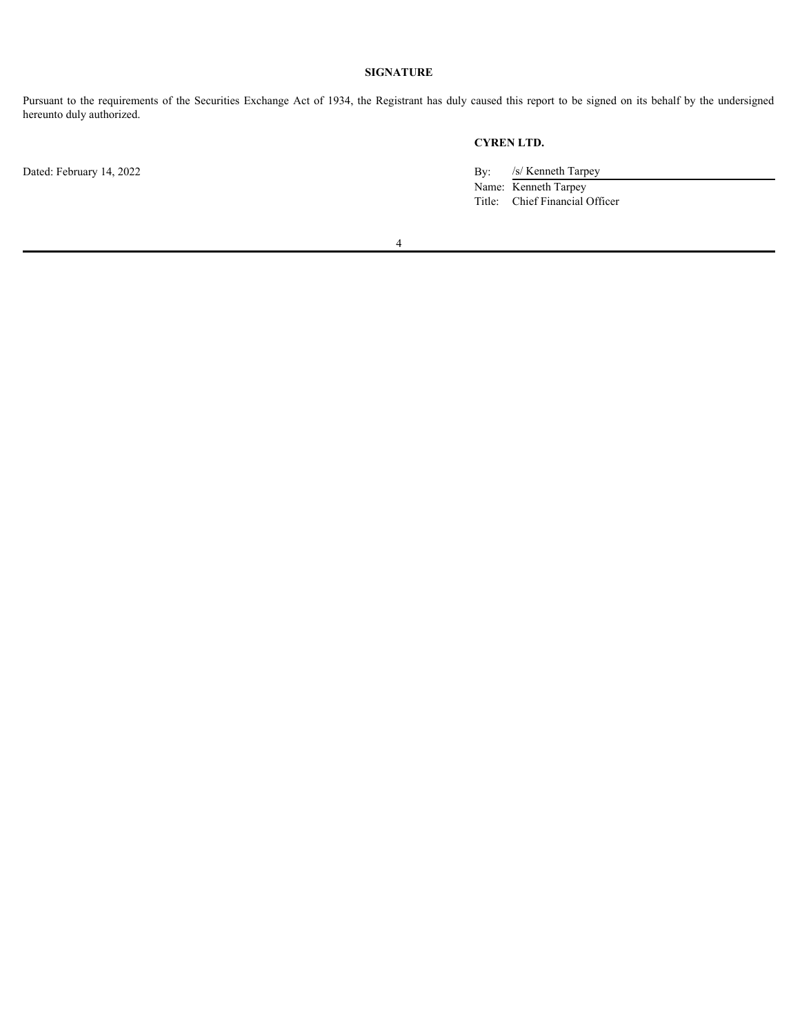# **SIGNATURE**

Pursuant to the requirements of the Securities Exchange Act of 1934, the Registrant has duly caused this report to be signed on its behalf by the undersigned hereunto duly authorized.

**CYREN LTD.**

Name: Kenneth Tarpey Title: Chief Financial Officer

4

Dated: February 14, 2022 By: /s/ Kenneth Tarpey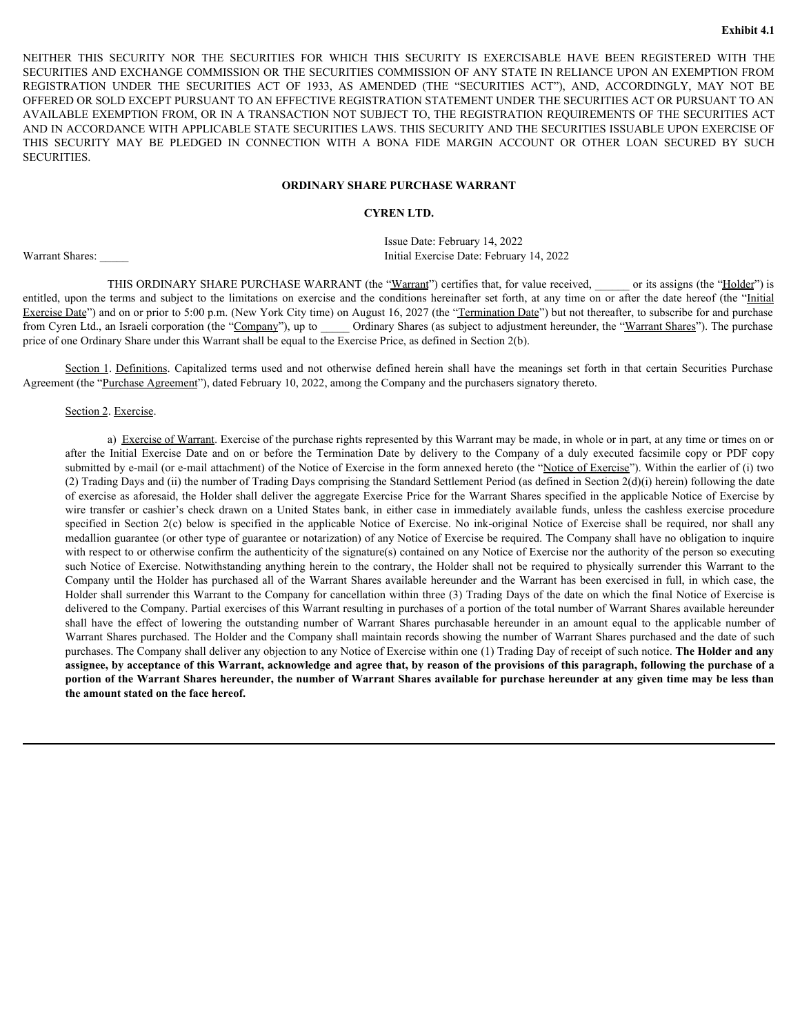EXHIFT THIS SECURITY NOR THE SECURITIES FOR WHICH THIS SECURITY IS EXERCISABLE HAVE BEEN REGISTERED WITH THE SECURITIES AND EXCHANGE COMMISSION OR THE SECURITIES COMMISSION OF ANY STATE IN RELIANCE UPON AN EXEMPTION FROM R SECURITIES AND EXCHANGE COMMISSION OR THE SECURITIES COMMISSION OF ANY STATE IN RELIANCE UPON AN EXEMPTION FROM EXAMPLE THIS SECURITY NOR THE SECURITIES FOR WHICH THIS SECURITY IS EXERCISABLE HAVE BEEN REGISTERED WITH THE SECURITIES AND EXCHANGE COMMISSION OR THE SECURITIES COMMISSION OF ANY STATE IN RELIANCE UPON AN EXEMPTION FROM OFFERED OR SOLD EXCEPT PURSUANT TO AN EFFECTIVE REGISTRATION STATEMENT UNDER THE SECURITIES ACT OR PURSUANT TO AN AVAILABLE EXEMPTION FROM, OR IN A TRANSACTION NOT SUBJECT TO, THE REGISTRATION REQUIREMENTS OF THE SECURITIES ACT AND IN ACCORDANCE WITH APPLICABLE STATE SECURITIES LAWS. THIS SECURITY AND THE SECURITIES ISSUABLE UPON EXERCISE OF EXPRISE THIS SECURITY NOR THE SECURITIES FOR WHICH THIS SECURITY IS EXERCISABLE HAVE BEEN REGISTERED WITH THE SECURITIES AND EXCHANGE COMMISSION OR THE SECURITIES COMMISSION OF ANY STATE IN RELIANCE UPON AN EXEMPTION FROM SECURITIES. ENTITUEN THIS SECURITY NOR THE SECURITIES FOR WHICH THIS SECURITY IS EXPERCISABLE HAVE BEEN REGISTERED WITH THE SECURITY AND EXERCISE TO THE SUBJECTIVE AND MAXIMUM CONDITIONS ON A TRANSPORT ON THE SUBJECTIVE AND SUBJECTIVE R THIS SECURITY NOR THE SECURITES FOR WHICH THIS SECURITY IS EXERCISABLE HAVE BEEN REGISTERED WITH THE HISTAND COMMISSION OF HIS SECURITIES ACT OF 1933. AS AMENDED (THE "SECURITES ACT, AND, ACCORDINGLY, MAY NOT BE ARRANT

# **ORDINARY SHARE PURCHASE WARRANT**

# **CYREN LTD.**

Issue Date: February 14, 2022 Warrant Shares: **Exercise Date: February 14, 2022** Initial Exercise Date: February 14, 2022

THIS ORDINARY SHARE PURCHASE WARRANT (the "Warrant") certifies that, for value received, \_\_\_\_\_ or its assigns (the "Holder") is Exercise Date") and on or prior to 5:00 p.m. (New York City time) on August 16, 2027 (the "Termination Date") but not thereafter, to subscribe for and purchase from Cyren Ltd., an Israeli corporation (the "Company"), up to Ordinary Shares (as subject to adjustment hereunder, the "Warrant Shares"). The purchase price of one Ordinary Share under this Warrant shall be equal to the Exercise Price, as defined in Section 2(b).

Agreement (the "Purchase Agreement"), dated February 10, 2022, among the Company and the purchasers signatory thereto.

#### Section 2. Exercise.

<span id="page-5-0"></span>a) Exercise of Warrant. Exercise of the purchase rights represented by this Warrant may be made, in whole or in part, at any time or times on or **EXERCISHY NOR THE SECURITY NOR THE SECURITES FOR WHICH THIS SECURITY IS EXERCISINE HAVE BEEN REGISTERD WITH THE RESORVENT ON THE SECURITY IS COMMISSION OF ANY STATE IN RELANCE UPON AN EXERCISITY THE SECURITY ON A THE SEC** submitted by e-mail (or e-mail attachment) of the Notice of Exercise in the form annexed hereto (the "Notice of Exercise"). Within the earlier of (i) two (2) Trading Days and (ii) the number of Trading Days comprising the Standard Settlement Period (as defined in Section 2(d)(i) herein) following the date of exercise as aforesaid, the Holder shall deliver the aggregate Exercise Price for the Warrant Shares specified in the applicable Notice of Exercise by EXTRIME THE SCENETES ACT 1933, AMENDED (THE "SECULTIES ACT), AND ACCORDINGT, WAY NOT BE AN ARRANT ON A NOT AN ANY NOT BE A MANAGEM VALUE TO THE REGISTRATION STATE ACT, AND A CORDINATED A MANAGEMENT ON A CAN A STATE OF CON DOR SOLD EXCEPT PURSENANT TO AN EFFECTIVE REGISTRATION TOTATINENT UNDER THE SECURITES ACT OR PURSENANT TO ANY ARCHAET CONDUCTED AND THE SECURITES AND THE SCURIMENT TOWAY TO ANY THE SCURIMENT ON A THE SCURIMENT ON THE SCUR medallion guarantee (or other type of guarantee or notarization) of any Notice of Exercise be required. The Company shall have no obligation to inquire with respect to or otherwise confirm the authenticity of the signature(s) contained on any Notice of Exercise nor the authority of the person so executing such Notice of Exercise. Notwithstanding anything herein to the contrary, the Holder shall not be required to physically surrender this Warrant to the Company until the Holder has purchased all of the Warrant Shares available hereunder and the Warrant has been exercised in full, in which case, the Holder shall surrender this Warrant to the Company for cancellation within three (3) Trading Days of the date on which the final Notice of Exercise is delivered to the Company. Partial exercises of this Warrant resulting in purchases of a portion of the total number of Warrant Shares available hereunder **EVRENT ITD.**<br>
ISSNEY:<br>
THIS ORDENVARY SHARE PURCHASE WARRANT (the "<u>Warrant</u>") centric based for conservered, or the assume the "Habber") is<br>
upon the term and abject on the interactions on exercise and the conditions her Warrant Shares purchased. The Holder and the Company shall maintain records showing the number of Warrant Shares purchased and the date of such purchases. The Company shall deliver any objection to any Notice of Exercise within one (1) Trading Day of receipt of such notice. **The Holder and any assignee, by acceptance of this Warrant, acknowledge and agree that, by reason of the provisions of this paragraph, following the purchase of a portion of the Warrant Shares hereunder, the number of Warrant Shares available for purchase hereunder at any given time may be less than the amount stated on the face hereof.**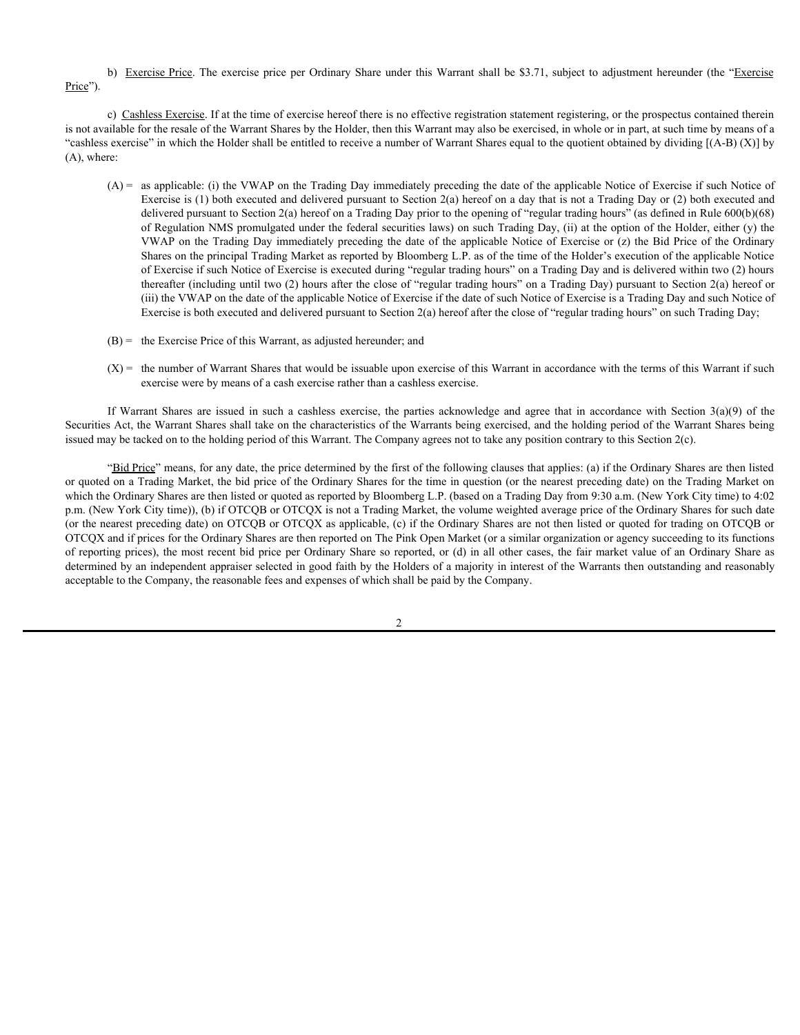# Price").

b) Exercise Price. The exercise price per Ordinary Share under this Warrant shall be \$3.71, subject to adjustment hereunder (the "Exercise<br>
c) Cashless Exercise. If at the time of exercise hereof there is no effective regi c) Cashless Exercise. If at the time of exercise hereof there is no effective registration statement registering, or the prospectus contained therein is not available for the resale of the Warrant Shares by the Holder, then this Warrant may also be exercised, in whole or in part, at such time by means of a "cashless exercise" in which the Holder shall be entitled to receive a number of Warrant Shares equal to the quotient obtained by dividing [(A-B) (X)] by (A), where:

- (A) = as applicable: (i) the VWAP on the Trading Day immediately preceding the date of the applicable Notice of Exercise if such Notice of Exercise is (1) both executed and delivered pursuant to Section 2(a) hereof on a day that is not a Trading Day or (2) both executed and delivered pursuant to Section 2(a) hereof on a Trading Day prior to the opening of "regular trading hours" (as defined in Rule 600(b)(68) of Regulation NMS promulgated under the federal securities laws) on such Trading Day, (ii) at the option of the Holder, either (y) the VWAP on the Trading Day immediately preceding the date of the applicable Notice of Exercise or (z) the Bid Price of the Ordinary Shares on the principal Trading Market as reported by Bloomberg L.P. as of the time of the Holder's execution of the applicable Notice of Exercise if such Notice of Exercise is executed during "regular trading hours" on a Trading Day and is delivered within two (2) hours thereafter (including until two (2) hours after the close of "regular trading hours" on a Trading Day) pursuant to Section 2(a) hereof or (iii) the VWAP on the date of the applicable Notice of Exercise if the date of such Notice of Exercise is a Trading Day and such Notice of Exercise is both executed and delivered pursuant to Section 2(a) hereof after the close of "regular trading hours" on such Trading Day; **If Nextise Prior.** The exercise price per Ordinary Share under this Warrant shall be \$3.71, subject to adjustment hereunder (the "Exercise in Social Control of the particle in the control of the particle in the control o
- (B) = the Exercise Price of this Warrant, as adjusted hereunder; and
- $(X)$  = the number of Warrant Shares that would be issuable upon exercise of this Warrant in accordance with the terms of this Warrant if such exercise were by means of a cash exercise rather than a cashless exercise.

Securities Act, the Warrant Shares shall take on the characteristics of the Warrants being exercised, and the holding period of the Warrant Shares being issued may be tacked on to the holding period of this Warrant. The Company agrees not to take any position contrary to this Section 2(c).

"Bid Price" means, for any date, the price determined by the first of the following clauses that applies: (a) if the Ordinary Shares are then listed or quoted on a Trading Market, the bid price of the Ordinary Shares for the time in question (or the nearest preceding date) on the Trading Market on which the Ordinary Shares are then listed or quoted as reported by Bloomberg L.P. (based on a Trading Day from 9:30 a.m. (New York City time) to 4:02 p.m. (New York City time)), (b) if OTCQB or OTCQX is not a Trading Market, the volume weighted average price of the Ordinary Shares for such date (or the nearest preceding date) on OTCQB or OTCQX as applicable, (c) if the Ordinary Shares are not then listed or quoted for trading on OTCQB or OTCQX and if prices for the Ordinary Shares are then reported on The Pink Open Market (or a similar organization or agency succeeding to its functions of reporting prices), the most recent bid price per Ordinary Share so reported, or (d) in all other cases, the fair market value of an Ordinary Share as determined by an independent appraiser selected in good faith by the Holders of a majority in interest of the Warrants then outstanding and reasonably acceptable to the Company, the reasonable fees and expenses of which shall be paid by the Company.

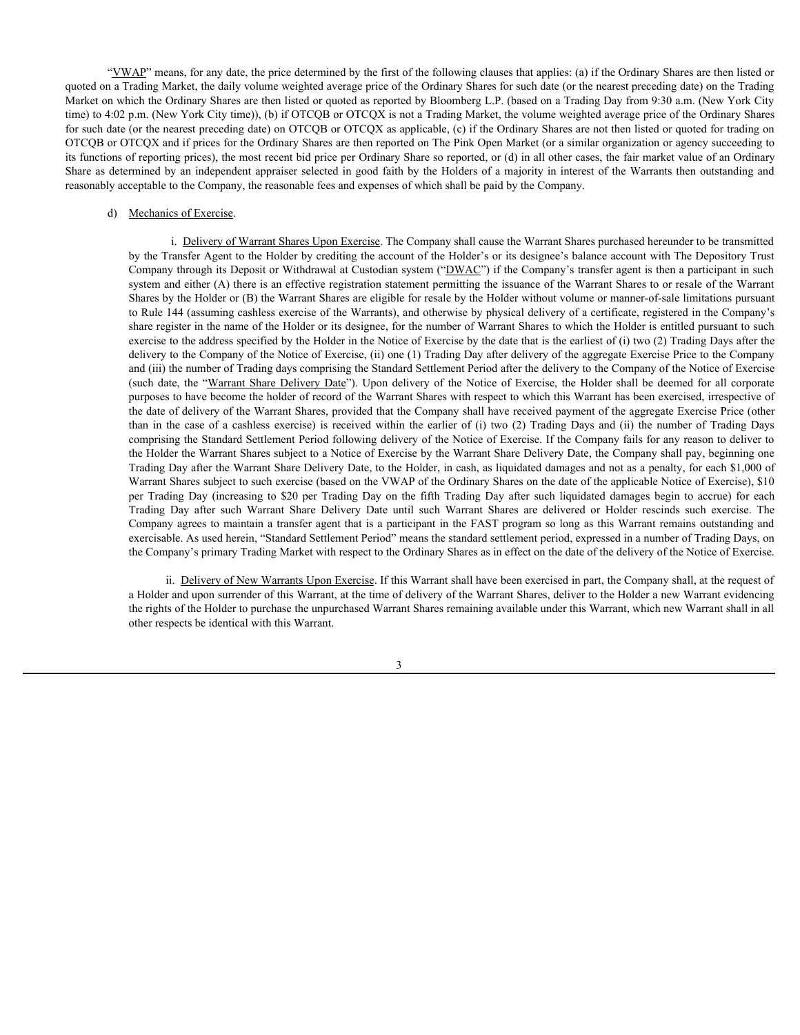"VWAP" means, for any date, the price determined by the first of the following clauses that applies: (a) if the Ordinary Shares are then listed or quoted on a Trading Market, the daily volume weighted average price of the Ordinary Shares for such date (or the nearest preceding date) on the Trading Market on which the Ordinary Shares are then listed or quoted as reported by Bloomberg L.P. (based on a Trading Day from 9:30 a.m. (New York City time) to 4:02 p.m. (New York City time)), (b) if OTCQB or OTCQX is not a Trading Market, the volume weighted average price of the Ordinary Shares for such date (or the nearest preceding date) on OTCQB or OTCQX as applicable, (c) if the Ordinary Shares are not then listed or quoted for trading on OTCQB or OTCQX and if prices for the Ordinary Shares are then reported on The Pink Open Market (or a similar organization or agency succeeding to its functions of reporting prices), the most recent bid price per Ordinary Share so reported, or (d) in all other cases, the fair market value of an Ordinary Share as determined by an independent appraiser selected in good faith by the Holders of a majority in interest of the Warrants then outstanding and reasonably acceptable to the Company, the reasonable fees and expenses of which shall be paid by the Company.

# d) Mechanics of Exercise.

i. Delivery of Warrant Shares Upon Exercise. The Company shall cause the Warrant Shares purchased hereunder to be transmitted by the Transfer Agent to the Holder by crediting the account of the Holder's or its designee's balance account with The Depository Trust Company through its Deposit or Withdrawal at Custodian system ("DWAC") if the Company's transfer agent is then a participant in such system and either (A) there is an effective registration statement permitting the issuance of the Warrant Shares to or resale of the Warrant Shares by the Holder or (B) the Warrant Shares are eligible for resale by the Holder without volume or manner-of-sale limitations pursuant to Rule 144 (assuming cashless exercise of the Warrants), and otherwise by physical delivery of a certificate, registered in the Company's share register in the name of the Holder or its designee, for the number of Warrant Shares to which the Holder is entitled pursuant to such exercise to the address specified by the Holder in the Notice of Exercise by the date that is the earliest of (i) two (2) Trading Days after the delivery to the Company of the Notice of Exercise, (ii) one (1) Trading Day after delivery of the aggregate Exercise Price to the Company and (iii) the number of Trading days comprising the Standard Settlement Period after the delivery to the Company of the Notice of Exercise  $\Delta E$ " means. for any date, the price determined by the first of the following chances that applies. (a) if the Oulinary Shares are then histol or fading Market, the daily volume weighted average price of the Oulinary Sha purposes to have become the holder of record of the Warrant Shares with respect to which this Warrant has been exercised, irrespective of the date of delivery of the Warrant Shares, provided that the Company shall have received payment of the aggregate Exercise Price (other EXP means, for any dute, the piece determined by the first of the following clauses that applier. (a) if the Colinary Shares are then listed or finding Market, the dubity bulne weighted average price of the Ordinary Share comprising the Standard Settlement Period following delivery of the Notice of Exercise. If the Company fails for any reason to deliver to the Holder the Warrant Shares subject to a Notice of Exercise by the Warrant Share Delivery Date, the Company shall pay, beginning one Trading Day after the Warrant Share Delivery Date, to the Holder, in cash, as liquidated damages and not as a penalty, for each \$1,000 of Warrant Shares subject to such exercise (based on the VWAP of the Ordinary Shares on the date of the applicable Notice of Exercise), \$10  $\Delta E$ Trading for a grading the detectmined by the first of the bifthological particle of infer odding Nations (in increasing the original by the second as equencies of the Outlary Shares are then itself of the Day on the Trading Markur, the direct orientation and the Holder orientation and the Comat Markur (and the Comat Markur Holder Comat Markur Holder Comat Markur Holder and Markur Holder and Markur Holder and Markur Holder (or the resu Company agrees to maintain a transfer agent that is a participant in the FAST program so long as this Warrant remains outstanding and exercisable. As used herein, "Standard Settlement Period" means the standard settlement period, expressed in a number of Trading Days, on the Company's primary Trading Market with respect to the Ordinary Shares as in effect on the date of the delivery of the Notice of Exercise.

ii. Delivery of New Warrants Upon Exercise. If this Warrant shall have been exercised in part, the Company shall, at the request of a Holder and upon surrender of this Warrant, at the time of delivery of the Warrant Shares, deliver to the Holder a new Warrant evidencing the rights of the Holder to purchase the unpurchased Warrant Shares remaining available under this Warrant, which new Warrant shall in all other respects be identical with this Warrant.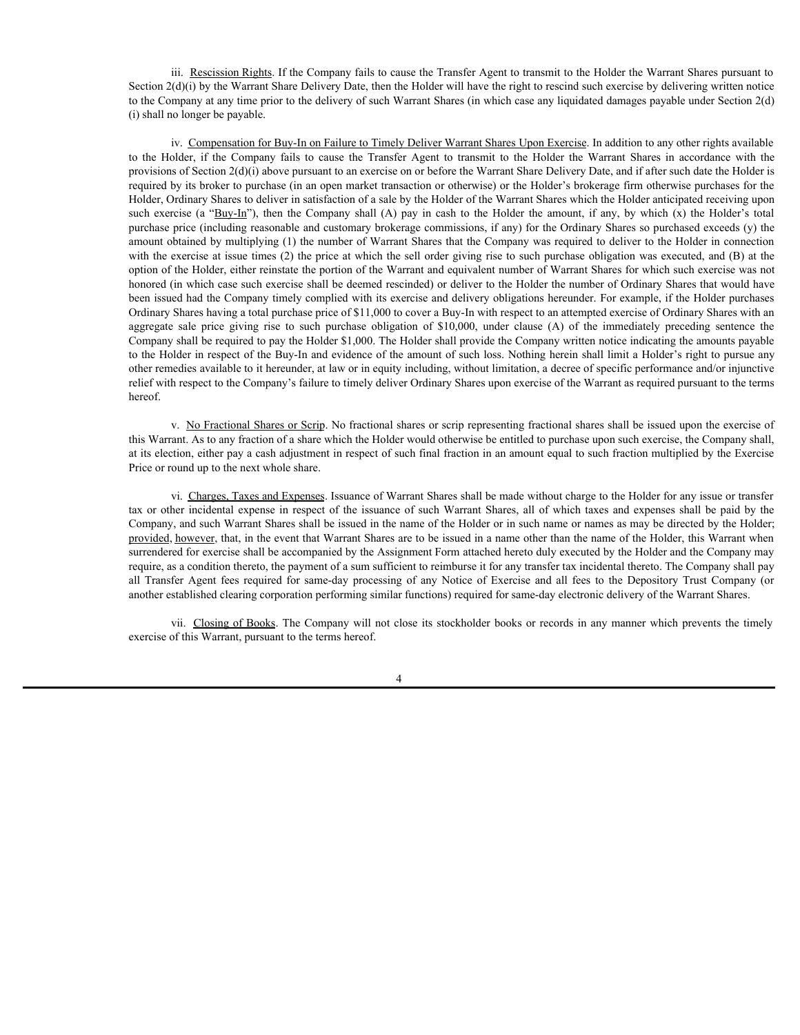iii. Rescission Rights. If the Company fails to cause the Transfer Agent to transmit to the Holder the Warrant Shares pursuant to Section  $2(d)(i)$  by the Warrant Share Delivery Date, then the Holder will have the right to rescind such exercise by delivering written notice to the Company at any time prior to the delivery of such Warrant Shares (in which case any liquidated damages payable under Section 2(d) (i) shall no longer be payable.

iv. Compensation for Buy-In on Failure to Timely Deliver Warrant Shares Upon Exercise. In addition to any other rights available iii. <u>Reseission Rights</u> If the Company fails to cause the Transfer Agent to transmit to the Holder the Warrant Shares pursuant to<br>Section 2(d)(i) by the Warrant Share Delivery Date, then the Holder will have the right to provisions of Section 2(d)(i) above pursuant to an exercise on or before the Warrant Share Delivery Date, and if after such date the Holder is required by its broker to purchase (in an open market transaction or otherwise) or the Holder's brokerage firm otherwise purchases for the Holder, Ordinary Shares to deliver in satisfaction of a sale by the Holder of the Warrant Shares which the Holder anticipated receiving upon iii. <u>Rescission Rights</u> If the Company fails to cause the Transfer Agent to transmit to the Holder the Warrant Shares pursuant to<br>Section 2(d)(i) by the Warrant Share Delivery Date, then the Holder will have the right to purchase price (including reasonable and customary brokerage commissions, if any) for the Ordinary Shares so purchased exceeds (y) the amount obtained by multiplying (1) the number of Warrant Shares that the Company was required to deliver to the Holder in connection with the exercise at issue times (2) the price at which the sell order giving rise to such purchase obligation was executed, and (B) at the option of the Holder, either reinstate the portion of the Warrant and equivalent number of Warrant Shares for which such exercise was not honored (in which case such exercise shall be deemed rescinded) or deliver to the Holder the number of Ordinary Shares that would have been issued had the Company timely complied with its exercise and delivery obligations hereunder. For example, if the Holder purchases Ordinary Shares having a total purchase price of \$11,000 to cover a Buy-In with respect to an attempted exercise of Ordinary Shares with an iii. <u>Resolusion Right</u>s. If the Company fails to cause the Transfer Agent to transmit to the Holder the Warrant Shares pursuant to the Science of the Company at any time prior to the delivery of such Warrant Shares (in wh Company shall be required to pay the Holder \$1,000. The Holder shall provide the Company written notice indicating the amounts payable to the Holder in respect of the Buy-In and evidence of the amount of such loss. Nothing herein shall limit a Holder's right to pursue any other remedies available to it hereunder, at law or in equity including, without limitation, a decree of specific performance and/or injunctive relief with respect to the Company's failure to timely deliver Ordinary Shares upon exercise of the Warrant as required pursuant to the terms hereof. Section 2(kyli by Warrant Shares) and twich the higher with likelative with an endor of the ight of respect of the issue of the issue in respect to the issue of such an endor of the ight of the issue of the issue of the ig to the Holder in consideration of the Transfer Agent to transfer Agent to the Holder has the Holder in a scene<br>in the case of Figure 10. Consequent to an exercise on or before the Warnat Share Share age print of facts and

v. No Fractional Shares or Scrip. No fractional shares or scrip representing fractional shares shall be issued upon the exercise of this Warrant. As to any fraction of a share which the Holder would otherwise be entitled to purchase upon such exercise, the Company shall, at its election, either pay a cash adjustment in respect of such final fraction in an amount equal to such fraction multiplied by the Exercise Price or round up to the next whole share.

vi. Charges, Taxes and Expenses. Issuance of Warrant Shares shall be made without charge to the Holder for any issue or transfer Company, and such Warrant Shares shall be issued in the name of the Holder or in such name or names as may be directed by the Holder; provided, however, that, in the event that Warrant Shares are to be issued in a name other than the name of the Holder, this Warrant when surrendered for exercise shall be accompanied by the Assignment Form attached hereto duly executed by the Holder and the Company may require, as a condition thereto, the payment of a sum sufficient to reimburse it for any transfer tax incidental thereto. The Company shall pay another established clearing corporation performing similar functions) required for same-day electronic delivery of the Warrant Shares.

vii. Closing of Books. The Company will not close its stockholder books or records in any manner which prevents the timely exercise of this Warrant, pursuant to the terms hereof.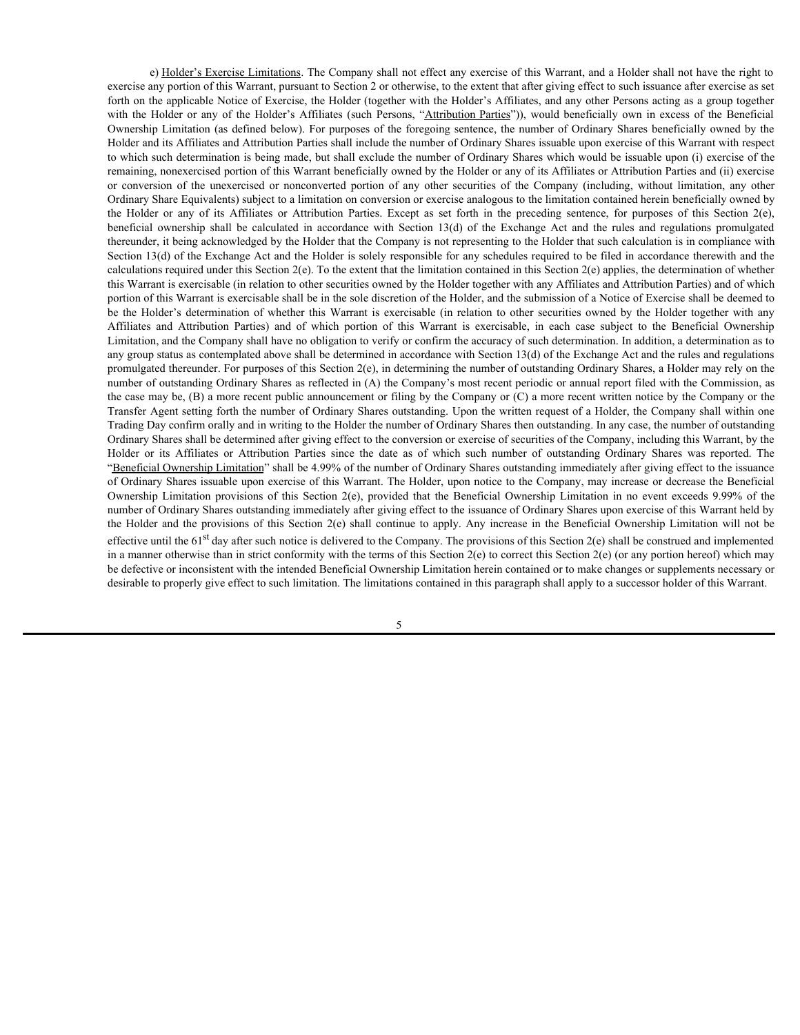e) Holder's Exercise Limitations. The Company shall not effect any exercise of this Warrant, and a Holder shall not have the right to exercise any portion of this Warrant, pursuant to Section 2 or otherwise, to the extent that after giving effect to such issuance after exercise as set forth on the applicable Notice of Exercise, the Holder (together with the Holder's Affiliates, and any other Persons acting as a group together e) <u>Holder's Exercise Limitations</u>. The Company shall not effect any exercise of this Warrant, and a Holder shall not have the right to exercise any portion of this Warrant, pursuant to Section 2 or otherwise, to the exten Ownership Limitation (as defined below). For purposes of the foregoing sentence, the number of Ordinary Shares beneficially owned by the Holder and its Affiliates and Attribution Parties shall include the number of Ordinary Shares issuable upon exercise of this Warrant with respect to which such determination is being made, but shall exclude the number of Ordinary Shares which would be issuable upon (i) exercise of the remaining, nonexercised portion of this Warrant beneficially owned by the Holder or any of its Affiliates or Attribution Parties and (ii) exercise e) Holder's Exercise Limitations. The Company shall not effect any exercise of this Warrant, and a Holder shall not have the right to exercise any portion of this Warrant, pursuant to Section 2 or otherwise, to the extent Ordinary Share Equivalents) subject to a limitation on conversion or exercise analogous to the limitation contained herein beneficially owned by e) Holder's Exercise Limitations. The Company shall not effect any exercise of this Warrant, and a Holder shall not have the right to exercise as set form on the appliciable Note or a New State (to the extent in the Holder e) Holder's Exercise Limitations. The Company shall not effect any exercise of this Warrant, and a Holder shall not have the right to extreme any potion of this Warrant, torsach any potion of this Warrant, pursant to Secti thereunder, it being acknowledged by the Holder that the Company is not representing to the Holder that such calculation is in compliance with Section 13(d) of the Exchange Act and the Holder is solely responsible for any schedules required to be filed in accordance therewith and the calculations required under this Section  $2(e)$ . To the extent that the limitation contained in this Section  $2(e)$  applies, the determination of whether this Warrant is exercisable (in relation to other securities owned by the Holder together with any Affiliates and Attribution Parties) and of which portion of this Warrant is exercisable shall be in the sole discretion of the Holder, and the submission of a Notice of Exercise shall be deemed to <sup>1</sup> <u>Holder's Exercise Limitations</u>. The Company shall not effect any exercise of this Warrant, and a Holder shall not have the right to<br>receives any porton of this Warrant, paramato to Sector 2 or determination for sevent vertices and this Warrantiation and Beneficial Company shall not effect any exercise of this Warrant, and a Holder shall not have the right to receive and this Warrantia, pursuant to Section 2 or otherwise, to the exercisi Limitation, and the Company shall have no obligation to verify or confirm the accuracy of such determination. In addition, a determination as to any group status as contemplated above shall be determined in accordance with Section 13(d) of the Exchange Act and the rules and regulations promulgated thereunder. For purposes of this Section 2(e), in determining the number of outstanding Ordinary Shares, a Holder may rely on the number of outstanding Ordinary Shares as reflected in (A) the Company's most recent periodic or annual report filed with the Commission, as the case may be, (B) a more recent public announcement or filing by the Company or (C) a more recent written notice by the Company or the Transfer Agent setting forth the number of Ordinary Shares outstanding. Upon the written request of a Holder, the Company shall within one Trading Day confirm orally and in writing to the Holder the number of Ordinary Shares then outstanding. In any case, the number of outstanding Ordinary Shares shall be determined after giving effect to the conversion or exercise of securities of the Company, including this Warrant, by the e) Fielder's Exercise Limitations. The Company shall not offers any excerise of this Warnet, and a Folder shall not have the results and or the constraint and the gristics or any offered to the constraint of the system or "Beneficial Ownership Limitation" shall be 4.99% of the number of Ordinary Shares outstanding immediately after giving effect to the issuance of Ordinary Shares issuable upon exercise of this Warrant. The Holder, upon notice to the Company, may increase or decrease the Beneficial 6) Electron and a Holder and the Compary shall not the Compary (δ) and the Warrant and a Holder also not also the provisions of the provisions of the Beneficial Ownership Limitation and the provisions of the Beneficial O number of Ordinary Shares outstanding immediately after giving effect to the issuance of Ordinary Shares upon exercise of this Warrant held by forth the the lightich Notice of Excition 2nd the Holdest with the Belleirs Affiliats and the positions of the provisions of the station 2 any increase in the space of the Station 2(e) ownership Limitation in the Beneficia effective until the 61<sup>st</sup> day after such notice is delivered to the Company. The provisions of this Section  $2(e)$  shall be construed and implemented in a manner otherwise than in strict conformity with the terms of this Section 2(e) to correct this Section 2(e) (or any portion hereof) which may be defective or inconsistent with the intended Beneficial Ownership Limitation herein contained or to make changes or supplements necessary or desirable to properly give effect to such limitation. The limitations contained in this paragraph shall apply to a successor holder of this Warrant.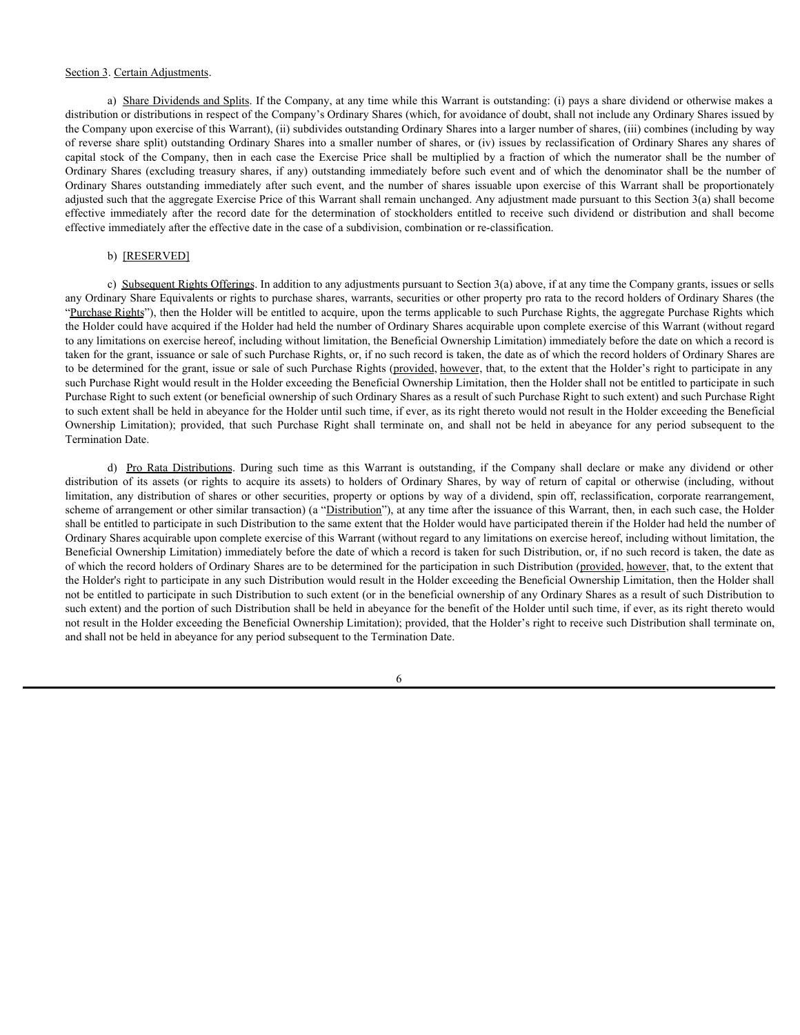### Section 3. Certain Adjustments.

a) Share Dividends and Splits. If the Company, at any time while this Warrant is outstanding: (i) pays a share dividend or otherwise makes a distribution or distributions in respect of the Company's Ordinary Shares (which, for avoidance of doubt, shall not include any Ordinary Shares issued by the Company upon exercise of this Warrant), (ii) subdivides outstanding Ordinary Shares into a larger number of shares, (iii) combines (including by way of reverse share split) outstanding Ordinary Shares into a smaller number of shares, or (iv) issues by reclassification of Ordinary Shares any shares of Section 3. Certain Adjustments.<br>
a) Share Dividends and Splits. If the Company, at any time while this Warrant is outstanding: (i) pays a share dividend or otherwise makes a<br>
distribution or distributions in respect of the Section 3. Certain Adjustments.<br>
a) Share Dividends and Splits. If the Company, at any time while this Warrant is outstanding: (i) pays a share dividend or otherwise makes a<br>
distribution or distributions in respect of the Section 3. Certain Adjustments.<br>
a) Share Dividents and Splits. If the Company, at any time while this Warrant is outstanding: (i) pays a share dividend or otherwise makes a<br>
distribution or distributions in respect of the adjusted such that the aggregate Exercise Price of this Warrant shall remain unchanged. Any adjustment made pursuant to this Section 3(a) shall become Section 3. Certain Adjustments.<br>
a) Share Dividends and Splits. If the Company, at any time while this Warrant is outstanding: (i) pays a share dividend or otherwise makes a<br>
distribution or distributions in respect of the effective immediately after the effective date in the case of a subdivision, combination or re-classification.

### b) [RESERVED]

c) Subsequent Rights Offerings. In addition to any adjustments pursuant to Section 3(a) above, if at any time the Company grants, issues or sells any Ordinary Share Equivalents or rights to purchase shares, warrants, securities or other property pro rata to the record holders of Ordinary Shares (the "Purchase Rights"), then the Holder will be entitled to acquire, upon the terms applicable to such Purchase Rights, the aggregate Purchase Rights which the Holder could have acquired if the Holder had held the number of Ordinary Shares acquirable upon complete exercise of this Warrant (without regard to any limitations on exercise hereof, including without limitation, the Beneficial Ownership Limitation) immediately before the date on which a record is taken for the grant, issuance or sale of such Purchase Rights, or, if no such record is taken, the date as of which the record holders of Ordinary Shares are to be determined for the grant, issue or sale of such Purchase Rights (provided, however, that, to the extent that the Holder's right to participate in any such Purchase Right would result in the Holder exceeding the Beneficial Ownership Limitation, then the Holder shall not be entitled to participate in such Purchase Right to such extent (or beneficial ownership of such Ordinary Shares as a result of such Purchase Right to such extent) and such Purchase Right to such extent shall be held in abeyance for the Holder until such time, if ever, as its right thereto would not result in the Holder exceeding the Beneficial Section.). Certain Adjustments<br>
a) Shem Divelopeara such as the Germany at any time which the Werman is endominate (i) provided and the divelopeara controlled and<br>distribution of distribution in terms of the Company (50 pl Termination Date. Centan Adustments.<br>
a) Share Distributions in expect of the Company, at any time while this Warrant is outsidanting (i) pays a share dividend or otherwise makes a<br>
one of distributions in expect of the Company's oldingy S distinct 1. Corriginal control of the correspondent in the second of the second or the second or the second or the second or the second or the second or the second or the second or the second or the second or the correspo Section 3 Centin Adjustments. The Company, at any time while this Worma is outstoding to pays a share dividend or otherwises or otherwises or otherwise or otherwise or otherwise or otherwise or otherwise any distribution

scheme of arrangement or other similar transaction) (a "Distribution"), at any time after the issuance of this Warrant, then, in each such case, the Holder shall be entitled to participate in such Distribution to the same extent that the Holder would have participated therein if the Holder had held the number of Ordinary Shares acquirable upon complete exercise of this Warrant (without regard to any limitations on exercise hereof, including without limitation, the Beneficial Ownership Limitation) immediately before the date of which a record is taken for such Distribution, or, if no such record is taken, the date as of which the record holders of Ordinary Shares are to be determined for the participation in such Distribution (provided, however, that, to the extent that the Holder's right to participate in any such Distribution would result in the Holder exceeding the Beneficial Ownership Limitation, then the Holder shall not be entitled to participate in such Distribution to such extent (or in the beneficial ownership of any Ordinary Shares as a result of such Distribution to such extent) and the portion of such Distribution shall be held in abeyance for the benefit of the Holder until such time, if ever, as its right thereto would not result in the Holder exceeding the Beneficial Ownership Limitation); provided, that the Holder's right to receive such Distribution shall terminate on, and shall not be held in abeyance for any period subsequent to the Termination Date.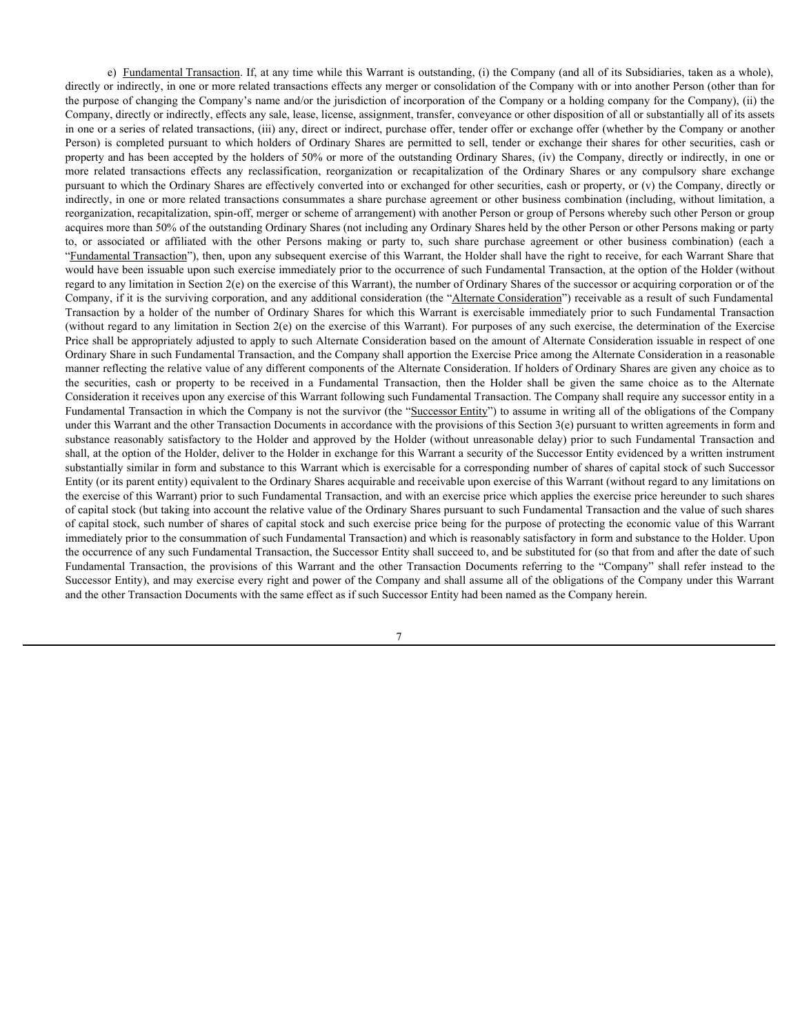e) Fundamental Transaction. If, at any time while this Warrant is outstanding, (i) the Company (and all of its Subsidiaries, taken as a whole), directly or indirectly, in one or more related transactions effects any merger or consolidation of the Company with or into another Person (other than for the purpose of changing the Company's name and/or the jurisdiction of incorporation of the Company or a holding company for the Company), (ii) the Company, directly or indirectly, effects any sale, lease, license, assignment, transfer, conveyance or other disposition of all or substantially all of its assets in one or a series of related transactions, (iii) any, direct or indirect, purchase offer, tender offer or exchange offer (whether by the Company or another Person) is completed pursuant to which holders of Ordinary Shares are permitted to sell, tender or exchange their shares for other securities, cash or property and has been accepted by the holders of 50% or more of the outstanding Ordinary Shares, (iv) the Company, directly or indirectly, in one or e) <u>Fundamental Transaction</u>. If, at any time while this Warrant is outstanding, (i) the Company (and all of its Subsidiaries, taken as a whole), directly or indirectly, in one or more related transactions effects any merg pursuant to which the Ordinary Shares are effectively converted into or exchanged for other securities, cash or property, or (v) the Company, directly or indirectly, in one or more related transactions consummates a share purchase agreement or other business combination (including, without limitation, a reorganization, recapitalization, spin-off, merger or scheme of arrangement) with another Person or group of Persons whereby such other Person or group acquires more than 50% of the outstanding Ordinary Shares (not including any Ordinary Shares held by the other Person or other Persons making or party o) E<u>mdaturental Transaction</u> If, at any time while this Warrant is outstanding, (i) the Company (and all of its Subsidiaries, taken as a whole), direct or affiliation of inective company is more or note neared with the o "Fundamental Transaction"), then, upon any subsequent exercise of this Warrant, the Holder shall have the right to receive, for each Warrant Share that would have been issuable upon such exercise immediately prior to the occurrence of such Fundamental Transaction, at the option of the Holder (without regard to any limitation in Section  $2(e)$  on the exercise of this Warrant), the number of Ordinary Shares of the successor or acquiring corporation or of the Company, if it is the surviving corporation, and any additional consideration (the "Alternate Consideration") receivable as a result of such Fundamental c) Eurdamental Transaction If, at any time while this Warrant is contstanting, (i) the Company (and all of its Subsidiures, taken as a whole), directly or indirectly, in one or more related transactions effects any merger (without regard to any limitation in Section 2(e) on the exercise of this Warrant). For purposes of any such exercise, the determination of the Exercise Price shall be appropriately adjusted to apply to such Alternate Consideration based on the amount of Alternate Consideration issuable in respect of one Ordinary Share in such Fundamental Transaction, and the Company shall apportion the Exercise Price among the Alternate Consideration in a reasonable manner reflecting the relative value of any different components of the Alternate Consideration. If holders of Ordinary Shares are given any choice as to c) Enadiamental Transaction, If, at any time while this Wurrant is outstanding. (i) the Company yind of its Substanties, taken as a whole), directly or indirectly, in one or more related transaction of the Eorey or conside Consideration it receives upon any exercise of this Warrant following such Fundamental Transaction. The Company shall require any successor entity in a Fundamental Transaction in which the Company is not the survivor (the "Successor Entity") to assume in writing all of the obligations of the Company under this Warrant and the other Transaction Documents in accordance with the provisions of this Section 3(e) pursuant to written agreements in form and e) Lemiamunki Intrasticus If, at any time which is Warnet in outsined into the Normany (and all of its Substances satisfactory in the Holder and the Holder and the Holder and the Holder And and the Holder And and approxima shall, at the option of the Holder, deliver to the Holder in exchange for this Warrant a security of the Successor Entity evidenced by a written instrument substantially similar in form and substance to this Warrant which is exercisable for a corresponding number of shares of capital stock of such Successor Entity (or its parent entity) equivalent to the Ordinary Shares acquirable and receivable upon exercise of this Warrant (without regard to any limitations on the exercise of this Warrant) prior to such Fundamental Transaction, and with an exercise price which applies the exercise price hereunder to such shares of capital stock (but taking into account the relative value of the Ordinary Shares pursuant to such Fundamental Transaction and the value of such shares of capital stock, such number of shares of capital stock and such exercise price being for the purpose of protecting the economic value of this Warrant immediately prior to the consummation of such Fundamental Transaction) and which is reasonably satisfactory in form and substance to the Holder. Upon the occurrence of any such Fundamental Transaction, the Successor Entity shall succeed to, and be substituted for (so that from and after the date of such From is complete parameted by the bolder of the investment of the context of the instead to the context of the instead to the other states of the instead transaction Document and the other instead transaction Document in w Successor Entity), and may exercise every right and power of the Company and shall assume all of the obligations of the Company under this Warrant and the other Transaction Documents with the same effect as if such Successor Entity had been named as the Company herein.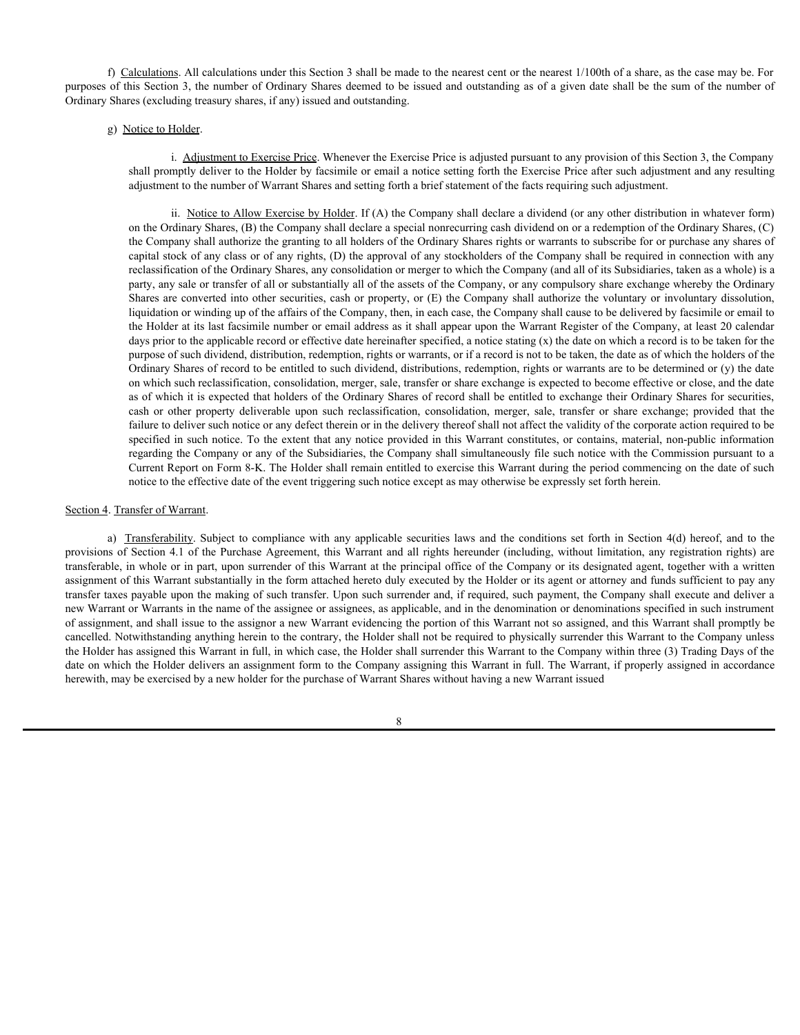f) Calculations. All calculations under this Section 3 shall be made to the nearest cent or the nearest 1/100th of a share, as the case may be. For purposes of this Section 3, the number of Ordinary Shares deemed to be issued and outstanding as of a given date shall be the sum of the number of Ordinary Shares (excluding treasury shares, if any) issued and outstanding.

# g) Notice to Holder.

i. Adjustment to Exercise Price. Whenever the Exercise Price is adjusted pursuant to any provision of this Section 3, the Company shall promptly deliver to the Holder by facsimile or email a notice setting forth the Exercise Price after such adjustment and any resulting adjustment to the number of Warrant Shares and setting forth a brief statement of the facts requiring such adjustment.

ii. Notice to Allow Exercise by Holder. If (A) the Company shall declare a dividend (or any other distribution in whatever form) on the Ordinary Shares, (B) the Company shall declare a special nonrecurring cash dividend on or a redemption of the Ordinary Shares, (C) the Company shall authorize the granting to all holders of the Ordinary Shares rights or warrants to subscribe for or purchase any shares of capital stock of any class or of any rights, (D) the approval of any stockholders of the Company shall be required in connection with any reclassification of the Ordinary Shares, any consolidation or merger to which the Company (and all of its Subsidiaries, taken as a whole) is a party, any sale or transfer of all or substantially all of the assets of the Company, or any compulsory share exchange whereby the Ordinary Shares are converted into other securities, cash or property, or (E) the Company shall authorize the voluntary or involuntary dissolution, liquidation or winding up of the affairs of the Company, then, in each case, the Company shall cause to be delivered by facsimile or email to the Holder at its last facsimile number or email address as it shall appear upon the Warrant Register of the Company, at least 20 calendar days prior to the applicable record or effective date hereinafter specified, a notice stating (x) the date on which a record is to be taken for the purpose of such dividend, distribution, redemption, rights or warrants, or if a record is not to be taken, the date as of which the holders of the Ordinary Shares of record to be entitled to such dividend, distributions, redemption, rights or warrants are to be determined or (y) the date on which such reclassification, consolidation, merger, sale, transfer or share exchange is expected to become effective or close, and the date as of which it is expected that holders of the Ordinary Shares of record shall be entitled to exchange their Ordinary Shares for securities, adculations. All calculations under this Section 3 shall be made to the nearest ecast or the nearest 1/100th of a share, as the case may be. For its Section 3, the number of Ordinary Shares deemed to be issued and outstand failure to deliver such notice or any defect therein or in the delivery thereof shall not affect the validity of the corporate action required to be specified in such notice. To the extent that any notice provided in this Warrant constitutes, or contains, material, non-public information regarding the Company or any of the Subsidiaries, the Company shall simultaneously file such notice with the Commission pursuant to a Current Report on Form 8-K. The Holder shall remain entitled to exercise this Warrant during the period commencing on the date of such notice to the effective date of the event triggering such notice except as may otherwise be expressly set forth herein. B) Coincide B. Adjustment to Exterior Prince Whenever the Francisco strategies from the Exterior Berns of Market Scheme in the control is adjustment of the restricted of Market Scheme in the section and the conditions and p) Noise to Holder.<br>
i. Adjustment to Evertise Price to Bereite Price is adjusted parsons the provision of this Section 3, the Company<br>
and promptly deliver to the triade by dust<br>mini-section at noise setting forth that th

transferable, in whole or in part, upon surrender of this Warrant at the principal office of the Company or its designated agent, together with a written assignment of this Warrant substantially in the form attached hereto duly executed by the Holder or its agent or attorney and funds sufficient to pay any transfer taxes payable upon the making of such transfer. Upon such surrender and, if required, such payment, the Company shall execute and deliver a new Warrant or Warrants in the name of the assignee or assignees, as applicable, and in the denomination or denominations specified in such instrument of assignment, and shall issue to the assignor a new Warrant evidencing the portion of this Warrant not so assigned, and this Warrant shall promptly be cancelled. Notwithstanding anything herein to the contrary, the Holder shall not be required to physically surrender this Warrant to the Company unless the Holder has assigned this Warrant in full, in which case, the Holder shall surrender this Warrant to the Company within three (3) Trading Days of the date on which the Holder delivers an assignment form to the Company assigning this Warrant in full. The Warrant, if properly assigned in accordance herewith, may be exercised by a new holder for the purchase of Warrant Shares without having a new Warrant issued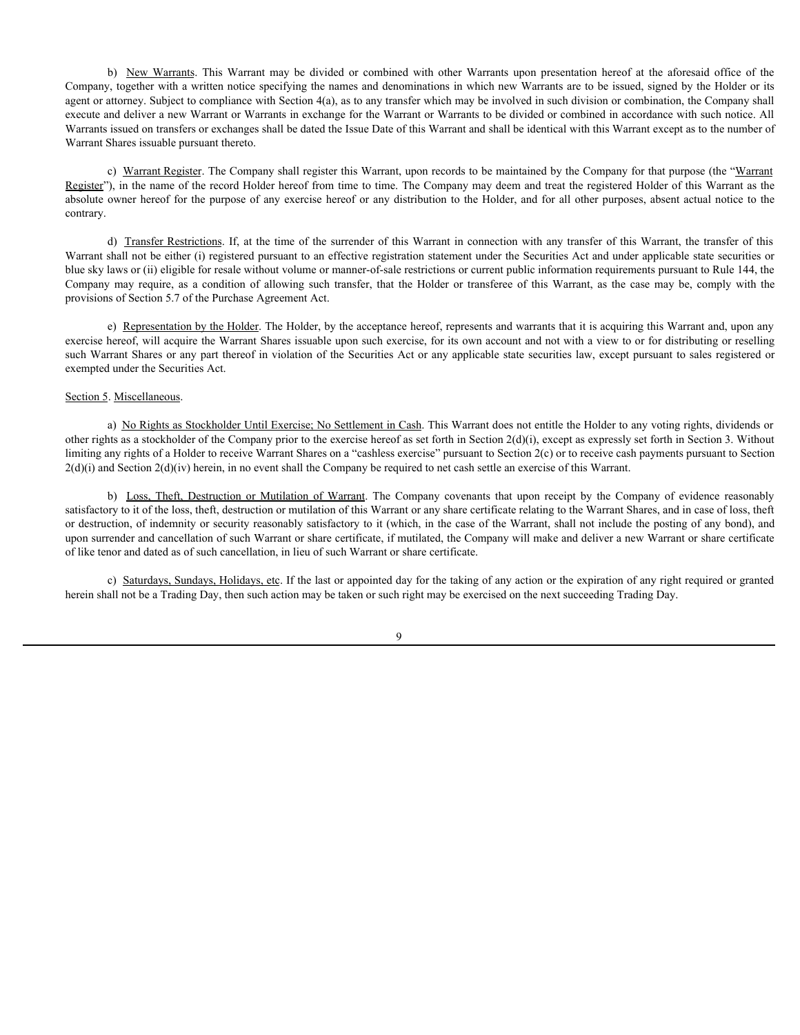b) New Warrants. This Warrant may be divided or combined with other Warrants upon presentation hereof at the aforesaid office of the *n*, together with a written notice specifying the names and denominations in which new W Company, together with a written notice specifying the names and denominations in which new Warrants are to be issued, signed by the Holder or its agent or attorney. Subject to compliance with Section 4(a), as to any transfer which may be involved in such division or combination, the Company shall execute and deliver a new Warrant or Warrants in exchange for the Warrant or Warrants to be divided or combined in accordance with such notice. All Warrants issued on transfers or exchanges shall be dated the Issue Date of this Warrant and shall be identical with this Warrant except as to the number of Warrant Shares issuable pursuant thereto. (b) New Warrants This Warrant may be divided or combined with other Warrants upon presentation hereof at the aforesaid office of the Company, expertent with written notice specifying the names and denomination in which new b) New Marmat, This Warrant may be divided or continue that when twist we approach to be issued a find of the of the original or Mutilation or Mutilation or Mutilation or Mutilation or Support and the company and the comp

c) Warrant Register. The Company shall register this Warrant, upon records to be maintained by the Company for that purpose (the "Warrant Register"), in the name of the record Holder hereof from time to time. The Company may deem and treat the registered Holder of this Warrant as the absolute owner hereof for the purpose of any exercise hereof or any distribution to the Holder, and for all other purposes, absent actual notice to the contrary.

d) Transfer Restrictions. If, at the time of the surrender of this Warrant in connection with any transfer of this Warrant, the transfer of this Warrant shall not be either (i) registered pursuant to an effective registration statement under the Securities Act and under applicable state securities or blue sky laws or (ii) eligible for resale without volume or manner-of-sale restrictions or current public information requirements pursuant to Rule 144, the provisions of Section 5.7 of the Purchase Agreement Act.

e) Representation by the Holder. The Holder, by the acceptance hereof, represents and warrants that it is acquiring this Warrant and, upon any exercise hereof, will acquire the Warrant Shares issuable upon such exercise, for its own account and not with a view to or for distributing or reselling such Warrant Shares or any part thereof in violation of the Securities Act or any applicable state securities law, except pursuant to sales registered or exempted under the Securities Act.

# Section 5. Miscellaneous.

a) No Rights as Stockholder Until Exercise; No Settlement in Cash. This Warrant does not entitle the Holder to any voting rights, dividends or other rights as a stockholder of the Company prior to the exercise hereof as set forth in Section 2(d)(i), except as expressly set forth in Section 3. Without limiting any rights of a Holder to receive Warrant Shares on a "cashless exercise" pursuant to Section 2(c) or to receive cash payments pursuant to Section  $2(d)(i)$  and Section  $2(d)(iv)$  herein, in no event shall the Company be required to net cash settle an exercise of this Warrant.

satisfactory to it of the loss, theft, destruction or mutilation of this Warrant or any share certificate relating to the Warrant Shares, and in case of loss, theft or destruction, of indemnity or security reasonably satisfactory to it (which, in the case of the Warrant, shall not include the posting of any bond), and upon surrender and cancellation of such Warrant or share certificate, if mutilated, the Company will make and deliver a new Warrant or share certificate of like tenor and dated as of such cancellation, in lieu of such Warrant or share certificate.

c) Saturdays, Sundays, Holidays, etc. If the last or appointed day for the taking of any action or the expiration of any right required or granted herein shall not be a Trading Day, then such action may be taken or such right may be exercised on the next succeeding Trading Day.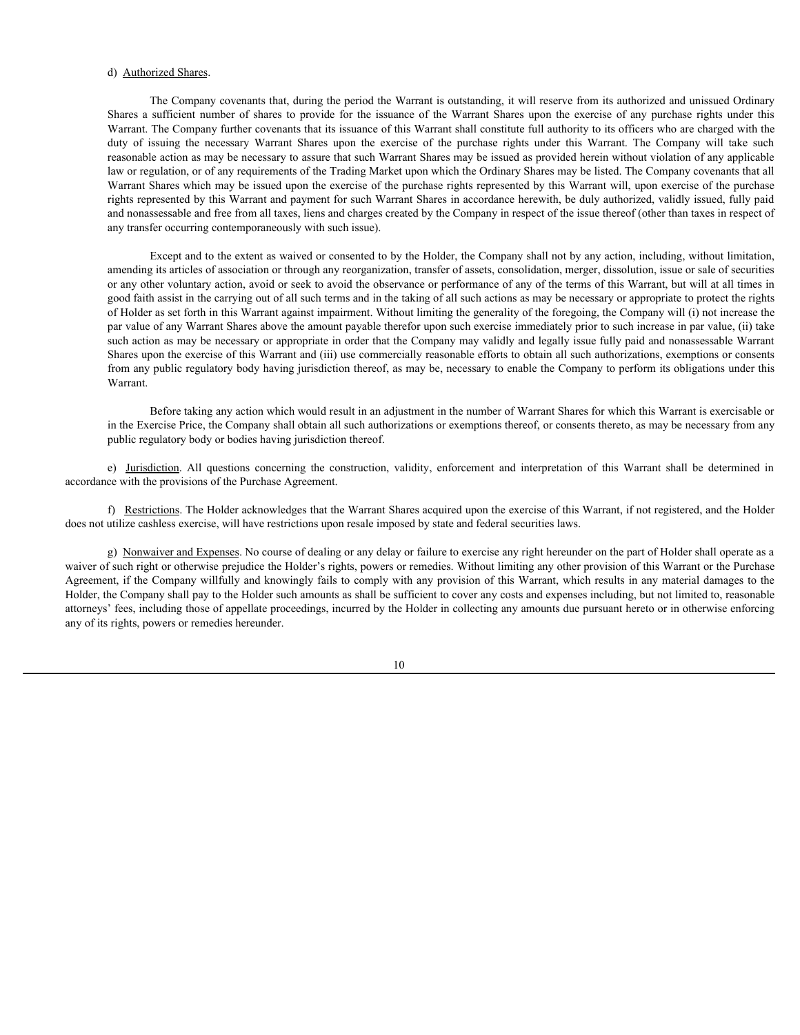# d) Authorized Shares.

The Company covenants that, during the period the Warrant is outstanding, it will reserve from its authorized and unissued Ordinary d) Authorized Shares.<br>The Company covenants that, during the period the Warrant is outstanding, it will reserve from its authorized and unissued Ordinary<br>Shares a sufficient number of shares to provide for the issuance of Warrant. The Company further covenants that its issuance of this Warrant shall constitute full authority to its officers who are charged with the d) Authorized Shares.<br>The Company covenants that, during the period the Warrant is outstanding, it will reserve from its authorized and unissued Ordinary<br>Shares a sufficient number of shares to provide for the issuance of reasonable action as may be necessary to assure that such Warrant Shares may be issued as provided herein without violation of any applicable law or regulation, or of any requirements of the Trading Market upon which the Ordinary Shares may be listed. The Company covenants that all Warrant Shares which may be issued upon the exercise of the purchase rights represented by this Warrant will, upon exercise of the purchase rights represented by this Warrant and payment for such Warrant Shares in accordance herewith, be duly authorized, validly issued, fully paid and nonassessable and free from all taxes, liens and charges created by the Company in respect of the issue thereof (other than taxes in respect of any transfer occurring contemporaneously with such issue). d) Autherized Shares.<br>
Shares a sufficient number of shares to provide for the issuance of the Warrant is outstand paper discussion of the paper of the construction of the construction of the construction of the constructi

Except and to the extent as waived or consented to by the Holder, the Company shall not by any action, including, without limitation, amending its articles of association or through any reorganization, transfer of assets, consolidation, merger, dissolution, issue or sale of securities or any other voluntary action, avoid or seek to avoid the observance or performance of any of the terms of this Warrant, but will at all times in good faith assist in the carrying out of all such terms and in the taking of all such actions as may be necessary or appropriate to protect the rights of Holder as set forth in this Warrant against impairment. Without limiting the generality of the foregoing, the Company will (i) not increase the par value of any Warrant Shares above the amount payable therefor upon such exercise immediately prior to such increase in par value, (ii) take such action as may be necessary or appropriate in order that the Company may validly and legally issue fully paid and nonassessable Warrant Shares upon the exercise of this Warrant and (iii) use commercially reasonable efforts to obtain all such authorizations, exemptions or consents from any public regulatory body having jurisdiction thereof, as may be, necessary to enable the Company to perform its obligations under this Warrant.

Before taking any action which would result in an adjustment in the number of Warrant Shares for which this Warrant is exercisable or in the Exercise Price, the Company shall obtain all such authorizations or exemptions thereof, or consents thereto, as may be necessary from any public regulatory body or bodies having jurisdiction thereof.

accordance with the provisions of the Purchase Agreement.

f) Restrictions. The Holder acknowledges that the Warrant Shares acquired upon the exercise of this Warrant, if not registered, and the Holder does not utilize cashless exercise, will have restrictions upon resale imposed by state and federal securities laws.

g) Nonwaiver and Expenses. No course of dealing or any delay or failure to exercise any right hereunder on the part of Holder shall operate as a waiver of such right or otherwise prejudice the Holder's rights, powers or remedies. Without limiting any other provision of this Warrant or the Purchase Agreement, if the Company willfully and knowingly fails to comply with any provision of this Warrant, which results in any material damages to the Holder, the Company shall pay to the Holder such amounts as shall be sufficient to cover any costs and expenses including, but not limited to, reasonable attorneys' fees, including those of appellate proceedings, incurred by the Holder in collecting any amounts due pursuant hereto or in otherwise enforcing any of its rights, powers or remedies hereunder.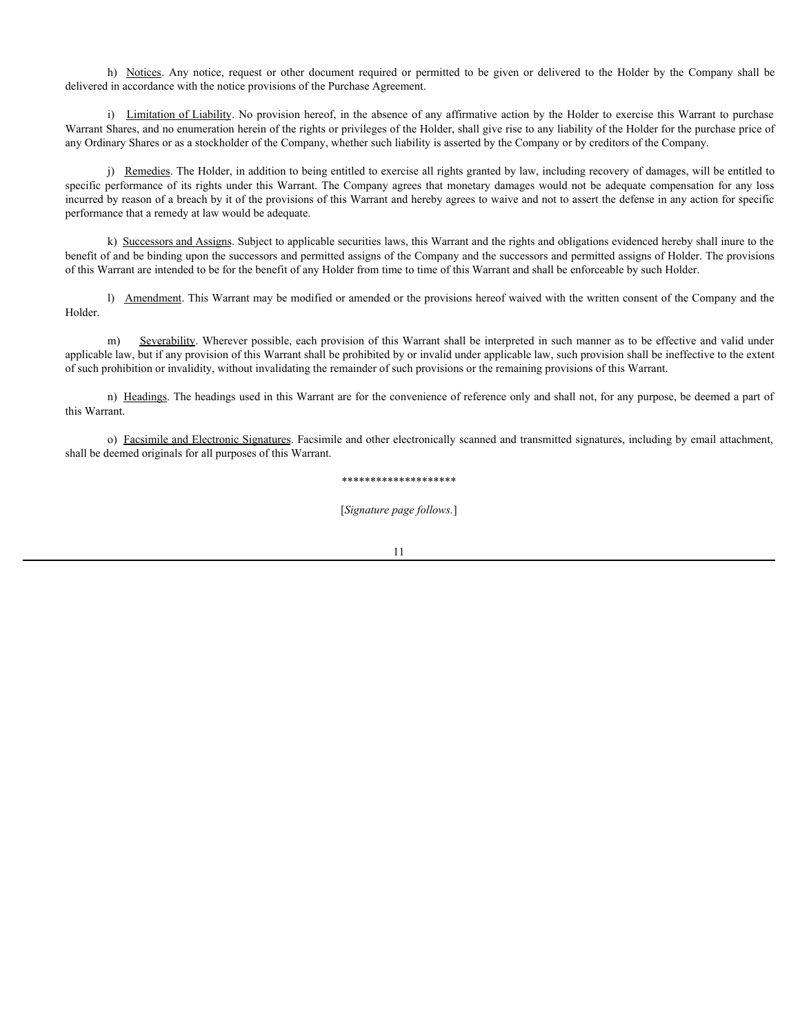delivered in accordance with the notice provisions of the Purchase Agreement.

h) Notices. Any notice, request or other document required or permitted to be given or delivered to the Holder by the Company shall be in accordance with the notice provisions of the Purchase Agreement.<br>
i) <u>Limitation of </u> i) Limitation of Liability. No provision hereof, in the absence of any affirmative action by the Holder to exercise this Warrant to purchase Warrant Shares, and no enumeration herein of the rights or privileges of the Holder, shall give rise to any liability of the Holder for the purchase price of any Ordinary Shares or as a stockholder of the Company, whether such liability is asserted by the Company or by creditors of the Company.

j) Remedies. The Holder, in addition to being entitled to exercise all rights granted by law, including recovery of damages, will be entitled to specific performance of its rights under this Warrant. The Company agrees that monetary damages would not be adequate compensation for any loss incurred by reason of a breach by it of the provisions of this Warrant and hereby agrees to waive and not to assert the defense in any action for specific performance that a remedy at law would be adequate.

k) Successors and Assigns. Subject to applicable securities laws, this Warrant and the rights and obligations evidenced hereby shall inure to the benefit of and be binding upon the successors and permitted assigns of the Company and the successors and permitted assigns of Holder. The provisions of this Warrant are intended to be for the benefit of any Holder from time to time of this Warrant and shall be enforceable by such Holder.

l) Amendment. This Warrant may be modified or amended or the provisions hereof waived with the written consent of the Company and the Holder.

m) Severability. Wherever possible, each provision of this Warrant shall be interpreted in such manner as to be effective and valid under applicable law, but if any provision of this Warrant shall be prohibited by or invalid under applicable law, such provision shall be ineffective to the extent of such prohibition or invalidity, without invalidating the remainder of such provisions or the remaining provisions of this Warrant.

n) Headings. The headings used in this Warrant are for the convenience of reference only and shall not, for any purpose, be deemed a part of this Warrant.

o) Facsimile and Electronic Signatures. Facsimile and other electronically scanned and transmitted signatures, including by email attachment, shall be deemed originals for all purposes of this Warrant.

#### \*\*\*\*\*\*\*\*\*\*\*\*\*\*\*\*\*\*\*\*

[*Signature page follows.*]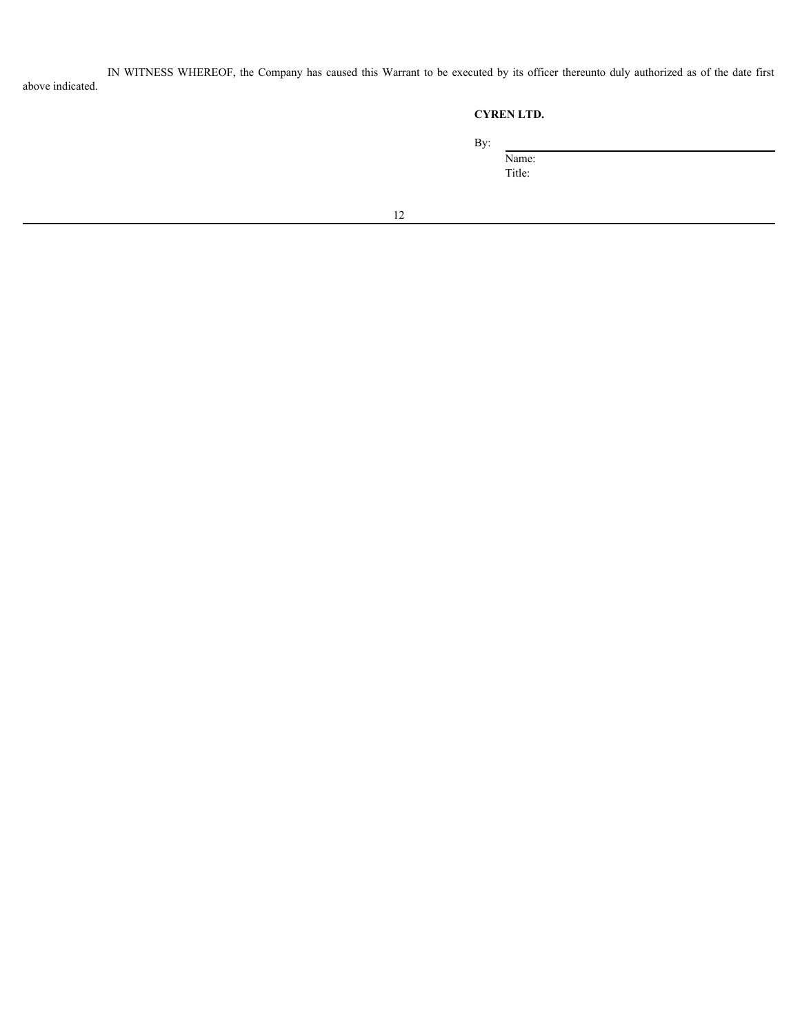IN WITNESS WHEREOF, the Company has caused this Warrant to be executed by its officer thereunto duly authorized as of the date first above indicated.

# **CYREN LTD.**

By: Name:

Title: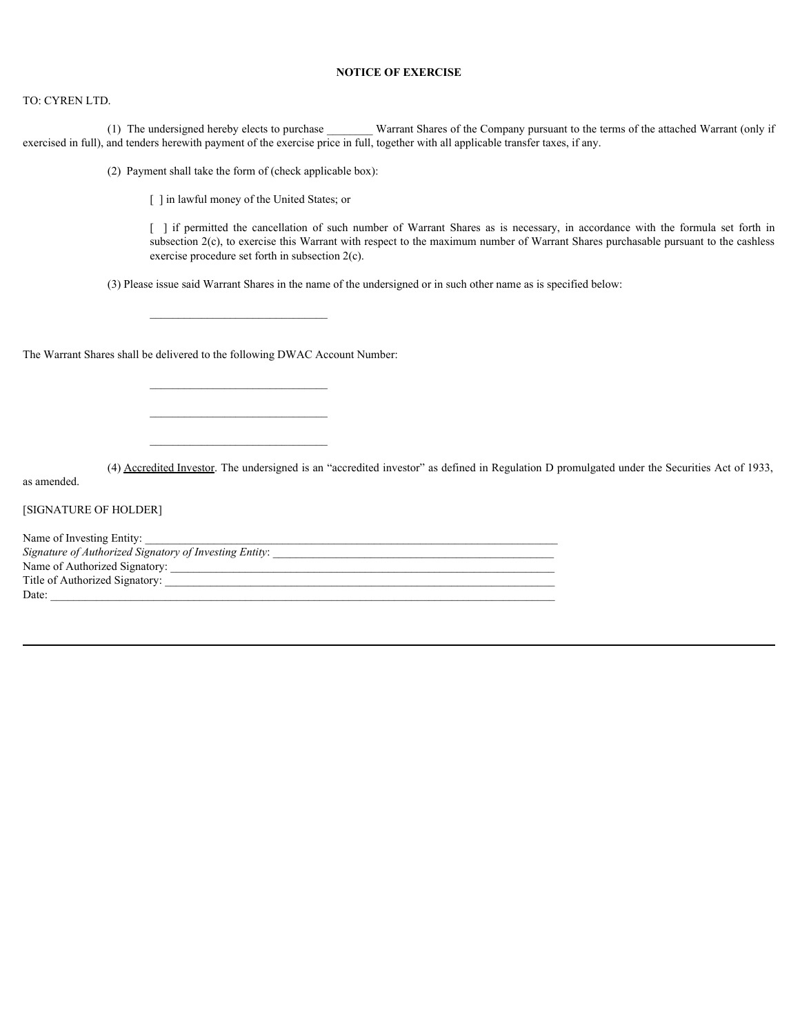# **NOTICE OF EXERCISE**

### TO: CYREN LTD.

(1) The undersigned hereby elects to purchase \_\_\_\_\_\_\_\_ Warrant Shares of the Company pursuant to the terms of the attached Warrant (only if exercised in full), and tenders herewith payment of the exercise price in full, together with all applicable transfer taxes, if any.

(2) Payment shall take the form of (check applicable box):

[ ] in lawful money of the United States; or

**NOTICE OF EXERCISE**<br> **EXERCISE**<br>
Independent of the exercise price in full, together with all applicable transfer taxes, if any.<br>
[ ] in lawful money of the United States; or<br>
[ ] in lawful money of the United States; or<br> subsection 2(c), to exercise this Warrant with respect to the maximum number of Warrant Shares purchasable pursuant to the cashless exercise procedure set forth in subsection 2(c).

(3) Please issue said Warrant Shares in the name of the undersigned or in such other name as is specified below:

 $\mathcal{L}_\text{max}$ 

 $\mathcal{L}_\text{max}$ 

The Warrant Shares shall be delivered to the following DWAC Account Number:

(4) Accredited Investor. The undersigned is an "accredited investor" as defined in Regulation D promulgated under the Securities Act of 1933,

as amended.

[SIGNATURE OF HOLDER]

| Name of Investing Entity:                              |  |
|--------------------------------------------------------|--|
| Signature of Authorized Signatory of Investing Entity: |  |
| Name of Authorized Signatory:                          |  |
| Title of Authorized Signatory:                         |  |
| Date:                                                  |  |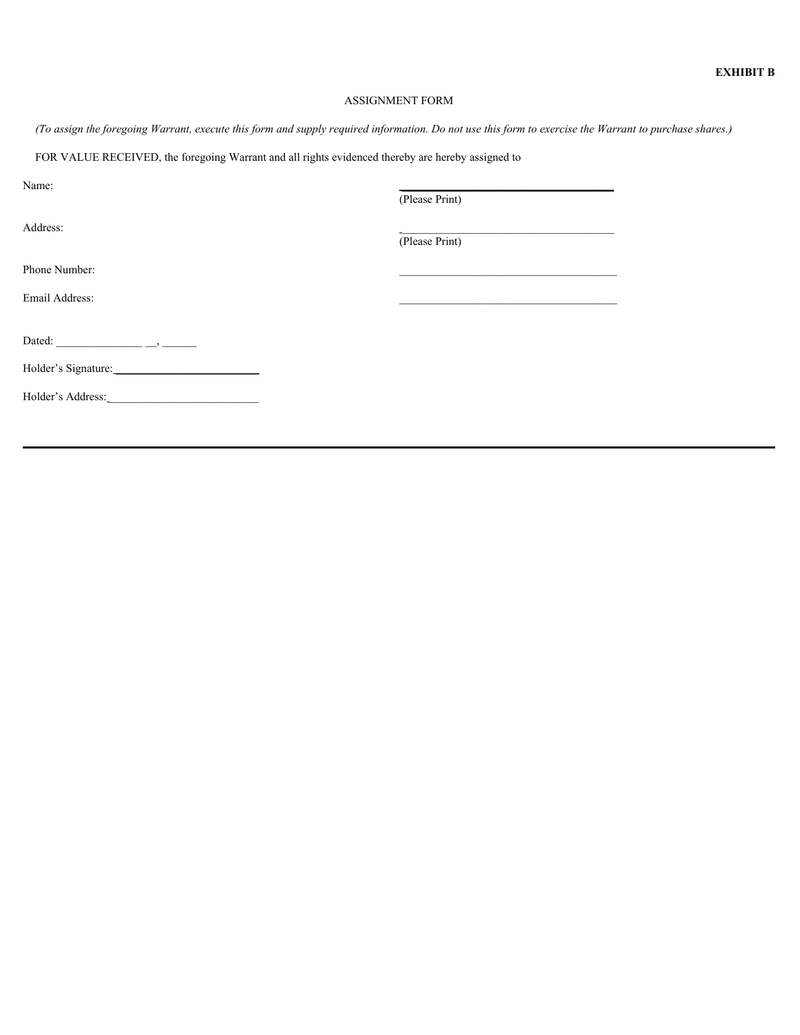# ASSIGNMENT FORM

*(To assign the foregoing Warrant, execute this form and supply required information. Do not use this form to exercise the Warrant to purchase shares.)*

FOR VALUE RECEIVED, the foregoing Warrant and all rights evidenced thereby are hereby assigned to

| Name:               |                                                                                               |  |
|---------------------|-----------------------------------------------------------------------------------------------|--|
|                     | (Please Print)                                                                                |  |
| Address:            | and the control of the control of the control of the control of the control of the control of |  |
|                     | (Please Print)                                                                                |  |
| Phone Number:       |                                                                                               |  |
| Email Address:      |                                                                                               |  |
|                     |                                                                                               |  |
|                     |                                                                                               |  |
| Holder's Signature: |                                                                                               |  |
| Holder's Address:   |                                                                                               |  |
|                     |                                                                                               |  |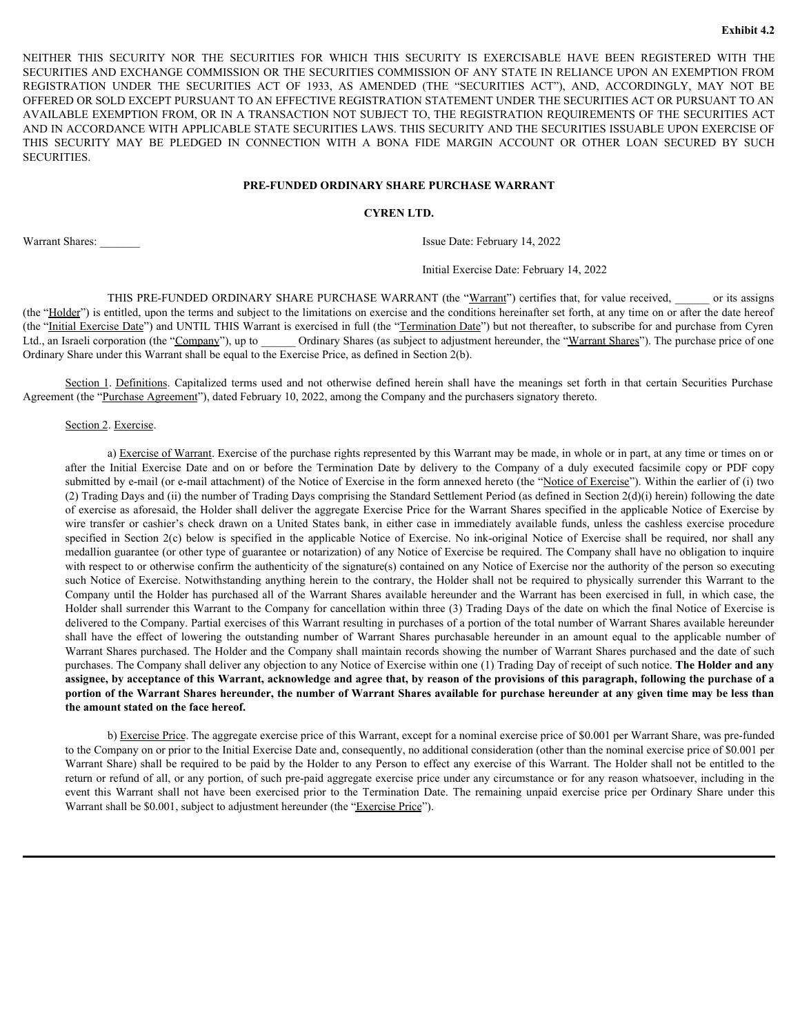EXHIFT THIS SECURITY NOR THE SECURITIES FOR WHICH THIS SECURITY IS EXERCISABLE HAVE BEEN REGISTERED WITH THE SECURITIES AND EXCHANGE COMMISSION OR THE SECURITIES COMMISSION OF ANY STATE IN RELIANCE UPON AN EXEMPTION FROM R SECURITIES AND EXCHANGE COMMISSION OR THE SECURITIES COMMISSION OF ANY STATE IN RELIANCE UPON AN EXEMPTION FROM EXAMPLE THIS SECURITY NOR THE SECURITIES FOR WHICH THIS SECURITY IS EXERCISABLE HAVE BEEN REGISTERED WITH THE SECURITIES AND EXCHANGE COMMISSION OR THE SECURITIES COMMISSION OF ANY STATE IN RELIANCE UPON AN EXEMPTION FROM OFFERED OR SOLD EXCEPT PURSUANT TO AN EFFECTIVE REGISTRATION STATEMENT UNDER THE SECURITIES ACT OR PURSUANT TO AN AVAILABLE EXEMPTION FROM, OR IN A TRANSACTION NOT SUBJECT TO, THE REGISTRATION REQUIREMENTS OF THE SECURITIES ACT AND IN ACCORDANCE WITH APPLICABLE STATE SECURITIES LAWS. THIS SECURITY AND THE SECURITIES ISSUABLE UPON EXERCISE OF EXPRISE THIS SECURITY NOR THE SECURITIES FOR WHICH THIS SECURITY IS EXERCISABLE HAVE BEEN REGISTERED WITH THE SECURITIES AND EXCHANGE COMMISSION OR THE SECURITIES COMMISSION OF ANY STATE IN RELIANCE UPON AN EXEMPTION PROM<br> SECURITIES. R THIS SECURITY NOR THE SECURITIES FOR WHICH THIS SECURITY IS EXERCISABLE HAVE BEIN REGISTERED WITH THE ILENT ON AN EXERCURATE COMMISSION OF HIS CREATER PROFILES AND EXERCURITIES ACTO AND EXERCURITY MAN FOR DESCRIPTIONS I

# **PRE-FUNDED ORDINARY SHARE PURCHASE WARRANT**

# **CYREN LTD.**

Warrant Shares: **Warrant Shares: Issue Date: February 14, 2022** 

Initial Exercise Date: February 14, 2022

THIS PRE-FUNDED ORDINARY SHARE PURCHASE WARRANT (the "Warrant") certifies that, for value received, \_\_\_\_\_ or its assigns (the "Holder") is entitled, upon the terms and subject to the limitations on exercise and the conditions hereinafter set forth, at any time on or after the date hereof (the "Initial Exercise Date") and UNTIL THIS Warrant is exercised in full (the "Termination Date") but not thereafter, to subscribe for and purchase from Cyren Ltd., an Israeli corporation (the "Company"), up to Ordinary Shares (as subject to adjustment hereunder, the "Warrant Shares"). The purchase price of one Ordinary Share under this Warrant shall be equal to the Exercise Price, as defined in Section 2(b).

Agreement (the "Purchase Agreement"), dated February 10, 2022, among the Company and the purchasers signatory thereto.

Section 2. Exercise.

<span id="page-19-0"></span>a) Exercise of Warrant. Exercise of the purchase rights represented by this Warrant may be made, in whole or in part, at any time or times on or R THIS SECURITY NOR THE SECURITES FOR WHICH THIS SECURITY IS EXERCISABLE HAVE BEEN NO EXERCISE PROXIMINATION COMMINISHING THE SECURITES COMMINISHING THE SECURITES COMMINISHING THE SECURITES COMMINISHING TRELIX COMMINISHIN submitted by e-mail (or e-mail attachment) of the Notice of Exercise in the form annexed hereto (the "Notice of Exercise"). Within the earlier of (i) two (2) Trading Days and (ii) the number of Trading Days comprising the Standard Settlement Period (as defined in Section 2(d)(i) herein) following the date of exercise as aforesaid, the Holder shall deliver the aggregate Exercise Price for the Warrant Shares specified in the applicable Notice of Exercise by DO R SOLD EXCEPT PURSUANT TO AN EFFECTIVE RIGINAL TO AN ENGRISHENT UNDER THE SECURITES ACT OR PURSUANT TO ANY AND CONSULTED ANY THE SCHELLENGER OF A CONSULTED AND THE SCHELLENGER OF A CONSULTED AND THE SCHELLENGER STATE S since EXCEPTION FROM/OR IN NEW ANNANT (IN CHANNELY AND THE REGISTRATION RECORDING INTERFERIGE IN NEW AND INTERFERIGE THE REGISTRATION INTERFERIGE OF CONDITING A BOX (CONDITING A BOX THE SECTION INTERFERIGE IN CONDITING IN medallion guarantee (or other type of guarantee or notarization) of any Notice of Exercise be required. The Company shall have no obligation to inquire with respect to or otherwise confirm the authenticity of the signature(s) contained on any Notice of Exercise nor the authority of the person so executing such Notice of Exercise. Notwithstanding anything herein to the contrary, the Holder shall not be required to physically surrender this Warrant to the Company until the Holder has purchased all of the Warrant Shares available hereunder and the Warrant has been exercised in full, in which case, the Holder shall surrender this Warrant to the Company for cancellation within three (3) Trading Days of the date on which the final Notice of Exercise is delivered to the Company. Partial exercises of this Warrant resulting in purchases of a portion of the total number of Warrant Shares available hereunder Share:<br>
Share 2008<br>
Inter Detect Onte: February 14, 2022<br>
THIS PRI-IUMP-D (MDINARY SHARE-PURCHASIN WARRANT (the "Warrant") centrice, but, in value received,<br>
And This entitled, upon the control and subject to the limitatio Warrant Shares purchased. The Holder and the Company shall maintain records showing the number of Warrant Shares purchased and the date of such purchases. The Company shall deliver any objection to any Notice of Exercise within one (1) Trading Day of receipt of such notice. **The Holder and any assignee, by acceptance of this Warrant, acknowledge and agree that, by reason of the provisions of this paragraph, following the purchase of a portion of the Warrant Shares hereunder, the number of Warrant Shares available for purchase hereunder at any given time may be less than the amount stated on the face hereof.** Sextion 1. Definitions: Capitalized terms used and not celevate defined levent in all have the meanings set forth in that certains Capitalize (if the Theodor (for Panchara Address), the remaining the perchara of the perch

b) Exercise Price. The aggregate exercise price of this Warrant, except for a nominal exercise price of \$0.001 per Warrant Share, was pre-funded to the Company on or prior to the Initial Exercise Date and, consequently, no additional consideration (other than the nominal exercise price of \$0.001 per Warrant Share) shall be required to be paid by the Holder to any Person to effect any exercise of this Warrant. The Holder shall not be entitled to the return or refund of all, or any portion, of such pre-paid aggregate exercise price under any circumstance or for any reason whatsoever, including in the Warrant shall be \$0.001, subject to adjustment hereunder (the "Exercise Price").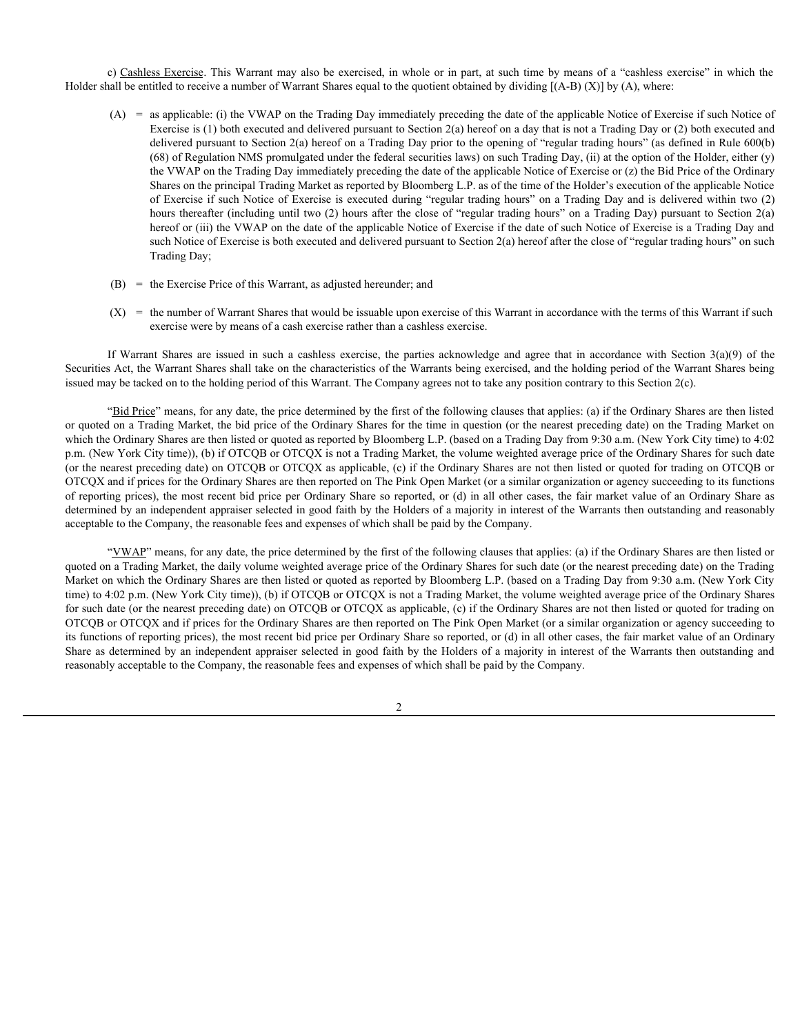c) Cashless Exercise. This Warrant may also be exercised, in whole or in part, at such time by means of a "cashless exercise" in which the Holder shall be entitled to receive a number of Warrant Shares equal to the quotient obtained by dividing [(A-B) (X)] by (A), where:

- (A) = as applicable: (i) the VWAP on the Trading Day immediately preceding the date of the applicable Notice of Exercise if such Notice of Exercise is (1) both executed and delivered pursuant to Section 2(a) hereof on a day that is not a Trading Day or (2) both executed and delivered pursuant to Section 2(a) hereof on a Trading Day prior to the opening of "regular trading hours" (as defined in Rule 600(b) (68) of Regulation NMS promulgated under the federal securities laws) on such Trading Day, (ii) at the option of the Holder, either (y) the VWAP on the Trading Day immediately preceding the date of the applicable Notice of Exercise or (z) the Bid Price of the Ordinary Shares on the principal Trading Market as reported by Bloomberg L.P. as of the time of the Holder's execution of the applicable Notice of Exercise if such Notice of Exercise is executed during "regular trading hours" on a Trading Day and is delivered within two (2) hours thereafter (including until two (2) hours after the close of "regular trading hours" on a Trading Day) pursuant to Section 2(a) hereof or (iii) the VWAP on the date of the applicable Notice of Exercise if the date of such Notice of Exercise is a Trading Day and such Notice of Exercise is both executed and delivered pursuant to Section 2(a) hereof after the close of "regular trading hours" on such Trading Day; C Cashless Exercise. This Warrant may sloo be exercised, in whole or in purt, at such time by means of a "cashless exercise" in which the all be entitled to receive a number of Warrant Shares equal to the quotient obsinte
- (B) = the Exercise Price of this Warrant, as adjusted hereunder; and
- $(X)$  = the number of Warrant Shares that would be issuable upon exercise of this Warrant in accordance with the terms of this Warrant if such exercise were by means of a cash exercise rather than a cashless exercise.

Securities Act, the Warrant Shares shall take on the characteristics of the Warrants being exercised, and the holding period of the Warrant Shares being issued may be tacked on to the holding period of this Warrant. The Company agrees not to take any position contrary to this Section 2(c).

"Bid Price" means, for any date, the price determined by the first of the following clauses that applies: (a) if the Ordinary Shares are then listed or quoted on a Trading Market, the bid price of the Ordinary Shares for the time in question (or the nearest preceding date) on the Trading Market on which the Ordinary Shares are then listed or quoted as reported by Bloomberg L.P. (based on a Trading Day from 9:30 a.m. (New York City time) to 4:02 p.m. (New York City time)), (b) if OTCQB or OTCQX is not a Trading Market, the volume weighted average price of the Ordinary Shares for such date (or the nearest preceding date) on OTCQB or OTCQX as applicable, (c) if the Ordinary Shares are not then listed or quoted for trading on OTCQB or OTCQX and if prices for the Ordinary Shares are then reported on The Pink Open Market (or a similar organization or agency succeeding to its functions of reporting prices), the most recent bid price per Ordinary Share so reported, or (d) in all other cases, the fair market value of an Ordinary Share as determined by an independent appraiser selected in good faith by the Holders of a majority in interest of the Warrants then outstanding and reasonably acceptable to the Company, the reasonable fees and expenses of which shall be paid by the Company.

"VWAP" means, for any date, the price determined by the first of the following clauses that applies: (a) if the Ordinary Shares are then listed or quoted on a Trading Market, the daily volume weighted average price of the Ordinary Shares for such date (or the nearest preceding date) on the Trading Market on which the Ordinary Shares are then listed or quoted as reported by Bloomberg L.P. (based on a Trading Day from 9:30 a.m. (New York City time) to 4:02 p.m. (New York City time)), (b) if OTCQB or OTCQX is not a Trading Market, the volume weighted average price of the Ordinary Shares for such date (or the nearest preceding date) on OTCQB or OTCQX as applicable, (c) if the Ordinary Shares are not then listed or quoted for trading on OTCQB or OTCQX and if prices for the Ordinary Shares are then reported on The Pink Open Market (or a similar organization or agency succeeding to its functions of reporting prices), the most recent bid price per Ordinary Share so reported, or (d) in all other cases, the fair market value of an Ordinary Share as determined by an independent appraiser selected in good faith by the Holders of a majority in interest of the Warrants then outstanding and reasonably acceptable to the Company, the reasonable fees and expenses of which shall be paid by the Company.

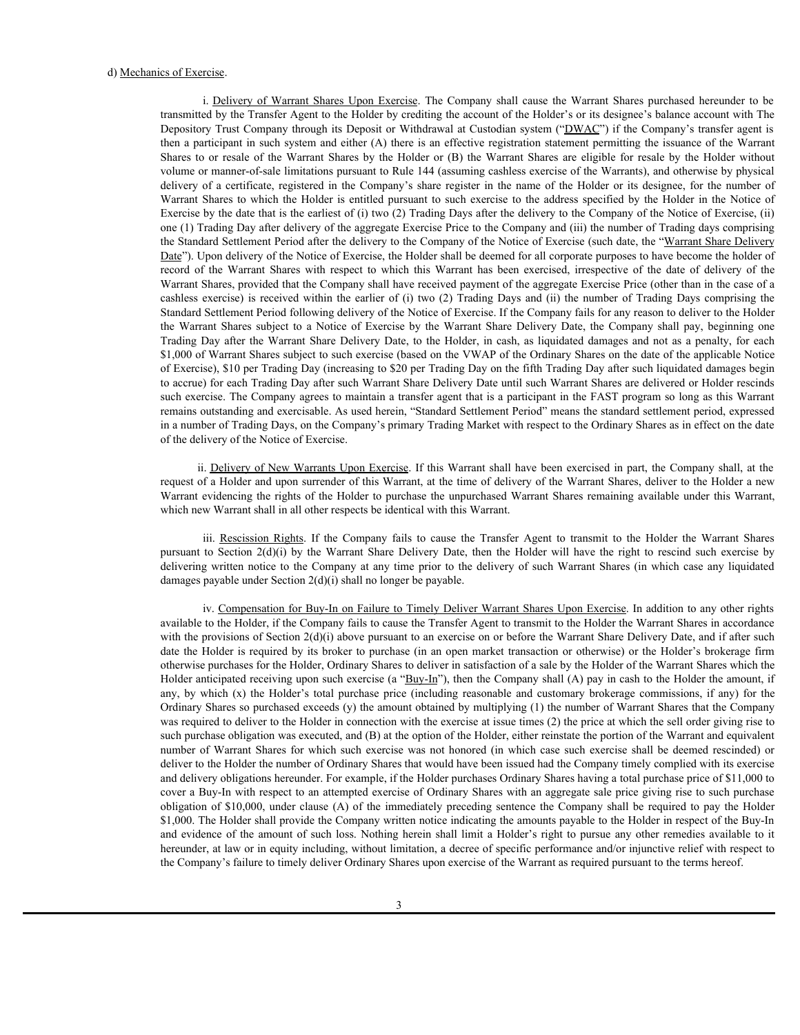d) <u>Mechanics of Exercise</u>.<br>
i. <u>Delivery of Warrant Shares Upon Exercise</u>. The Company shall cause the Warrant Shares purchased hereunder to be<br>
transmitted by the Transfer Agent to the Holder by crediting the account of transmitted by the Transfer Agent to the Holder by crediting the account of the Holder's or its designee's balance account with The Depository Trust Company through its Deposit or Withdrawal at Custodian system ("DWAC") if the Company's transfer agent is then a participant in such system and either (A) there is an effective registration statement permitting the issuance of the Warrant is <u>Delivery of Warrant Shares Upon Exercise</u>. The Company shall cause the Warrant Shares purchased hereunder to be transmitted by the Transfer Agent to the Holder by crediting the account of the Holder Schor is or its des volume or manner-of-sale limitations pursuant to Rule 144 (assuming cashless exercise of the Warrants), and otherwise by physical is of Exercise.<br>
i. <u>Delivery of Warrant Shares Upon Exercise</u>. The Company shall cause the Warrant Shares purchased hereunder to be<br>
transmitted by the Transfer Agent to the Holder by crediting the account of the Holder' **Exercise.**<br>
We all cause of Exercise. The Company shall cause the Warrant Shares purchased the<br>
interaction of the Holder by crediting the account of the Holder's or its designee's balance account with The<br>
Depository Tru Exercise by the date that is the earliest of (i) two (2) Trading Days after the delivery to the Company of the Notice of Exercise, (ii) one (1) Trading Day after delivery of the aggregate Exercise Price to the Company and (iii) the number of Trading days comprising the Standard Settlement Period after the delivery to the Company of the Notice of Exercise (such date, the "Warrant Share Delivery Date"). Upon delivery of the Notice of Exercise, the Holder shall be deemed for all corporate purposes to have become the holder of res of Exercise.<br>
i. <u>Delivery of Warrant Shares</u> Upon Exercise. The Company shall cause the Warrant Shares purchased hereunder to be<br>
transmitted by the Transfer Agent to the Holder by crediting at clusted<br>at cylical Comp Warrant Shares, provided that the Company shall have received payment of the aggregate Exercise Price (other than in the case of a cs of Exercise.<br>
is Delivery of Warrant Shares Upon Exercise. The Company shall cause the Warrant Shares purchased hereunder to be<br>
transmitted by the Transfer Agent to the Holder by recediting the account of the Holder's Standard Settlement Period following delivery of the Notice of Exercise. If the Company fails for any reason to deliver to the Holder is of Exercise.<br>
i. Delivery of Warrant Shares Upon Exercise. The Company shall cause the Warrant Shares purchased breemater to be Depository Trust Company strong its Depository Uring the account of the Holder's correct t So of Exercise.<br>
1. Delivery of Warrant Shares Lipon Exercise. The Company shall cause the Warrant Shares purchased bereunder to be<br>
Iramsmitted by the Transfer Agent to the Holder by recelling the account of the Holder's \$1,000 of Warrant Shares subject to such exercise (based on the VWAP of the Ordinary Shares on the date of the applicable Notice of Exercise), \$10 per Trading Day (increasing to \$20 per Trading Day on the fifth Trading Day after such liquidated damages begin to accrue) for each Trading Day after such Warrant Share Delivery Date until such Warrant Shares are delivered or Holder rescinds such exercise. The Company agrees to maintain a transfer agent that is a participant in the FAST program so long as this Warrant remains outstanding and exercisable. As used herein, "Standard Settlement Period" means the standard settlement period, expressed in a number of Trading Days, on the Company's primary Trading Market with respect to the Ordinary Shares as in effect on the date of the delivery of the Notice of Exercise. in hy the Transfer Agent in the Folder by centimies the second of the Folder's or its designee; halace account with The Company's transmit of the Folder and the Folder account of the Folder and the Folder and the Folder an Dependent Trait Company through in Dependent of Windows at Casabian system ("DRMAC") if the Company is marked rest of the National Casabian system is a control of the Company is matching from the right to result of the War library anits and the Varmant Shares in the Valis of the Company at any time is an effective registration substance premising the Sosiace of the Varmant Shares (i) the Varmant Shares or the Boliver of Sosiace of the Varman

ii. Delivery of New Warrants Upon Exercise. If this Warrant shall have been exercised in part, the Company shall, at the request of a Holder and upon surrender of this Warrant, at the time of delivery of the Warrant Shares, deliver to the Holder a new Warrant evidencing the rights of the Holder to purchase the unpurchased Warrant Shares remaining available under this Warrant, which new Warrant shall in all other respects be identical with this Warrant.

damages payable under Section 2(d)(i) shall no longer be payable.

iv. Compensation for Buy-In on Failure to Timely Deliver Warrant Shares Upon Exercise. In addition to any other rights available to the Holder, if the Company fails to cause the Transfer Agent to transmit to the Holder the Warrant Shares in accordance with the provisions of Section 2(d)(i) above pursuant to an exercise on or before the Warrant Share Delivery Date, and if after such date the Holder is required by its broker to purchase (in an open market transaction or otherwise) or the Holder's brokerage firm otherwise purchases for the Holder, Ordinary Shares to deliver in satisfaction of a sale by the Holder of the Warrant Shares which the Holder anticipated receiving upon such exercise (a "Buy-In"), then the Company shall (A) pay in cash to the Holder the amount, if around of the Warter Standard method in the Warter of the Warter of the Warter of the Standard Company in the method of the Norther of the Galace of the Company shall have received psyrmatic fite gargerate keyces of the di Ordinary Shares so purchased exceeds (y) the amount obtained by multiplying (1) the number of Warrant Shares that the Company was required to deliver to the Holder in connection with the exercise at issue times (2) the price at which the sell order giving rise to such purchase obligation was executed, and (B) at the option of the Holder, either reinstate the portion of the Warrant and equivalent the Warrant Shares subject to a Notice f Isotopic Subject to Number Devey Desc. be Company side point of Number Devey Desc. and the Company side of Company substitute of NLO of Warrant Shares and per sensity for each SLO o deliver to the Holder the number of Ordinary Shares that would have been issued had the Company timely complied with its exercise and delivery obligations hereunder. For example, if the Holder purchases Ordinary Shares having a total purchase price of \$11,000 to cover a Buy-In with respect to an attempted exercise of Ordinary Shares with an aggregate sale price giving rise to such purchase to second frame the second pay the sentence of many film to the internet Sentence (A) of the internet of Holiver resolution of the internet of the internet of the internet of the internet company shall be the sentent of th \$1,000. The Holder shall provide the Company written notice indicating the amounts payable to the Holder in respect of the Buy-In remains outstanding and existed as the additional shall have be similar shall be remedies of the amount of Trading by such and the company's primary Strains' Strainst Setticare of the Such are the column y shall and the c hereunder, at law or in equity including, without limitation, a decree of specific performance and/or injunctive relief with respect to the Company's failure to timely deliver Ordinary Shares upon exercise of the Warrant as required pursuant to the terms hereof.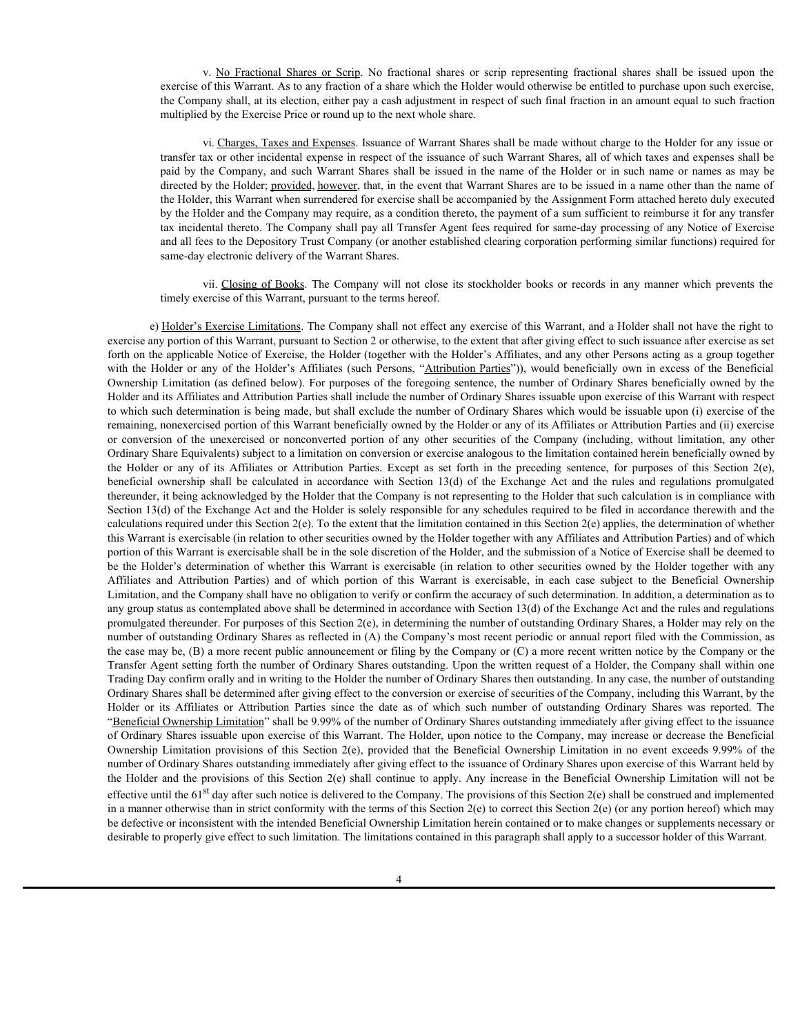v. <u>No Fractional Shares or Scrip</u>. No fractional shares or scrip representing fractional shares shall be issued upon the of this Warrant. As to any fraction of a share which the Holder would otherwise be entitled to purch exercise of this Warrant. As to any fraction of a share which the Holder would otherwise be entitled to purchase upon such exercise, the Company shall, at its election, either pay a cash adjustment in respect of such final fraction in an amount equal to such fraction multiplied by the Exercise Price or round up to the next whole share.

vi. Charges, Taxes and Expenses. Issuance of Warrant Shares shall be made without charge to the Holder for any issue or transfer tax or other incidental expense in respect of the issuance of such Warrant Shares, all of which taxes and expenses shall be v. <u>No Fractional</u> Shares or Scrip. No fractional shares or scrip representing fractional shares shall be issued upon the excretse of this Warrant. As to any fraction of a share which the Holder would otherwise be entitled directed by the Holder; provided, however, that, in the event that Warrant Shares are to be issued in a name other than the name of the Holder, this Warrant when surrendered for exercise shall be accompanied by the Assignment Form attached hereto duly executed by the Holder and the Company may require, as a condition thereto, the payment of a sum sufficient to reimburse it for any transfer tax incidental thereto. The Company shall pay all Transfer Agent fees required for same-day processing of any Notice of Exercise and all fees to the Depository Trust Company (or another established clearing corporation performing similar functions) required for same-day electronic delivery of the Warrant Shares. v. <u>No Fractional Shares or Serip</u>. No fractional shares or serip representing fractional shares shall be issued upon the first Warrant. As to any fraction of a share which the Holder would ofthewise be entitled to purchas

timely exercise of this Warrant, pursuant to the terms hereof.

e) Holder's Exercise Limitations. The Company shall not effect any exercise of this Warrant, and a Holder shall not have the right to exercise any portion of this Warrant, pursuant to Section 2 or otherwise, to the extent that after giving effect to such issuance after exercise as set forth on the applicable Notice of Exercise, the Holder (together with the Holder's Affiliates, and any other Persons acting as a group together w No. Fractional Shares or Scirp, No fractional shares or scrip representing fractional shares shall be issued upon the excession of in Warrant Ast n any fraction of a stare which the Holder or such randicates the Affilia Ownership Limitation (as defined below). For purposes of the foregoing sentence, the number of Ordinary Shares beneficially owned by the Holder and its Affiliates and Attribution Parties shall include the number of Ordinary Shares issuable upon exercise of this Warrant with respect to which such determination is being made, but shall exclude the number of Ordinary Shares which would be issuable upon (i) exercise of the remaining, nonexercised portion of this Warrant beneficially owned by the Holder or any of its Affiliates or Attribution Parties and (ii) exercise v. No Ensistonal Shanes or Serip. No fractional shares or strip representing fractional shares shall be issued upon the excepts or nonconverted by the bent with our process of the unexercise. In the decision of the unexer Ordinary Share Equivalents) subject to a limitation on conversion or exercise analogous to the limitation contained herein beneficially owned by v. No Fractional Shares or Serip. No fractional shares or serip representing fractional shares shall be issued upon the eventure of this Warrant As in any densition of a share which in the determined in respect of similar v. No Fractional Shares or Serip. No fractional shares or serip representing fractional shares shall be issued upon the company shall at the shall be positive of this Warmer As to any frection of a shall be positive wido t thereunder, it being acknowledged by the Holder that the Company is not representing to the Holder that such calculation is in compliance with Section 13(d) of the Exchange Act and the Holder is solely responsible for any schedules required to be filed in accordance therewith and the calculations required under this Section 2(e). To the extent that the limitation contained in this Section 2(e) applies, the determination of whether this Warrant is exercisable (in relation to other securities owned by the Holder together with any Affiliates and Attribution Parties) and of which portion of this Warrant is exercisable shall be in the sole discretion of the Holder, and the submission of a Notice of Exercise shall be deemed to It is clear that the minimal species of Warrant Share and Ho make without charge to fisiolar for any issue of whether that the Holder for any issue of whether the Holder for any issue of the Holder for any issue of the Ho Transfer to reduce the substitution contents in the state of the issued in the bare of the Norfor transfer and proposes and the state of the state of the state of the state of the state of the state of the Holder case of Limitation, and the Company shall have no obligation to verify or confirm the accuracy of such determination. In addition, a determination as to any group status as contemplated above shall be determined in accordance with Section 13(d) of the Exchange Act and the rules and regulations promulgated thereunder. For purposes of this Section 2(e), in determining the number of outstanding Ordinary Shares, a Holder may rely on the number of outstanding Ordinary Shares as reflected in (A) the Company's most recent periodic or annual report filed with the Commission, as the case may be, (B) a more recent public announcement or filing by the Company or (C) a more recent written notice by the Company or the Transfer Agent setting forth the number of Ordinary Shares outstanding. Upon the written request of a Holder, the Company shall within one Trading Day confirm orally and in writing to the Holder the number of Ordinary Shares then outstanding. In any case, the number of outstanding Ordinary Shares shall be determined after giving effect to the conversion or exercise of securities of the Company, including this Warrant, by the Holder or its Affiliates of Books The Company will not does in socialized tools or records in any manner which presents the Company between the holder test methods or the systems of this Warman, perception Parties or Attil "Beneficial Ownership Limitation" shall be 9.99% of the number of Ordinary Shares outstanding immediately after giving effect to the issuance of Ordinary Shares issuable upon exercise of this Warrant. The Holder, upon notice to the Company, may increase or decrease the Beneficial of the bidder at a comparison of the Compary ship the distribution of the Warrant, and a the whole not be the rest of the computer of the bidder is the provide of the Beneficial Ownership Limitation in the positive of the number of Ordinary Shares outstanding immediately after giving effect to the issuance of Ordinary Shares upon exercise of this Warrant held by forth the the branched Statistics of the folio de Fredric Religions of the Holder is a given by the Holder and the provisions of the Holder and the provisions of the Beneficial Ownership Limitation and the provisions of th effective until the 61<sup>st</sup> day after such notice is delivered to the Company. The provisions of this Section 2(e) shall be construed and implemented in a manner otherwise than in strict conformity with the terms of this Section 2(e) to correct this Section 2(e) (or any portion hereof) which may be defective or inconsistent with the intended Beneficial Ownership Limitation herein contained or to make changes or supplements necessary or desirable to properly give effect to such limitation. The limitations contained in this paragraph shall apply to a successor holder of this Warrant.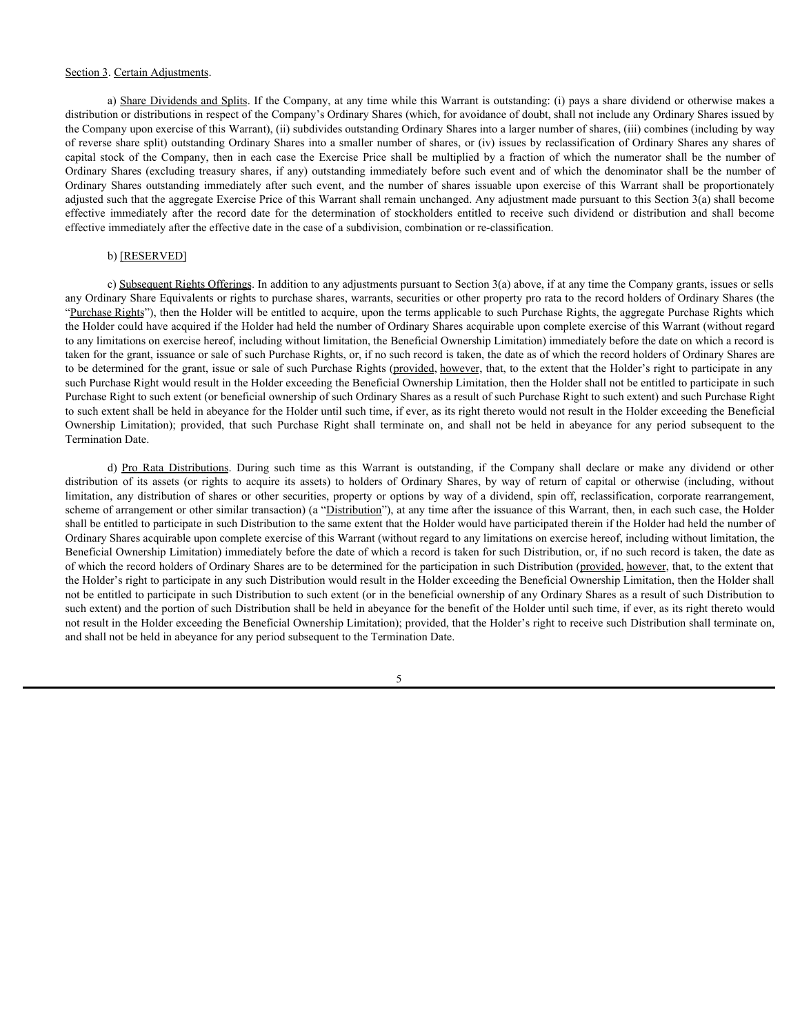#### Section 3. Certain Adjustments.

a) Share Dividends and Splits. If the Company, at any time while this Warrant is outstanding: (i) pays a share dividend or otherwise makes a distribution or distributions in respect of the Company's Ordinary Shares (which, for avoidance of doubt, shall not include any Ordinary Shares issued by the Company upon exercise of this Warrant), (ii) subdivides outstanding Ordinary Shares into a larger number of shares, (iii) combines (including by way of reverse share split) outstanding Ordinary Shares into a smaller number of shares, or (iv) issues by reclassification of Ordinary Shares any shares of Section 3. Certain Adjustments.<br>
a) Share Dividends and Splits. If the Company, at any time while this Warrant is outstanding: (i) pays a share dividend or otherwise makes a<br>
distribution or distributions in respect of the Section 3. Certain Adjustments.<br>
a) Share Dividends and Splits. If the Company, at any time while this Warrant is outstanding: (i) pays a share dividend or otherwise makes a<br>
distribution or distributions in respect of the Section 3. Certain Adjustments.<br>
a) Share Dividends and Splits. If the Company, at any time while this Warrant is outstanding: (i) pays a share dividend or otherwise makes a<br>
distribution or distributions in respect of the adjusted such that the aggregate Exercise Price of this Warrant shall remain unchanged. Any adjustment made pursuant to this Section 3(a) shall become Section 3. Certain Adjustments.<br>
a) Share Dividends and Splits If the Company, at any time while this Warrant is outstanding: (i) pays a share dividend or othewise makes a<br>
distribution or distributions in respect of the C effective immediately after the effective date in the case of a subdivision, combination or re-classification.

### b) [RESERVED]

c) Subsequent Rights Offerings. In addition to any adjustments pursuant to Section 3(a) above, if at any time the Company grants, issues or sells any Ordinary Share Equivalents or rights to purchase shares, warrants, securities or other property pro rata to the record holders of Ordinary Shares (the "Purchase Rights"), then the Holder will be entitled to acquire, upon the terms applicable to such Purchase Rights, the aggregate Purchase Rights which the Holder could have acquired if the Holder had held the number of Ordinary Shares acquirable upon complete exercise of this Warrant (without regard to any limitations on exercise hereof, including without limitation, the Beneficial Ownership Limitation) immediately before the date on which a record is taken for the grant, issuance or sale of such Purchase Rights, or, if no such record is taken, the date as of which the record holders of Ordinary Shares are to be determined for the grant, issue or sale of such Purchase Rights (provided, however, that, to the extent that the Holder's right to participate in any such Purchase Right would result in the Holder exceeding the Beneficial Ownership Limitation, then the Holder shall not be entitled to participate in such Purchase Right to such extent (or beneficial ownership of such Ordinary Shares as a result of such Purchase Right to such extent) and such Purchase Right to such extent shall be held in abeyance for the Holder until such time, if ever, as its right thereto would not result in the Holder exceeding the Beneficial Section.). Certain Adjustments<br>a) Schema Dividenticant Existe, filte Greenop at any time which the Werman contoming (i) providentical terminate on the subsequent of distributions) (b) depends on the filter and the filter a Termination Date. Centan Adustments.<br>
a) Share Duxidings and Suits 1f the Company, at any time while this Warrant is outstanding (i) pays a share dividend or otherwise makes a<br>
on or determines and Suits 1f the Company's Ordinary Shares (w distincts (or rights assets (or rights to the company of any time while this Warmar is outsidened to provide distributed or distribution of the company of the capital or the company of the capital or rights to acquire the Section 3 Centin Adjustments. Section and Sellin If the Company, at any time while this Warner is outstand, to alway share dividend or otherwise and section of shares or otherwise or otherwise or otherwise or otherwise or

scheme of arrangement or other similar transaction) (a "Distribution"), at any time after the issuance of this Warrant, then, in each such case, the Holder shall be entitled to participate in such Distribution to the same extent that the Holder would have participated therein if the Holder had held the number of Ordinary Shares acquirable upon complete exercise of this Warrant (without regard to any limitations on exercise hereof, including without limitation, the Beneficial Ownership Limitation) immediately before the date of which a record is taken for such Distribution, or, if no such record is taken, the date as of which the record holders of Ordinary Shares are to be determined for the participation in such Distribution (provided, however, that, to the extent that the Holder's right to participate in any such Distribution would result in the Holder exceeding the Beneficial Ownership Limitation, then the Holder shall not be entitled to participate in such Distribution to such extent (or in the beneficial ownership of any Ordinary Shares as a result of such Distribution to such extent) and the portion of such Distribution shall be held in abeyance for the benefit of the Holder until such time, if ever, as its right thereto would not result in the Holder exceeding the Beneficial Ownership Limitation); provided, that the Holder's right to receive such Distribution shall terminate on, and shall not be held in abeyance for any period subsequent to the Termination Date.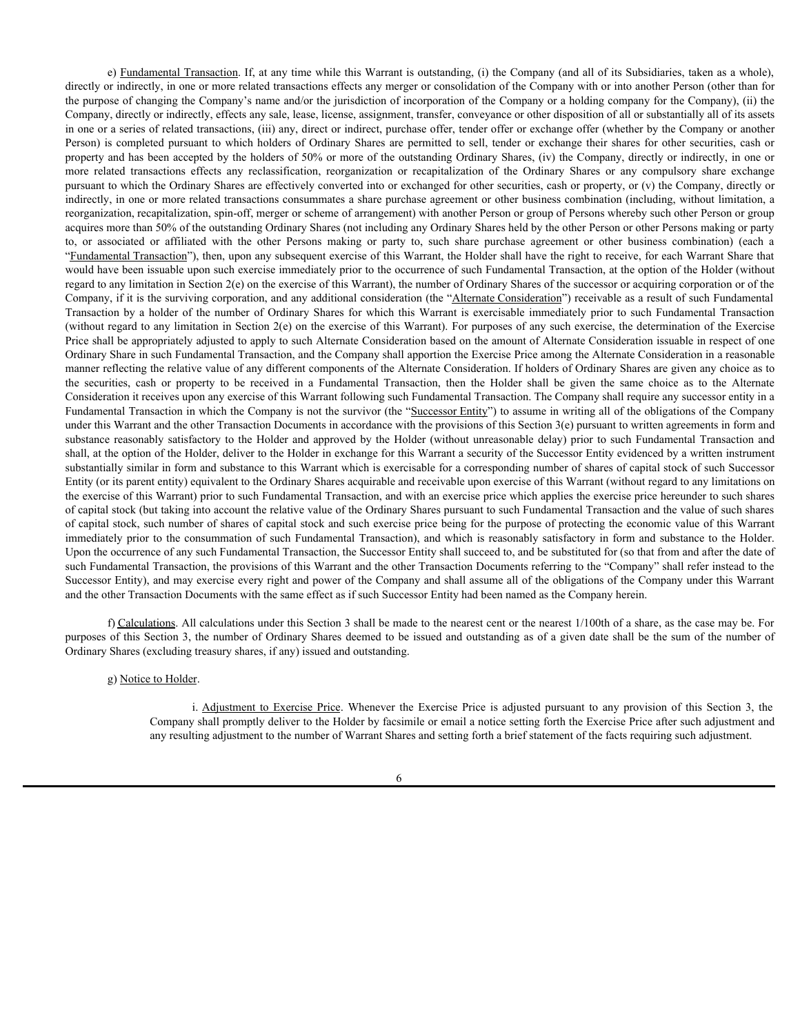e) Fundamental Transaction. If, at any time while this Warrant is outstanding, (i) the Company (and all of its Subsidiaries, taken as a whole), directly or indirectly, in one or more related transactions effects any merger or consolidation of the Company with or into another Person (other than for the purpose of changing the Company's name and/or the jurisdiction of incorporation of the Company or a holding company for the Company), (ii) the Company, directly or indirectly, effects any sale, lease, license, assignment, transfer, conveyance or other disposition of all or substantially all of its assets in one or a series of related transactions, (iii) any, direct or indirect, purchase offer, tender offer or exchange offer (whether by the Company or another Person) is completed pursuant to which holders of Ordinary Shares are permitted to sell, tender or exchange their shares for other securities, cash or property and has been accepted by the holders of 50% or more of the outstanding Ordinary Shares, (iv) the Company, directly or indirectly, in one or e) <u>Fundamental Transaction</u>. If, at any time while this Warrant is outstanding, (i) the Company (and all of its Subsidiaries, taken as a whole), directly or indirectly, in one or more related transactions effects any merg pursuant to which the Ordinary Shares are effectively converted into or exchanged for other securities, cash or property, or (v) the Company, directly or indirectly, in one or more related transactions consummates a share purchase agreement or other business combination (including, without limitation, a reorganization, recapitalization, spin-off, merger or scheme of arrangement) with another Person or group of Persons whereby such other Person or group acquires more than 50% of the outstanding Ordinary Shares (not including any Ordinary Shares held by the other Person or other Persons making or party o) F<u>undamental Transaction</u>. If, at any time while this Warrant is outstanding, (i) the Company (and all of its Subsidiaries, taken as a whole), direct or affiliation of inecreated with consensuations affered with the or "Fundamental Transaction"), then, upon any subsequent exercise of this Warrant, the Holder shall have the right to receive, for each Warrant Share that would have been issuable upon such exercise immediately prior to the occurrence of such Fundamental Transaction, at the option of the Holder (without regard to any limitation in Section  $2(e)$  on the exercise of this Warrant), the number of Ordinary Shares of the successor or acquiring corporation or of the Company, if it is the surviving corporation, and any additional consideration (the "Alternate Consideration") receivable as a result of such Fundamental c) Eundamental Iransaction, If, at any time while this Warrant is outstanding. (i) the Company (and all of its Subsidiures, taken as a whole), directly or indirectly, in one or more related transactions effects any merger (without regard to any limitation in Section 2(e) on the exercise of this Warrant). For purposes of any such exercise, the determination of the Exercise Price shall be appropriately adjusted to apply to such Alternate Consideration based on the amount of Alternate Consideration issuable in respect of one Ordinary Share in such Fundamental Transaction, and the Company shall apportion the Exercise Price among the Alternate Consideration in a reasonable manner reflecting the relative value of any different components of the Alternate Consideration. If holders of Ordinary Shares are given any choice as to c) Enadamental Transaction, If, at any time while this Wurrant is outstanding. (i) the Company (and all of its Subsidiaries, taken as a whole), directly or indirectly, in one or more related transaction of the Alternated i Consideration it receives upon any exercise of this Warrant following such Fundamental Transaction. The Company shall require any successor entity in a Fundamental Transaction in which the Company is not the survivor (the "Successor Entity") to assume in writing all of the obligations of the Company under this Warrant and the other Transaction Documents in accordance with the provisions of this Section 3(e) pursuant to written agreements in form and e) Euralismental Transaction U, at any time while the Warrant is entirelayed (i) the Greenpoi (and all of its Schedutes is the Asy and apply the Holder and the Holder and the Holder and the Holder Company of the Holder and shall, at the option of the Holder, deliver to the Holder in exchange for this Warrant a security of the Successor Entity evidenced by a written instrument substantially similar in form and substance to this Warrant which is exercisable for a corresponding number of shares of capital stock of such Successor Entity (or its parent entity) equivalent to the Ordinary Shares acquirable and receivable upon exercise of this Warrant (without regard to any limitations on the exercise of this Warrant) prior to such Fundamental Transaction, and with an exercise price which applies the exercise price hereunder to such shares of capital stock (but taking into account the relative value of the Ordinary Shares pursuant to such Fundamental Transaction and the value of such shares of capital stock, such number of shares of capital stock and such exercise price being for the purpose of protecting the economic value of this Warrant immediately prior to the consummation of such Fundamental Transaction), and which is reasonably satisfactory in form and substance to the Holder. Upon the occurrence of any such Fundamental Transaction, the Successor Entity shall succeed to, and be substituted for (so that from and after the date of such Fundamental Transaction, the provisions of this Warrant and the other Transaction Documents referring to the "Company" shall refer instead to the Successor Entity), and may exercise every right and power of the Company and shall assume all of the obligations of the Company under this Warrant and the other Transaction Documents with the same effect as if such Successor Entity had been named as the Company herein. ary limit into in Section 2, the holds exercise of this Warrant, its annual of the Section 2, the Holder of Notice. In Exercise Price is adjusted pursuant of the method into Exercise Price is adjusted pursuant to exercise

f) Calculations. All calculations under this Section 3 shall be made to the nearest cent or the nearest 1/100th of a share, as the case may be. For purposes of this Section 3, the number of Ordinary Shares deemed to be issued and outstanding as of a given date shall be the sum of the number of Ordinary Shares (excluding treasury shares, if any) issued and outstanding.

Company shall promptly deliver to the Holder by facsimile or email a notice setting forth the Exercise Price after such adjustment and any resulting adjustment to the number of Warrant Shares and setting forth a brief statement of the facts requiring such adjustment.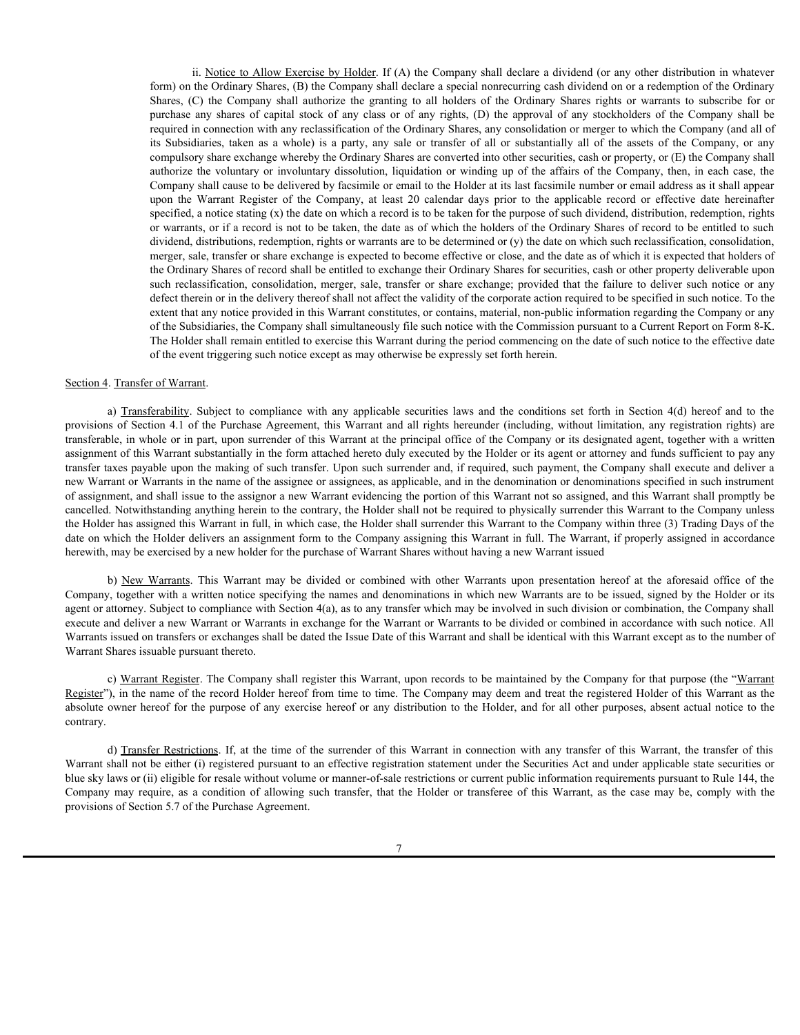ii. Notice to Allow Exercise by Holder. If (A) the Company shall declare a dividend (or any other distribution in whatever form) on the Ordinary Shares, (B) the Company shall declare a special nonrecurring cash dividend on or a redemption of the Ordinary ii. <u>Notice to Allow Exercise by Holder</u>. If (A) the Company shall declare a dividend (or any other distribution in whatever<br>form) on the Ordinary Shares, (B) the Company shall declare a special nonrecurring cash dividend ii. <u>Notice to Allow Exercise by Holder</u>. If (A) the Company shall declare a dividend (or any other distribution in whatever<br>form) on the Ordinary Shares, (B) the Company shall declare a special nonrecurring cash dividend required in connection with any reclassification of the Ordinary Shares, any consolidation or merger to which the Company (and all of ii. <u>Notice to Allow Exercise by Holder</u>. If (A) the Company shall declare a dividend (or any other distribution in whatever form) on the Ordinary Shares, (S) the Company shall declare a special nonecorring cash divided on compulsory share exchange whereby the Ordinary Shares are converted into other securities, cash or property, or (E) the Company shall ii. <u>Notice to Allow Exercise by Holder</u>. If (A) the Company shall declare a dividend (or any other distribution in whatever form) on the Ordinary Shares, (B) the Company shall declare a special norrecurring cash dividend Company shall cause to be delivered by facsimile or email to the Holder at its last facsimile number or email address as it shall appear ii. <u>Notice to Allow Exercise by Holder</u>. If (A) the Company shall declare a dividend (or any other distribution in whatever<br>form) on the Ordnary Sharres, (B) the Company shall declare a special nonrecurring eash dividend specified, a notice stating (x) the date on which a record is to be taken for the purpose of such dividend, distribution, redemption, rights or warrants, or if a record is not to be taken, the date as of which the holders of the Ordinary Shares of record to be entitled to such dividend, distributions, redemption, rights or warrants are to be determined or (y) the date on which such reclassification, consolidation, merger, sale, transfer or share exchange is expected to become effective or close, and the date as of which it is expected that holders of the Ordinary Shares of record shall be entitled to exchange their Ordinary Shares for securities, cash or other property deliverable upon ii. <u>Notice to Allow Exercise by Holder</u>, If (A) the Company shall declare a dividend (or any other distribution in whatever<br>form) on the Ordinary Shures, (B) the Company shall declare a special nonecroting cash divided on defect therein or in the delivery thereof shall not affect the validity of the corporate action required to be specified in such notice. To the extent that any notice provided in this Warrant constitutes, or contains, material, non-public information regarding the Company or any of the Subsidiaries, the Company shall simultaneously file such notice with the Commission pursuant to a Current Report on Form 8-K. The Holder shall remain entitled to exercise this Warrant during the period commencing on the date of such notice to the effective date of the event triggering such notice except as may otherwise be expressly set forth herein. is Notice to Allow Exectis by Holder. If (A) the Company shall declare a dividend (or any other distribution in whatever<br>form) on the Columny Shares, (i) the Company shall declare a persisi nonecerating eash dividend on or in Kotioz in Allow Exterion by Holder II (A) the Company shall declain a dividend tor my other distubstration in whatever<br>form) on the Defeature Agreement and anticloc active parameters in the provision of the Purchase Agr computery shares are about the behavior of the basis of solid and property at the company with a property or (5) the Company shares are about the solid or company and company and company and company and control or the divi

transferable, in whole or in part, upon surrender of this Warrant at the principal office of the Company or its designated agent, together with a written assignment of this Warrant substantially in the form attached hereto duly executed by the Holder or its agent or attorney and funds sufficient to pay any transfer taxes payable upon the making of such transfer. Upon such surrender and, if required, such payment, the Company shall execute and deliver a new Warrant or Warrants in the name of the assignee or assignees, as applicable, and in the denomination or denominations specified in such instrument of assignment, and shall issue to the assignor a new Warrant evidencing the portion of this Warrant not so assigned, and this Warrant shall promptly be cancelled. Notwithstanding anything herein to the contrary, the Holder shall not be required to physically surrender this Warrant to the Company unless the Holder has assigned this Warrant in full, in which case, the Holder shall surrender this Warrant to the Company within three (3) Trading Days of the date on which the Holder delivers an assignment form to the Company assigning this Warrant in full. The Warrant, if properly assigned in accordance herewith, may be exercised by a new holder for the purchase of Warrant Shares without having a new Warrant issued of the Subscription, be Coveragnwold by the surreless of Warrant in Correlations. If at the subscription is the time of the surreless of the connection of the surreless of the contribution of the contribution of the contr Scalin 4. Intension of Warnest<br>
a) Complete the complete complete symptomist sourcies have an ite condition of action of allowing such transfer<br>
may represent the subset of all Warrant in the following such transferse of t

Company, together with a written notice specifying the names and denominations in which new Warrants are to be issued, signed by the Holder or its agent or attorney. Subject to compliance with Section 4(a), as to any transfer which may be involved in such division or combination, the Company shall execute and deliver a new Warrant or Warrants in exchange for the Warrant or Warrants to be divided or combined in accordance with such notice. All Warrants issued on transfers or exchanges shall be dated the Issue Date of this Warrant and shall be identical with this Warrant except as to the number of Warrant Shares issuable pursuant thereto.

c) Warrant Register. The Company shall register this Warrant, upon records to be maintained by the Company for that purpose (the "Warrant Register"), in the name of the record Holder hereof from time to time. The Company may deem and treat the registered Holder of this Warrant as the absolute owner hereof for the purpose of any exercise hereof or any distribution to the Holder, and for all other purposes, absent actual notice to the contrary.

Warrant shall not be either (i) registered pursuant to an effective registration statement under the Securities Act and under applicable state securities or blue sky laws or (ii) eligible for resale without volume or manner-of-sale restrictions or current public information requirements pursuant to Rule 144, the provisions of Section 5.7 of the Purchase Agreement.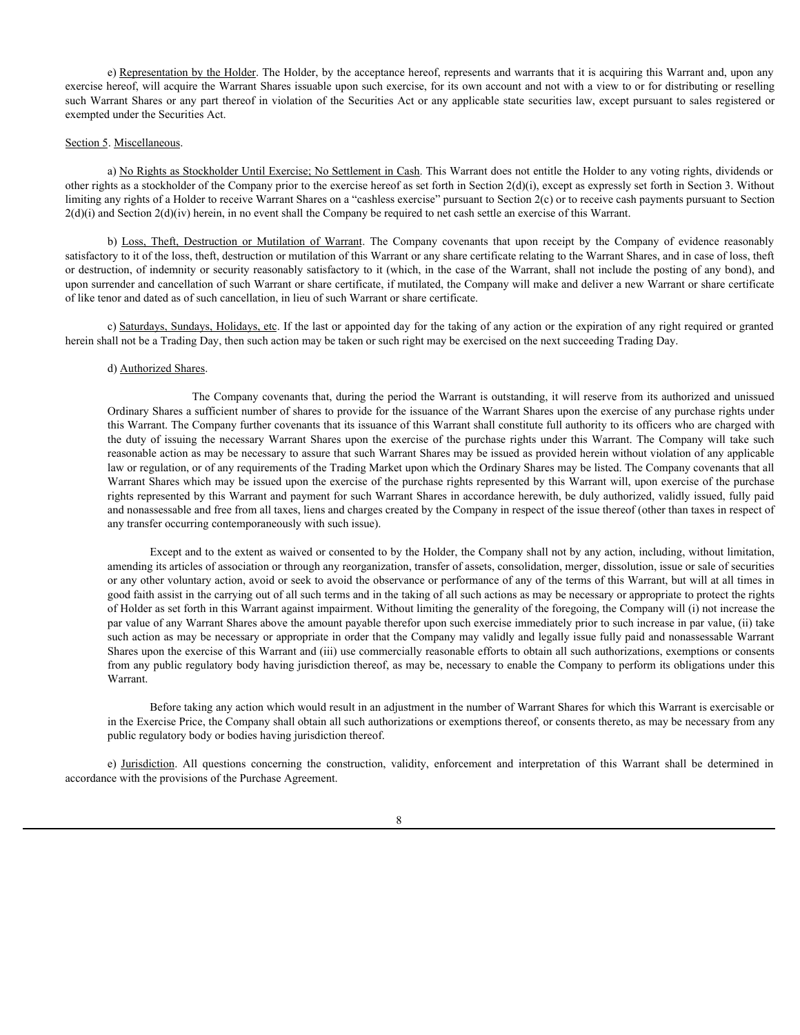e) Representation by the Holder. The Holder, by the acceptance hereof, represents and warrants that it is acquiring this Warrant and, upon any exercise hereof, will acquire the Warrant Shares issuable upon such exercise, for its own account and not with a view to or for distributing or reselling such Warrant Shares or any part thereof in violation of the Securities Act or any applicable state securities law, except pursuant to sales registered or exempted under the Securities Act.

### Section 5. Miscellaneous.

a) No Rights as Stockholder Until Exercise; No Settlement in Cash. This Warrant does not entitle the Holder to any voting rights, dividends or other rights as a stockholder of the Company prior to the exercise hereof as set forth in Section 2(d)(i), except as expressly set forth in Section 3. Without limiting any rights of a Holder to receive Warrant Shares on a "cashless exercise" pursuant to Section 2(c) or to receive cash payments pursuant to Section  $2(d)(i)$  and Section  $2(d)(iv)$  herein, in no event shall the Company be required to net cash settle an exercise of this Warrant.

b) <u>Representation by the Holder</u>. The Holder, by the acceptance hereof, represents and warrants that it is acquiring this Warrant and, upon any<br>hereorf, will acquire the Warrant Shares issuable upon such exercise, for its satisfactory to it of the loss, theft, destruction or mutilation of this Warrant or any share certificate relating to the Warrant Shares, and in case of loss, theft or destruction, of indemnity or security reasonably satisfactory to it (which, in the case of the Warrant, shall not include the posting of any bond), and upon surrender and cancellation of such Warrant or share certificate, if mutilated, the Company will make and deliver a new Warrant or share certificate of like tenor and dated as of such cancellation, in lieu of such Warrant or share certificate.

c) Saturdays, Sundays, Holidays, etc. If the last or appointed day for the taking of any action or the expiration of any right required or granted herein shall not be a Trading Day, then such action may be taken or such right may be exercised on the next succeeding Trading Day.

#### d) Authorized Shares.

The Company covenants that, during the period the Warrant is outstanding, it will reserve from its authorized and unissued Ordinary Shares a sufficient number of shares to provide for the issuance of the Warrant Shares upon the exercise of any purchase rights under this Warrant. The Company further covenants that its issuance of this Warrant shall constitute full authority to its officers who are charged with is Egutestantation by the Holder. The Holder, by the acceptance hereof, represents and warrants that it is acquiring this Warrant and, upon any<br>hereof swill acquire the Warrant Shares usuable spon such caccites, for its ow reasonable action as may be necessary to assure that such Warrant Shares may be issued as provided herein without violation of any applicable law or regulation, or of any requirements of the Trading Market upon which the Ordinary Shares may be listed. The Company covenants that all Warrant Shares which may be issued upon the exercise of the purchase rights represented by this Warrant will, upon exercise of the purchase rights represented by this Warrant and payment for such Warrant Shares in accordance herewith, be duly authorized, validly issued, fully paid and nonassessable and free from all taxes, liens and charges created by the Company in respect of the issue thereof (other than taxes in respect of any transfer occurring contemporaneously with such issue).

Except and to the extent as waived or consented to by the Holder, the Company shall not by any action, including, without limitation, amending its articles of association or through any reorganization, transfer of assets, consolidation, merger, dissolution, issue or sale of securities or any other voluntary action, avoid or seek to avoid the observance or performance of any of the terms of this Warrant, but will at all times in good faith assist in the carrying out of all such terms and in the taking of all such actions as may be necessary or appropriate to protect the rights of Holder as set forth in this Warrant against impairment. Without limiting the generality of the foregoing, the Company will (i) not increase the par value of any Warrant Shares above the amount payable therefor upon such exercise immediately prior to such increase in par value, (ii) take such action as may be necessary or appropriate in order that the Company may validly and legally issue fully paid and nonassessable Warrant Shares upon the exercise of this Warrant and (iii) use commercially reasonable efforts to obtain all such authorizations, exemptions or consents from any public regulatory body having jurisdiction thereof, as may be, necessary to enable the Company to perform its obligations under this Warrant. ell ruel be at Trading Day, then such action may be taken or such right may be reserved on the rest successing Trading Day<br>Oldinary Shanes a sufficient number of shares is provide for the issuance of the Warrant is melaste

Before taking any action which would result in an adjustment in the number of Warrant Shares for which this Warrant is exercisable or in the Exercise Price, the Company shall obtain all such authorizations or exemptions thereof, or consents thereto, as may be necessary from any public regulatory body or bodies having jurisdiction thereof.

accordance with the provisions of the Purchase Agreement.

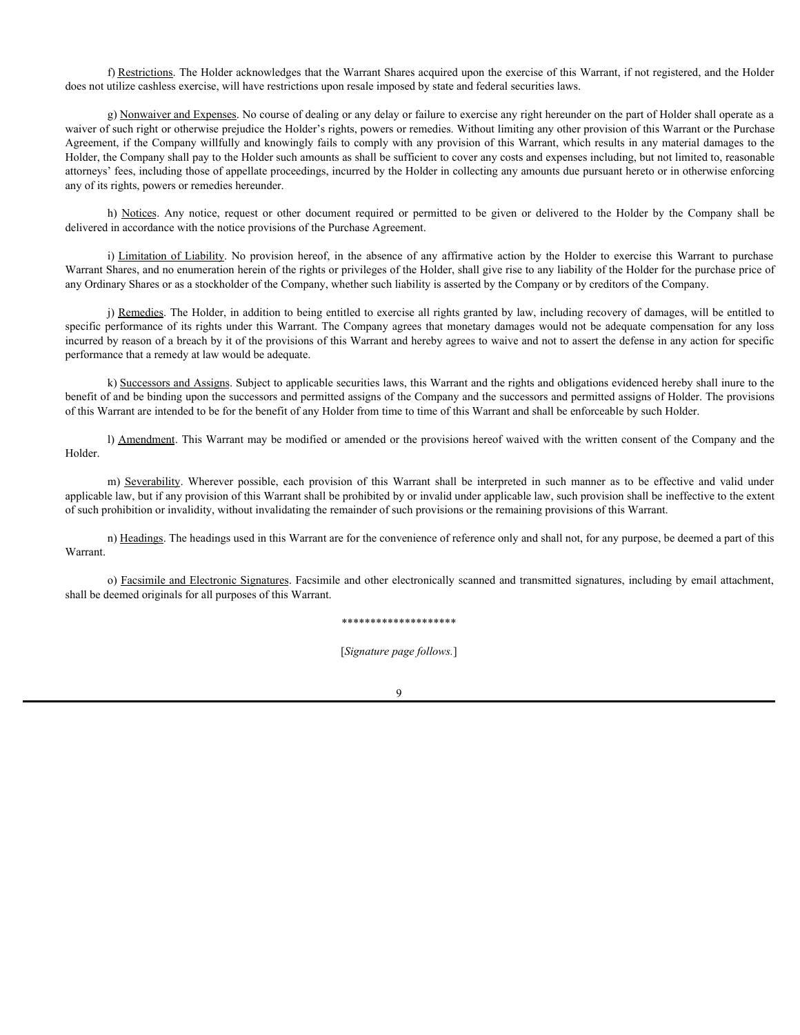f) Restrictions. The Holder acknowledges that the Warrant Shares acquired upon the exercise of this Warrant, if not registered, and the Holder does not utilize cashless exercise, will have restrictions upon resale imposed by state and federal securities laws.

g) Nonwaiver and Expenses. No course of dealing or any delay or failure to exercise any right hereunder on the part of Holder shall operate as a waiver of such right or otherwise prejudice the Holder's rights, powers or remedies. Without limiting any other provision of this Warrant or the Purchase Agreement, if the Company willfully and knowingly fails to comply with any provision of this Warrant, which results in any material damages to the Holder, the Company shall pay to the Holder such amounts as shall be sufficient to cover any costs and expenses including, but not limited to, reasonable attorneys' fees, including those of appellate proceedings, incurred by the Holder in collecting any amounts due pursuant hereto or in otherwise enforcing any of its rights, powers or remedies hereunder. The Monterial and Expenses. The Holder acknowledges that the Warrant Shares acquired upon the exercise of this Warrant, if not registered, and the Holder<br>attilize cashless exercise, will have restrictions upon resale impos f) Restrictions. The Holder acknowledges that the Warrant Shures acquired upon the exercise of this Warrant, if not registered, and the Holder utilize cashless exercise, will have restrictions upon resale imposed by state f) Restrictions. The Holder nethows ledges that the Warrant Shares nequired upon the exercision of this Warrant in the provision of the Nine and Euclidean control and Holder and the section of the Warrant of the Universe p

delivered in accordance with the notice provisions of the Purchase Agreement.

Warrant Shares, and no enumeration herein of the rights or privileges of the Holder, shall give rise to any liability of the Holder for the purchase price of any Ordinary Shares or as a stockholder of the Company, whether such liability is asserted by the Company or by creditors of the Company.

j) Remedies. The Holder, in addition to being entitled to exercise all rights granted by law, including recovery of damages, will be entitled to specific performance of its rights under this Warrant. The Company agrees that monetary damages would not be adequate compensation for any loss incurred by reason of a breach by it of the provisions of this Warrant and hereby agrees to waive and not to assert the defense in any action for specific performance that a remedy at law would be adequate.

k) Successors and Assigns. Subject to applicable securities laws, this Warrant and the rights and obligations evidenced hereby shall inure to the benefit of and be binding upon the successors and permitted assigns of the Company and the successors and permitted assigns of Holder. The provisions of this Warrant are intended to be for the benefit of any Holder from time to time of this Warrant and shall be enforceable by such Holder.

l) Amendment. This Warrant may be modified or amended or the provisions hereof waived with the written consent of the Company and the Holder.

applicable law, but if any provision of this Warrant shall be prohibited by or invalid under applicable law, such provision shall be ineffective to the extent of such prohibition or invalidity, without invalidating the remainder of such provisions or the remaining provisions of this Warrant.

n) Headings. The headings used in this Warrant are for the convenience of reference only and shall not, for any purpose, be deemed a part of this Warrant.

o) Facsimile and Electronic Signatures. Facsimile and other electronically scanned and transmitted signatures, including by email attachment, shall be deemed originals for all purposes of this Warrant.

#### \*\*\*\*\*\*\*\*\*\*\*\*\*\*\*\*\*\*\*\*

[*Signature page follows.*]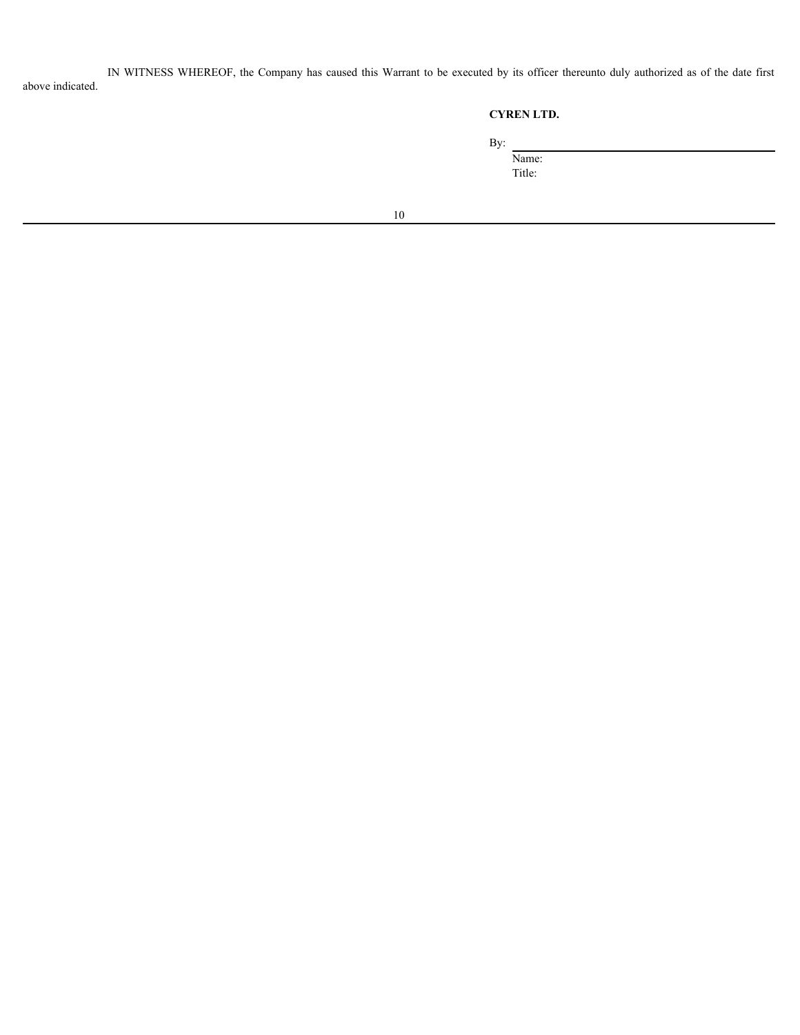IN WITNESS WHEREOF, the Company has caused this Warrant to be executed by its officer thereunto duly authorized as of the date first above indicated.

# **CYREN LTD.**

By:

Name:

Title: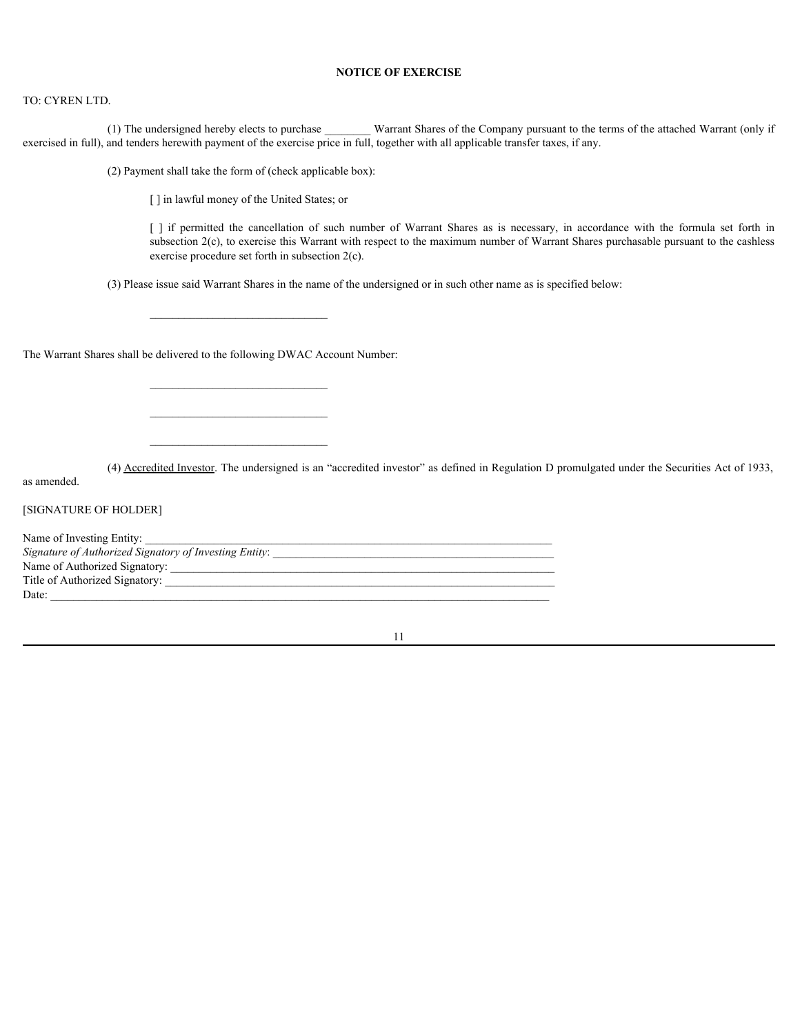# **NOTICE OF EXERCISE**

#### TO: CYREN LTD.

(1) The undersigned hereby elects to purchase Warrant Shares of the Company pursuant to the terms of the attached Warrant (only if exercised in full), and tenders herewith payment of the exercise price in full, together with all applicable transfer taxes, if any.

(2) Payment shall take the form of (check applicable box):

[] in lawful money of the United States; or

**NOTICE OF EXERCISE**<br>
IN and the cancel Shares of the Company pursuant to the terms of the attached Warrant (only if<br>
It is herewith payment of the exercise price in full, together with all applicable transfer taxes, if an subsection 2(c), to exercise this Warrant with respect to the maximum number of Warrant Shares purchasable pursuant to the cashless exercise procedure set forth in subsection 2(c).

(3) Please issue said Warrant Shares in the name of the undersigned or in such other name as is specified below:

 $\mathcal{L}_\text{max}$ 

 $\mathcal{L}_\text{max}$ 

The Warrant Shares shall be delivered to the following DWAC Account Number:

(4) Accredited Investor. The undersigned is an "accredited investor" as defined in Regulation D promulgated under the Securities Act of 1933,

as amended.

[SIGNATURE OF HOLDER]

| Name of Investing Entity:                              |  |
|--------------------------------------------------------|--|
| Signature of Authorized Signatory of Investing Entity: |  |
| Name of Authorized Signatory:                          |  |
| Title of Authorized Signatory:                         |  |
| Date:                                                  |  |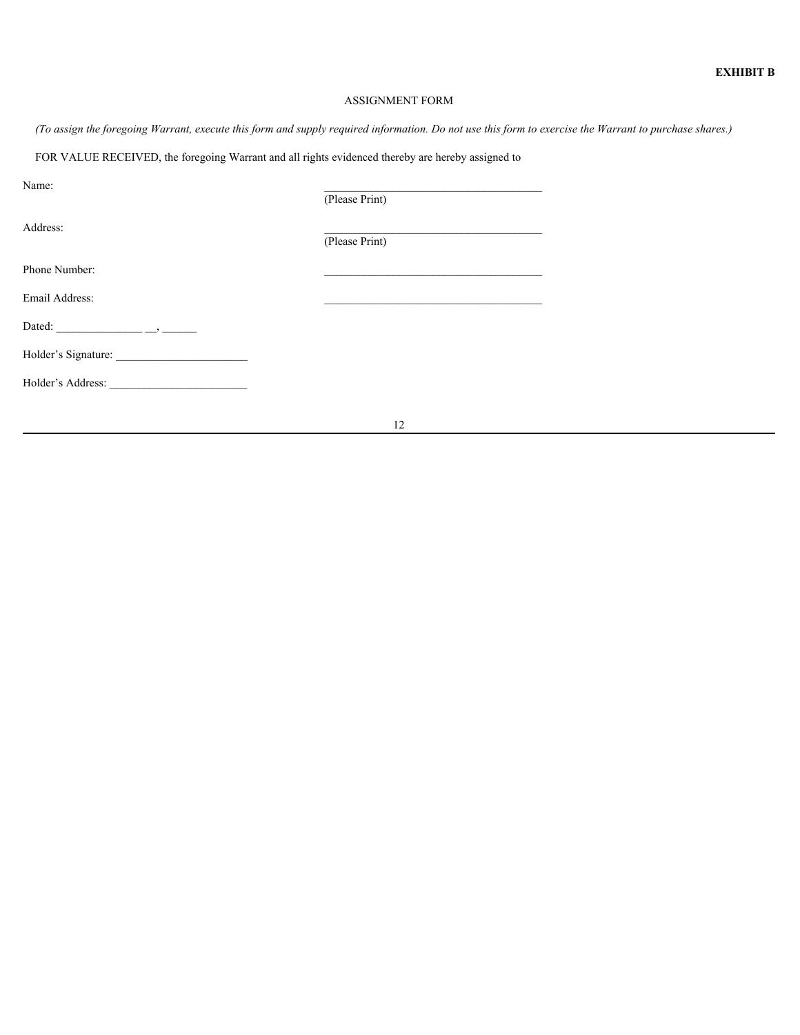# ASSIGNMENT FORM

12

*(To assign the foregoing Warrant, execute this form and supply required information. Do not use this form to exercise the Warrant to purchase shares.)*

FOR VALUE RECEIVED, the foregoing Warrant and all rights evidenced thereby are hereby assigned to

| Name:             | (Please Print) |  |
|-------------------|----------------|--|
| Address:          | (Please Print) |  |
| Phone Number:     |                |  |
| Email Address:    |                |  |
|                   |                |  |
|                   |                |  |
| Holder's Address: |                |  |
|                   |                |  |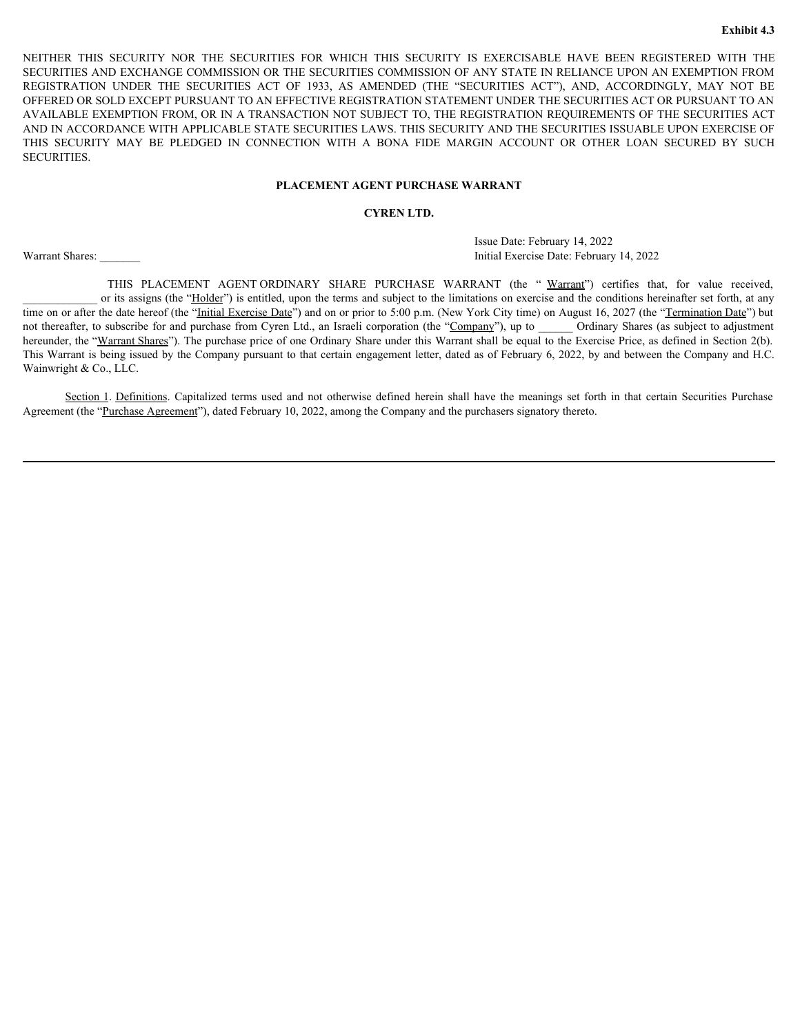EXHIFT THIS SECURITY NOR THE SECURITIES FOR WHICH THIS SECURITY IS EXERCISABLE HAVE BEEN REGISTERED WITH THE SECURITIES AND EXCHANGE COMMISSION OR THE SECURITIES COMMISSION OF ANY STATE IN RELIANCE UPON AN EXEMPTION FROM R SECURITIES AND EXCHANGE COMMISSION OR THE SECURITIES COMMISSION OF ANY STATE IN RELIANCE UPON AN EXEMPTION FROM EXAMPLE THIS SECURITY NOR THE SECURITIES FOR WHICH THIS SECURITY IS EXERCISABLE HAVE BEEN REGISTERED WITH THE SECURITIES AND EXCHANGE COMMISSION OR THE SECURITIES COMMISSION OF ANY STATE IN RELIANCE UPON AN EXEMPTION FROM OFFERED OR SOLD EXCEPT PURSUANT TO AN EFFECTIVE REGISTRATION STATEMENT UNDER THE SECURITIES ACT OR PURSUANT TO AN AVAILABLE EXEMPTION FROM, OR IN A TRANSACTION NOT SUBJECT TO, THE REGISTRATION REQUIREMENTS OF THE SECURITIES ACT AND IN ACCORDANCE WITH APPLICABLE STATE SECURITIES LAWS. THIS SECURITY AND THE SECURITIES ISSUABLE UPON EXERCISE OF EXPRISE THIS SECURITY NOR THE SECURITIES FOR WHICH THIS SECURITY IS EXERCISABLE HAVE BEEN REGISTERED WITH THE SECURITIES AND EXCHANGE COMMISSION OR THE SECURITIES COMMISSION OF ANY STATE IN RELIANCE UPON AN EXEMPTION FROM SECURITIES. **EXECURITY NOR THE SECURITIES FOR WHICH THIS SECURITY IS EXERCISABLE HAVE BEEN REGISTERED WITH THE DEXCHANGE COMMISSION OR THE SECURITIES COMMISSION OF ANY STATE METAL REPLIANCE UPON AN EXEMPTION FROM DISPOSE THE SECURITE** EVERY THIS SECURITY NOR THE SECURITYS FOR WHICH THIS SECURITY IS EVERISSAME HAVE IRELEAND EXAMEL COMMISSION OF ANY STATE IN CELLANTE IN CAPITAL CAPITAL CAPITAL COMPONENT IN CAPITAL COMPONENT AND THE SECURITIES ACT (FOR SO

# **PLACEMENT AGENT PURCHASE WARRANT**

# **CYREN LTD.**

<span id="page-31-0"></span>Issue Date: February 14, 2022 Warrant Shares: **Exercise Date: February 14, 2022** Initial Exercise Date: February 14, 2022

or its assigns (the "Holder") is entitled, upon the terms and subject to the limitations on exercise and the conditions hereinafter set forth, at any time on or after the date hereof (the "Initial Exercise Date") and on or prior to 5:00 p.m. (New York City time) on August 16, 2027 (the "Termination Date") but not thereafter, to subscribe for and purchase from Cyren Ltd., an Israeli corporation (the "Company"), up to Ordinary Shares (as subject to adjustment hereunder, the "Warrant Shares"). The purchase price of one Ordinary Share under this Warrant shall be equal to the Exercise Price, as defined in Section 2(b). This Warrant is being issued by the Company pursuant to that certain engagement letter, dated as of February 6, 2022, by and between the Company and H.C. Wainwright & Co., LLC.

Agreement (the "Purchase Agreement"), dated February 10, 2022, among the Company and the purchasers signatory thereto.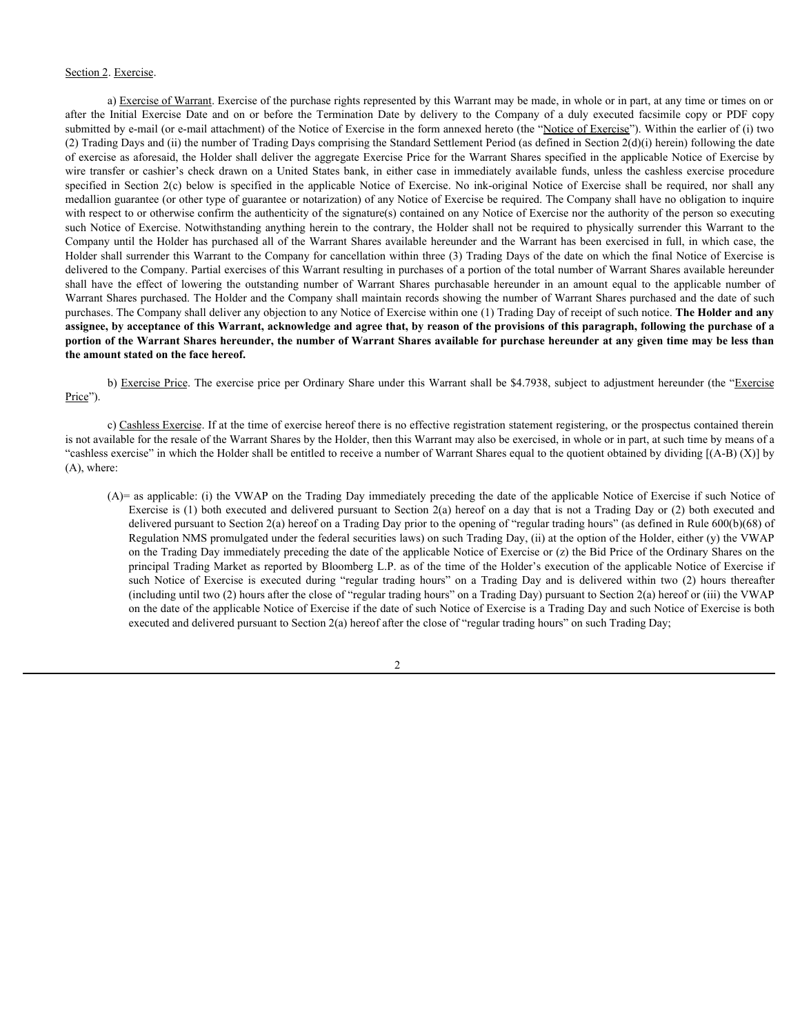# Section 2. Exercise.

a) Exercise of Warrant. Exercise of the purchase rights represented by this Warrant may be made, in whole or in part, at any time or times on or Section 2. Exercise.<br>
a) Exercise Of Warrant. Exercise of the purchase rights represented by this Warrant may be made, in whole or in part, at any time or times on or<br>
after the Initial Exercise Date and on or before the T submitted by e-mail (or e-mail attachment) of the Notice of Exercise in the form annexed hereto (the "Notice of Exercise"). Within the earlier of (i) two (2) Trading Days and (ii) the number of Trading Days comprising the Standard Settlement Period (as defined in Section 2(d)(i) herein) following the date of exercise as aforesaid, the Holder shall deliver the aggregate Exercise Price for the Warrant Shares specified in the applicable Notice of Exercise by Section 2. Exercise.<br>
a) Exercise of Warrant. Exercise of the purchase rights represented by this Warrant may be made, in whole or in part, at any time or times on or<br>
after the initial Excretis Date and on or before the T Section 2. Exercise<br>
a) Exercise of Warrant Exercise of the purchase rights represented by this Warrant may be made, in whole or in part, at any time or times on or<br>
a) Exercise of Warrant Exercise of the purchase rights r medallion guarantee (or other type of guarantee or notarization) of any Notice of Exercise be required. The Company shall have no obligation to inquire with respect to or otherwise confirm the authenticity of the signature(s) contained on any Notice of Exercise nor the authority of the person so executing such Notice of Exercise. Notwithstanding anything herein to the contrary, the Holder shall not be required to physically surrender this Warrant to the Company until the Holder has purchased all of the Warrant Shares available hereunder and the Warrant has been exercised in full, in which case, the Holder shall surrender this Warrant to the Company for cancellation within three (3) Trading Days of the date on which the final Notice of Exercise is delivered to the Company. Partial exercises of this Warrant resulting in purchases of a portion of the total number of Warrant Shares available hereunder Soction 2. Exercises<br>
a) Exercises of Warrant Exercise of the purchase rights represented by this Warrant may be made, in whole or in part, at any time or times on or<br>submitted the Initial Exercise Date and on or before th Warrant Shares purchased. The Holder and the Company shall maintain records showing the number of Warrant Shares purchased and the date of such purchases. The Company shall deliver any objection to any Notice of Exercise within one (1) Trading Day of receipt of such notice. **The Holder and any assignee, by acceptance of this Warrant, acknowledge and agree that, by reason of the provisions of this paragraph, following the purchase of a portion of the Warrant Shares hereunder, the number of Warrant Shares available for purchase hereunder at any given time may be less than the amount stated on the face hereof.** is focesied, the Holder and deliver the space is receive it for the Warrant Shares specified in the applicable Notice of Exercise by the state of the state of the state is executed at the applicable Notice of Exercise is e

b) Exercise Price. The exercise price per Ordinary Share under this Warrant shall be \$4.7938, subject to adjustment hereunder (the "Exercise Price").

c) Cashless Exercise. If at the time of exercise hereof there is no effective registration statement registering, or the prospectus contained therein is not available for the resale of the Warrant Shares by the Holder, then this Warrant may also be exercised, in whole or in part, at such time by means of a "cashless exercise" in which the Holder shall be entitled to receive a number of Warrant Shares equal to the quotient obtained by dividing [(A-B) (X)] by (A), where:

(A)= as applicable: (i) the VWAP on the Trading Day immediately preceding the date of the applicable Notice of Exercise if such Notice of Exercise is (1) both executed and delivered pursuant to Section 2(a) hereof on a day that is not a Trading Day or (2) both executed and delivered pursuant to Section 2(a) hereof on a Trading Day prior to the opening of "regular trading hours" (as defined in Rule 600(b)(68) of Regulation NMS promulgated under the federal securities laws) on such Trading Day, (ii) at the option of the Holder, either (y) the VWAP on the Trading Day immediately preceding the date of the applicable Notice of Exercise or (z) the Bid Price of the Ordinary Shares on the principal Trading Market as reported by Bloomberg L.P. as of the time of the Holder's execution of the applicable Notice of Exercise if (including until two (2) hours after the close of "regular trading hours" on a Trading Day) pursuant to Section 2(a) hereof or (iii) the VWAP on the date of the applicable Notice of Exercise if the date of such Notice of Exercise is a Trading Day and such Notice of Exercise is both executed and delivered pursuant to Section 2(a) hereof after the close of "regular trading hours" on such Trading Day;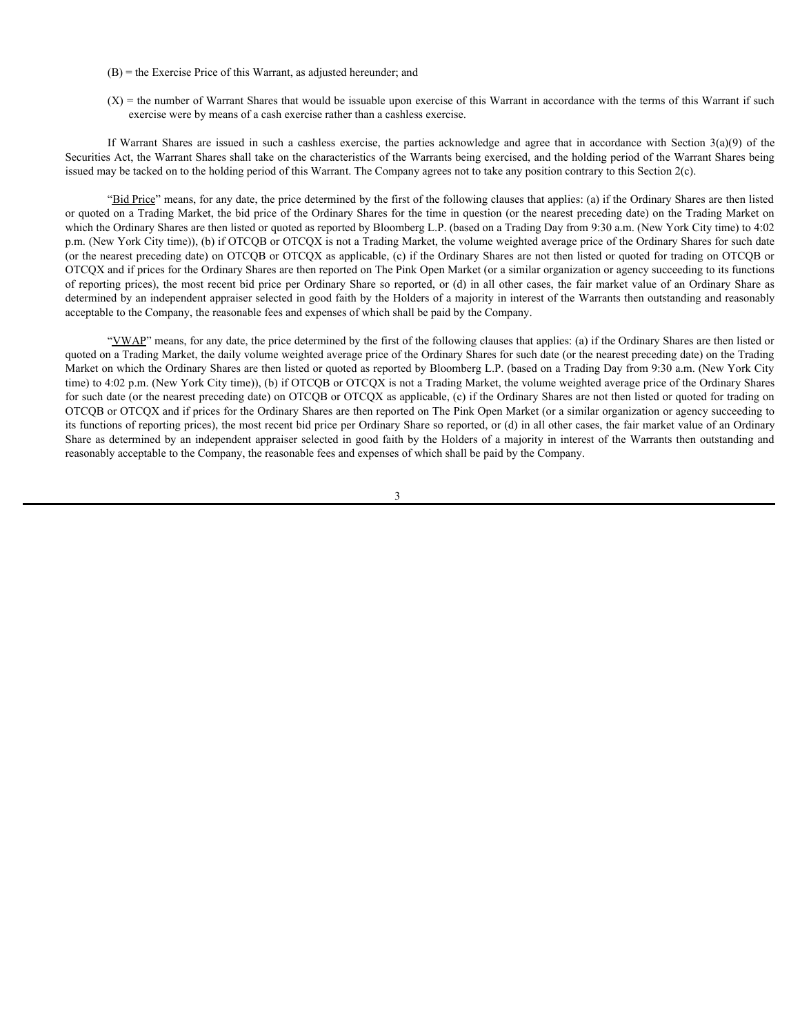- (B) = the Exercise Price of this Warrant, as adjusted hereunder; and
- $(X)$  = the number of Warrant Shares that would be issuable upon exercise of this Warrant in accordance with the terms of this Warrant if such exercise were by means of a cash exercise rather than a cashless exercise.

Securities Act, the Warrant Shares shall take on the characteristics of the Warrants being exercised, and the holding period of the Warrant Shares being issued may be tacked on to the holding period of this Warrant. The Company agrees not to take any position contrary to this Section 2(c).

(B) = the Exercise Price of this Warrant, as adjusted hereunder; and<br>(X) = the number of Warrant Shares that would be issuable upon exercise of this Warrant in accordance with the terms of this Warrant if such<br>exercise we "Bid Price" means, for any date, the price determined by the first of the following clauses that applies: (a) if the Ordinary Shares are then listed or quoted on a Trading Market, the bid price of the Ordinary Shares for the time in question (or the nearest preceding date) on the Trading Market on which the Ordinary Shares are then listed or quoted as reported by Bloomberg L.P. (based on a Trading Day from 9:30 a.m. (New York City time) to 4:02 p.m. (New York City time)), (b) if OTCQB or OTCQX is not a Trading Market, the volume weighted average price of the Ordinary Shares for such date (or the nearest preceding date) on OTCQB or OTCQX as applicable, (c) if the Ordinary Shares are not then listed or quoted for trading on OTCQB or OTCQX and if prices for the Ordinary Shares are then reported on The Pink Open Market (or a similar organization or agency succeeding to its functions of reporting prices), the most recent bid price per Ordinary Share so reported, or (d) in all other cases, the fair market value of an Ordinary Share as determined by an independent appraiser selected in good faith by the Holders of a majority in interest of the Warrants then outstanding and reasonably acceptable to the Company, the reasonable fees and expenses of which shall be paid by the Company.

"VWAP" means, for any date, the price determined by the first of the following clauses that applies: (a) if the Ordinary Shares are then listed or quoted on a Trading Market, the daily volume weighted average price of the Ordinary Shares for such date (or the nearest preceding date) on the Trading Market on which the Ordinary Shares are then listed or quoted as reported by Bloomberg L.P. (based on a Trading Day from 9:30 a.m. (New York City time) to 4:02 p.m. (New York City time)), (b) if OTCQB or OTCQX is not a Trading Market, the volume weighted average price of the Ordinary Shares for such date (or the nearest preceding date) on OTCQB or OTCQX as applicable, (c) if the Ordinary Shares are not then listed or quoted for trading on OTCQB or OTCQX and if prices for the Ordinary Shares are then reported on The Pink Open Market (or a similar organization or agency succeeding to its functions of reporting prices), the most recent bid price per Ordinary Share so reported, or (d) in all other cases, the fair market value of an Ordinary Share as determined by an independent appraiser selected in good faith by the Holders of a majority in interest of the Warrants then outstanding and reasonably acceptable to the Company, the reasonable fees and expenses of which shall be paid by the Company.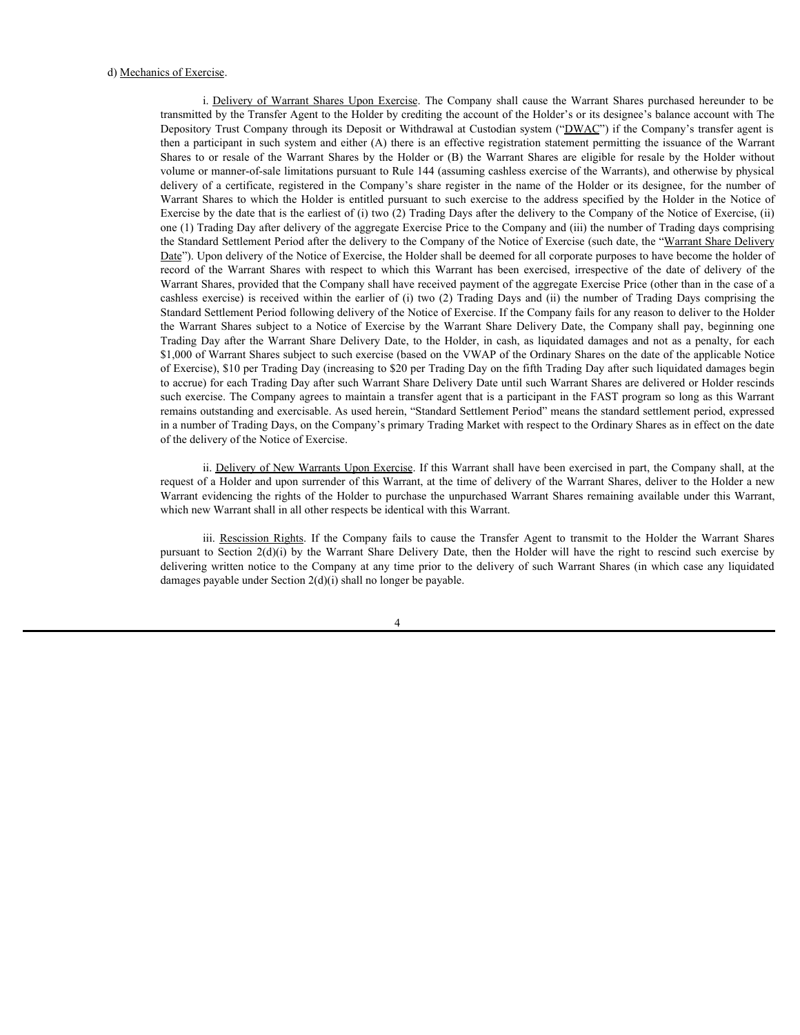d) <u>Mechanics of Exercise</u>.<br>
i. <u>Delivery of Warrant Shares Upon Exercise</u>. The Company shall cause the Warrant Shares purchased hereunder to be<br>
transmitted by the Transfer Agent to the Holder by crediting the account of transmitted by the Transfer Agent to the Holder by crediting the account of the Holder's or its designee's balance account with The Depository Trust Company through its Deposit or Withdrawal at Custodian system ("DWAC") if the Company's transfer agent is then a participant in such system and either (A) there is an effective registration statement permitting the issuance of the Warrant is <u>Deivery of Warrant Shares Upon Exercise</u>. The Company shall cause the Warrant Shares purchased hereunder to be transmitted by the Transfer Agent to the Holder by crediting the account of the Holder is or its designee' volume or manner-of-sale limitations pursuant to Rule 144 (assuming cashless exercise of the Warrants), and otherwise by physical is of Exercise.<br>
i. <u>Delivery of Warrant Shares Upon Exercise</u>. The Company shall cause the Warrant Shares purchased hereunder to be<br>
transmitted by the Transfer Agent to the Holder by crediting the account of the Holder' is of Exercise.<br>
Warrant Shares Upon Exercise. The Company shall cause the Warrant Shares purchased hereunder to be<br>
transmitted by the Transfer Agent to the Holder by crediting the account of the Holder's or its designee Exercise by the date that is the earliest of (i) two (2) Trading Days after the delivery to the Company of the Notice of Exercise, (ii) one (1) Trading Day after delivery of the aggregate Exercise Price to the Company and (iii) the number of Trading days comprising the Standard Settlement Period after the delivery to the Company of the Notice of Exercise (such date, the "Warrant Share Delivery Date"). Upon delivery of the Notice of Exercise, the Holder shall be deemed for all corporate purposes to have become the holder of res of Exercise.<br>
i. <u>Delivery of Warrant Shares</u> Upon Exercise. The Company shall cause the Warrant Shares purchased hereunder to be<br>
transmitted by the Transfer Agent to the Holder by crediting at clusted<br>at cylical Comp Warrant Shares, provided that the Company shall have received payment of the aggregate Exercise Price (other than in the case of a cs of Exercise.<br>
is Delivery of Warrant Shares Upon Exercise. The Company shall cause the Warrant Shares purchased hereunder to be<br>
transmitted by the Transfer Agent to the Holder by recediting the account of the Holder's Standard Settlement Period following delivery of the Notice of Exercise. If the Company fails for any reason to deliver to the Holder is of Exercise.<br>
i. Delivery of Warrant Shares Upon Exercise. The Company shall cause the Warrant Shares purchased breemater to be Depository Trust Company strong its Depository Trust Company shange is balled by cerditing So of Exercise.<br>
1. Delivery of Warrant Shares Lipon Exercise. The Company shall cause the Warrant Shares purchased bereunder to be<br>
Iramsmitted by the Transfer Agent to the Holder by recelling the account of the Holder's \$1,000 of Warrant Shares subject to such exercise (based on the VWAP of the Ordinary Shares on the date of the applicable Notice of Exercise), \$10 per Trading Day (increasing to \$20 per Trading Day on the fifth Trading Day after such liquidated damages begin to accrue) for each Trading Day after such Warrant Share Delivery Date until such Warrant Shares are delivered or Holder rescinds such exercise. The Company agrees to maintain a transfer agent that is a participant in the FAST program so long as this Warrant remains outstanding and exercisable. As used herein, "Standard Settlement Period" means the standard settlement period, expressed in a number of Trading Days, on the Company's primary Trading Market with respect to the Ordinary Shares as in effect on the date of the delivery of the Notice of Exercise. in hy the Transfer Agent in the Folder by centimies the account of the Folder's or its designee; halo are not transfer Agent to the Folder Transfer Agent in the Transfer Agent to the Folder and the Transmit to the Folder a Dependent Trait Company through in Dependent of Windows at Casabian system ("DNAC") if the Company is marked rest of the Natural Microsoft exercise of the Warrant Share to result of the Natural Share of the Warrant Share D about the spainting min such that the Company at the Varian situation is simpled to the Company at any time is an of feature representing the simulated properties of the Company at any time is any time to the Company at an

ii. Delivery of New Warrants Upon Exercise. If this Warrant shall have been exercised in part, the Company shall, at the request of a Holder and upon surrender of this Warrant, at the time of delivery of the Warrant Shares, deliver to the Holder a new Warrant evidencing the rights of the Holder to purchase the unpurchased Warrant Shares remaining available under this Warrant, which new Warrant shall in all other respects be identical with this Warrant.

damages payable under Section 2(d)(i) shall no longer be payable.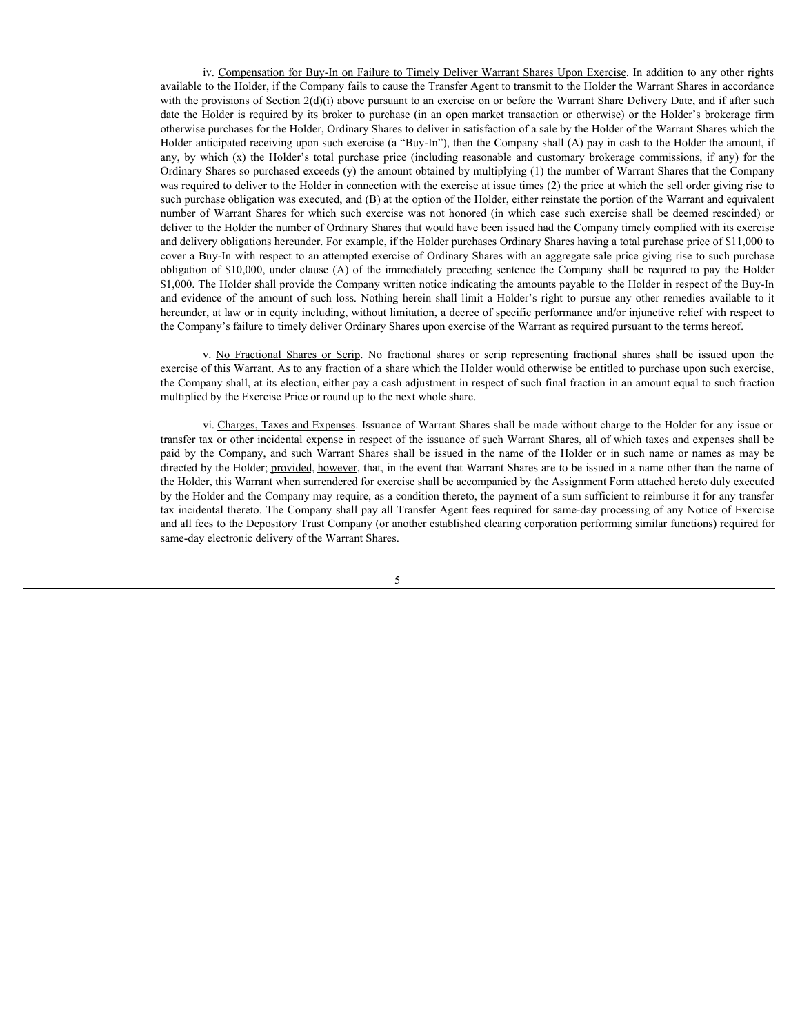iv. Compensation for Buy-In on Failure to Timely Deliver Warrant Shares Upon Exercise. In addition to any other rights available to the Holder, if the Company fails to cause the Transfer Agent to transmit to the Holder the Warrant Shares in accordance with the provisions of Section 2(d)(i) above pursuant to an exercise on or before the Warrant Share Delivery Date, and if after such date the Holder is required by its broker to purchase (in an open market transaction or otherwise) or the Holder's brokerage firm otherwise purchases for the Holder, Ordinary Shares to deliver in satisfaction of a sale by the Holder of the Warrant Shares which the Holder anticipated receiving upon such exercise (a " $\frac{Buy-In}{n}$ "), then the Company shall (A) pay in cash to the Holder the amount, if iv. Compensation for Buy-In on Failure to Timely Deliver Warrant Shares Upon Exercise.</u> In addition to any other rights available to the Holder, if the Company fails to cause the Transfer Agent to transmit to the Holder th Ordinary Shares so purchased exceeds (y) the amount obtained by multiplying (1) the number of Warrant Shares that the Company was required to deliver to the Holder in connection with the exercise at issue times (2) the price at which the sell order giving rise to such purchase obligation was executed, and (B) at the option of the Holder, either reinstate the portion of the Warrant and equivalent iv. Compensation for Bux-In on Failure to Timely Deliver Warrant Shares Upon Exercise. In addition to any other rights available to the Holder, if the Company fails to cause the Transfer Agent to transmit to the Holder the deliver to the Holder the number of Ordinary Shares that would have been issued had the Company timely complied with its exercise and delivery obligations hereunder. For example, if the Holder purchases Ordinary Shares having a total purchase price of \$11,000 to cover a Buy-In with respect to an attempted exercise of Ordinary Shares with an aggregate sale price giving rise to such purchase iv. Compensation for Buy-In on Failure to Timely Deliver Warrant Shares Upon Exercise. In addition to any other rights available to the Holder if the Company fails to cause the Transfer Agent to transmit to the Holder the \$1,000. The Holder shall provide the Company written notice indicating the amounts payable to the Holder in respect of the Buy-In iv. Compensation for Buy-In on Failure to Timely Deliver Warrant Shares Upon Exercise. In addition to any other rights<br>available to the Roder, if the Company finis to cause the Transfer Agent to transmit to the Floider che hereunder, at law or in equity including, without limitation, a decree of specific performance and/or injunctive relief with respect to iv Compensation for Bing-In on Ealing to Timely Deliver Warrant Shares Upon Exercise is addition to any other rights<br>available to the Itolder, if the Company finit to consume to an exercis on the form its the Holder the W by Composition for Bay-lo on Failure to Timely Deliver Warrant Shares i liped Excessio. In addition to any other rights with the provision of Section (8) in the company distinct or in the first of the Company distinct of

exercise of this Warrant. As to any fraction of a share which the Holder would otherwise be entitled to purchase upon such exercise, the Company shall, at its election, either pay a cash adjustment in respect of such final fraction in an amount equal to such fraction multiplied by the Exercise Price or round up to the next whole share.

vi. Charges, Taxes and Expenses. Issuance of Warrant Shares shall be made without charge to the Holder for any issue or transfer tax or other incidental expense in respect of the issuance of such Warrant Shares, all of which taxes and expenses shall be directed by the Holder; provided, however, that, in the event that Warrant Shares are to be issued in a name other than the name of the Holder, this Warrant when surrendered for exercise shall be accompanied by the Assignment Form attached hereto duly executed by the Holder and the Company may require, as a condition thereto, the payment of a sum sufficient to reimburse it for any transfer tax incidental thereto. The Company shall pay all Transfer Agent fees required for same-day processing of any Notice of Exercise and all fees to the Depository Trust Company (or another established clearing corporation performing similar functions) required for same-day electronic delivery of the Warrant Shares.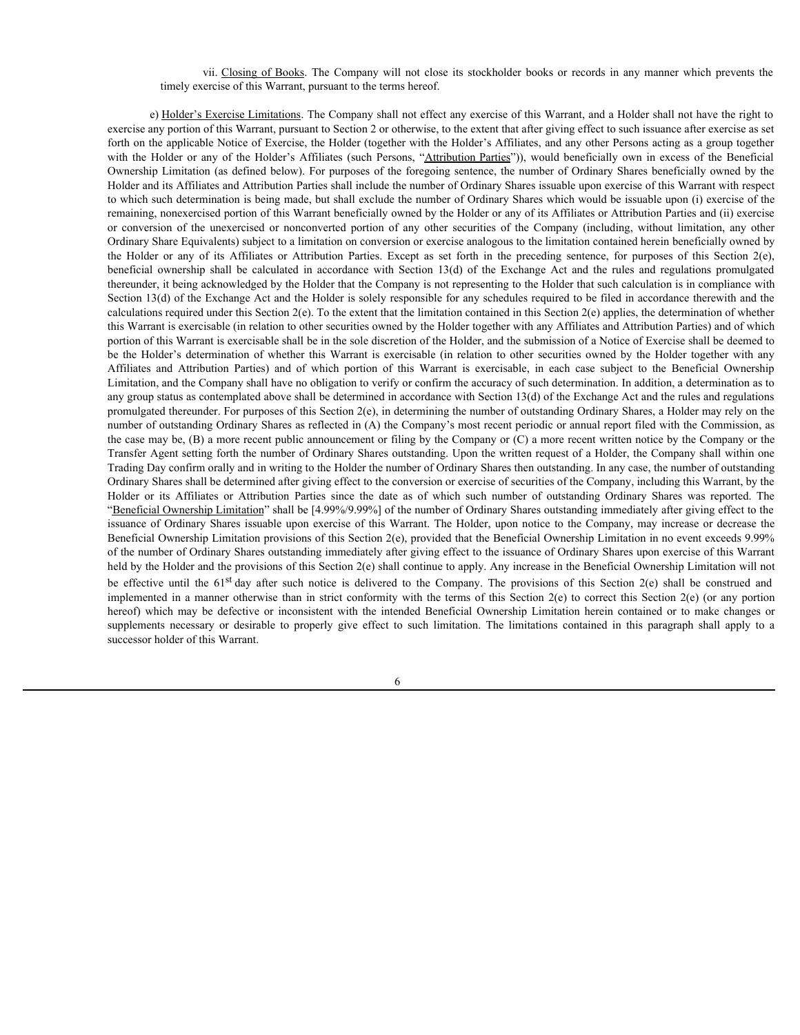# timely exercise of this Warrant, pursuant to the terms hereof.

vii. <u>Closing of Books</u>. The Company will not close its stockholder books or records in any manner which prevents the ercise of this Warrant, pursuant to the terms hereof.<br>
<u>Exercise Limitations</u>. The Company shall not eff e) Holder's Exercise Limitations. The Company shall not effect any exercise of this Warrant, and a Holder shall not have the right to exercise any portion of this Warrant, pursuant to Section 2 or otherwise, to the extent that after giving effect to such issuance after exercise as set forth on the applicable Notice of Exercise, the Holder (together with the Holder's Affiliates, and any other Persons acting as a group together vii. <u>Closing of Books</u>. The Company will not close its stockholder books or records in any manner which prevents the timely exercise of this Warrant, pursuant to the terms hereof.<br>
e) <u>Holder's Exercise Limitations</u>. The Ownership Limitation (as defined below). For purposes of the foregoing sentence, the number of Ordinary Shares beneficially owned by the Holder and its Affiliates and Attribution Parties shall include the number of Ordinary Shares issuable upon exercise of this Warrant with respect to which such determination is being made, but shall exclude the number of Ordinary Shares which would be issuable upon (i) exercise of the remaining, nonexercised portion of this Warrant beneficially owned by the Holder or any of its Affiliates or Attribution Parties and (ii) exercise vii. <u>Closing of Books</u>. The Company will not close its stockholder books or records in any manner which prevents the<br>
eimely exercise of this Warrant, pursuant to the terms hereof.<br>
e) <u>Holder's Exercises</u> Caminitations. Ordinary Share Equivalents) subject to a limitation on conversion or exercise analogous to the limitation contained herein beneficially owned by vii. <u>Chesing of Books</u>. The Company will not close its stockholder books or records in any manner which prevents the total work or any of the model of the Holder S. Attackies or the except as the model of the same propose vii. <u>Closing of Books</u>. The Company will not close its sockholder books or records in any manner which prevents the<br>
erimple carculated Sections Limitations. The Company shall not effect any excrets of this Warrant, and a thereunder, it being acknowledged by the Holder that the Company is not representing to the Holder that such calculation is in compliance with Section 13(d) of the Exchange Act and the Holder is solely responsible for any schedules required to be filed in accordance therewith and the calculations required under this Section 2(e). To the extent that the limitation contained in this Section 2(e) applies, the determination of whether this Warrant is exercisable (in relation to other securities owned by the Holder together with any Affiliates and Attribution Parties) and of which portion of this Warrant is exercisable shall be in the sole discretion of the Holder, and the submission of a Notice of Exercise shall be deemed to vil. Chesing of Books. The Company will not close its stockholder books or records in any manner which prevents the<br>timely exercise of this Warrant, pursuant to the terms hereof.<br>
exercise, any correction of this Warrant, vii. Chosing at Bassla. The Company will not close its stockholder books or records in any manner which prevents the index of the Warrant particular of the Warrant is exercise of this Warrant particular exercise of this W Limitation, and the Company shall have no obligation to verify or confirm the accuracy of such determination. In addition, a determination as to any group status as contemplated above shall be determined in accordance with Section 13(d) of the Exchange Act and the rules and regulations promulgated thereunder. For purposes of this Section 2(e), in determining the number of outstanding Ordinary Shares, a Holder may rely on the number of outstanding Ordinary Shares as reflected in (A) the Company's most recent periodic or annual report filed with the Commission, as the case may be, (B) a more recent public announcement or filing by the Company or (C) a more recent written notice by the Company or the Transfer Agent setting forth the number of Ordinary Shares outstanding. Upon the written request of a Holder, the Company shall within one Trading Day confirm orally and in writing to the Holder the number of Ordinary Shares then outstanding. In any case, the number of outstanding Ordinary Shares shall be determined after giving effect to the conversion or exercise of securities of the Company, including this Warrant, by the Holder or its Affiliates of Books II Becompony whilm to done it such that we must also be a recorded in any manner which presents the Philiates or Holder Survey and red of the survey shall number of this Warrant, and a led "Beneficial Ownership Limitation" shall be [4.99%/9.99%] of the number of Ordinary Shares outstanding immediately after giving effect to the issuance of Ordinary Shares issuable upon exercise of this Warrant. The Holder, upon notice to the Company, may increase or decrease the Beneficial Ownership Limitation provisions of this Section 2(e), provided that the Beneficial Ownership Limitation in no event exceeds 9.99% of the number of Ordinary Shares outstanding immediately after giving effect to the issuance of Ordinary Shares upon exercise of this Warrant held by the Holder and the provisions of this Section 2(e) shall continue to apply. Any increase in the Beneficial Ownership Limitation will not with the Holder or any of the bisider in the Holder in the Richards (and here in the constraints) and the company. The propositive constraints (and here are the bisider of the Bachmin and After this After and After and Aft Owen this initiality as the detection of the interact of origins and the conformition in the terms of the interact of the Section 2(e) to the strict conformition is between the strict conforming Shares between the strict Holder and A Affiliates and Artended Intended Beneficial years at income of Ordinary Shares is a bit of this Warrant with the intended Beneficial years at the intended Beneficial Venezuries of the Ninkole or the Ninkole or to which need determination is being made, but follow the manner of Ordinay Share which weaths need to the substitute of the such of the such of the such of the such of the such of the such of the such of the such of the s successor holder of this Warrant.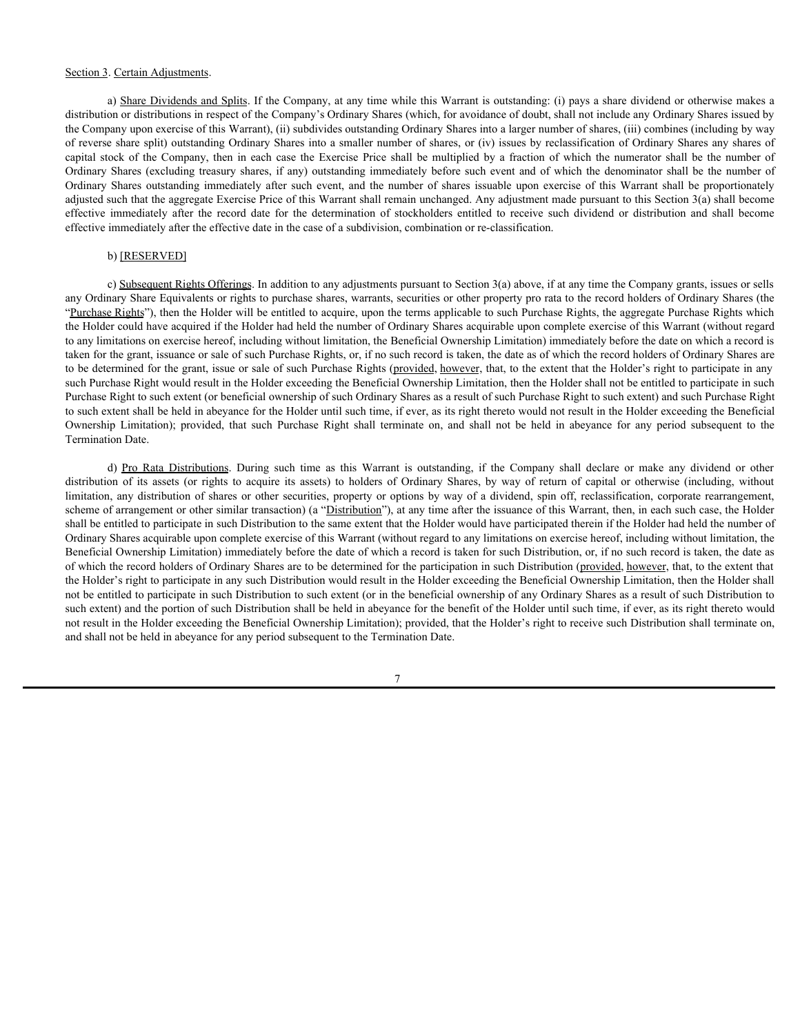#### Section 3. Certain Adjustments.

a) Share Dividends and Splits. If the Company, at any time while this Warrant is outstanding: (i) pays a share dividend or otherwise makes a distribution or distributions in respect of the Company's Ordinary Shares (which, for avoidance of doubt, shall not include any Ordinary Shares issued by the Company upon exercise of this Warrant), (ii) subdivides outstanding Ordinary Shares into a larger number of shares, (iii) combines (including by way of reverse share split) outstanding Ordinary Shares into a smaller number of shares, or (iv) issues by reclassification of Ordinary Shares any shares of Section 3. Certain Adjustments.<br>
a) Share Dividends and Splits. If the Company, at any time while this Warrant is outstanding: (i) pays a share dividend or otherwise makes a<br>
distribution or distributions in respect of the Section 3. Certain Adjustments.<br>
a) Share Dividends and Splits. If the Company, at any time while this Warrant is outstanding: (i) pays a share dividend or otherwise makes a<br>
distribution or distributions in respect of the Section 3. Certain Adjustments.<br>
a) Share Dividends and Splits. If the Company, at any time while this Warrant is outstanding: (i) pays a share dividend or otherwise makes a<br>
distribution or distributions in respect of the adjusted such that the aggregate Exercise Price of this Warrant shall remain unchanged. Any adjustment made pursuant to this Section 3(a) shall become Section 3. Certain Adjustments.<br>
a) Share Dividends and Splits If the Company, at any time while this Warrant is outstanding: (i) pays a share dividend or othewise makes a<br>
distribution or distributions in respect of the C effective immediately after the effective date in the case of a subdivision, combination or re-classification.

#### b) [RESERVED]

c) Subsequent Rights Offerings. In addition to any adjustments pursuant to Section 3(a) above, if at any time the Company grants, issues or sells any Ordinary Share Equivalents or rights to purchase shares, warrants, securities or other property pro rata to the record holders of Ordinary Shares (the "Purchase Rights"), then the Holder will be entitled to acquire, upon the terms applicable to such Purchase Rights, the aggregate Purchase Rights which the Holder could have acquired if the Holder had held the number of Ordinary Shares acquirable upon complete exercise of this Warrant (without regard to any limitations on exercise hereof, including without limitation, the Beneficial Ownership Limitation) immediately before the date on which a record is taken for the grant, issuance or sale of such Purchase Rights, or, if no such record is taken, the date as of which the record holders of Ordinary Shares are to be determined for the grant, issue or sale of such Purchase Rights (provided, however, that, to the extent that the Holder's right to participate in any such Purchase Right would result in the Holder exceeding the Beneficial Ownership Limitation, then the Holder shall not be entitled to participate in such Purchase Right to such extent (or beneficial ownership of such Ordinary Shares as a result of such Purchase Right to such extent) and such Purchase Right to such extent shall be held in abeyance for the Holder until such time, if ever, as its right thereto would not result in the Holder exceeding the Beneficial Section.3. Certain Adjustments<br>a) Share Dividenticant Exite, filte Greeney at any time which the Werman vondenting (i) providentions in the charge of distribution (in a consider one distribution) company (in a consider any Termination Date. Centan Adustments.<br>
a) Share Dubling is the Company, at any time while this Warrant is outstanding (i) pays a share dividend or otherwise makes a<br>
on or determines and Solution Scheme of Company's Ordinary Shares (which, Sigman 3. Carism Adjustments<br>and Sigman 3. Carism and Splits If the Company, at any time which this Warmaria contention of the acquired the company of the capital or rights to the capital or distribution of the Company Sh Section 3 Centin Adjustments. Section and Sellin If the Company, at any time while this Warner is outstand, to alway share dividend or otherwise and section of shares or otherwise or otherwise or otherwise or otherwise or

scheme of arrangement or other similar transaction) (a "Distribution"), at any time after the issuance of this Warrant, then, in each such case, the Holder shall be entitled to participate in such Distribution to the same extent that the Holder would have participated therein if the Holder had held the number of Ordinary Shares acquirable upon complete exercise of this Warrant (without regard to any limitations on exercise hereof, including without limitation, the Beneficial Ownership Limitation) immediately before the date of which a record is taken for such Distribution, or, if no such record is taken, the date as of which the record holders of Ordinary Shares are to be determined for the participation in such Distribution (provided, however, that, to the extent that the Holder's right to participate in any such Distribution would result in the Holder exceeding the Beneficial Ownership Limitation, then the Holder shall not be entitled to participate in such Distribution to such extent (or in the beneficial ownership of any Ordinary Shares as a result of such Distribution to such extent) and the portion of such Distribution shall be held in abeyance for the benefit of the Holder until such time, if ever, as its right thereto would not result in the Holder exceeding the Beneficial Ownership Limitation); provided, that the Holder's right to receive such Distribution shall terminate on, and shall not be held in abeyance for any period subsequent to the Termination Date.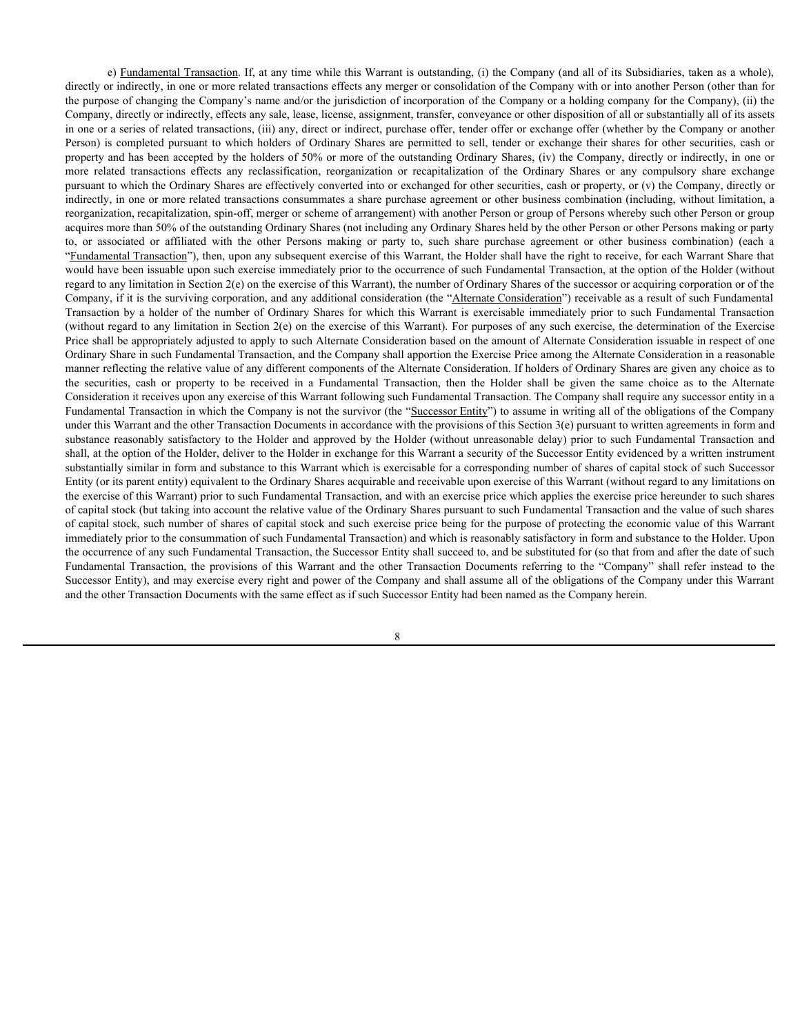e) Fundamental Transaction. If, at any time while this Warrant is outstanding, (i) the Company (and all of its Subsidiaries, taken as a whole), directly or indirectly, in one or more related transactions effects any merger or consolidation of the Company with or into another Person (other than for the purpose of changing the Company's name and/or the jurisdiction of incorporation of the Company or a holding company for the Company), (ii) the Company, directly or indirectly, effects any sale, lease, license, assignment, transfer, conveyance or other disposition of all or substantially all of its assets in one or a series of related transactions, (iii) any, direct or indirect, purchase offer, tender offer or exchange offer (whether by the Company or another Person) is completed pursuant to which holders of Ordinary Shares are permitted to sell, tender or exchange their shares for other securities, cash or property and has been accepted by the holders of 50% or more of the outstanding Ordinary Shares, (iv) the Company, directly or indirectly, in one or e) <u>Fundamental Transaction</u>. If, at any time while this Warrant is outstanding, (i) the Company (and all of its Subsidiaries, taken as a whole), directly or indirectly, in one or more related transactions effects any merg pursuant to which the Ordinary Shares are effectively converted into or exchanged for other securities, cash or property, or (v) the Company, directly or indirectly, in one or more related transactions consummates a share purchase agreement or other business combination (including, without limitation, a reorganization, recapitalization, spin-off, merger or scheme of arrangement) with another Person or group of Persons whereby such other Person or group acquires more than 50% of the outstanding Ordinary Shares (not including any Ordinary Shares held by the other Person or other Persons making or party o) F<u>undamental Transaction</u>. If, at any time while this Warrant is outstanding, (i) the Company (and all of its Subsidiaries, taken as a whole), direct or affiliation of inecreated with consensuations affered with the or "Fundamental Transaction"), then, upon any subsequent exercise of this Warrant, the Holder shall have the right to receive, for each Warrant Share that would have been issuable upon such exercise immediately prior to the occurrence of such Fundamental Transaction, at the option of the Holder (without regard to any limitation in Section  $2(e)$  on the exercise of this Warrant), the number of Ordinary Shares of the successor or acquiring corporation or of the Company, if it is the surviving corporation, and any additional consideration (the "Alternate Consideration") receivable as a result of such Fundamental c) Eundamental Iransaction, If, at any time while this Warrant is outstanding. (i) the Company (and all of its Subsidiures, taken as a whole), directly or indirectly, in one or more related transactions effects any merger (without regard to any limitation in Section 2(e) on the exercise of this Warrant). For purposes of any such exercise, the determination of the Exercise Price shall be appropriately adjusted to apply to such Alternate Consideration based on the amount of Alternate Consideration issuable in respect of one Ordinary Share in such Fundamental Transaction, and the Company shall apportion the Exercise Price among the Alternate Consideration in a reasonable manner reflecting the relative value of any different components of the Alternate Consideration. If holders of Ordinary Shares are given any choice as to c) Enadamental Transaction, If, at any time while this Wurrant is outstanding. (i) the Company (and all of its Subsidiaries, taken as a whole), directly or indirectly, in one or more related transaction of the Alternated i Consideration it receives upon any exercise of this Warrant following such Fundamental Transaction. The Company shall require any successor entity in a Fundamental Transaction in which the Company is not the survivor (the "Successor Entity") to assume in writing all of the obligations of the Company under this Warrant and the other Transaction Documents in accordance with the provisions of this Section 3(e) pursuant to written agreements in form and e) Euralismental Transaction U, at any time while the Warrant is entirelayed (i) the Greenpos (and all of its Schedutes informed by the Holder and the Holder and the Holder and the Holder Company in the Holder and apply th shall, at the option of the Holder, deliver to the Holder in exchange for this Warrant a security of the Successor Entity evidenced by a written instrument substantially similar in form and substance to this Warrant which is exercisable for a corresponding number of shares of capital stock of such Successor Entity (or its parent entity) equivalent to the Ordinary Shares acquirable and receivable upon exercise of this Warrant (without regard to any limitations on the exercise of this Warrant) prior to such Fundamental Transaction, and with an exercise price which applies the exercise price hereunder to such shares of capital stock (but taking into account the relative value of the Ordinary Shares pursuant to such Fundamental Transaction and the value of such shares of capital stock, such number of shares of capital stock and such exercise price being for the purpose of protecting the economic value of this Warrant immediately prior to the consummation of such Fundamental Transaction) and which is reasonably satisfactory in form and substance to the Holder. Upon the occurrence of any such Fundamental Transaction, the Successor Entity shall succeed to, and be substituted for (so that from and after the date of such From is complete parameted by the bolder of the investment of the context of the instead to the context of the instead to the other states of the instead transaction Document and the other states of the provision of the Co Successor Entity), and may exercise every right and power of the Company and shall assume all of the obligations of the Company under this Warrant and the other Transaction Documents with the same effect as if such Successor Entity had been named as the Company herein.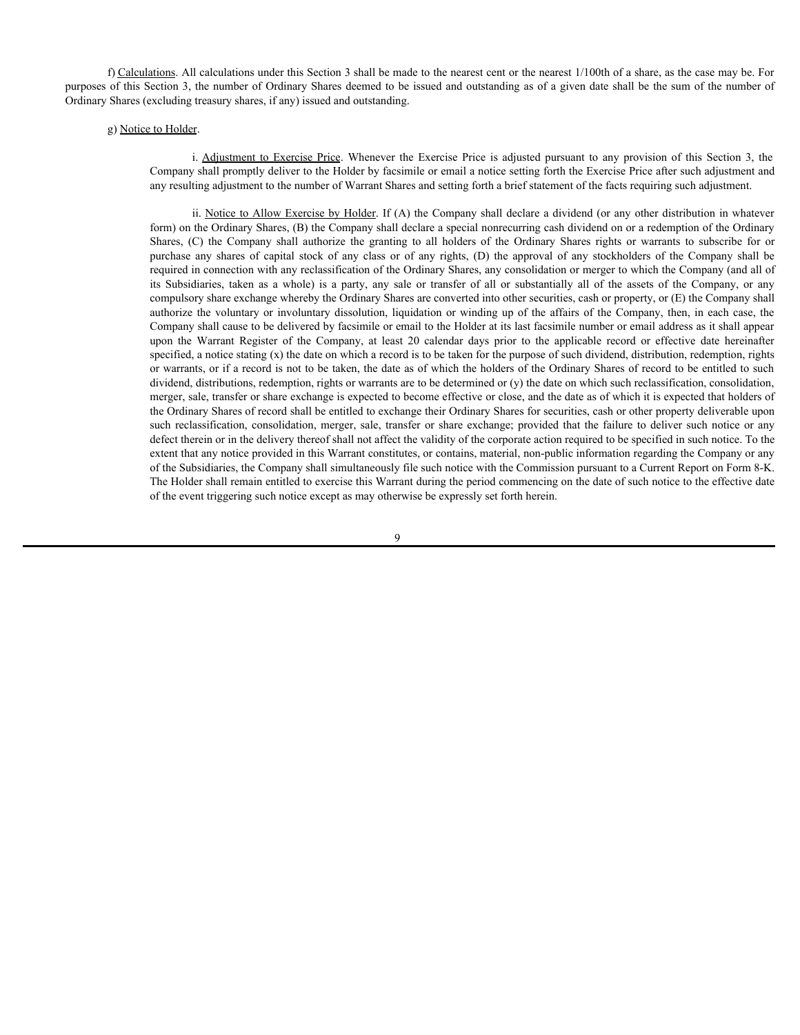f) Calculations. All calculations under this Section 3 shall be made to the nearest cent or the nearest 1/100th of a share, as the case may be. For purposes of this Section 3, the number of Ordinary Shares deemed to be issued and outstanding as of a given date shall be the sum of the number of Ordinary Shares (excluding treasury shares, if any) issued and outstanding.

Company shall promptly deliver to the Holder by facsimile or email a notice setting forth the Exercise Price after such adjustment and any resulting adjustment to the number of Warrant Shares and setting forth a brief statement of the facts requiring such adjustment.

(f) Calculations. All calculations under this Section 3 shall be made to the nearest cent or the nearest 1/100th of a share, as the case may be. For of this Section 3, the number of Ordinary Shares deemed to be issued and ii. Notice to Allow Exercise by Holder. If (A) the Company shall declare a dividend (or any other distribution in whatever form) on the Ordinary Shares, (B) the Company shall declare a special nonrecurring cash dividend on or a redemption of the Ordinary itions. All calculations under this Section 3 shall be made to the nearest cent or the nearest 1/100th of a share, as the case may be Forection 3, the mumber of Ordinary Shares deemed to be issued and outstanding as of a g **Example any** shares of capital stock of any shares or constrained to the nearest cent or the nearest 1/100th of a share, as the case may be. Forection 3, the mumber of Chrimary Shares, (Famy) issued and outstanding<br>to Hol required in connection with any reclassification of the Ordinary Shares, any consolidation or merger to which the Company (and all of **itions**. All calculations under this Section 3 shall be made to the nearest cent or the nearest 1/100th of a share, as the case may be. For eclosion 3, the much or between the party of brian y Share dened to be issued and compulsory share exchange whereby the Ordinary Shares are converted into other securities, cash or property, or (E) the Company shall **Itims:** All calculations under this Section 3 shall be made to the nearest cent or the nearest 1/100th of a share, as the case may be Foreford 3, the number of Codimary Shares deemed to be issoled and outstanding.<br>
action Company shall cause to be delivered by facsimile or email to the Holder at its last facsimile number or email address as it shall appear ultenns. All culculations under this Section 3 shall be made to the nearest cent or the nearest 1/100th of a share, as the case may be. For extreme the mean 3, the number of Northary Shares decreated to be issued and outst specified, a notice stating (x) the date on which a record is to be taken for the purpose of such dividend, distribution, redemption, rights or warrants, or if a record is not to be taken, the date as of which the holders of the Ordinary Shares of record to be entitled to such dividend, distributions, redemption, rights or warrants are to be determined or (y) the date on which such reclassification, consolidation, merger, sale, transfer or share exchange is expected to become effective or close, and the date as of which it is expected that holders of the Ordinary Shares of record shall be entitled to exchange their Ordinary Shares for securities, cash or other property deliverable upon sticates. All calculations under this Section 3 shall be made to the nearest cent or the nearest 1/100th of a share, as the case may be Foreiveiral, by the number of Ordinary Shares deemed to be issued and outstanding as o defect therein or in the delivery thereof shall not affect the validity of the corporate action required to be specified in such notice. To the extent that any notice provided in this Warrant constitutes, or contains, material, non-public information regarding the Company or any of the Subsidiaries, the Company shall simultaneously file such notice with the Commission pursuant to a Current Report on Form 8-K. The Holder shall remain entitled to exercise this Warrant during the period commencing on the date of such notice to the effective date of the event triggering such notice except as may otherwise be expressly set forth herein.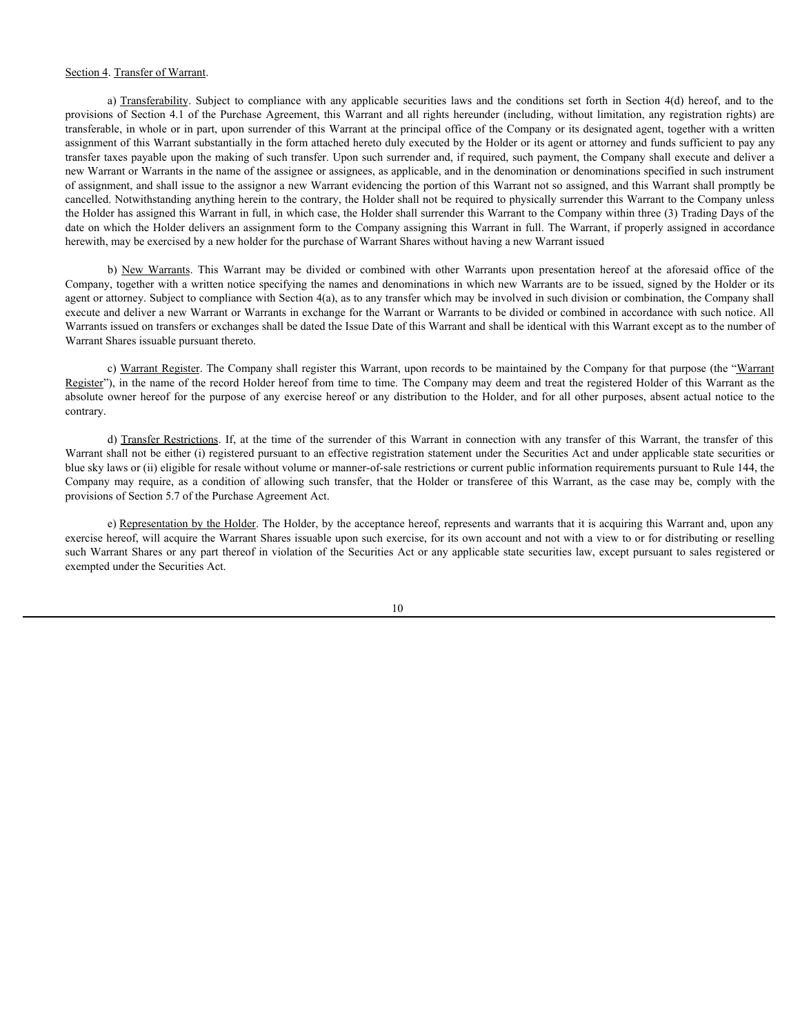Section 4. Transfer of Warrant.<br>
a) <u>Transferability</u>. Subject to compliance with any applicable securities laws and the conditions set forth in Section 4(d) hereof, and to the<br>
provisions of Section 4.1 of the Purchase Ag Section 4. Transfer of Warrant.<br>
a) Transferability. Subject to compliance with any applicable securities laws and the conditions set forth in Section 4(d) hereof, and to the<br>
provisions of Section 4.1 of the Purchase Agre transferable, in whole or in part, upon surrender of this Warrant at the principal office of the Company or its designated agent, together with a written assignment of this Warrant substantially in the form attached hereto duly executed by the Holder or its agent or attorney and funds sufficient to pay any transfer taxes payable upon the making of such transfer. Upon such surrender and, if required, such payment, the Company shall execute and deliver a new Warrant or Warrants in the name of the assignee or assignees, as applicable, and in the denomination or denominations specified in such instrument of assignment, and shall issue to the assignor a new Warrant evidencing the portion of this Warrant not so assigned, and this Warrant shall promptly be cancelled. Notwithstanding anything herein to the contrary, the Holder shall not be required to physically surrender this Warrant to the Company unless the Holder has assigned this Warrant in full, in which case, the Holder shall surrender this Warrant to the Company within three (3) Trading Days of the date on which the Holder delivers an assignment form to the Company assigning this Warrant in full. The Warrant, if properly assigned in accordance herewith, may be exercised by a new holder for the purchase of Warrant Shares without having a new Warrant issued Transfer of Warrants.<br>
A) Transfer of Warrants. This Warrant and line is the conditions were also that in the comparison of the comparison of the Society and the comparison of the Society of Section 4(d) hereof, and to th **Transfer of Warrant**.<br>
In Transfer<br>Melity, a slopes to compliance with any applicable securities laves and the conditions acts in<br>the inversion of the the time of the surrent of the Warrant and the<br>principal order of the Section 4. Interacted Warrants<br>and 2. Damsferahilay. Solaries to compliance with any applicable secondition of the Compliance relation and the Secondition of allowing such transference of allowing such transference of allo

Company, together with a written notice specifying the names and denominations in which new Warrants are to be issued, signed by the Holder or its agent or attorney. Subject to compliance with Section 4(a), as to any transfer which may be involved in such division or combination, the Company shall execute and deliver a new Warrant or Warrants in exchange for the Warrant or Warrants to be divided or combined in accordance with such notice. All Warrants issued on transfers or exchanges shall be dated the Issue Date of this Warrant and shall be identical with this Warrant except as to the number of Warrant Shares issuable pursuant thereto.

c) Warrant Register. The Company shall register this Warrant, upon records to be maintained by the Company for that purpose (the "Warrant Register"), in the name of the record Holder hereof from time to time. The Company may deem and treat the registered Holder of this Warrant as the absolute owner hereof for the purpose of any exercise hereof or any distribution to the Holder, and for all other purposes, absent actual notice to the contrary.

Warrant shall not be either (i) registered pursuant to an effective registration statement under the Securities Act and under applicable state securities or blue sky laws or (ii) eligible for resale without volume or manner-of-sale restrictions or current public information requirements pursuant to Rule 144, the provisions of Section 5.7 of the Purchase Agreement Act.

e) Representation by the Holder. The Holder, by the acceptance hereof, represents and warrants that it is acquiring this Warrant and, upon any exercise hereof, will acquire the Warrant Shares issuable upon such exercise, for its own account and not with a view to or for distributing or reselling such Warrant Shares or any part thereof in violation of the Securities Act or any applicable state securities law, except pursuant to sales registered or exempted under the Securities Act.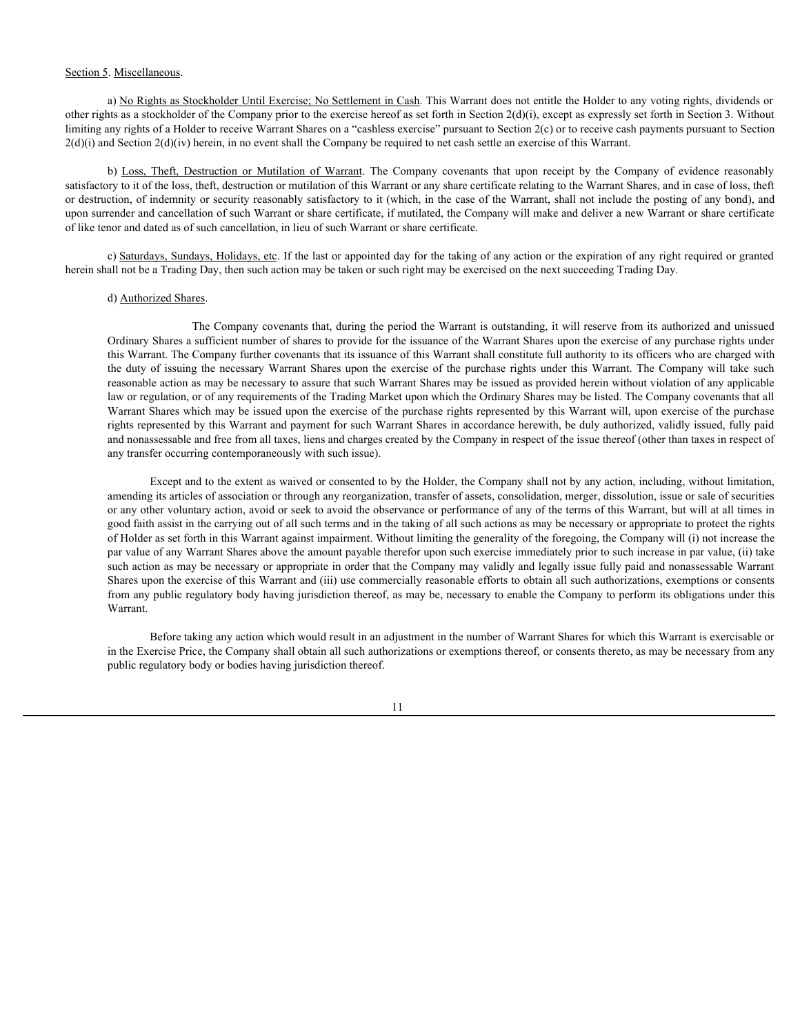#### Section 5. Miscellaneous.

a) No Rights as Stockholder Until Exercise; No Settlement in Cash. This Warrant does not entitle the Holder to any voting rights, dividends or other rights as a stockholder of the Company prior to the exercise hereof as set forth in Section 2(d)(i), except as expressly set forth in Section 3. Without limiting any rights of a Holder to receive Warrant Shares on a "cashless exercise" pursuant to Section 2(c) or to receive cash payments pursuant to Section  $2(d)(i)$  and Section  $2(d)(iv)$  herein, in no event shall the Company be required to net cash settle an exercise of this Warrant.

b) <u>Riscellaneous</u>.<br>
A <u>Niscellaneous</u> Sockholder Until Exercise, No Settlement in Cash. This Warrant does not entitle the Holder to any voting rights, dividends or<br>
tars as a stockholder of the Company prior to the exceti satisfactory to it of the loss, theft, destruction or mutilation of this Warrant or any share certificate relating to the Warrant Shares, and in case of loss, theft or destruction, of indemnity or security reasonably satisfactory to it (which, in the case of the Warrant, shall not include the posting of any bond), and upon surrender and cancellation of such Warrant or share certificate, if mutilated, the Company will make and deliver a new Warrant or share certificate of like tenor and dated as of such cancellation, in lieu of such Warrant or share certificate.

c) Saturdays, Sundays, Holidays, etc. If the last or appointed day for the taking of any action or the expiration of any right required or granted herein shall not be a Trading Day, then such action may be taken or such right may be exercised on the next succeeding Trading Day.

#### d) Authorized Shares.

The Company covenants that, during the period the Warrant is outstanding, it will reserve from its authorized and unissued Ordinary Shares a sufficient number of shares to provide for the issuance of the Warrant Shares upon the exercise of any purchase rights under this Warrant. The Company further covenants that its issuance of this Warrant shall constitute full authority to its officers who are charged with the duty of issuing the necessary Warrant Shares upon the exercise of the purchase rights under this Warrant. The Company will take such reasonable action as may be necessary to assure that such Warrant Shares may be issued as provided herein without violation of any applicable law or regulation, or of any requirements of the Trading Market upon which the Ordinary Shares may be listed. The Company covenants that all Warrant Shares which may be issued upon the exercise of the purchase rights represented by this Warrant will, upon exercise of the purchase rights represented by this Warrant and payment for such Warrant Shares in accordance herewith, be duly authorized, validly issued, fully paid and nonassessable and free from all taxes, liens and charges created by the Company in respect of the issue thereof (other than taxes in respect of any transfer occurring contemporaneously with such issue).

Except and to the extent as waived or consented to by the Holder, the Company shall not by any action, including, without limitation, amending its articles of association or through any reorganization, transfer of assets, consolidation, merger, dissolution, issue or sale of securities or any other voluntary action, avoid or seek to avoid the observance or performance of any of the terms of this Warrant, but will at all times in good faith assist in the carrying out of all such terms and in the taking of all such actions as may be necessary or appropriate to protect the rights of Holder as set forth in this Warrant against impairment. Without limiting the generality of the foregoing, the Company will (i) not increase the par value of any Warrant Shares above the amount payable therefor upon such exercise immediately prior to such increase in par value, (ii) take such action as may be necessary or appropriate in order that the Company may validly and legally issue fully paid and nonassessable Warrant Shares upon the exercise of this Warrant and (iii) use commercially reasonable efforts to obtain all such authorizations, exemptions or consents from any public regulatory body having jurisdiction thereof, as may be, necessary to enable the Company to perform its obligations under this Warrant.

Before taking any action which would result in an adjustment in the number of Warrant Shares for which this Warrant is exercisable or in the Exercise Price, the Company shall obtain all such authorizations or exemptions thereof, or consents thereto, as may be necessary from any public regulatory body or bodies having jurisdiction thereof.

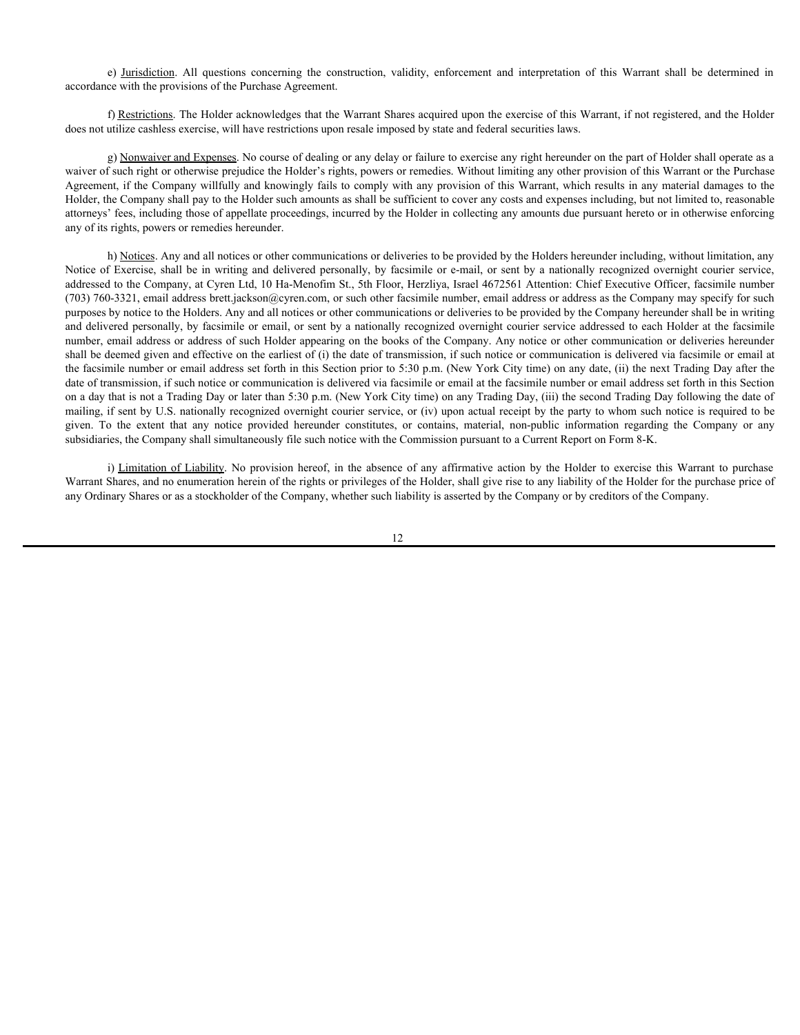accordance with the provisions of the Purchase Agreement.

f) Restrictions. The Holder acknowledges that the Warrant Shares acquired upon the exercise of this Warrant, if not registered, and the Holder does not utilize cashless exercise, will have restrictions upon resale imposed by state and federal securities laws.

e) <u>Jurisdiction</u>. All questions concerning the construction, validity, enforcement and interpretation of this Warrant shall be determined in<br>the evith the provisions of the Purchase Agreement.<br>The Holder acknowledges that g) Nonwaiver and Expenses. No course of dealing or any delay or failure to exercise any right hereunder on the part of Holder shall operate as a waiver of such right or otherwise prejudice the Holder's rights, powers or remedies. Without limiting any other provision of this Warrant or the Purchase Agreement, if the Company willfully and knowingly fails to comply with any provision of this Warrant, which results in any material damages to the Holder, the Company shall pay to the Holder such amounts as shall be sufficient to cover any costs and expenses including, but not limited to, reasonable attorneys' fees, including those of appellate proceedings, incurred by the Holder in collecting any amounts due pursuant hereto or in otherwise enforcing any of its rights, powers or remedies hereunder.

h) Notices. Any and all notices or other communications or deliveries to be provided by the Holders hereunder including, without limitation, any e) <u>Jurisdiction</u>. All questions concerning the construction, validity, enforcement and interpretation of this Warrant shall be determined in Decordance with the provisions of the Purchase Agreement.<br>
and Conservation and addressed to the Company, at Cyren Ltd, 10 Ha-Menofim St., 5th Floor, Herzliya, Israel 4672561 Attention: Chief Executive Officer, facsimile number (703) 760-3321, email address brett.jackson@cyren.com, or such other facsimile number, email address or address as the Company may specify for such purposes by notice to the Holders. Any and all notices or other communications or deliveries to be provided by the Company hereunder shall be in writing and delivered personally, by facsimile or email, or sent by a nationally recognized overnight courier service addressed to each Holder at the facsimile number, email address or address of such Holder appearing on the books of the Company. Any notice or other communication or deliveries hereunder shall be deemed given and effective on the earliest of (i) the date of transmission, if such notice or communication is delivered via facsimile or email at the facsimile number or email address set forth in this Section prior to 5:30 p.m. (New York City time) on any date, (ii) the next Trading Day after the date of transmission, if such notice or communication is delivered via facsimile or email at the facsimile number or email address set forth in this Section on a day that is not a Trading Day or later than 5:30 p.m. (New York City time) on any Trading Day, (iii) the second Trading Day following the date of mailing, if sent by U.S. nationally recognized overnight courier service, or (iv) upon actual receipt by the party to whom such notice is required to be ey <u>Durindiction</u>. All questions concerning the construction, validity, enforcement and interpretation of this Warrant shall be determined in<br>cororstate the fluorities. The Holder sale of Parents and Sale of the extent the subsidiaries, the Company shall simultaneously file such notice with the Commission pursuant to a Current Report on Form 8-K. e) <u>Initializion</u>. All questions concerning the construction, validity, enforcement and interpretation for this Warrant shall be determined in (Mathistics). The Holder achieves Appenented that Warrant Shares acquired actio

Warrant Shares, and no enumeration herein of the rights or privileges of the Holder, shall give rise to any liability of the Holder for the purchase price of any Ordinary Shares or as a stockholder of the Company, whether such liability is asserted by the Company or by creditors of the Company.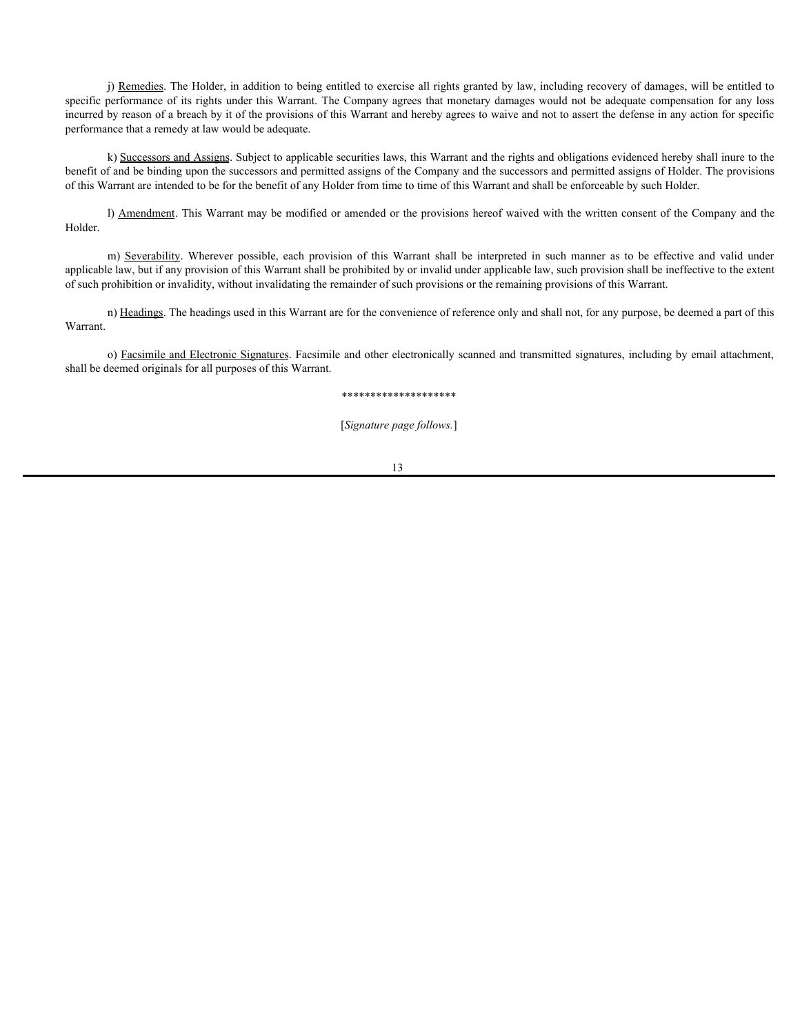j) Remedies. The Holder, in addition to being entitled to exercise all rights granted by law, including recovery of damages, will be entitled to specific performance of its rights under this Warrant. The Company agrees that monetary damages would not be adequate compensation for any loss incurred by reason of a breach by it of the provisions of this Warrant and hereby agrees to waive and not to assert the defense in any action for specific performance that a remedy at law would be adequate. (i) Remedies. The Holder, in addition to being entitled to exercise all rights granted by law, including recovery of damages, will be entitled to performance of its rights under this Warrant. The Company agrees that moneta

k) Successors and Assigns. Subject to applicable securities laws, this Warrant and the rights and obligations evidenced hereby shall inure to the benefit of and be binding upon the successors and permitted assigns of the Company and the successors and permitted assigns of Holder. The provisions of this Warrant are intended to be for the benefit of any Holder from time to time of this Warrant and shall be enforceable by such Holder.

l) Amendment. This Warrant may be modified or amended or the provisions hereof waived with the written consent of the Company and the Holder.

applicable law, but if any provision of this Warrant shall be prohibited by or invalid under applicable law, such provision shall be ineffective to the extent of such prohibition or invalidity, without invalidating the remainder of such provisions or the remaining provisions of this Warrant.

n) Headings. The headings used in this Warrant are for the convenience of reference only and shall not, for any purpose, be deemed a part of this Warrant.

o) Facsimile and Electronic Signatures. Facsimile and other electronically scanned and transmitted signatures, including by email attachment, shall be deemed originals for all purposes of this Warrant.

#### \*\*\*\*\*\*\*\*\*\*\*\*\*\*\*\*\*\*\*\*

[*Signature page follows.*]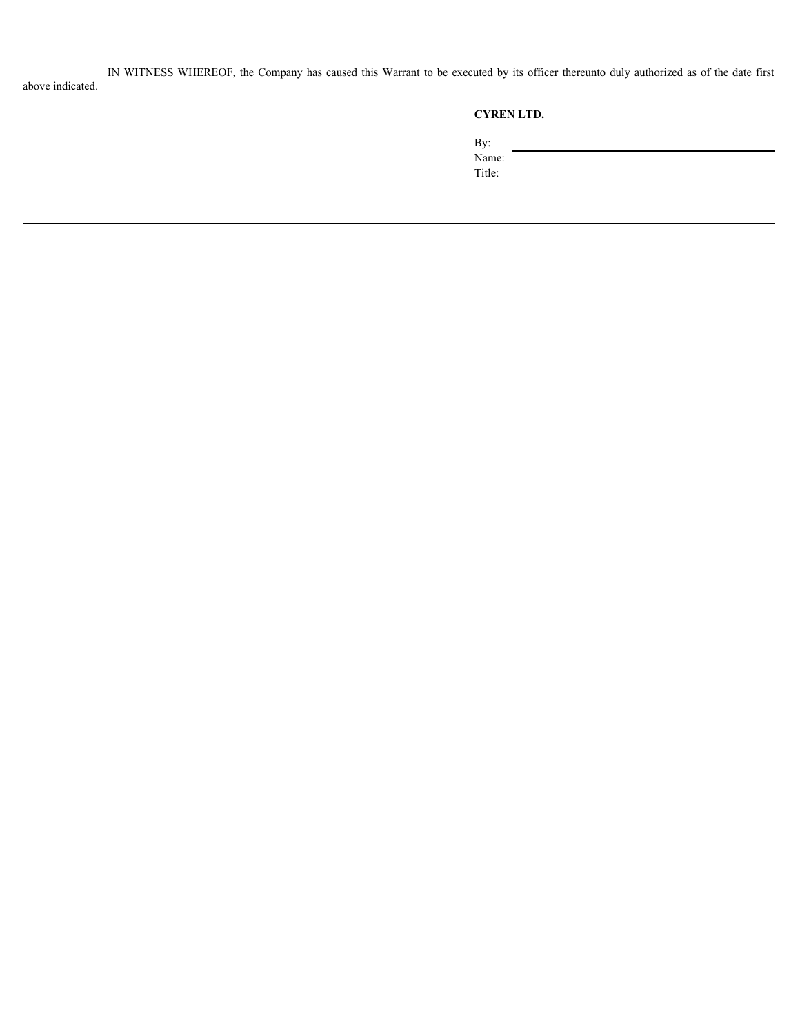IN WITNESS WHEREOF, the Company has caused this Warrant to be executed by its officer thereunto duly authorized as of the date first above indicated.

# **CYREN LTD.**

By:

Name:

Title: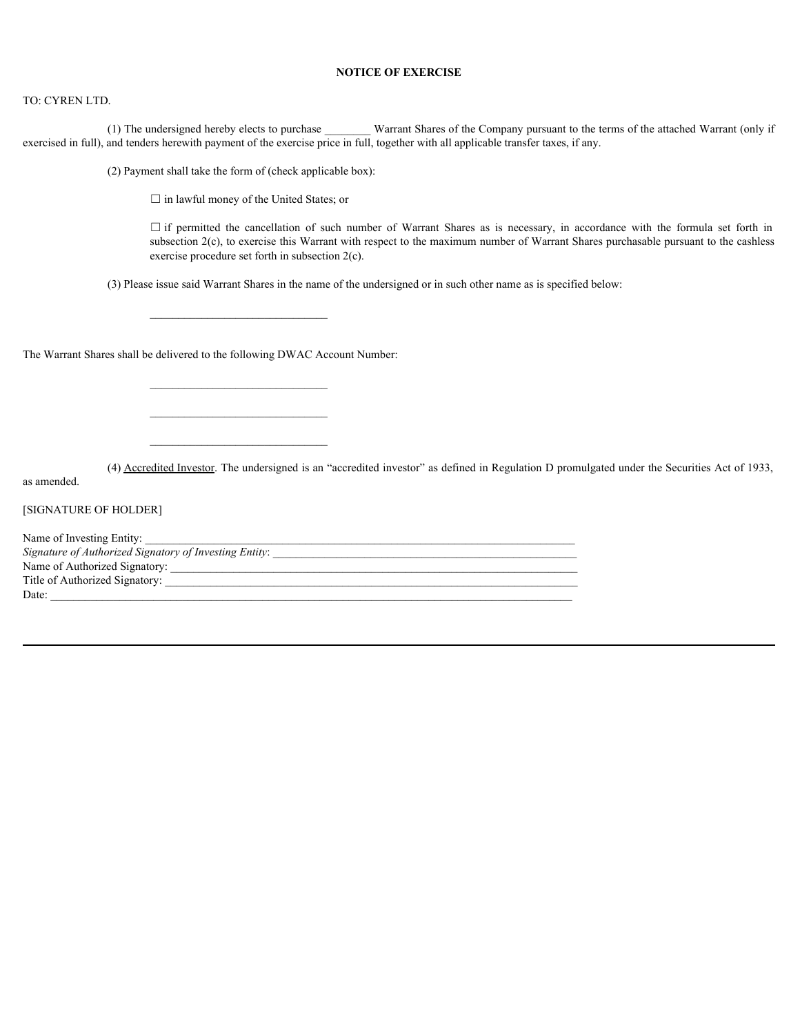## **NOTICE OF EXERCISE**

#### TO: CYREN LTD.

(1) The undersigned hereby elects to purchase \_\_\_\_\_\_\_\_ Warrant Shares of the Company pursuant to the terms of the attached Warrant (only if exercised in full), and tenders herewith payment of the exercise price in full, together with all applicable transfer taxes, if any.

(2) Payment shall take the form of (check applicable box):

 $\Box$  in lawful money of the United States; or

**NOTICE OF EXERCISE**<br>
Indersigned hereby elects to purchase **Warrant Shares of the Company pursuant** to the terms of the attached Warrant (only if<br>
rs herewith payment of the exercise price in full, together with all appl subsection 2(c), to exercise this Warrant with respect to the maximum number of Warrant Shares purchasable pursuant to the cashless exercise procedure set forth in subsection 2(c).

(3) Please issue said Warrant Shares in the name of the undersigned or in such other name as is specified below:

 $\mathcal{L}_\text{max}$ 

 $\mathcal{L}_\text{max}$ 

The Warrant Shares shall be delivered to the following DWAC Account Number:

(4) Accredited Investor. The undersigned is an "accredited investor" as defined in Regulation D promulgated under the Securities Act of 1933,

as amended.

[SIGNATURE OF HOLDER]

Name of Investing Entity: *Signature of Authorized Signatory of Investing Entity:*  $\blacksquare$ Name of Authorized Signatory: \_\_\_\_\_\_\_\_\_\_\_\_\_\_\_\_\_\_\_\_\_\_\_\_\_\_\_\_\_\_\_\_\_\_\_\_\_\_\_\_\_\_\_\_\_\_\_\_\_\_\_\_\_\_\_\_\_\_\_\_\_\_\_\_\_\_\_\_\_\_\_ Title of Authorized Signatory:  $\text{Date:}$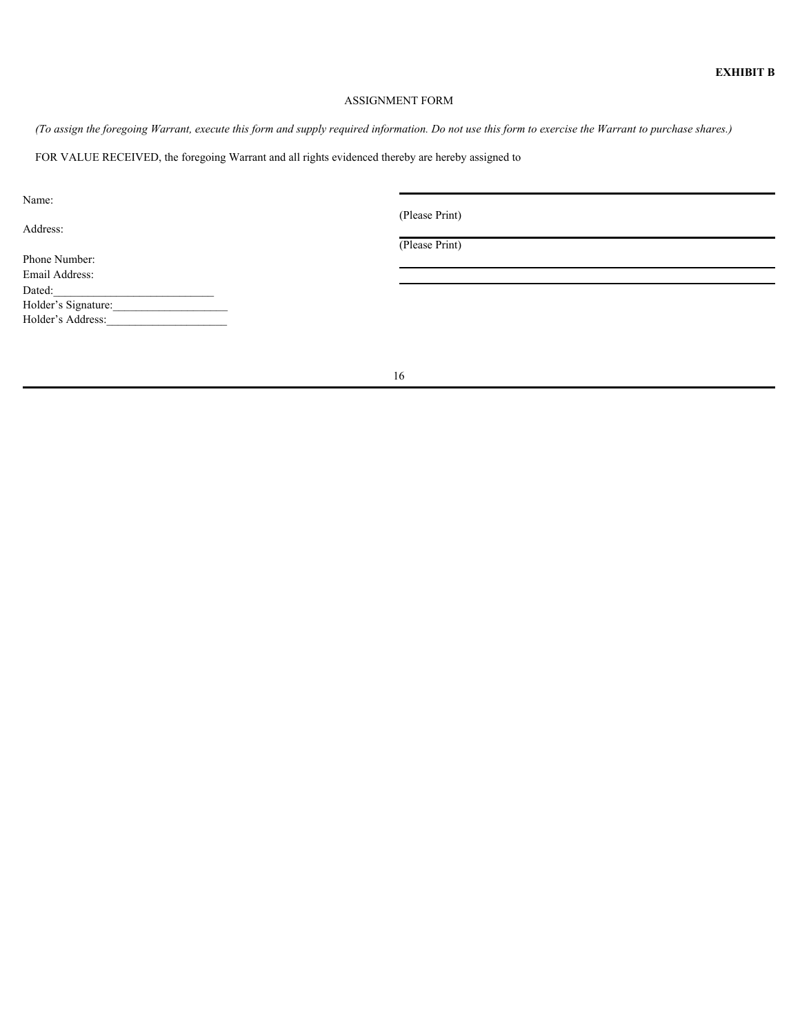# ASSIGNMENT FORM

*(To assign the foregoing Warrant, execute this form and supply required information. Do not use this form to exercise the Warrant to purchase shares.)*

FOR VALUE RECEIVED, the foregoing Warrant and all rights evidenced thereby are hereby assigned to

Name:

Address:

(Please Print)

(Please Print)

Phone Number: Email Address:  $Dated:$ Holder's Signature: Holder's Address: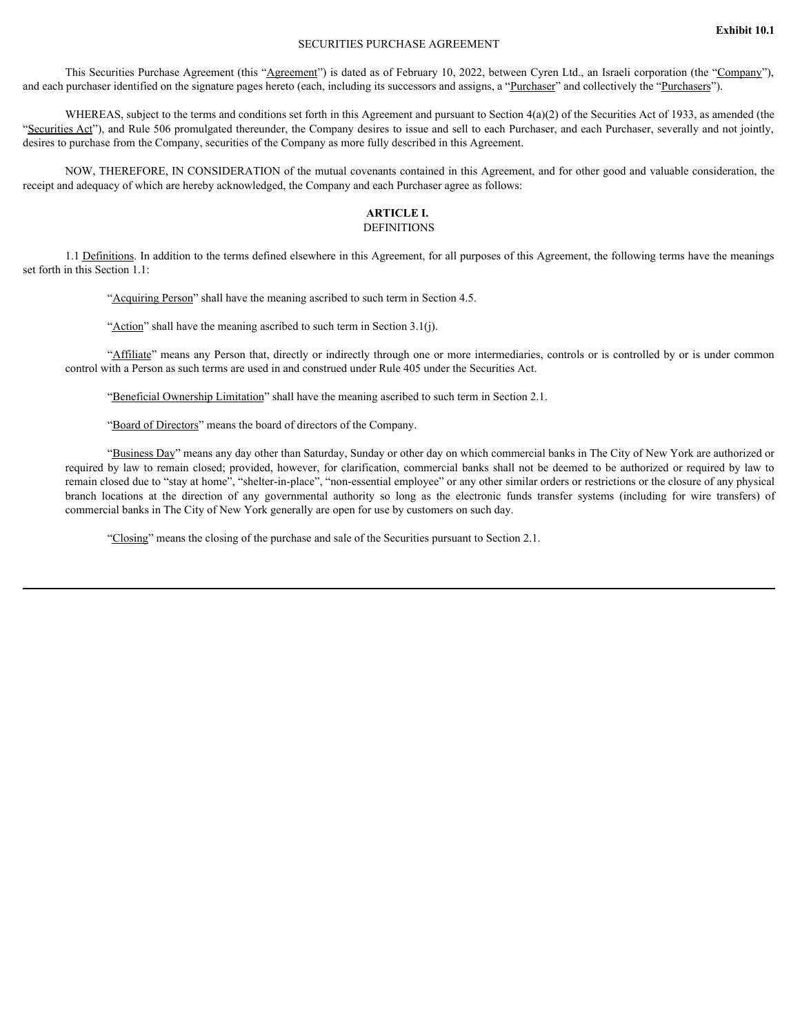## SECURITIES PURCHASE AGREEMENT

This Securities Purchase Agreement (this "Agreement") is dated as of February 10, 2022, between Cyren Ltd., an Israeli corporation (the "Company"), and each purchaser identified on the signature pages hereto (each, including its successors and assigns, a "Purchaser" and collectively the "Purchasers").

WHEREAS, subject to the terms and conditions set forth in this Agreement and pursuant to Section  $4(a)(2)$  of the Securities Act of 1933, as amended (the "Securities Act"), and Rule 506 promulgated thereunder, the Company desires to issue and sell to each Purchaser, and each Purchaser, severally and not jointly, desires to purchase from the Company, securities of the Company as more fully described in this Agreement.

NOW, THEREFORE, IN CONSIDERATION of the mutual covenants contained in this Agreement, and for other good and valuable consideration, the receipt and adequacy of which are hereby acknowledged, the Company and each Purchaser agree as follows:

### **ARTICLE I.** DEFINITIONS

1.1 Definitions. In addition to the terms defined elsewhere in this Agreement, for all purposes of this Agreement, the following terms have the meanings set forth in this Section 1.1:

"Acquiring Person" shall have the meaning ascribed to such term in Section 4.5.

"Action" shall have the meaning ascribed to such term in Section 3.1(j).

"Affiliate" means any Person that, directly or indirectly through one or more intermediaries, controls or is controlled by or is under common control with a Person as such terms are used in and construed under Rule 405 under the Securities Act.

"Beneficial Ownership Limitation" shall have the meaning ascribed to such term in Section 2.1.

"Board of Directors" means the board of directors of the Company.

"Business Day" means any day other than Saturday, Sunday or other day on which commercial banks in The City of New York are authorized or required by law to remain closed; provided, however, for clarification, commercial banks shall not be deemed to be authorized or required by law to remain closed due to "stay at home", "shelter-in-place", "non-essential employee" or any other similar orders or restrictions or the closure of any physical This Econtric Precise Present (this Agreement) is duet as of February 10, 2022, between Cyren Lot, an Irracl enorgate Cyren (Company Cyren Cyren Lot, and Irracl enorgate Network Weight Cyren (and the direction of any gove commercial banks in The City of New York generally are open for use by customers on such day.

"Closing" means the closing of the purchase and sale of the Securities pursuant to Section 2.1.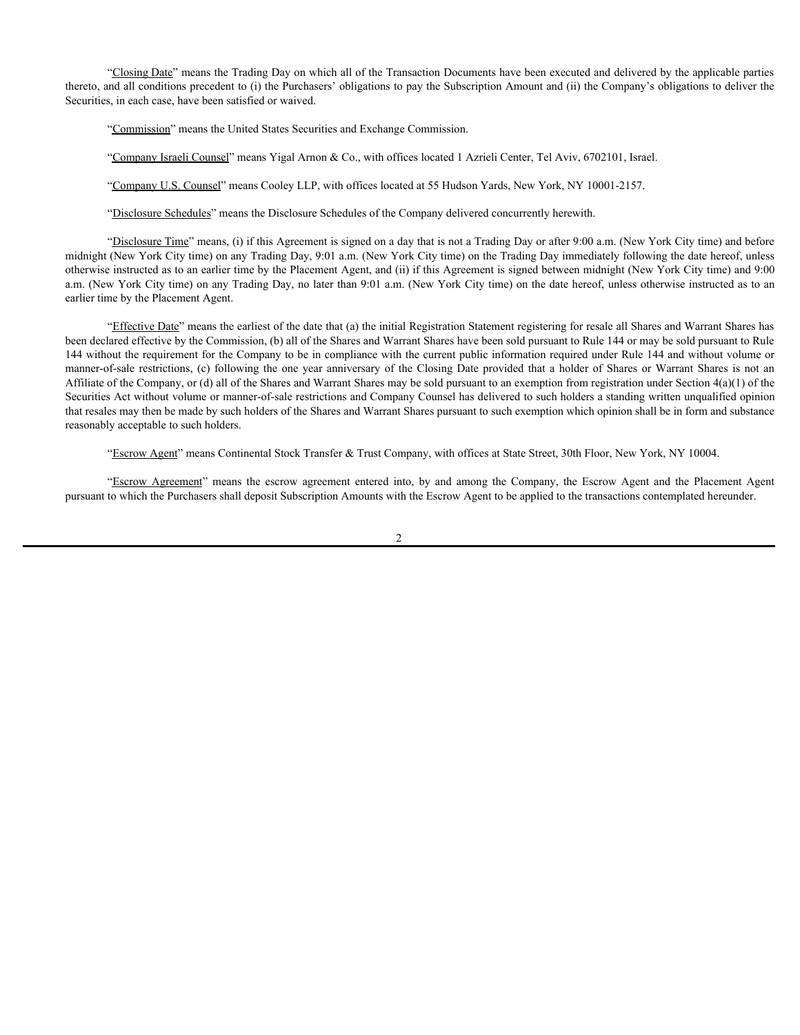"Closing Date" means the Trading Day on which all of the Transaction Documents have been executed and delivered by the applicable parties thereto, and all conditions precedent to (i) the Purchasers' obligations to pay the Subscription Amount and (ii) the Company's obligations to deliver the Securities, in each case, have been satisfied or waived.

"Commission" means the United States Securities and Exchange Commission.

"Company Israeli Counsel" means Yigal Arnon & Co., with offices located 1 Azrieli Center, Tel Aviv, 6702101, Israel.

"Company U.S. Counsel" means Cooley LLP, with offices located at 55 Hudson Yards, New York, NY 10001-2157.

"Disclosure Schedules" means the Disclosure Schedules of the Company delivered concurrently herewith.

"Disclosure Time" means, (i) if this Agreement is signed on a day that is not a Trading Day or after 9:00 a.m. (New York City time) and before midnight (New York City time) on any Trading Day, 9:01 a.m. (New York City time) on the Trading Day immediately following the date hereof, unless otherwise instructed as to an earlier time by the Placement Agent, and (ii) if this Agreement is signed between midnight (New York City time) and 9:00 a.m. (New York City time) on any Trading Day, no later than 9:01 a.m. (New York City time) on the date hereof, unless otherwise instructed as to an earlier time by the Placement Agent.

"Effective Date" means the earliest of the date that (a) the initial Registration Statement registering for resale all Shares and Warrant Shares has been declared effective by the Commission, (b) all of the Shares and Warrant Shares have been sold pursuant to Rule 144 or may be sold pursuant to Rule 144 without the requirement for the Company to be in compliance with the current public information required under Rule 144 and without volume or "Liosing Date" means the Trading Day on which all of the Transaction Documents have been executed and delivered by the applicable parties<br>thereo, and all conditions precedent to (i) the Parchasen" obligations to pay the S Affiliate of the Company, or (d) all of the Shares and Warrant Shares may be sold pursuant to an exemption from registration under Section 4(a)(1) of the Securities Act without volume or manner-of-sale restrictions and Company Counsel has delivered to such holders a standing written unqualified opinion that resales may then be made by such holders of the Shares and Warrant Shares pursuant to such exemption which opinion shall be in form and substance reasonably acceptable to such holders. "Closing Date" means the Trading Day on which all of the Transaction Decuments have been excented and editivered by the applicable parties<br>and all conditions precedent to (i) the Purchaser' obligations to pay the Subserpt

pursuant to which the Purchasers shall deposit Subscription Amounts with the Escrow Agent to be applied to the transactions contemplated hereunder.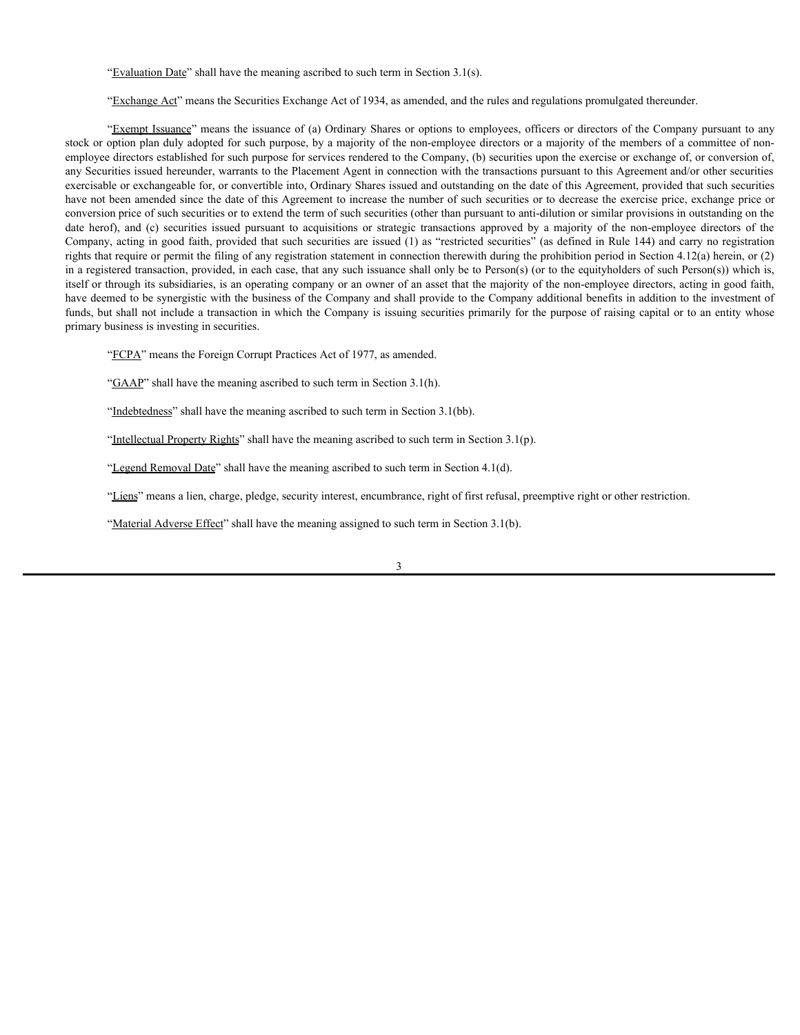"Evaluation Date" shall have the meaning ascribed to such term in Section 3.1(s).

"Exchange Act" means the Securities Exchange Act of 1934, as amended, and the rules and regulations promulgated thereunder.

"Exempt Issuance" means the issuance of (a) Ordinary Shares or options to employees, officers or directors of the Company pursuant to any stock or option plan duly adopted for such purpose, by a majority of the non-employee directors or a majority of the members of a committee of nonemployee directors established for such purpose for services rendered to the Company, (b) securities upon the exercise or exchange of, or conversion of, any Securities issued hereunder, warrants to the Placement Agent in connection with the transactions pursuant to this Agreement and/or other securities exercisable or exchangeable for, or convertible into, Ordinary Shares issued and outstanding on the date of this Agreement, provided that such securities have not been amended since the date of this Agreement to increase the number of such securities or to decrease the exercise price, exchange price or conversion price of such securities or to extend the term of such securities (other than pursuant to anti-dilution or similar provisions in outstanding on the "Evaluation Dhate" shall have the meaning ascribed to such term in Section 3.1(5).<br>
"Exchange Act" means the Securities Exchange Act of 1934, as amended, and the rules and regulations promulgated thereunder.<br>
"Exchange Te Company, acting in good faith, provided that such securities are issued (1) as "restricted securities" (as defined in Rule 144) and carry no registration rights that require or permit the filing of any registration statement in connection therewith during the prohibition period in Section 4.12(a) herein, or (2) in a registered transaction, provided, in each case, that any such issuance shall only be to Person(s) (or to the equityholders of such Person(s)) which is, itself or through its subsidiaries, is an operating company or an owner of an asset that the majority of the non-employee directors, acting in good faith, have deemed to be synergistic with the business of the Company and shall provide to the Company additional benefits in addition to the investment of funds, but shall not include a transaction in which the Company is issuing securities primarily for the purpose of raising capital or to an entity whose primary business is investing in securities.

"FCPA" means the Foreign Corrupt Practices Act of 1977, as amended.

"GAAP" shall have the meaning ascribed to such term in Section 3.1(h).

"Indebtedness" shall have the meaning ascribed to such term in Section 3.1(bb).

"Intellectual Property Rights" shall have the meaning ascribed to such term in Section 3.1(p).

"Legend Removal Date" shall have the meaning ascribed to such term in Section 4.1(d).

"Liens" means a lien, charge, pledge, security interest, encumbrance, right of first refusal, preemptive right or other restriction.

"Material Adverse Effect" shall have the meaning assigned to such term in Section 3.1(b).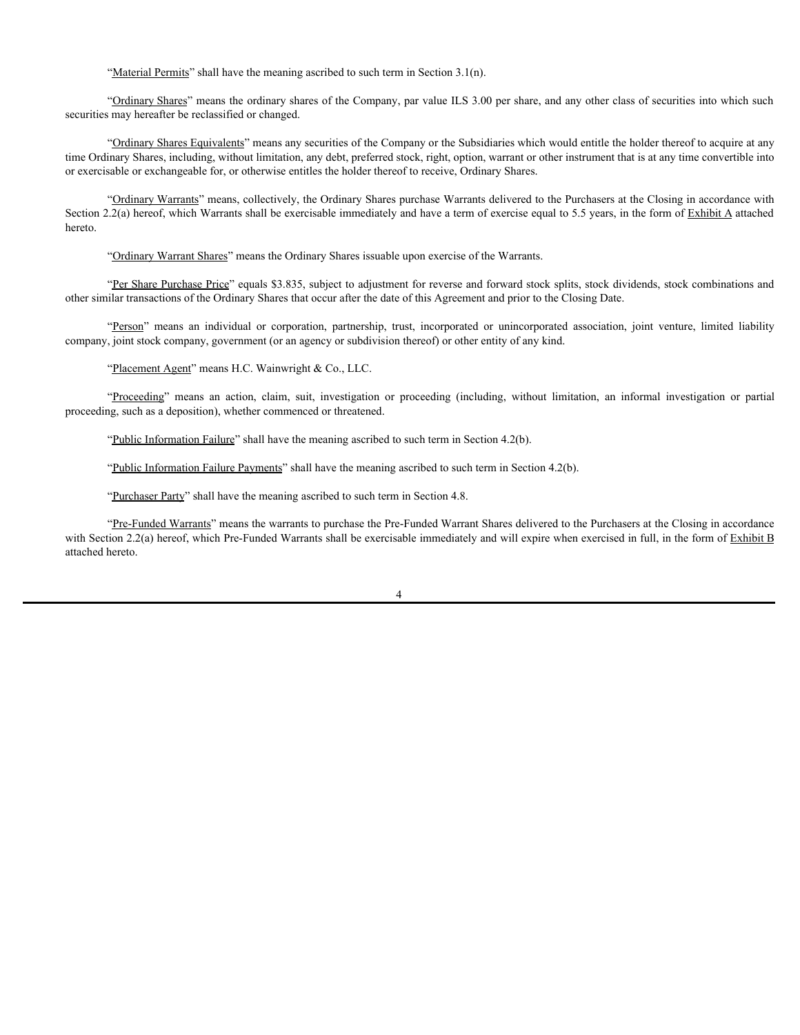"Material Permits" shall have the meaning ascribed to such term in Section 3.1(n).

"Ordinary Shares" means the ordinary shares of the Company, par value ILS 3.00 per share, and any other class of securities into which such securities may hereafter be reclassified or changed.

"Ordinary Shares Equivalents" means any securities of the Company or the Subsidiaries which would entitle the holder thereof to acquire at any time Ordinary Shares, including, without limitation, any debt, preferred stock, right, option, warrant or other instrument that is at any time convertible into or exercisable or exchangeable for, or otherwise entitles the holder thereof to receive, Ordinary Shares. "Material Permins" shall have the meaning ascribed to such term in Section 3.1(n).<br>"Cultimar Shares" means the ordinary shares of the Company, par value IT S 3.00 per share, and any other class of securities into which suc "<u>"Deditate Permits</u>" shall have the meaning ascribed to such ierm in Section 3.1(n).<br>"<u>Coditancy Shares"</u> means the ordinary shares of the Company, nar value ELS 3.00 per share, and any other class of securities into whi

"Ordinary Warrants" means, collectively, the Ordinary Shares purchase Warrants delivered to the Purchasers at the Closing in accordance with Section 2.2(a) hereof, which Warrants shall be exercisable immediately and have a term of exercise equal to 5.5 years, in the form of Exhibit A attached hereto.

"Ordinary Warrant Shares" means the Ordinary Shares issuable upon exercise of the Warrants.

"Per Share Purchase Price" equals \$3.835, subject to adjustment for reverse and forward stock splits, stock dividends, stock combinations and

company, joint stock company, government (or an agency or subdivision thereof) or other entity of any kind.

proceeding, such as a deposition), whether commenced or threatened.

"Public Information Failure" shall have the meaning ascribed to such term in Section 4.2(b).

"Public Information Failure Payments" shall have the meaning ascribed to such term in Section 4.2(b).

"Purchaser Party" shall have the meaning ascribed to such term in Section 4.8.

"Pre-Funded Warrants" means the warrants to purchase the Pre-Funded Warrant Shares delivered to the Purchasers at the Closing in accordance with Section 2.2(a) hereof, which Pre-Funded Warrants shall be exercisable immediately and will expire when exercised in full, in the form of Exhibit B attached hereto.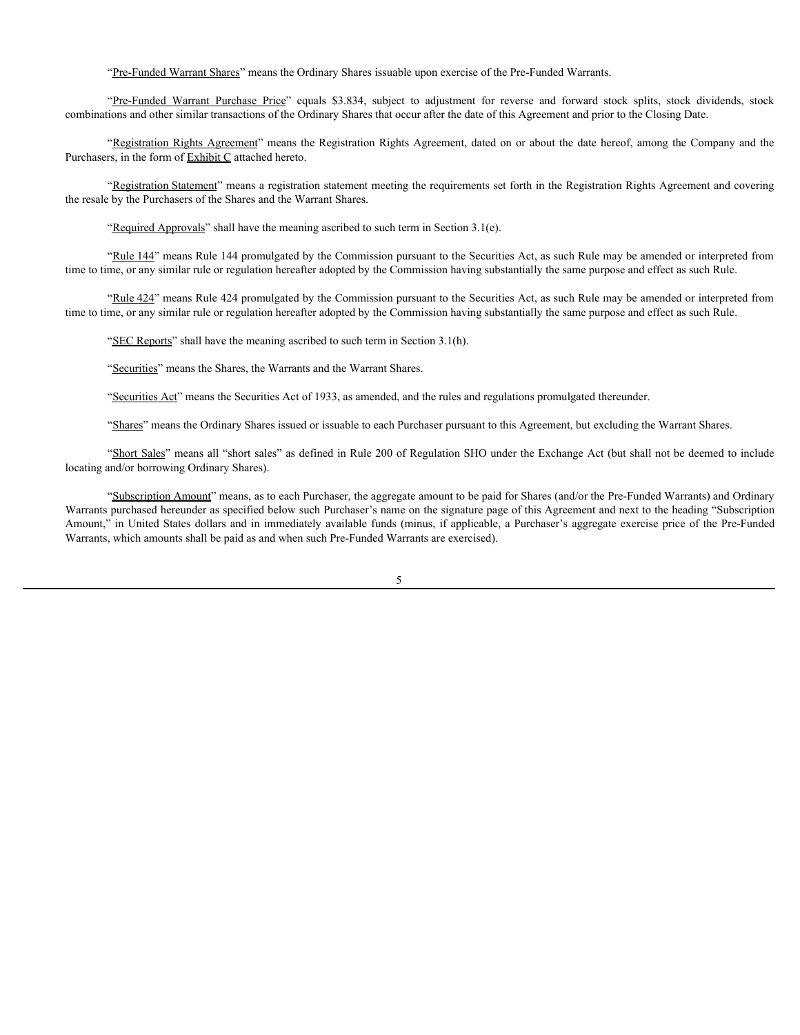combinations and other similar transactions of the Ordinary Shares that occur after the date of this Agreement and prior to the Closing Date.

"Registration Rights Agreement" means the Registration Rights Agreement, dated on or about the date hereof, among the Company and the Purchasers, in the form of Exhibit C attached hereto.

"<u>Pre-Funded Warrant Shares</u>" means the Ordinary Shares issuable upon exercise of the Pre-Funded Warrants.<br>"P<u>re-Funded Warrant Purchase Price</u>" equals \$3.834, subject to adjustment for reverse and forward stock splits, st "Registration Statement" means a registration statement meeting the requirements set forth in the Registration Rights Agreement and covering the resale by the Purchasers of the Shares and the Warrant Shares.

"Required Approvals" shall have the meaning ascribed to such term in Section  $3.1(e)$ .

"Rule 144" means Rule 144 promulgated by the Commission pursuant to the Securities Act, as such Rule may be amended or interpreted from time to time, or any similar rule or regulation hereafter adopted by the Commission having substantially the same purpose and effect as such Rule.

"Rule 424" means Rule 424 promulgated by the Commission pursuant to the Securities Act, as such Rule may be amended or interpreted from time to time, or any similar rule or regulation hereafter adopted by the Commission having substantially the same purpose and effect as such Rule.

"SEC Reports" shall have the meaning ascribed to such term in Section 3.1(h).

"Securities" means the Shares, the Warrants and the Warrant Shares.

"Securities Act" means the Securities Act of 1933, as amended, and the rules and regulations promulgated thereunder.

"Shares" means the Ordinary Shares issued or issuable to each Purchaser pursuant to this Agreement, but excluding the Warrant Shares.

"Short Sales" means all "short sales" as defined in Rule 200 of Regulation SHO under the Exchange Act (but shall not be deemed to include locating and/or borrowing Ordinary Shares).

"Subscription Amount" means, as to each Purchaser, the aggregate amount to be paid for Shares (and/or the Pre-Funded Warrants) and Ordinary Warrants purchased hereunder as specified below such Purchaser's name on the signature page of this Agreement and next to the heading "Subscription Amount," in United States dollars and in immediately available funds (minus, if applicable, a Purchaser's aggregate exercise price of the Pre-Funded Warrants, which amounts shall be paid as and when such Pre-Funded Warrants are exercised).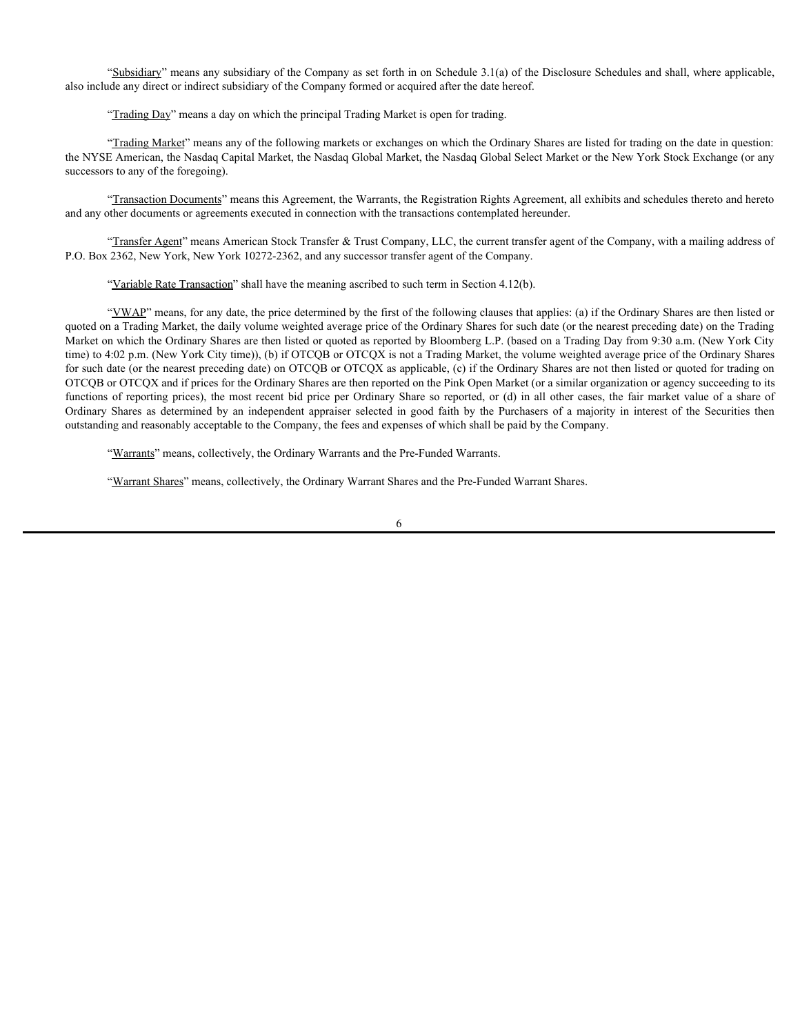"Subsidiary" means any subsidiary of the Company as set forth in on Schedule 3.1(a) of the Disclosure Schedules and shall, where applicable, also include any direct or indirect subsidiary of the Company formed or acquired after the date hereof.

"Trading Day" means a day on which the principal Trading Market is open for trading.

"Trading Market" means any of the following markets or exchanges on which the Ordinary Shares are listed for trading on the date in question: the NYSE American, the Nasdaq Capital Market, the Nasdaq Global Market, the Nasdaq Global Select Market or the New York Stock Exchange (or any successors to any of the foregoing).

"Transaction Documents" means this Agreement, the Warrants, the Registration Rights Agreement, all exhibits and schedules thereto and hereto and any other documents or agreements executed in connection with the transactions contemplated hereunder.

"Transfer Agent" means American Stock Transfer & Trust Company, LLC, the current transfer agent of the Company, with a mailing address of P.O. Box 2362, New York, New York 10272-2362, and any successor transfer agent of the Company.

"Variable Rate Transaction" shall have the meaning ascribed to such term in Section 4.12(b).

"YWAP" means, for any date, the price determined by the first of the following clauses that applies: (a) if the Ordinary Shares are then listed or quoted on a Trading Market, the daily volume weighted average price of the Ordinary Shares for such date (or the nearest preceding date) on the Trading Market on which the Ordinary Shares are then listed or quoted as reported by Bloomberg L.P. (based on a Trading Day from 9:30 a.m. (New York City time) to 4:02 p.m. (New York City time)), (b) if OTCQB or OTCQX is not a Trading Market, the volume weighted average price of the Ordinary Shares for such date (or the nearest preceding date) on OTCQB or OTCQX as applicable, (c) if the Ordinary Shares are not then listed or quoted for trading on OTCQB or OTCQX and if prices for the Ordinary Shares are then reported on the Pink Open Market (or a similar organization or agency succeeding to its "Substituting" meets any substitutry of the Company as set forth in on Schechule 3.1(a) of the Disclosure Schechules and shall, where supplicable,<br>
also include any direct or microcyntalization of the Company formed or ac "Shabidiary" means any subsidiary of the Company as set forth in on Sohedule 3.1(a) of the Disclosure Schedules and shall, where applicable,<br>also include any direct or indirect subsidiary of the Company formed or acquired outstanding and reasonably acceptable to the Company, the fees and expenses of which shall be paid by the Company.

"Warrants" means, collectively, the Ordinary Warrants and the Pre-Funded Warrants.

"Warrant Shares" means, collectively, the Ordinary Warrant Shares and the Pre-Funded Warrant Shares.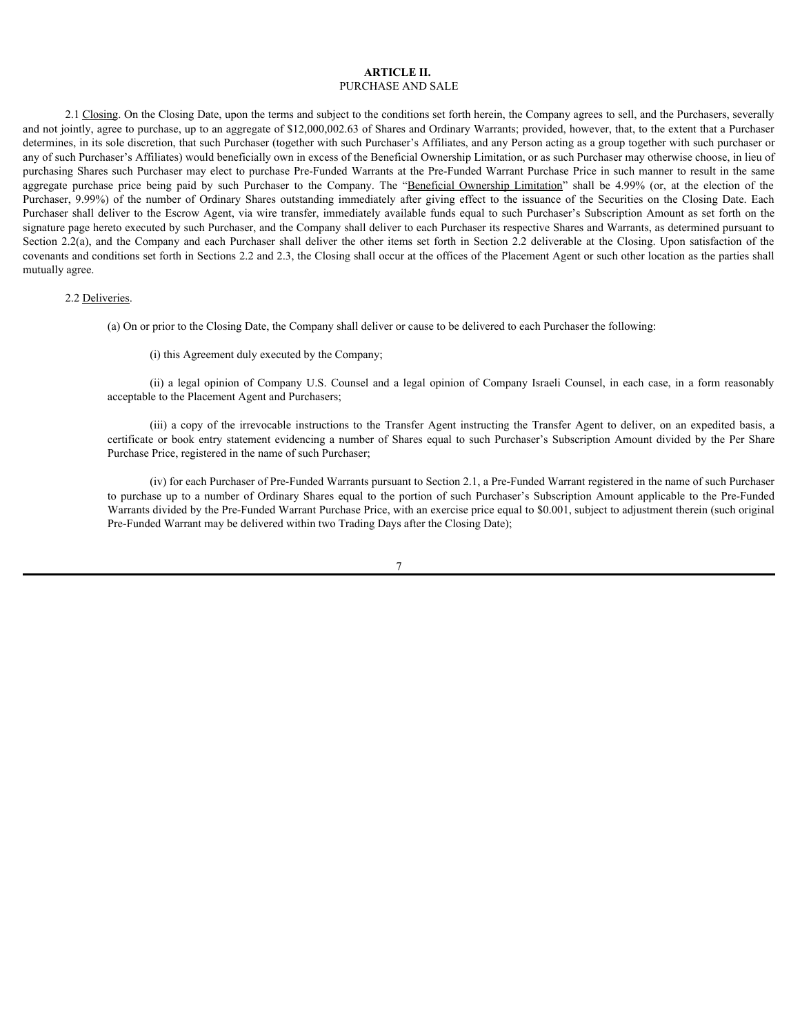# **ARTICLE II.** PURCHASE AND SALE

2.1 Closing. On the Closing Date, upon the terms and subject to the conditions set forth herein, the Company agrees to sell, and the Purchasers, severally and not jointly, agree to purchase, up to an aggregate of \$12,000,002.63 of Shares and Ordinary Warrants; provided, however, that, to the extent that a Purchaser determines, in its sole discretion, that such Purchaser (together with such Purchaser's Affiliates, and any Person acting as a group together with such purchaser or any of such Purchaser's Affiliates) would beneficially own in excess of the Beneficial Ownership Limitation, or as such Purchaser may otherwise choose, in lieu of purchasing Shares such Purchaser may elect to purchase Pre-Funded Warrants at the Pre-Funded Warrant Purchase Price in such manner to result in the same **ARTICLE II.** PURCHASE AND SALE<br>
2.1 Closing. On the Closing Date, upon the terms and subject to the conditions set forth herein, the Company agrees to sell, and the Purchasers, severally<br>
and on jointly, agree to purchas **ARTICLE II.** PURCHASE AND SALE<br>
2.1 Closing. On the Closing Date, upon the terms and subject to the conditions set forth herein, the Company agrees to sell, and the Purchasers, severally<br>
and not jointly, agree to purcha Purchaser shall deliver to the Escrow Agent, via wire transfer, immediately available funds equal to such Purchaser's Subscription Amount as set forth on the signature page hereto executed by such Purchaser, and the Company shall deliver to each Purchaser its respective Shares and Warrants, as determined pursuant to **EXPICILE II.** PURCHASE AND SALE<br>
PURCHASE AND SALE<br>
HOT Charge Date, upon the terms and subject to the combines shall free in, the Company agrees to sell, and the Purchaser, severally<br>
and not july, agree to purchase, mp covenants and conditions set forth in Sections 2.2 and 2.3, the Closing shall occur at the offices of the Placement Agent or such other location as the parties shall mutually agree. **ARTICLE II.** PURCHASE AND SALE<br> **PURCHASE AND SALE**<br> **PURCHASE AND SALE**<br> **PURCHASE AND SALE**<br> **Company agrees to sell, and the Purchasers, severally**<br> **Company U.S. Company Israelies** and Ordinary Warrants, provided, ho **ARTICLE II.** PERCIENTERT INTENTATION INTERFER INTERFERION INTERFERION INTERFERION CONSULTS (AND STANDAPT CONSULTS) and the PARTICLE INTERFERION CONSULTS (AND STANDAPT VARIABLY CONSULTS) and the UNITS (AND STANDAPT INTERF **Exerticual Companyies**<br> **CERT CONSECTES AND SALE**<br> **CONSECTED FROM THE CONSECT AND SALE**<br>
THE CONSECTED INTO THE CONSECTED AND THE CONSECTED FOR THE CONSECTED AND THE SUBSCRIPTION OF THE CONSECTED AMOUNT OF THE CONSECTED Eng On the Closing Date, upon the terms and subject to the conditions set forth between, the Company agrees to sell, and the Purchasers equal to the Stare and Ordinary Weres and the purchase of Stare and The Company and th

#### 2.2 Deliveries.

(a) On or prior to the Closing Date, the Company shall deliver or cause to be delivered to each Purchaser the following:

(i) this Agreement duly executed by the Company;

acceptable to the Placement Agent and Purchasers;

Purchase Price, registered in the name of such Purchaser;

(iv) for each Purchaser of Pre-Funded Warrants pursuant to Section 2.1, a Pre-Funded Warrant registered in the name of such Purchaser Warrants divided by the Pre-Funded Warrant Purchase Price, with an exercise price equal to \$0.001, subject to adjustment therein (such original Pre-Funded Warrant may be delivered within two Trading Days after the Closing Date);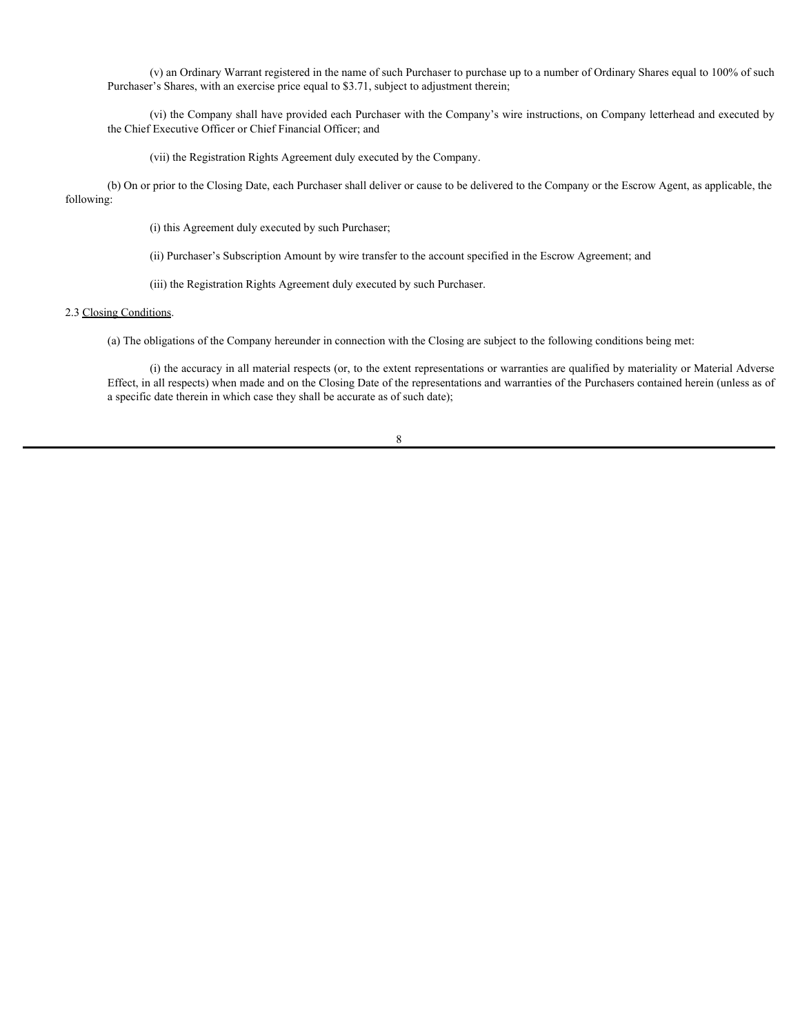(v) an Ordinary Warrant registered in the name of such Purchaser to purchase up to a number of Ordinary Shares equal to 100% of such Purchaser's Shares, with an exercise price equal to \$3.71, subject to adjustment therein;

(vi) the Company shall have provided each Purchaser with the Company's wire instructions, on Company letterhead and executed by the Chief Executive Officer or Chief Financial Officer; and

(vii) the Registration Rights Agreement duly executed by the Company.

(b) On or prior to the Closing Date, each Purchaser shall deliver or cause to be delivered to the Company or the Escrow Agent, as applicable, the following:

(i) this Agreement duly executed by such Purchaser;

(ii) Purchaser's Subscription Amount by wire transfer to the account specified in the Escrow Agreement; and

(iii) the Registration Rights Agreement duly executed by such Purchaser.

#### 2.3 Closing Conditions.

(a) The obligations of the Company hereunder in connection with the Closing are subject to the following conditions being met:

(i) the accuracy in all material respects (or, to the extent representations or warranties are qualified by materiality or Material Adverse Effect, in all respects) when made and on the Closing Date of the representations and warranties of the Purchasers contained herein (unless as of a specific date therein in which case they shall be accurate as of such date);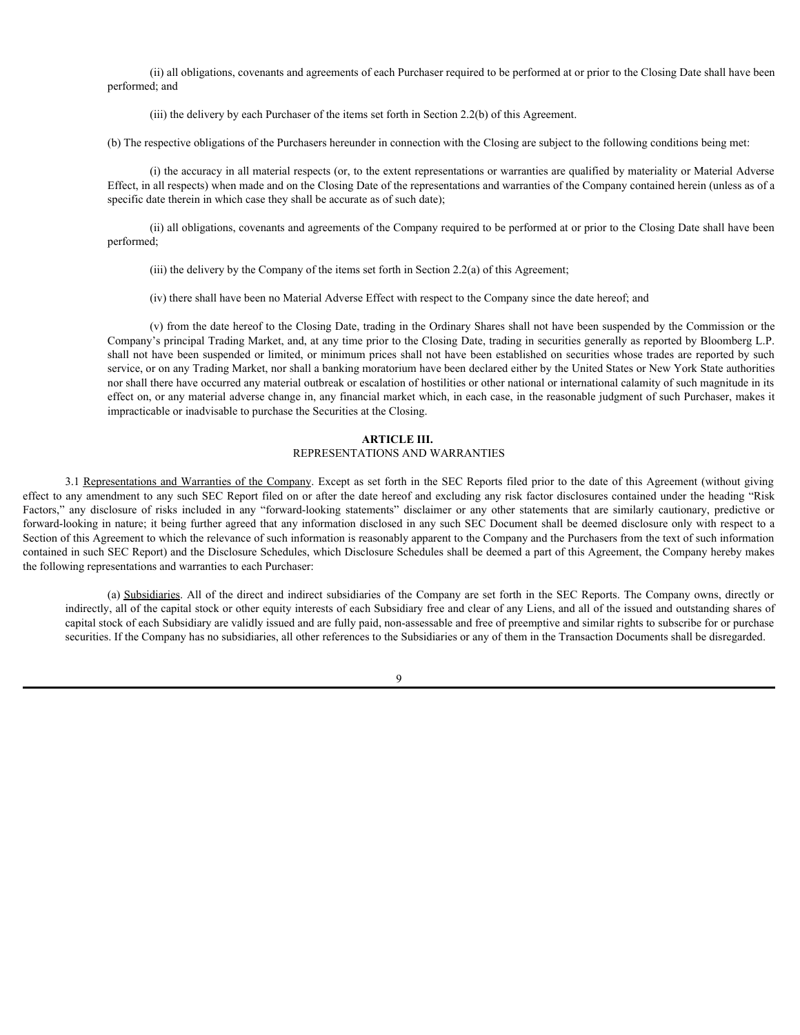(ii) all obligations, covenants and agreements of each Purchaser required to be performed at or prior to the Closing Date shall have been performed; and

(iii) the delivery by each Purchaser of the items set forth in Section 2.2(b) of this Agreement.

(b) The respective obligations of the Purchasers hereunder in connection with the Closing are subject to the following conditions being met:

(i) the accuracy in all material respects (or, to the extent representations or warranties are qualified by materiality or Material Adverse Effect, in all respects) when made and on the Closing Date of the representations and warranties of the Company contained herein (unless as of a specific date therein in which case they shall be accurate as of such date);

(ii) all obligations, covenants and agreements of the Company required to be performed at or prior to the Closing Date shall have been performed;

(iii) the delivery by the Company of the items set forth in Section 2.2(a) of this Agreement;

(iv) there shall have been no Material Adverse Effect with respect to the Company since the date hereof; and

(v) from the date hereof to the Closing Date, trading in the Ordinary Shares shall not have been suspended by the Commission or the Company's principal Trading Market, and, at any time prior to the Closing Date, trading in securities generally as reported by Bloomberg L.P. shall not have been suspended or limited, or minimum prices shall not have been established on securities whose trades are reported by such service, or on any Trading Market, nor shall a banking moratorium have been declared either by the United States or New York State authorities nor shall there have occurred any material outbreak or escalation of hostilities or other national or international calamity of such magnitude in its effect on, or any material adverse change in, any financial market which, in each case, in the reasonable judgment of such Purchaser, makes it impracticable or inadvisable to purchase the Securities at the Closing.

# **ARTICLE III.** REPRESENTATIONS AND WARRANTIES

3.1 Representations and Warranties of the Company. Except as set forth in the SEC Reports filed prior to the date of this Agreement (without giving effect to any amendment to any such SEC Report filed on or after the date hereof and excluding any risk factor disclosures contained under the heading "Risk performed, and<br>
(ii) the decisive by eath Puckasser of the learnest in connection with de Closing are assiyon to the following conditions being any<br>
(b) The accuracy m all materal respects (e.g. to the extent respectation forward-looking in nature; it being further agreed that any information disclosed in any such SEC Document shall be deemed disclosure only with respect to a Section of this Agreement to which the relevance of such information is reasonably apparent to the Company and the Purchasers from the text of such information contained in such SEC Report) and the Disclosure Schedules, which Disclosure Schedules shall be deemed a part of this Agreement, the Company hereby makes the following representations and warranties to each Purchaser:

(a) Subsidiaries. All of the direct and indirect subsidiaries of the Company are set forth in the SEC Reports. The Company owns, directly or indirectly, all of the capital stock or other equity interests of each Subsidiary free and clear of any Liens, and all of the issued and outstanding shares of capital stock of each Subsidiary are validly issued and are fully paid, non-assessable and free of preemptive and similar rights to subscribe for or purchase securities. If the Company has no subsidiaries, all other references to the Subsidiaries or any of them in the Transaction Documents shall be disregarded.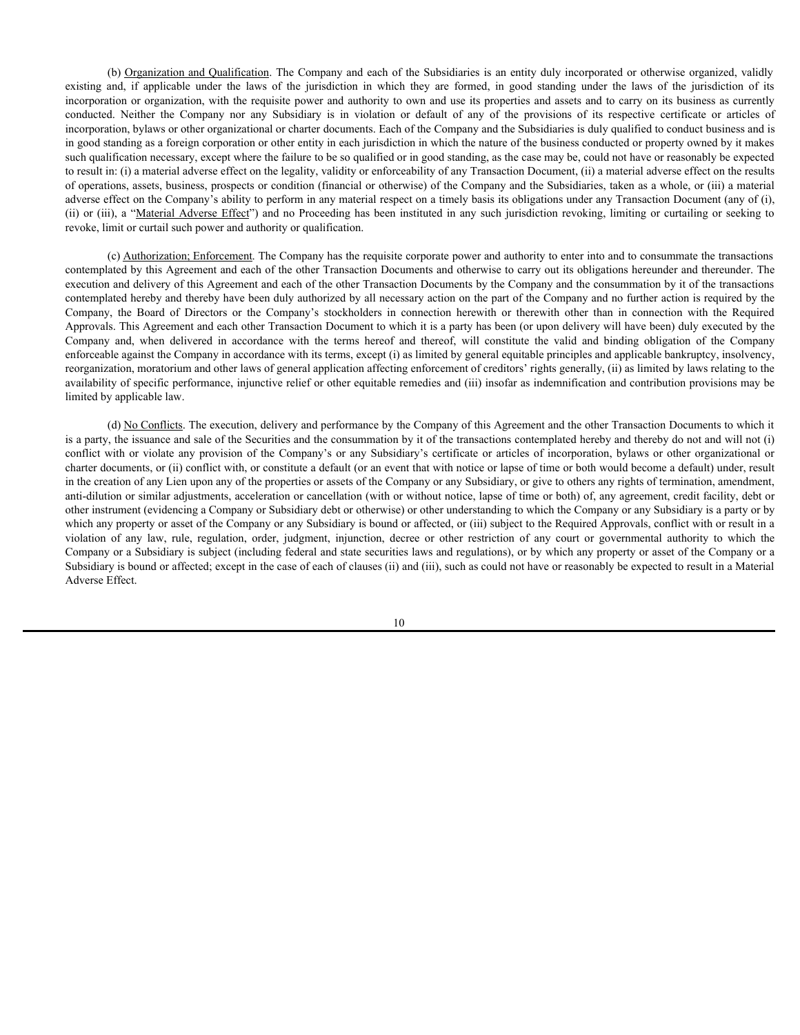(b) Organization and Qualification. The Company and each of the Subsidiaries is an entity duly incorporated or otherwise organized, validly (b) <u>Organization and Qualification</u>. The Company and each of the Subsidiaries is an entity duly incorporated or otherwise organized, validly existing and, if applicable under the laws of the jurisdiction in which they are incorporation or organization, with the requisite power and authority to own and use its properties and assets and to carry on its business as currently (b) Organization and Qualification. The Company and each of the Subsidiaries is an entity duly incorporated or otherwise organized, validly existing and, if applicable under the laws of the jurisdiction in which they are incorporation, bylaws or other organizational or charter documents. Each of the Company and the Subsidiaries is duly qualified to conduct business and is in good standing as a foreign corporation or other entity in each jurisdiction in which the nature of the business conducted or property owned by it makes such qualification necessary, except where the failure to be so qualified or in good standing, as the case may be, could not have or reasonably be expected to result in: (i) a material adverse effect on the legality, validity or enforceability of any Transaction Document, (ii) a material adverse effect on the results of operations, assets, business, prospects or condition (financial or otherwise) of the Company and the Subsidiaries, taken as a whole, or (iii) a material adverse effect on the Company's ability to perform in any material respect on a timely basis its obligations under any Transaction Document (any of (i), (ii) or (iii), a "Material Adverse Effect") and no Proceeding has been instituted in any such jurisdiction revoking, limiting or curtailing or seeking to revoke, limit or curtail such power and authority or qualification. (b) Organization and Oustification. The Company and each of the Subsidiaries is an entity duly incorporated or otherwise organized, validy<br>existing and, if applicable under the laws of the jurisdiction in which they are f (b) Ozganization and Qualification The Company and each of the Subsidiuries is an entity daly incorputeral or otherwise organized, vialidy<br>exciting and, if applicable under the laws of the inridiction in which they are fo (b) Organization and Oneiformia To Company and each of the Subsidiaries is an easily discorporated or education or spanished with a company and the Company and the Company in the company in the company in the company in t

(c) Authorization; Enforcement. The Company has the requisite corporate power and authority to enter into and to consummate the transactions contemplated by this Agreement and each of the other Transaction Documents and otherwise to carry out its obligations hereunder and thereunder. The execution and delivery of this Agreement and each of the other Transaction Documents by the Company and the consummation by it of the transactions contemplated hereby and thereby have been duly authorized by all necessary action on the part of the Company and no further action is required by the Approvals. This Agreement and each other Transaction Document to which it is a party has been (or upon delivery will have been) duly executed by the enforceable against the Company in accordance with its terms, except (i) as limited by general equitable principles and applicable bankruptcy, insolvency, reorganization, moratorium and other laws of general application affecting enforcement of creditors' rights generally, (ii) as limited by laws relating to the availability of specific performance, injunctive relief or other equitable remedies and (iii) insofar as indemnification and contribution provisions may be limited by applicable law.

(d) No Conflicts. The execution, delivery and performance by the Company of this Agreement and the other Transaction Documents to which it is a party, the issuance and sale of the Securities and the consummation by it of the transactions contemplated hereby and thereby do not and will not (i) charter documents, or (ii) conflict with, or constitute a default (or an event that with notice or lapse of time or both would become a default) under, result in the creation of any Lien upon any of the properties or assets of the Company or any Subsidiary, or give to others any rights of termination, amendment, anti-dilution or similar adjustments, acceleration or cancellation (with or without notice, lapse of time or both) of, any agreement, credit facility, debt or other instrument (evidencing a Company or Subsidiary debt or otherwise) or other understanding to which the Company or any Subsidiary is a party or by which any property or asset of the Company or any Subsidiary is bound or affected, or (iii) subject to the Required Approvals, conflict with or result in a vocale the interview in the sympator of a sympator of the sympator or any law shall any law and the sympator or other intervents in a proportion, or a sympator or other restriction or any lay the proportion, by the system Company or a Subsidiary is subject (including federal and state securities laws and regulations), or by which any property or asset of the Company or a Subsidiary is bound or affected; except in the case of each of clauses (ii) and (iii), such as could not have or reasonably be expected to result in a Material Adverse Effect.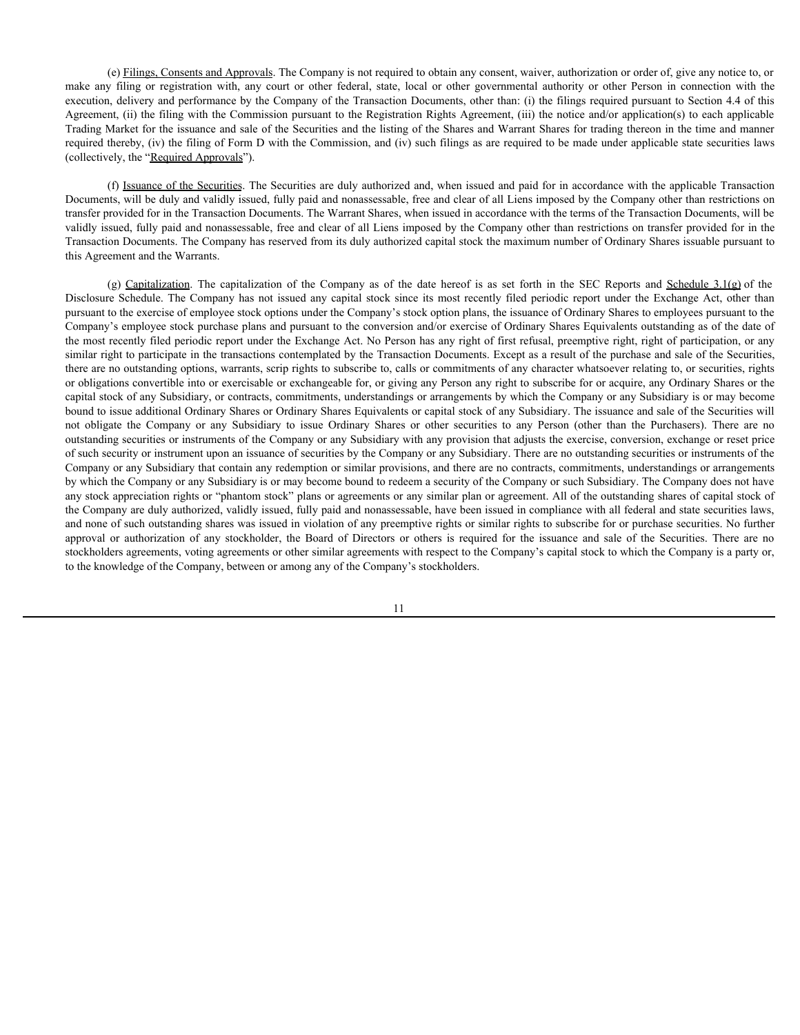(e) Filings, Consents and Approvals. The Company is not required to obtain any consent, waiver, authorization or order of, give any notice to, or (e) Filings, Consents and Approvals. The Company is not required to obtain any consent, waiver, authorization or order of, give any notice to, or make any filing or registration with, any court or other federal, state, loc execution, delivery and performance by the Company of the Transaction Documents, other than: (i) the filings required pursuant to Section 4.4 of this Agreement, (ii) the filing with the Commission pursuant to the Registration Rights Agreement, (iii) the notice and/or application(s) to each applicable Trading Market for the issuance and sale of the Securities and the listing of the Shares and Warrant Shares for trading thereon in the time and manner required thereby, (iv) the filing of Form D with the Commission, and (iv) such filings as are required to be made under applicable state securities laws (collectively, the "Required Approvals").

(f) Issuance of the Securities. The Securities are duly authorized and, when issued and paid for in accordance with the applicable Transaction Documents, will be duly and validly issued, fully paid and nonassessable, free and clear of all Liens imposed by the Company other than restrictions on transfer provided for in the Transaction Documents. The Warrant Shares, when issued in accordance with the terms of the Transaction Documents, will be validly issued, fully paid and nonassessable, free and clear of all Liens imposed by the Company other than restrictions on transfer provided for in the Transaction Documents. The Company has reserved from its duly authorized capital stock the maximum number of Ordinary Shares issuable pursuant to this Agreement and the Warrants.

(e) <u>Eltings. Consents and Approvals</u>. The Company is not required to obtain any consent, waiver, authorization or order of, give any notice to, or<br>
filing or registration with, any court or other federal, state, local con (c) Elings. Consents and Annouals. The Company is not required to obtain any consent, waiver, authorization or order of, give any micie to execution, divisoy and performance by the Company of the Transaction Do Emense, ot pursuant to the exercise of employee stock options under the Company's stock option plans, the issuance of Ordinary Shares to employees pursuant to the Company's employee stock purchase plans and pursuant to the conversion and/or exercise of Ordinary Shares Equivalents outstanding as of the date of the most recently filed periodic report under the Exchange Act. No Person has any right of first refusal, preemptive right, right of participation, or any similar right to participate in the transactions contemplated by the Transaction Documents. Except as a result of the purchase and sale of the Securities, there are no outstanding options, warrants, scrip rights to subscribe to, calls or commitments of any character whatsoever relating to, or securities, rights or obligations convertible into or exercisable or exchangeable for, or giving any Person any right to subscribe for or acquire, any Ordinary Shares or the capital stock of any Subsidiary, or contracts, commitments, understandings or arrangements by which the Company or any Subsidiary is or may become bound to issue additional Ordinary Shares or Ordinary Shares Equivalents or capital stock of any Subsidiary. The issuance and sale of the Securities will note the Company of the Company of the Company is not required to obtain any consent, waiver, authorization or other feats or the Company or any Subsidiary to issue Ordinary Consent and Shares or other than the Purchase or outstanding securities or instruments of the Company or any Subsidiary with any provision that adjusts the exercise, conversion, exchange or reset price of such security or instrument upon an issuance of securities by the Company or any Subsidiary. There are no outstanding securities or instruments of the Company or any Subsidiary that contain any redemption or similar provisions, and there are no contracts, commitments, understandings or arrangements by which the Company or any Subsidiary is or may become bound to redeem a security of the Company or such Subsidiary. The Company does not have any stock appreciation rights or "phantom stock" plans or agreements or any similar plan or agreement. All of the outstanding shares of capital stock of the Company are duly authorized, validly issued, fully paid and nonassessable, have been issued in compliance with all federal and state securities laws, and none of such outstanding shares was issued in violation of any preemptive rights or similar rights to subscribe for or purchase securities. No further Agreement, (i) the filing with the Commission to the Registration of the Resonant, (ii) the consistent, the income of any stockholder) to each present of any stockholder or any stockholder of any stockholder of any stockho stockholders agreements, voting agreements or other similar agreements with respect to the Company's capital stock to which the Company is a party or, to the knowledge of the Company, between or among any of the Company's stockholders.

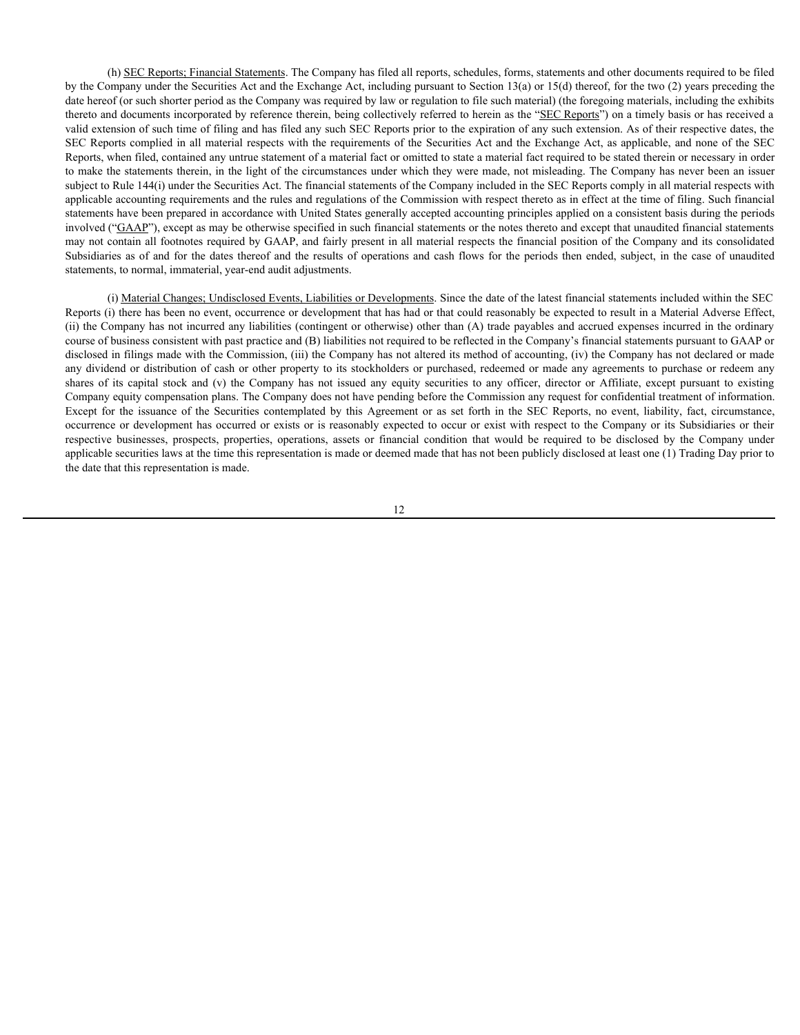(h) SEC Reports; Financial Statements. The Company has filed all reports, schedules, forms, statements and other documents required to be filed by the Company under the Securities Act and the Exchange Act, including pursuant to Section 13(a) or 15(d) thereof, for the two (2) years preceding the date hereof (or such shorter period as the Company was required by law or regulation to file such material) (the foregoing materials, including the exhibits thereto and documents incorporated by reference therein, being collectively referred to herein as the "SEC Reports") on a timely basis or has received a valid extension of such time of filing and has filed any such SEC Reports prior to the expiration of any such extension. As of their respective dates, the SEC Reports complied in all material respects with the requirements of the Securities Act and the Exchange Act, as applicable, and none of the SEC Reports, when filed, contained any untrue statement of a material fact or omitted to state a material fact required to be stated therein or necessary in order to make the statements therein, in the light of the circumstances under which they were made, not misleading. The Company has never been an issuer subject to Rule 144(i) under the Securities Act. The financial statements of the Company included in the SEC Reports comply in all material respects with applicable accounting requirements and the rules and regulations of the Commission with respect thereto as in effect at the time of filing. Such financial statements have been prepared in accordance with United States generally accepted accounting principles applied on a consistent basis during the periods involved ("GAAP"), except as may be otherwise specified in such financial statements or the notes thereto and except that unaudited financial statements may not contain all footnotes required by GAAP, and fairly present in all material respects the financial position of the Company and its consolidated Subsidiaries as of and for the dates thereof and the results of operations and cash flows for the periods then ended, subject, in the case of unaudited statements, to normal, immaterial, year-end audit adjustments. (b) SEC. Repents: Linancial Statements: The Company has filed all reports. schedules, forms, statements and other documents required to be filed by the Company has not is capital sy the company consider by the Company has (b) <u>SEC Reports, Francial Seturents</u>. The Company has filed all ropots, schedules, forms, statement and other documents required to be flied<br>by the Congany under the Securities Act and the Exchange Act, including partuat (b) SEL Egyatic, Emantial Statemans The Corresponds of the LaT spects, adiciding control is assets of the business of a control is assets of the control is assets of the sole of the control is assets of the control is a co

(i) Material Changes; Undisclosed Events, Liabilities or Developments. Since the date of the latest financial statements included within the SEC Reports (i) there has been no event, occurrence or development that has had or that could reasonably be expected to result in a Material Adverse Effect, (ii) the Company has not incurred any liabilities (contingent or otherwise) other than (A) trade payables and accrued expenses incurred in the ordinary course of business consistent with past practice and (B) liabilities not required to be reflected in the Company's financial statements pursuant to GAAP or disclosed in filings made with the Commission, (iii) the Company has not altered its method of accounting, (iv) the Company has not declared or made any dividend or distribution of cash or other property to its stockholders or purchased, redeemed or made any agreements to purchase or redeem any Company equity compensation plans. The Company does not have pending before the Commission any request for confidential treatment of information. occurrence or development has occurred or exists or is reasonably expected to occur or exist with respect to the Company or its Subsidiaries or their applicable securities laws at the time this representation is made or deemed made that has not been publicly disclosed at least one (1) Trading Day prior to the date that this representation is made.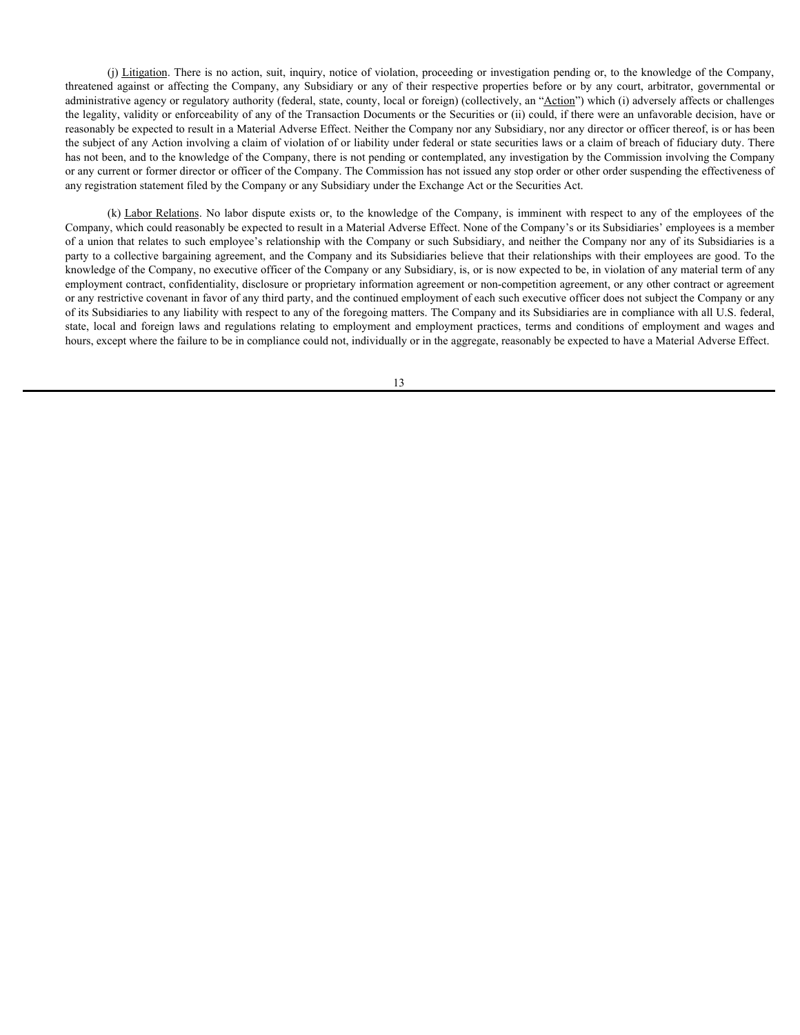(j) Litigation. There is no action, suit, inquiry, notice of violation, proceeding or investigation pending or, to the knowledge of the Company, (i) <u>Litigation</u>. There is no action, suit, inquiry, notice of violation, proceeding or investigation pending or, to the knowledge of the Company, threatened against or affecting the Company, any Subsidiary or any of thei administrative agency or regulatory authority (federal, state, county, local or foreign) (collectively, an "Action") which (i) adversely affects or challenges the legality, validity or enforceability of any of the Transaction Documents or the Securities or (ii) could, if there were an unfavorable decision, have or reasonably be expected to result in a Material Adverse Effect. Neither the Company nor any Subsidiary, nor any director or officer thereof, is or has been the subject of any Action involving a claim of violation of or liability under federal or state securities laws or a claim of breach of fiduciary duty. There has not been, and to the knowledge of the Company, there is not pending or contemplated, any investigation by the Commission involving the Company or any current or former director or officer of the Company. The Commission has not issued any stop order or other order suspending the effectiveness of any registration statement filed by the Company or any Subsidiary under the Exchange Act or the Securities Act.

(k) Labor Relations. No labor dispute exists or, to the knowledge of the Company, is imminent with respect to any of the employees of the Company, which could reasonably be expected to result in a Material Adverse Effect. None of the Company's or its Subsidiaries' employees is a member of a union that relates to such employee's relationship with the Company or such Subsidiary, and neither the Company nor any of its Subsidiaries is a party to a collective bargaining agreement, and the Company and its Subsidiaries believe that their relationships with their employees are good. To the knowledge of the Company, no executive officer of the Company or any Subsidiary, is, or is now expected to be, in violation of any material term of any employment contract, confidentiality, disclosure or proprietary information agreement or non-competition agreement, or any other contract or agreement or any restrictive covenant in favor of any third party, and the continued employment of each such executive officer does not subject the Company or any of its Subsidiaries to any liability with respect to any of the foregoing matters. The Company and its Subsidiaries are in compliance with all U.S. federal, (i) Liajanian There is no action, sail, inquiry, notice of violation, proceding or investigation pending at, to the knowledge of the Company, thustosfario state of the company, any Substituty or any of their respective pr hours, except where the failure to be in compliance could not, individually or in the aggregate, reasonably be expected to have a Material Adverse Effect.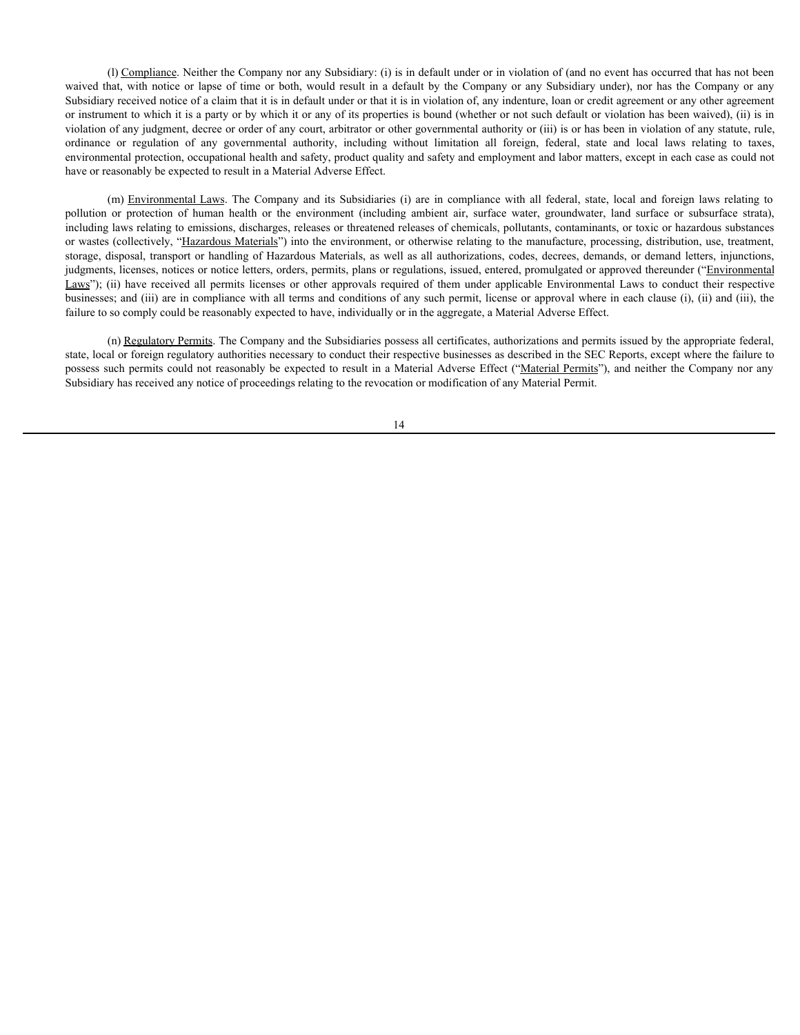(l) Compliance. Neither the Company nor any Subsidiary: (i) is in default under or in violation of (and no event has occurred that has not been (I) Compliance. Neither the Company nor any Subsidiary: (i) is in default under or in violation of (and no event has occurred that has not been waived that, with notice or lapse of time or both, would result in a default b Subsidiary received notice of a claim that it is in default under or that it is in violation of, any indenture, loan or credit agreement or any other agreement or instrument to which it is a party or by which it or any of its properties is bound (whether or not such default or violation has been waived), (ii) is in violation of any judgment, decree or order of any court, arbitrator or other governmental authority or (iii) is or has been in violation of any statute, rule, (I) <u>Compliance</u>. Neither the Company nor any Subsidiary: (i) is in default under or in violation of (and no event has occurred that has not been waived that, with notice or lapse of time or both, would result in a default environmental protection, occupational health and safety, product quality and safety and employment and labor matters, except in each case as could not have or reasonably be expected to result in a Material Adverse Effect.

(l) Compliance. Neither the Company nor any Subsidiary: (i) is in default under or in violation of (and no event has occurred that has not been<br>that, with notice or lapse of time or both, would result in a default by the C (i) Compliance. Neither the Company nor any Subsidiary: (i) is in default under or in violation of (and no event has occurred that has not been<br>Substidiary reaction donce o'r a claim hat it is in default under or that it' including laws relating to emissions, discharges, releases or threatened releases of chemicals, pollutants, contaminants, or toxic or hazardous substances or wastes (collectively, "Hazardous Materials") into the environment, or otherwise relating to the manufacture, processing, distribution, use, treatment, storage, disposal, transport or handling of Hazardous Materials, as well as all authorizations, codes, decrees, demands, or demand letters, injunctions, judgments, licenses, notices or notice letters, orders, permits, plans or regulations, issued, entered, promulgated or approved thereunder ("Environmental (i) Campliance. Neither the Company nor any Subsidiary: (i) is in default under or in violation of (and no event has occurred that has not been whishbottlary under the have the fact with neolector has in definite which th businesses; and (iii) are in compliance with all terms and conditions of any such permit, license or approval where in each clause (i), (ii) and (iii), the failure to so comply could be reasonably expected to have, individually or in the aggregate, a Material Adverse Effect.

(n) Regulatory Permits. The Company and the Subsidiaries possess all certificates, authorizations and permits issued by the appropriate federal, state, local or foreign regulatory authorities necessary to conduct their respective businesses as described in the SEC Reports, except where the failure to possess such permits could not reasonably be expected to result in a Material Adverse Effect ("Material Permits"), and neither the Company nor any Subsidiary has received any notice of proceedings relating to the revocation or modification of any Material Permit.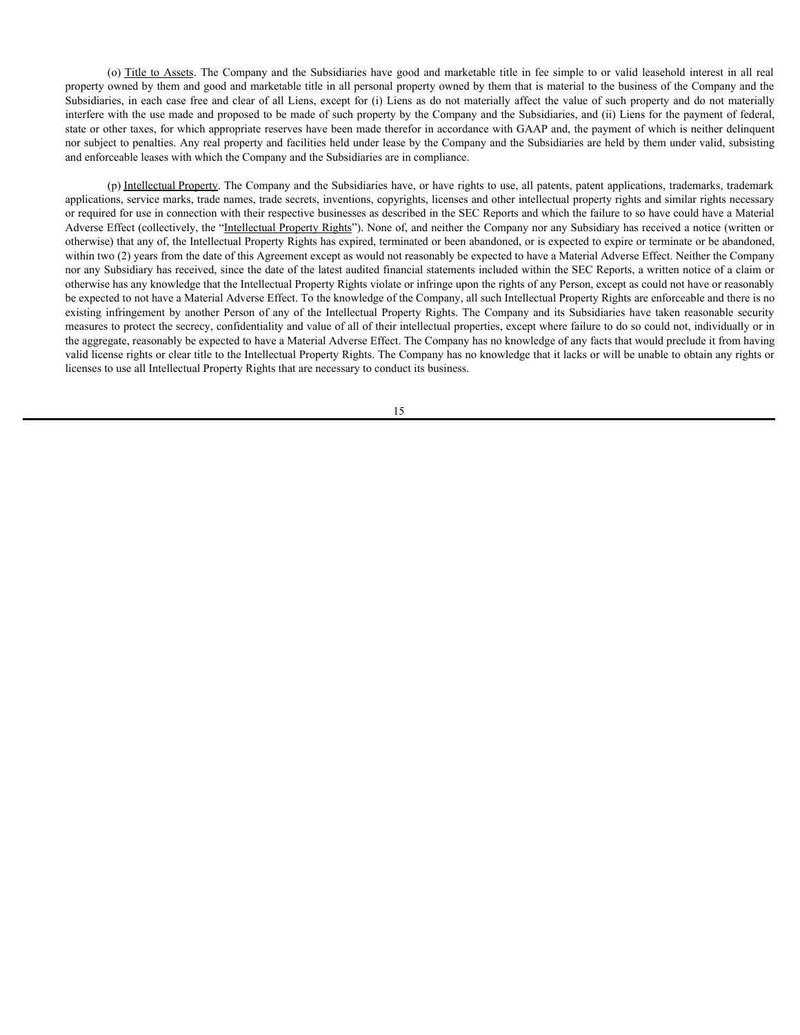(o) Title to Assets. The Company and the Subsidiaries have good and marketable title in fee simple to or valid leasehold interest in all real owned by them and good and marketable title in all personal property owned by th property owned by them and good and marketable title in all personal property owned by them that is material to the business of the Company and the Subsidiaries, in each case free and clear of all Liens, except for (i) Liens as do not materially affect the value of such property and do not materially interfere with the use made and proposed to be made of such property by the Company and the Subsidiaries, and (ii) Liens for the payment of federal, state or other taxes, for which appropriate reserves have been made therefor in accordance with GAAP and, the payment of which is neither delinquent nor subject to penalties. Any real property and facilities held under lease by the Company and the Subsidiaries are held by them under valid, subsisting and enforceable leases with which the Company and the Subsidiaries are in compliance.

(p) Intellectual Property. The Company and the Subsidiaries have, or have rights to use, all patents, patent applications, trademarks, trademark applications, service marks, trade names, trade secrets, inventions, copyrights, licenses and other intellectual property rights and similar rights necessary or required for use in connection with their respective businesses as described in the SEC Reports and which the failure to so have could have a Material Adverse Effect (collectively, the "Intellectual Property Rights"). None of, and neither the Company nor any Subsidiary has received a notice (written or otherwise) that any of, the Intellectual Property Rights has expired, terminated or been abandoned, or is expected to expire or terminate or be abandoned, within two (2) years from the date of this Agreement except as would not reasonably be expected to have a Material Adverse Effect. Neither the Company nor any Subsidiary has received, since the date of the latest audited financial statements included within the SEC Reports, a written notice of a claim or otherwise has any knowledge that the Intellectual Property Rights violate or infringe upon the rights of any Person, except as could not have or reasonably be expected to not have a Material Adverse Effect. To the knowledge of the Company, all such Intellectual Property Rights are enforceable and there is no (0) Tight to Assage. The Company and the Subsidiaries have good and marketable title in the simple to or valid leasebold interest in all real property worsed by them and good and marketable title in all presonal property measures to protect the secrecy, confidentiality and value of all of their intellectual properties, except where failure to do so could not, individually or in the aggregate, reasonably be expected to have a Material Adverse Effect. The Company has no knowledge of any facts that would preclude it from having valid license rights or clear title to the Intellectual Property Rights. The Company has no knowledge that it lacks or will be unable to obtain any rights or licenses to use all Intellectual Property Rights that are necessary to conduct its business.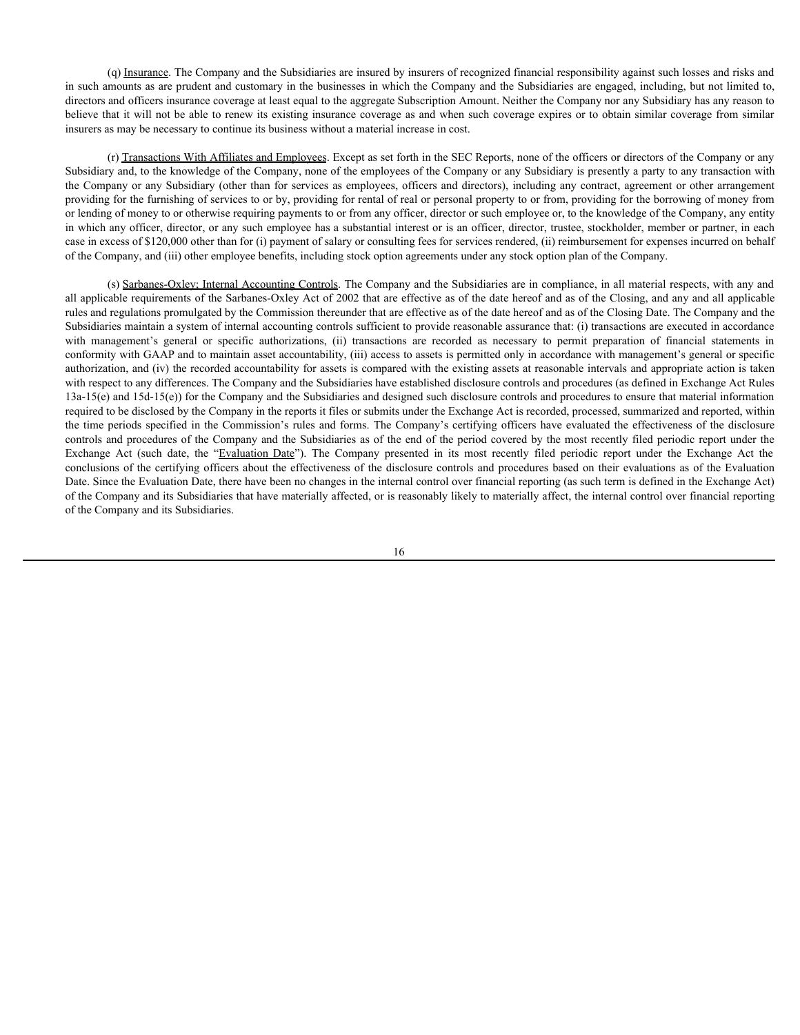(q) Insurance. The Company and the Subsidiaries are insured by insurers of recognized financial responsibility against such losses and risks and in such amounts as are prudent and customary in the businesses in which the Company and the Subsidiaries are engaged, including, but not limited to, directors and officers insurance coverage at least equal to the aggregate Subscription Amount. Neither the Company nor any Subsidiary has any reason to believe that it will not be able to renew its existing insurance coverage as and when such coverage expires or to obtain similar coverage from similar insurers as may be necessary to continue its business without a material increase in cost.

(r) Transactions With Affiliates and Employees. Except as set forth in the SEC Reports, none of the officers or directors of the Company or any Subsidiary and, to the knowledge of the Company, none of the employees of the Company or any Subsidiary is presently a party to any transaction with the Company or any Subsidiary (other than for services as employees, officers and directors), including any contract, agreement or other arrangement providing for the furnishing of services to or by, providing for rental of real or personal property to or from, providing for the borrowing of money from or lending of money to or otherwise requiring payments to or from any officer, director or such employee or, to the knowledge of the Company, any entity in which any officer, director, or any such employee has a substantial interest or is an officer, director, trustee, stockholder, member or partner, in each case in excess of \$120,000 other than for (i) payment of salary or consulting fees for services rendered, (ii) reimbursement for expenses incurred on behalf of the Company, and (iii) other employee benefits, including stock option agreements under any stock option plan of the Company.

(s) Sarbanes-Oxley; Internal Accounting Controls. The Company and the Subsidiaries are in compliance, in all material respects, with any and all applicable requirements of the Sarbanes-Oxley Act of 2002 that are effective as of the date hereof and as of the Closing, and any and all applicable rules and regulations promulgated by the Commission thereunder that are effective as of the date hereof and as of the Closing Date. The Company and the Subsidiaries maintain a system of internal accounting controls sufficient to provide reasonable assurance that: (i) transactions are executed in accordance (a) Imageman. The Company and the Sohisilaries are insured by insures of recognized financial responsibility against such losses and risks and<br>anced ancounts as are product and costomary in the basinesses in which the Comp conformity with GAAP and to maintain asset accountability, (iii) access to assets is permitted only in accordance with management's general or specific authorization, and (iv) the recorded accountability for assets is compared with the existing assets at reasonable intervals and appropriate action is taken with respect to any differences. The Company and the Subsidiaries have established disclosure controls and procedures (as defined in Exchange Act Rules 13a-15(e) and 15d-15(e)) for the Company and the Subsidiaries and designed such disclosure controls and procedures to ensure that material information required to be disclosed by the Company in the reports it files or submits under the Exchange Act is recorded, processed, summarized and reported, within the time periods specified in the Commission's rules and forms. The Company's certifying officers have evaluated the effectiveness of the disclosure controls and procedures of the Company and the Subsidiaries as of the end of the period covered by the most recently filed periodic report under the Exchange Act (such as a consistent of the standard by interest of recentrical reportship equins and interest and different interest and different interest and the company present and the company present and the company pr conclusions of the certifying officers about the effectiveness of the disclosure controls and procedures based on their evaluations as of the Evaluation Date. Since the Evaluation Date, there have been no changes in the internal control over financial reporting (as such term is defined in the Exchange Act) of the Company and its Subsidiaries that have materially affected, or is reasonably likely to materially affect, the internal control over financial reporting of the Company and its Subsidiaries.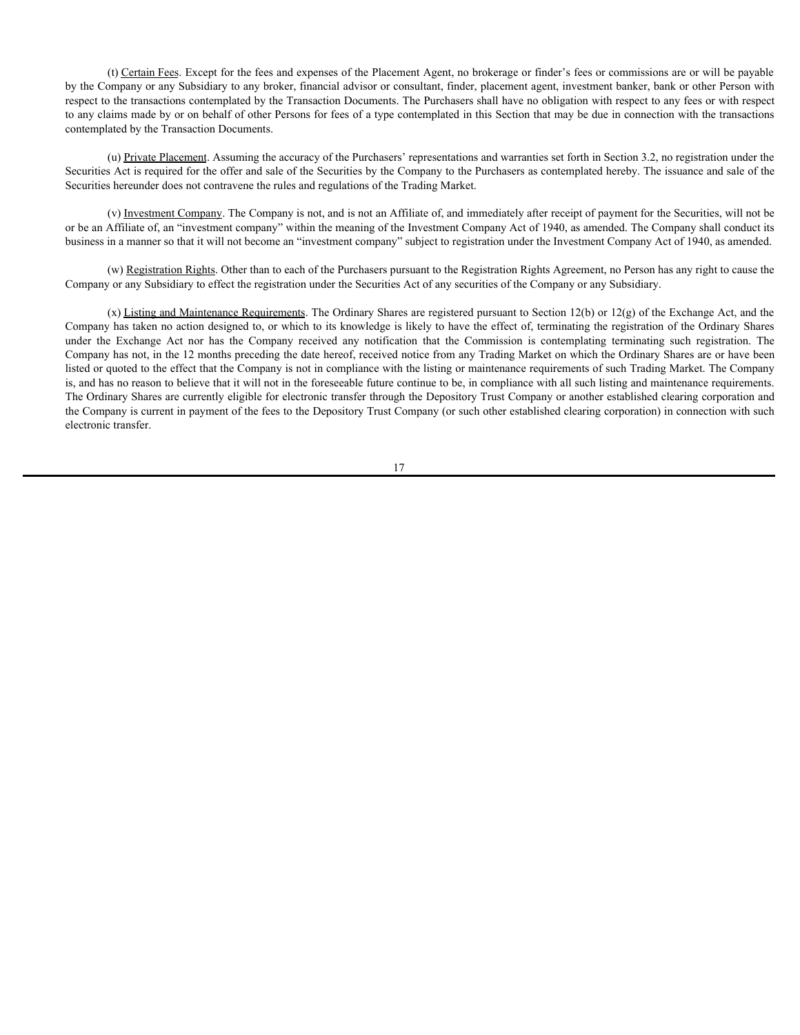(t) Certain Fees. Except for the fees and expenses of the Placement Agent, no brokerage or finder's fees or commissions are or will be payable by the Company or any Subsidiary to any broker, financial advisor or consultant, finder, placement agent, investment banker, bank or other Person with respect to the transactions contemplated by the Transaction Documents. The Purchasers shall have no obligation with respect to any fees or with respect to any claims made by or on behalf of other Persons for fees of a type contemplated in this Section that may be due in connection with the transactions contemplated by the Transaction Documents.

(u) Private Placement. Assuming the accuracy of the Purchasers' representations and warranties set forth in Section 3.2, no registration under the Securities Act is required for the offer and sale of the Securities by the Company to the Purchasers as contemplated hereby. The issuance and sale of the Securities hereunder does not contravene the rules and regulations of the Trading Market.

(v) Investment Company. The Company is not, and is not an Affiliate of, and immediately after receipt of payment for the Securities, will not be or be an Affiliate of, an "investment company" within the meaning of the Investment Company Act of 1940, as amended. The Company shall conduct its business in a manner so that it will not become an "investment company" subject to registration under the Investment Company Act of 1940, as amended.

(w) Registration Rights. Other than to each of the Purchasers pursuant to the Registration Rights Agreement, no Person has any right to cause the Company or any Subsidiary to effect the registration under the Securities Act of any securities of the Company or any Subsidiary.

(x) Listing and Maintenance Requirements. The Ordinary Shares are registered pursuant to Section 12(b) or 12(g) of the Exchange Act, and the Company has taken no action designed to, or which to its knowledge is likely to have the effect of, terminating the registration of the Ordinary Shares 10) Certain Eeas Except for the foes and expenses of the Placement Agent, no buskerage or finder's fores to commissions are to will be payable<br>by the Company or any Sabsidiany to any hooke; financial advisor or consultant, Company has not, in the 12 months preceding the date hereof, received notice from any Trading Market on which the Ordinary Shares are or have been listed or quoted to the effect that the Company is not in compliance with the listing or maintenance requirements of such Trading Market. The Company is, and has no reason to believe that it will not in the foreseeable future continue to be, in compliance with all such listing and maintenance requirements. The Ordinary Shares are currently eligible for electronic transfer through the Depository Trust Company or another established clearing corporation and the Company is current in payment of the fees to the Depository Trust Company (or such other established clearing corporation) in connection with such electronic transfer.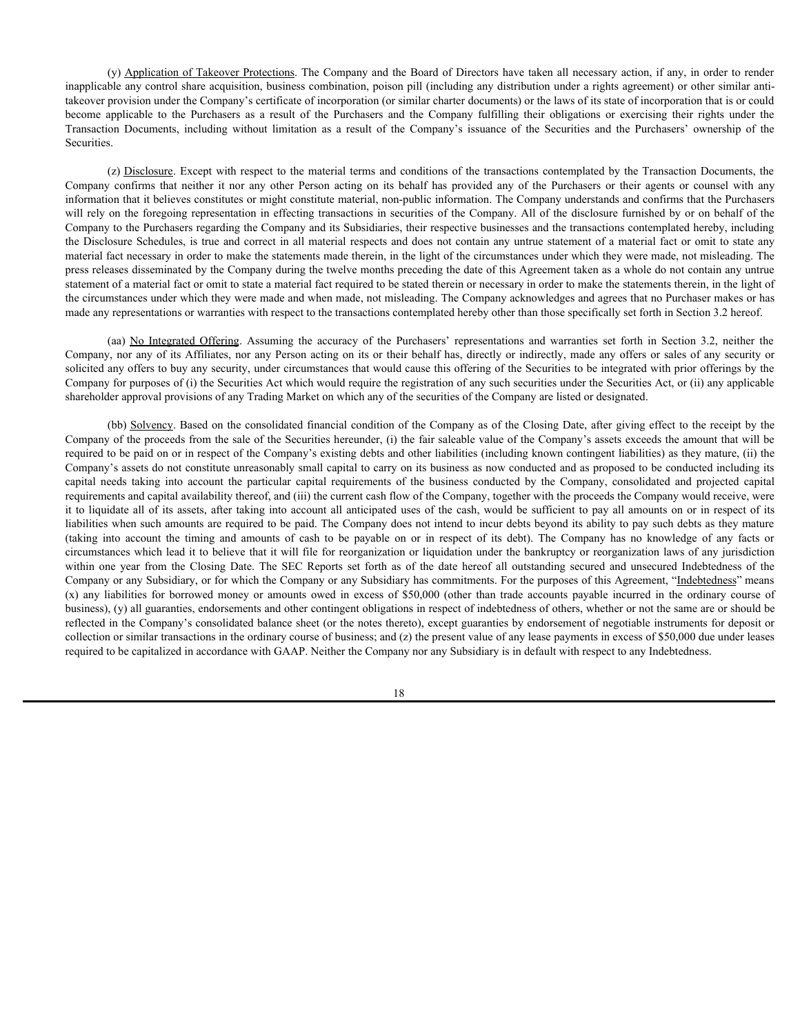(y) Application of Takeover Protections. The Company and the Board of Directors have taken all necessary action, if any, in order to render inapplicable any control share acquisition, business combination, poison pill (including any distribution under a rights agreement) or other similar antitakeover provision under the Company's certificate of incorporation (or similar charter documents) or the laws of its state of incorporation that is or could (y) Application of Takeover Protections. The Company and the Board of Directors have taken all necessary action, if any, in order to render<br>inapplicable any control share acquisition, business combination, poison pill (inc (y) Application of Takeover Protections. The Company and the Board of Directors have taken all necessary action, if any, in order to render<br>inapplicable any control share acquisition, business combination, poison pill (inc Securities.

(z) Disclosure. Except with respect to the material terms and conditions of the transactions contemplated by the Transaction Documents, the (y) <u>Application of Takeover Protections</u>. The Company and the Board of Directors have taken all necessary action, if any, in order to nender<br>inapplicable any control share acquisition, business combination, poison pill (i information that it believes constitutes or might constitute material, non-public information. The Company understands and confirms that the Purchasers will rely on the foregoing representation in effecting transactions in securities of the Company. All of the disclosure furnished by or on behalf of the Company to the Purchasers regarding the Company and its Subsidiaries, their respective businesses and the transactions contemplated hereby, including the Disclosure Schedules, is true and correct in all material respects and does not contain any untrue statement of a material fact or omit to state any material fact necessary in order to make the statements made therein, in the light of the circumstances under which they were made, not misleading. The press releases disseminated by the Company during the twelve months preceding the date of this Agreement taken as a whole do not contain any untrue statement of a material fact or omit to state a material fact required to be stated therein or necessary in order to make the statements therein, in the light of the circumstances under which they were made and when made, not misleading. The Company acknowledges and agrees that no Purchaser makes or has made any representations or warranties with respect to the transactions contemplated hereby other than those specifically set forth in Section 3.2 hereof. (c) Anglication of Takeocer Pontections The Company and the Board of Directors have taken all necessary action, if any, in order to reduce<br>be laay control alate acquisition, business combination, poison pill (including an

Company, nor any of its Affiliates, nor any Person acting on its or their behalf has, directly or indirectly, made any offers or sales of any security or solicited any offers to buy any security, under circumstances that would cause this offering of the Securities to be integrated with prior offerings by the Company for purposes of (i) the Securities Act which would require the registration of any such securities under the Securities Act, or (ii) any applicable shareholder approval provisions of any Trading Market on which any of the securities of the Company are listed or designated.

(bb) Solvency. Based on the consolidated financial condition of the Company as of the Closing Date, after giving effect to the receipt by the Company of the proceeds from the sale of the Securities hereunder, (i) the fair saleable value of the Company's assets exceeds the amount that will be required to be paid on or in respect of the Company's existing debts and other liabilities (including known contingent liabilities) as they mature, (ii) the Company's assets do not constitute unreasonably small capital to carry on its business as now conducted and as proposed to be conducted including its (s) <u>Andestinos of Takinever</u> Pratections. The Company and do Board of Drectors have taken all receivers provide the particular capital restricts considered and the conducted and the company derivation of the particular an requirements and capital availability thereof, and (iii) the current cash flow of the Company, together with the proceeds the Company would receive, were it to liquidate all of its assets, after taking into account all anticipated uses of the cash, would be sufficient to pay all amounts on or in respect of its liabilities when such amounts are required to be paid. The Company does not intend to incur debts beyond its ability to pay such debts as they mature hocount applicable to the Finchalos as a result of the Company issues of the Securities and the Parkistan into account of the timing and the timing the company issues of the Securities of the Parkistan's conversion for the circumstances which lead it to believe that it will file for reorganization or liquidation under the bankruptcy or reorganization laws of any jurisdiction Securities.<br>Securities the content of the reaction of the material energy on its behind my of the Thermasses of the Theoretics Documents, the Company content with my column content and the Company of the Theoretics secure Company or any Subsidiary, or for which the Company or any Subsidiary has commitments. For the purposes of this Agreement, "Indebtedness" means (x) linking Exterpt with respect to the money internal conditions of the transitions of the money or amounts of the money or amounts of the money or amounts of the money or amounts of the money or amounts of the behavior business), (y) all guaranties, endorsements and other contingent obligations in respect of indebtedness of others, whether or not the same are or should be reflected in the Company's consolidated balance sheet (or the notes thereto), except guaranties by endorsement of negotiable instruments for deposit or collection or similar transactions in the ordinary course of business; and (z) the present value of any lease payments in excess of \$50,000 due under leases required to be capitalized in accordance with GAAP. Neither the Company nor any Subsidiary is in default with respect to any Indebtedness.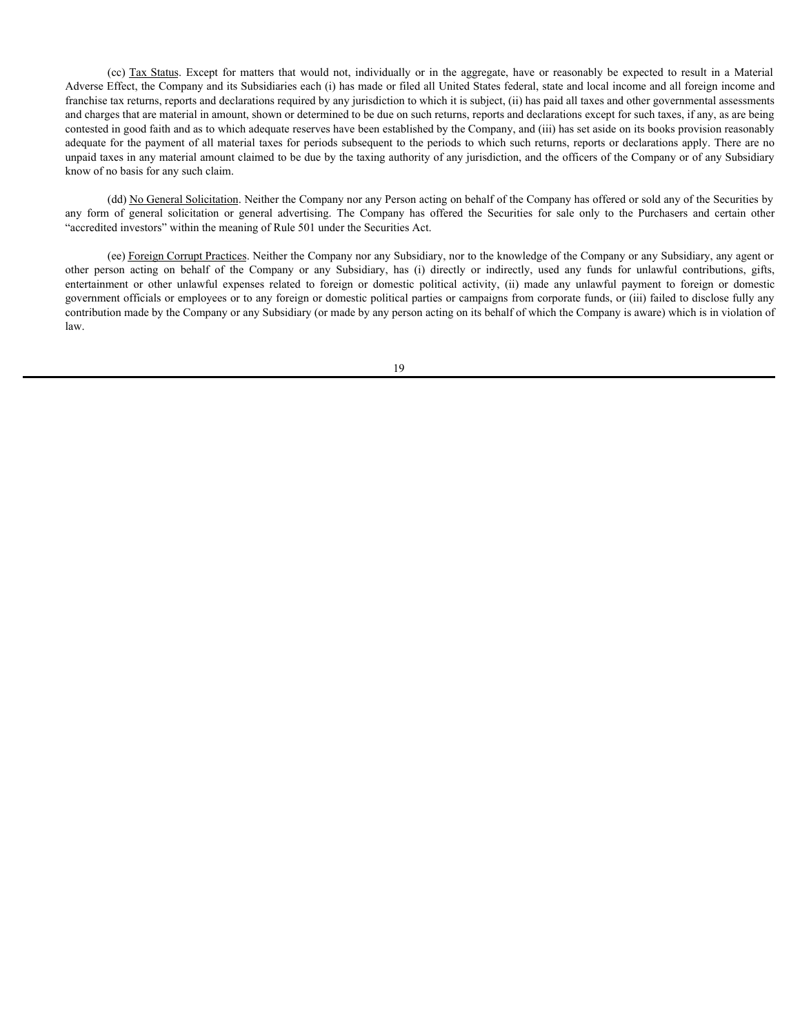(cc) <u>Tax Status</u>. Except for matters that would not, individually or in the aggregate, have or reasonably be expected to result in a Material Effect, the Company and its Subsidiaries each (i) has made or filed all United Adverse Effect, the Company and its Subsidiaries each (i) has made or filed all United States federal, state and local income and all foreign income and franchise tax returns, reports and declarations required by any jurisdiction to which it is subject, (ii) has paid all taxes and other governmental assessments and charges that are material in amount, shown or determined to be due on such returns, reports and declarations except for such taxes, if any, as are being contested in good faith and as to which adequate reserves have been established by the Company, and (iii) has set aside on its books provision reasonably adequate for the payment of all material taxes for periods subsequent to the periods to which such returns, reports or declarations apply. There are no unpaid taxes in any material amount claimed to be due by the taxing authority of any jurisdiction, and the officers of the Company or of any Subsidiary know of no basis for any such claim. (cc) <u>Tax Status</u>. Except for matters that would not, individually or in the aggregate, have or reasonably be expected to result in a Material<br>Adverse Effect, the Company and its Subsidiaries each (i) has made or filed all (cc) <u>Tax Status</u>. Except for matters that would not, individually or in the aggregate, have or reasonably be expected to result in a Material dimensione series of the Company and is Subsidiary on the Subsidiary and inclu espectively Tax Shahus Except for matters that would not, individually or in the aggregate, have or reasonably be expected to result in a Material Tarricustor, the Company and is Subsidiaries exchit (i) has made of field,

(dd) No General Solicitation. Neither the Company nor any Person acting on behalf of the Company has offered or sold any of the Securities by "accredited investors" within the meaning of Rule 501 under the Securities Act.

(ee) Foreign Corrupt Practices. Neither the Company nor any Subsidiary, nor to the knowledge of the Company or any Subsidiary, any agent or government officials or employees or to any foreign or domestic political parties or campaigns from corporate funds, or (iii) failed to disclose fully any contribution made by the Company or any Subsidiary (or made by any person acting on its behalf of which the Company is aware) which is in violation of law.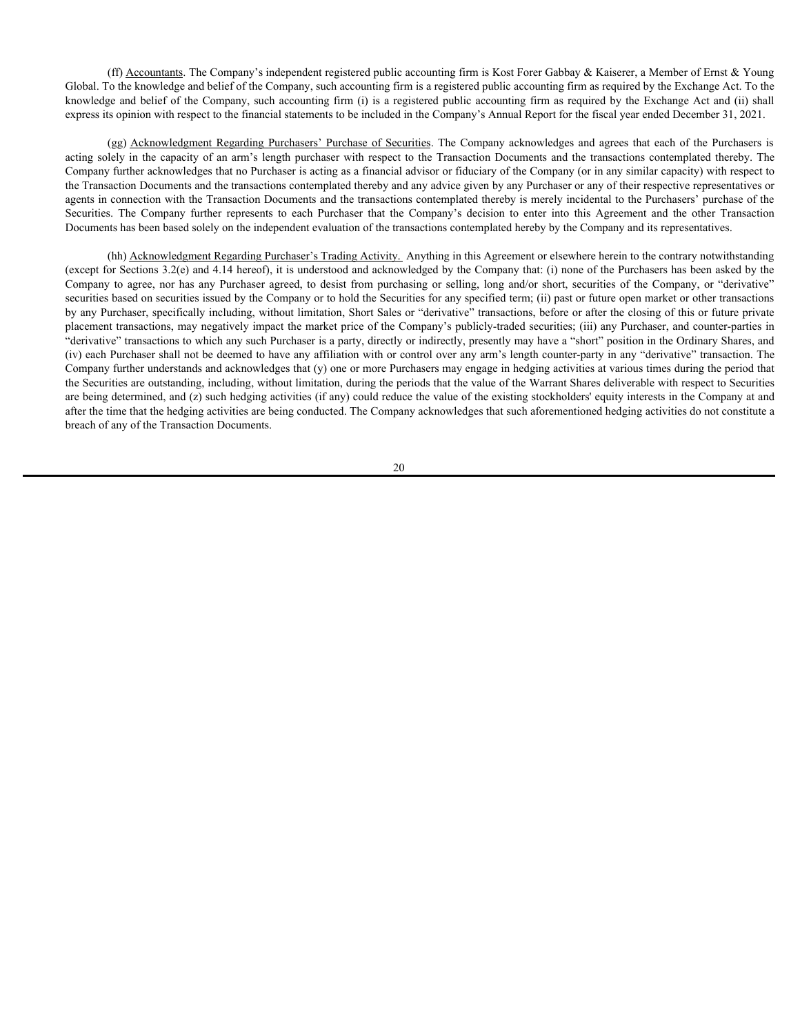(ff) Accountants. The Company's independent registered public accounting firm is Kost Forer Gabbay & Kaiserer, a Member of Ernst & Young Global. To the knowledge and belief of the Company, such accounting firm is a registered public accounting firm as required by the Exchange Act. To the knowledge and belief of the Company, such accounting firm (i) is a registered public accounting firm as required by the Exchange Act and (ii) shall express its opinion with respect to the financial statements to be included in the Company's Annual Report for the fiscal year ended December 31, 2021.

(ff) Accountants. The Company's independent registered public accounting firm is Kost Forer Gabbay & Kaiserer, a Member of Emst & Young othe knowledge and beilef of the Company, such accounting firm is in agrestered publi (ff) Accountants. The Company's independent registered public accounting firm is Kost Forer Gabbay & Kaiserer, a Member of Emst & Young<br>
Global. To the knowledge and belief of the Company, such accounting firm is a regist Company further acknowledges that no Purchaser is acting as a financial advisor or fiduciary of the Company (or in any similar capacity) with respect to the Transaction Documents and the transactions contemplated thereby and any advice given by any Purchaser or any of their respective representatives or agents in connection with the Transaction Documents and the transactions contemplated thereby is merely incidental to the Purchasers' purchase of the (ff) Accountants. The Company's independent registered public accounting firm is Kost Forer Gabbay & Kaiserer, a Member of Emst & Young<br>Global. To the knowledge and belief of the Company, such accounting firm is a registe Documents has been based solely on the independent evaluation of the transactions contemplated hereby by the Company and its representatives.

(hh) Acknowledgment Regarding Purchaser's Trading Activity. Anything in this Agreement or elsewhere herein to the contrary notwithstanding (except for Sections 3.2(e) and 4.14 hereof), it is understood and acknowledged by the Company that: (i) none of the Purchasers has been asked by the (ff) <u>Accountants</u>. The Company's independent registered public accounting firm is Kost Forer Gabbay & Kaiserer, a Member of Frank & Young<br>Clobal. To be knowledge and belief of the Company, such accounting firm is a regist securities based on securities issued by the Company or to hold the Securities for any specified term; (ii) past or future open market or other transactions by any Purchaser, specifically including, without limitation, Short Sales or "derivative" transactions, before or after the closing of this or future private placement transactions, may negatively impact the market price of the Company's publicly-traded securities; (iii) any Purchaser, and counter-parties in "derivative" transactions to which any such Purchaser is a party, directly or indirectly, presently may have a "short" position in the Ordinary Shares, and (iv) each Purchaser shall not be deemed to have any affiliation with or control over any arm's length counter-party in any "derivative" transaction. The Company further understands and acknowledges that (y) one or more Purchasers may engage in hedging activities at various times during the period that the Securities are outstanding, including, without limitation, during the periods that the value of the Warrant Shares deliverable with respect to Securities are being determined, and (z) such hedging activities (if any) could reduce the value of the existing stockholders' equity interests in the Company at and after the time that the hedging activities are being conducted. The Company acknowledges that such aforementioned hedging activities do not constitute a breach of any of the Transaction Documents.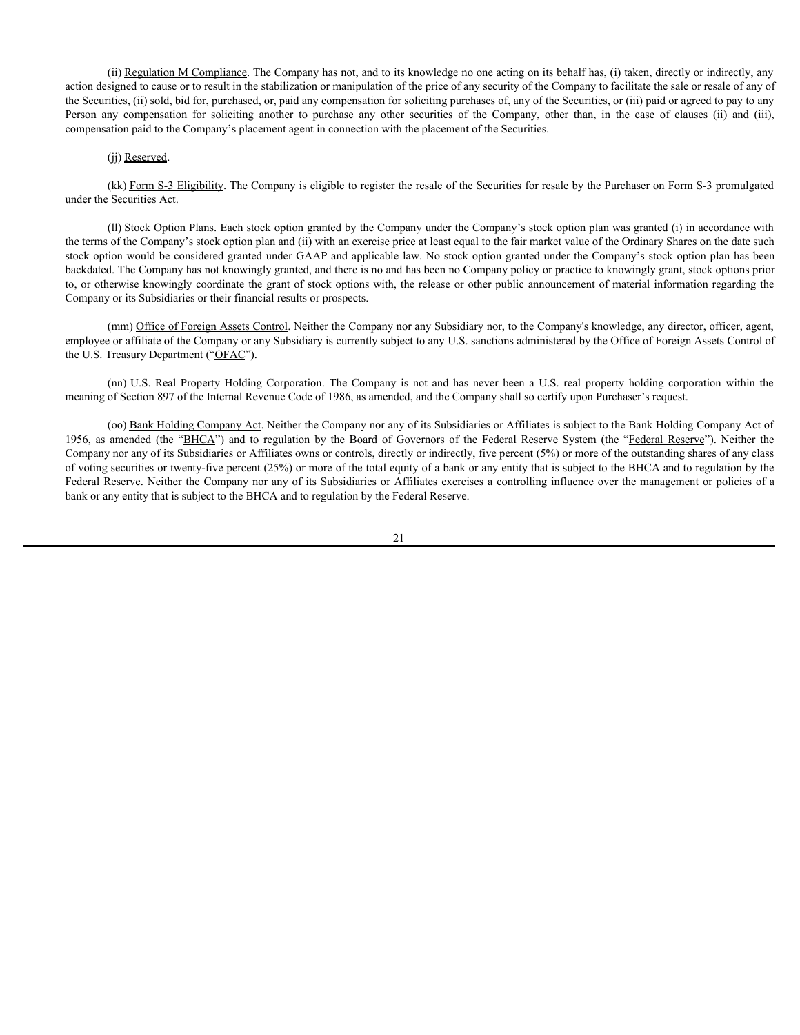(ii) Regulation M Compliance. The Company has not, and to its knowledge no one acting on its behalf has, (i) taken, directly or indirectly, any action designed to cause or to result in the stabilization or manipulation of the price of any security of the Company to facilitate the sale or resale of any of the Securities, (ii) sold, bid for, purchased, or, paid any compensation for soliciting purchases of, any of the Securities, or (iii) paid or agreed to pay to any (ii) <u>Regulation M Compliance</u>. The Company has not, and to its knowledge no one acting on its behalf has, (i) taken, directly or indirectly, any action designed to cause or to result in the stabilization or manipulation o compensation paid to the Company's placement agent in connection with the placement of the Securities.

#### (jj) Reserved.

(kk) Form S-3 Eligibility. The Company is eligible to register the resale of the Securities for resale by the Purchaser on Form S-3 promulgated under the Securities Act.

(ll) Stock Option Plans. Each stock option granted by the Company under the Company's stock option plan was granted (i) in accordance with the terms of the Company's stock option plan and (ii) with an exercise price at least equal to the fair market value of the Ordinary Shares on the date such stock option would be considered granted under GAAP and applicable law. No stock option granted under the Company's stock option plan has been backdated. The Company has not knowingly granted, and there is no and has been no Company policy or practice to knowingly grant, stock options prior to, or otherwise knowingly coordinate the grant of stock options with, the release or other public announcement of material information regarding the Company or its Subsidiaries or their financial results or prospects. (ii) Regulation M Compliance. The Company has not, and to its knowledge no one acting on its behalf has, (i) taken, directly or indirectly, any signed to case or to result in the stabilization or manipulation of the price 1918 Burstiania M.Complanes The Company lass not, and to its transferige rot our acting on the behalf heat, (i) is the mediation of the Reserve Company is factorized to regulate the state of the Secondary of the Company is

(mm) Office of Foreign Assets Control. Neither the Company nor any Subsidiary nor, to the Company's knowledge, any director, officer, agent, employee or affiliate of the Company or any Subsidiary is currently subject to any U.S. sanctions administered by the Office of Foreign Assets Control of the U.S. Treasury Department ("OFAC").

meaning of Section 897 of the Internal Revenue Code of 1986, as amended, and the Company shall so certify upon Purchaser's request.

(oo) Bank Holding Company Act. Neither the Company nor any of its Subsidiaries or Affiliates is subject to the Bank Holding Company Act of Company nor any of its Subsidiaries or Affiliates owns or controls, directly or indirectly, five percent (5%) or more of the outstanding shares of any class of voting securities or twenty-five percent (25%) or more of the total equity of a bank or any entity that is subject to the BHCA and to regulation by the Federal Reserve. Neither the Company nor any of its Subsidiaries or Affiliates exercises a controlling influence over the management or policies of a bank or any entity that is subject to the BHCA and to regulation by the Federal Reserve.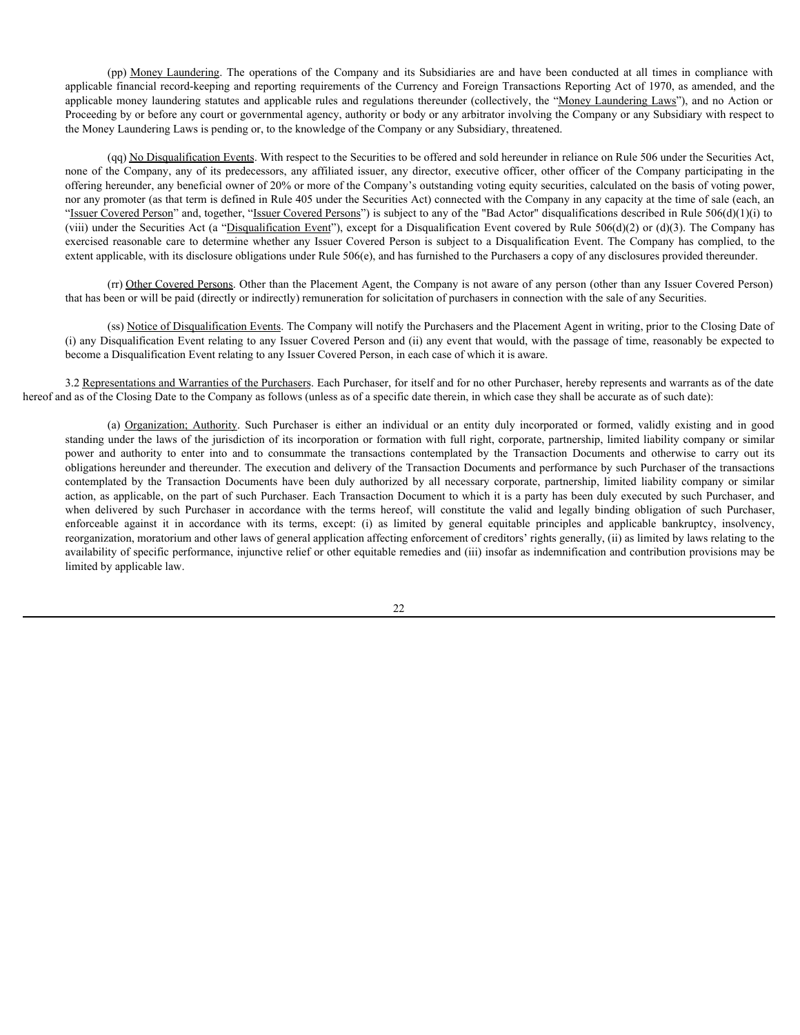(pp) <u>Money Laundering</u>. The operations of the Company and its Subsidiaries are and have been conducted at all times in compliance with e financial record-keeping and reporting requirements of the Currency and Foreign Tran applicable financial record-keeping and reporting requirements of the Currency and Foreign Transactions Reporting Act of 1970, as amended, and the applicable money laundering statutes and applicable rules and regulations thereunder (collectively, the "Money Laundering Laws"), and no Action or Proceeding by or before any court or governmental agency, authority or body or any arbitrator involving the Company or any Subsidiary with respect to the Money Laundering Laws is pending or, to the knowledge of the Company or any Subsidiary, threatened.

(qq) No Disqualification Events. With respect to the Securities to be offered and sold hereunder in reliance on Rule 506 under the Securities Act, (pp) <u>Monev Laundering</u>. The operations of the Company and its Subsidiaries are and have been conducted at all times in compliance with<br>applicable financial record-keeping and reporting requirements of the Currency and Fo offering hereunder, any beneficial owner of 20% or more of the Company's outstanding voting equity securities, calculated on the basis of voting power, nor any promoter (as that term is defined in Rule 405 under the Securities Act) connected with the Company in any capacity at the time of sale (each, an "Issuer Covered Person" and, together, "Issuer Covered Persons") is subject to any of the "Bad Actor" disqualifications described in Rule  $506(d)(1)(i)$  to (viii) under the Securities Act (a "Disqualification Event"), except for a Disqualification Event covered by Rule  $506(d)(2)$  or (d)(3). The Company has exercised reasonable care to determine whether any Issuer Covered Person is subject to a Disqualification Event. The Company has complied, to the extent applicable, with its disclosure obligations under Rule 506(e), and has furnished to the Purchasers a copy of any disclosures provided thereunder.

(rr) Other Covered Persons. Other than the Placement Agent, the Company is not aware of any person (other than any Issuer Covered Person) that has been or will be paid (directly or indirectly) remuneration for solicitation of purchasers in connection with the sale of any Securities.

(ss) Notice of Disqualification Events. The Company will notify the Purchasers and the Placement Agent in writing, prior to the Closing Date of (i) any Disqualification Event relating to any Issuer Covered Person and (ii) any event that would, with the passage of time, reasonably be expected to become a Disqualification Event relating to any Issuer Covered Person, in each case of which it is aware.

3.2 Representations and Warranties of the Purchasers. Each Purchaser, for itself and for no other Purchaser, hereby represents and warrants as of the date hereof and as of the Closing Date to the Company as follows (unless as of a specific date therein, in which case they shall be accurate as of such date):

(pp) Meacy Lanadezing. The operations of the Company and its Subsidincies are and have been conducted at all times in compliance with compliance with compliance incorporation and equitaristic and equitaristic and equitaris standing under the laws of the jurisdiction of its incorporation or formation with full right, corporate, partnership, limited liability company or similar position and the mean into and the consumer and its consumer and the consumer and the consumer and authorities to enter the consumer and the transactions positive the transactions of the transaction Documents and the consu obligations hereunder and thereunder. The execution and delivery of the Transaction Documents and performance by such Purchaser of the transactions (pp) Menex Langdeing. The operations of the Company and its Substitutes are and law been contained and proportion proportion of the Company regristering A of 1970, as a medical and the proportion of the Company Repeated an action, as applicable, on the part of such Purchaser. Each Transaction Document to which it is a party has been duly executed by such Purchaser, and application function is readyng and reporting reading requirements of the Currency and freedomic Report Transaction According According According to 1970, as a membed, and the constitute of the valid and the constitute th applicate notion by the thermatic again to principles it in accordance (with the principles and the station of the station of the station of the station of the station of the station of the station of the station of the s reorganization, moratorium and other laws of general application affecting enforcement of creditors' rights generally, (ii) as limited by laws relating to the availability of specific performance, injunctive relief or other equitable remedies and (iii) insofar as indemnification and contribution provisions may be limited by applicable law.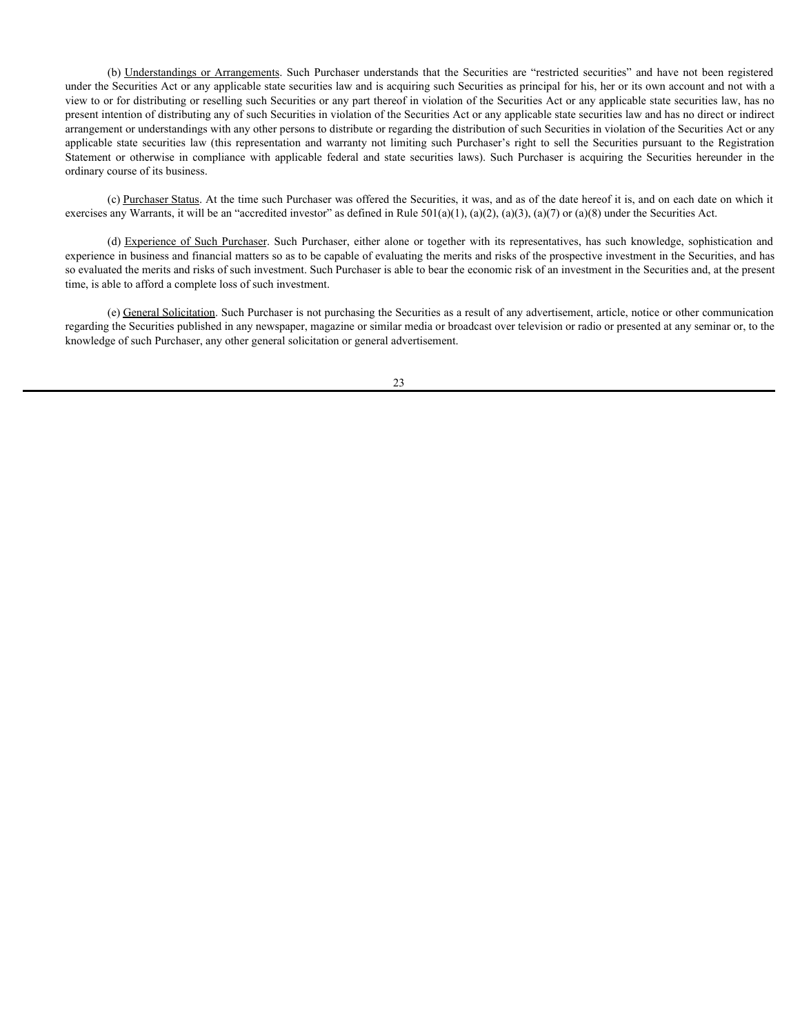(b) <u>Understandings or Arrangements</u>. Such Purchaser understands that the Securities are "restricted securities" and have not been registered Securities Act or any applicable state securities are more to the Securities or under the Securities Act or any applicable state securities law and is acquiring such Securities as principal for his, her or its own account and not with a view to or for distributing or reselling such Securities or any part thereof in violation of the Securities Act or any applicable state securities law, has no present intention of distributing any of such Securities in violation of the Securities Act or any applicable state securities law and has no direct or indirect arrangement or understandings with any other persons to distribute or regarding the distribution of such Securities in violation of the Securities Act or any (b) <u>Understandings or Arrangements</u>. Such Purchaser understands that the Securities are "restricted securities" and have not been registered<br>under the Securities Act or any applicable state securities raw and is acquirin (b) Understandings or Arrangements. Such Purchaser understands that the Securities are "restricted securities" and have not been registered under the Securities Act or any applicable state securities law and is acquiring ordinary course of its business. (b) <u>Understandings or Arrangements</u>. Such Purchaser understands that the Securities are "restricted securities" and have not been registered scentiles Are or any applicable state securities Are or any applicable state se

(c) Purchaser Status. At the time such Purchaser was offered the Securities, it was, and as of the date hereof it is, and on each date on which it exercises any Warrants, it will be an "accredited investor" as defined in Rule  $501(a)(1)$ ,  $(a)(2)$ ,  $(a)(3)$ ,  $(a)(7)$  or  $(a)(8)$  under the Securities Act.

experience in business and financial matters so as to be capable of evaluating the merits and risks of the prospective investment in the Securities, and has so evaluated the merits and risks of such investment. Such Purchaser is able to bear the economic risk of an investment in the Securities and, at the present time, is able to afford a complete loss of such investment.

(e) General Solicitation. Such Purchaser is not purchasing the Securities as a result of any advertisement, article, notice or other communication regarding the Securities published in any newspaper, magazine or similar media or broadcast over television or radio or presented at any seminar or, to the knowledge of such Purchaser, any other general solicitation or general advertisement.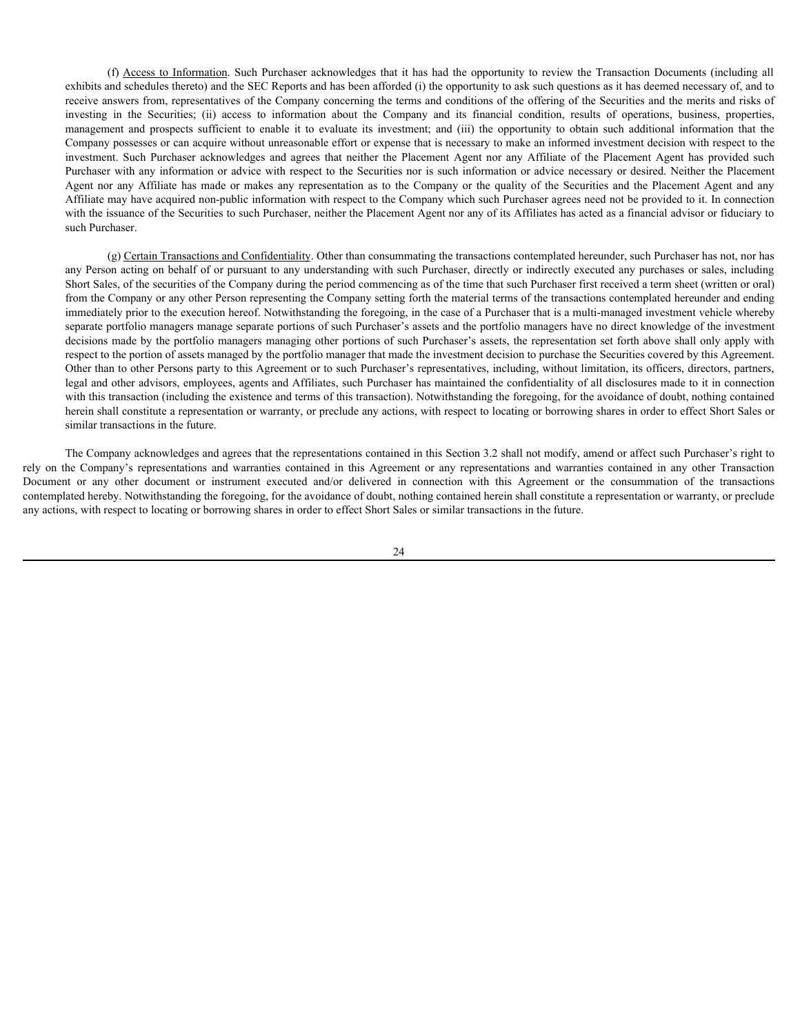(f)  $\Delta$ cecess to Information. Such Purchaser acknowledges that it has had the opportunity to review the Transaction Documents (including all on diverse in a step of the SEC Reports and has been afforded (i) the opportuni exhibits and schedules thereto) and the SEC Reports and has been afforded (i) the opportunity to ask such questions as it has deemed necessary of, and to receive answers from, representatives of the Company concerning the terms and conditions of the offering of the Securities and the merits and risks of (f) Access to Information. Such Purchaser acknowledges that it has had the opportunity to review the Transaction Documents (including all exhibits and schedules thereto) and the SEC Reports and has been afforded (i) the op (f) Access to Information. Such Purchaser acknowledges that it has had the opportunity to review the Transaction Documents (including all exhibits and schedules threto) and the SEC Reports and has been afforded (i) the opp Company possesses or can acquire without unreasonable effort or expense that is necessary to make an informed investment decision with respect to the (f)  $\Delta \cscss$  to Information. Such Purchaser acknowledges that it has had the opportunity to review the Transaction Documents (including all<br>exhibits and schedules thereto) and the SEC Reports and has been afforded (i) the Purchaser with any information or advice with respect to the Securities nor is such information or advice necessary or desired. Neither the Placement (f)  $\Delta \text{ccesss}$  to Information. Such Purchaser acknowledges that it has had the opportunity to review the Transaction Documents (including all<br>exchitists and schedules thereto) and the SEC Reports and has been afforded (i Affiliate may have acquired non-public information with respect to the Company which such Purchaser agrees need not be provided to it. In connection with the issuance of the Securities to such Purchaser, neither the Placement Agent nor any of its Affiliates has acted as a financial advisor or fiduciary to such Purchaser.

(g) Certain Transactions and Confidentiality. Other than consummating the transactions contemplated hereunder, such Purchaser has not, nor has any Person acting on behalf of or pursuant to any understanding with such Purchaser, directly or indirectly executed any purchases or sales, including Short Sales, of the securities of the Company during the period commencing as of the time that such Purchaser first received a term sheet (written or oral) from the Company or any other Person representing the Company setting forth the material terms of the transactions contemplated hereunder and ending immediately prior to the execution hereof. Notwithstanding the foregoing, in the case of a Purchaser that is a multi-managed investment vehicle whereby separate portfolio managers manage separate portions of such Purchaser's assets and the portfolio managers have no direct knowledge of the investment decisions made by the portfolio managers managing other portions of such Purchaser's assets, the representation set forth above shall only apply with respect to the portion of assets managed by the portfolio manager that made the investment decision to purchase the Securities covered by this Agreement. Other than to other Persons party to this Agreement or to such Purchaser's representatives, including, without limitation, its officers, directors, partners, legal and other advisors, employees, agents and Affiliates, such Purchaser has maintained the confidentiality of all disclosures made to it in connection with this transaction (including the existence and terms of this transaction). Notwithstanding the foregoing, for the avoidance of doubt, nothing contained herein shall constitute a representation or warranty, or preclude any actions, with respect to locating or borrowing shares in order to effect Short Sales or similar transactions in the future. rely (0)  $\Delta$ cocar to have a state of the Company of the Company of the Company of the Company of the Company of the Company of the Company of the Company of the Company of the Company of the Company of the Company of the On the consumer or the formation Such Purchase actioned that this bad the opportunity to review the Transaction Distance and the consumer or the connection or instruction and the connection or instrument or instructions a

The Company acknowledges and agrees that the representations contained in this Section 3.2 shall not modify, amend or affect such Purchaser's right to contemplated hereby. Notwithstanding the foregoing, for the avoidance of doubt, nothing contained herein shall constitute a representation or warranty, or preclude any actions, with respect to locating or borrowing shares in order to effect Short Sales or similar transactions in the future.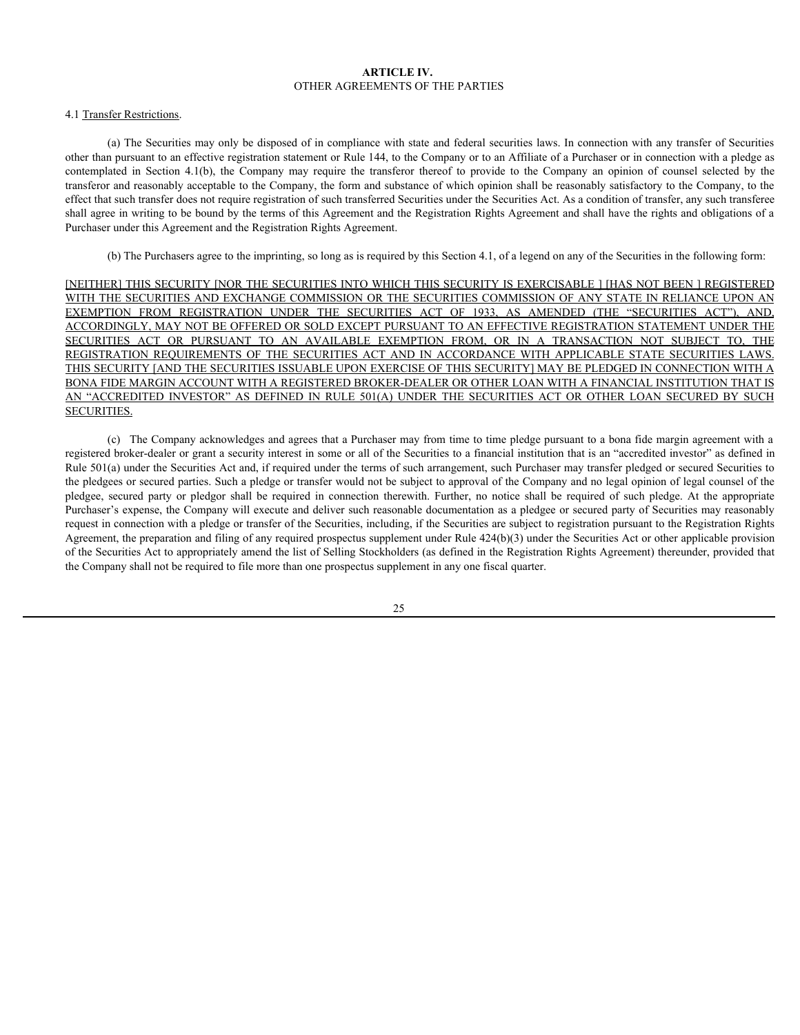## **ARTICLE IV.** OTHER AGREEMENTS OF THE PARTIES

# 4.1 Transfer Restrictions.

(a) The Securities may only be disposed of in compliance with state and federal securities laws. In connection with any transfer of Securities other than pursuant to an effective registration statement or Rule 144, to the Company or to an Affiliate of a Purchaser or in connection with a pledge as **COLUME A CONTENT ARTICLE IV.**<br>
(a) The Securities may only be disposed of in compliance with state and federal securities laws. In connection with any transfer of Securities<br>
tother than pursuant to an effective registrat transferor and reasonably acceptable to the Company, the form and substance of which opinion shall be reasonably satisfactory to the Company, to the effect that such transfer does not require registration of such transferred Securities under the Securities Act. As a condition of transfer, any such transferee shall agree in writing to be bound by the terms of this Agreement and the Registration Rights Agreement and shall have the rights and obligations of a Purchaser under this Agreement and the Registration Rights Agreement.

(b) The Purchasers agree to the imprinting, so long as is required by this Section 4.1, of a legend on any of the Securities in the following form:

[NEITHER] THIS SECURITY [NOR THE SECURITIES INTO WHICH THIS SECURITY IS EXERCISABLE ] [HAS NOT BEEN ] REGISTERED WITH THE SECURITIES AND EXCHANGE COMMISSION OR THE SECURITIES COMMISSION OF ANY STATE IN RELIANCE UPON AN **ARTICLE IV.** OTHER AGREEMENTS OF THE PARTIES AS A mometion with sum turns of of Securities (a) The Securities (a) The PARTICLE IV. The PARTICLE INTERFECT INTERFECT INTERFECT INTERFECT INTERFECT INTERFECT INTERFECT INTERF ACCORDINGLY, MAY NOT BE OFFERED OR SOLD EXCEPT PURSUANT TO AN EFFECTIVE REGISTRATION STATEMENT UNDER THE **ARTICLE IV.**<br> **STHER AGREEMENTS OF THE PARTIES**<br>
(a) The Securities may only be disposed of in compliance with state and federal securities laws. In connection with any transfer of Securities<br>
behct fuln pursuant to an e **ARTICLE IV.**<br>
(a) The Securities may only be disposed of in compliance with state and federal securities laws. In connection with any transfer of Securities connections.<br>
Hence than present to an different transfer densi THIS SECURITY [AND THE SECURITIES ISSUABLE UPON EXERCISE OF THIS SECURITY] MAY BE PLEDGED IN CONNECTION WITH A BONA FIDE MARGIN ACCOUNT WITH A REGISTERED BROKER-DEALER OR OTHER LOAN WITH A FINANCIAL INSTITUTION THAT IS **ARTICLE IV.**<br> **ARTICLE IV.**<br>
(a) The Societies rany only be disposed of an conglising worth ease and foleral securities laws. In consistent on the angular seconds of the company of the seconds in the second in the second SECURITIES.

(c) The Company acknowledges and agrees that a Purchaser may from time to time pledge pursuant to a bona fide margin agreement with a registered broker-dealer or grant a security interest in some or all of the Securities to a financial institution that is an "accredited investor" as defined in Rule 501(a) under the Securities Act and, if required under the terms of such arrangement, such Purchaser may transfer pledged or secured Securities to the pledgees or secured parties. Such a pledge or transfer would not be subject to approval of the Company and no legal opinion of legal counsel of the 41 Transfer Restrictions<br>
(OTHER AGRIENIENTS) OF THE PARTIES Results is an incomediate subsequent of the approximate shall be required in the propriate shall be required in the propriate shall be required in Secured in co Purchaser's expense, the Company will execute and deliver such reasonable documentation as a pledgee or secured party of Securities may reasonably request in connection with a pledge or transfer of the Securities, including, if the Securities are subject to registration pursuant to the Registration Rights Agreement, the preparation and filing of any required prospectus supplement under Rule 424(b)(3) under the Securities Act or other applicable provision of the Securities Act to appropriately amend the list of Selling Stockholders (as defined in the Registration Rights Agreement) thereunder, provided that the Company shall not be required to file more than one prospectus supplement in any one fiscal quarter.

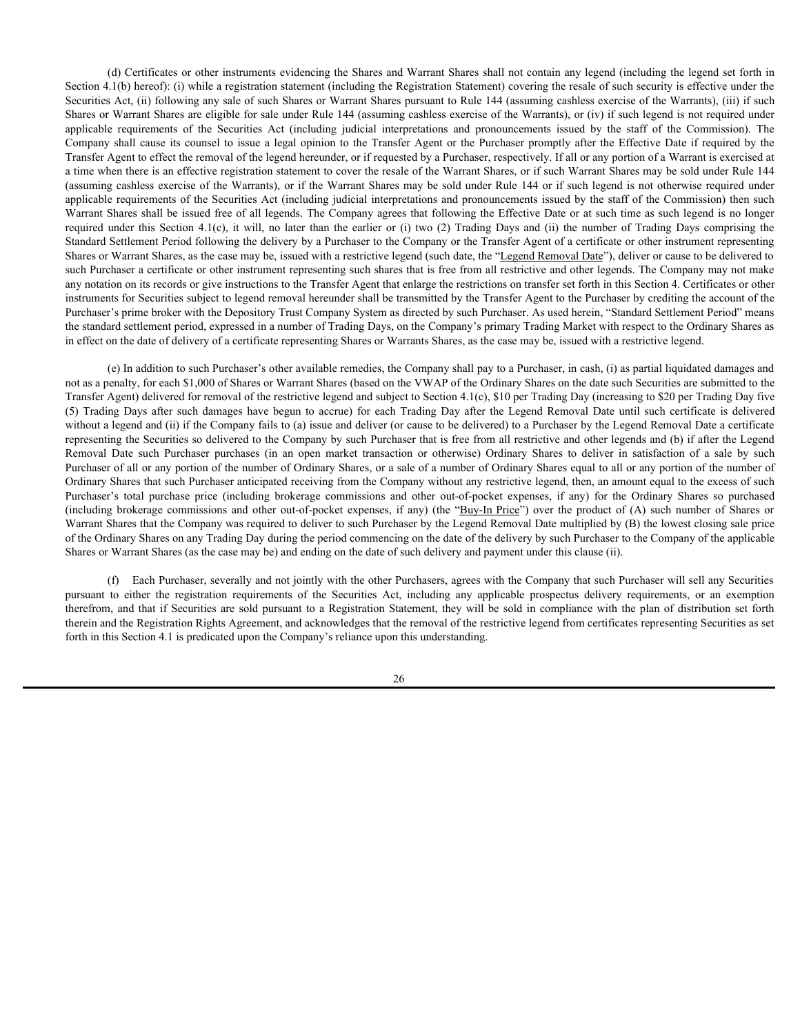(d) Certificates or other instruments evidencing the Shares and Warrant Shares shall not contain any legend (including the legend set forth in Section 4.1(b) hereof): (i) while a registration statement (including the Registration Statement) covering the resale of such security is effective under the Securities Act, (ii) following any sale of such Shares or Warrant Shares pursuant to Rule 144 (assuming cashless exercise of the Warrants), (iii) if such Shares or Warrant Shares are eligible for sale under Rule 144 (assuming cashless exercise of the Warrants), or (iv) if such legend is not required under (d) Certificates or other instruments evidencing the Shares and Warrant Shares shall not contain any legend (including the legend set forth in Securion 4.1(b) hereof): (i) while a registration statement (including the Reg (d) Certificates or other instruments evidencing the Shares and Warrant Shares shall not contain any legend (including the legend set forth in Securities Act, (ii) following any sale of such Shares or Warrant Shares pursu Transfer Agent to effect the removal of the legend hereunder, or if requested by a Purchaser, respectively. If all or any portion of a Warrant is exercised at a time when there is an effective registration statement to cover the resale of the Warrant Shares, or if such Warrant Shares may be sold under Rule 144 (assuming cashless exercise of the Warrants), or if the Warrant Shares may be sold under Rule 144 or if such legend is not otherwise required under applicable requirements of the Securities Act (including judicial interpretations and pronouncements issued by the staff of the Commission) then such Warrant Shares shall be issued free of all legends. The Company agrees that following the Effective Date or at such time as such legend is no longer (d) Certificates or other instruments evidencing the Shares and Warrant Shares shall not contain any legend (including the legend set forth in Securities Act. (ii) blowe). (i) which is registration statement (including th Standard Settlement Period following the delivery by a Purchaser to the Company or the Transfer Agent of a certificate or other instrument representing Shares or Warrant Shares, as the case may be, issued with a restrictive legend (such date, the "Legend Removal Date"), deliver or cause to be delivered to such Purchaser a certificate or other instrument representing such shares that is free from all restrictive and other legends. The Company may not make any notation on its records or give instructions to the Transfer Agent that enlarge the restrictions on transfer set forth in this Section 4. Certificates or other instruments for Securities subject to legend removal hereunder shall be transmitted by the Transfer Agent to the Purchaser by crediting the account of the Purchaser's prime broker with the Depository Trust Company System as directed by such Purchaser. As used herein, "Standard Settlement Period" means the standard settlement period, expressed in a number of Trading Days, on the Company's primary Trading Market with respect to the Ordinary Shares as in effect on the date of delivery of a certificate representing Shares or Warrants Shares, as the case may be, issued with a restrictive legend. (6) Cerificates or other instruments evidencing the Shares and Warnan Shares shall act comini any legend (including the legend act forth in Section 4.1(b) hereofs; (i) while a registration statement including the Registra EQ Confinens or other instruments oridencing the Sharce and Warrant Sharce hall not coming any become diversions of the rest of the coming original original original original original original original original original o (6) certificates or education to the minimal or the Shares and Maria Shares so purchase price (enter the Commissions and the Commissions and the Commissions and the Commissions and the Ordinary purchase commissions and (in Section 4. (ii) between the statistics and the Residention Statistics and other (including the Residention Statistics and other out-of-pocket expenses (ii) is distantioned to the Shares or Warrant Statistics and New Yorket

(e) In addition to such Purchaser's other available remedies, the Company shall pay to a Purchaser, in cash, (i) as partial liquidated damages and not as a penalty, for each \$1,000 of Shares or Warrant Shares (based on the VWAP of the Ordinary Shares on the date such Securities are submitted to the Transfer Agent) delivered for removal of the restrictive legend and subject to Section 4.1(c), \$10 per Trading Day (increasing to \$20 per Trading Day five without a legend and (ii) if the Company fails to (a) issue and deliver (or cause to be delivered) to a Purchaser by the Legend Removal Date a certificate representing the Securities so delivered to the Company by such Purchaser that is free from all restrictive and other legends and (b) if after the Legend Purchaser of all or any portion of the number of Ordinary Shares, or a sale of a number of Ordinary Shares equal to all or any portion of the number of Ordinary Shares that such Purchaser anticipated receiving from the Company without any restrictive legend, then, an amount equal to the excess of such Warrant Shares that the Company was required to deliver to such Purchaser by the Legend Removal Date multiplied by (B) the lowest closing sale price of the Ordinary Shares on any Trading Day during the period commencing on the date of the delivery by such Purchaser to the Company of the applicable Shares or Warrant Shares (as the case may be) and ending on the date of such delivery and payment under this clause (ii). at the summaristeney receive pursuant to either the Securities and the Securities Act is also when the registration respectively. The securities Act is also when the securities Actual including helicities Company is solid (saming exakins or dist Warn) is a Warn in the Unit of New York is the Real and the Real bit is stated to a Warnes (see the Real and the Warnes Statement is stated to a Real bit is stated to a Real bit stated bit be sold

(f) Each Purchaser, severally and not jointly with the other Purchasers, agrees with the Company that such Purchaser will sell any Securities therein and the Registration Rights Agreement, and acknowledges that the removal of the restrictive legend from certificates representing Securities as set forth in this Section 4.1 is predicated upon the Company's reliance upon this understanding.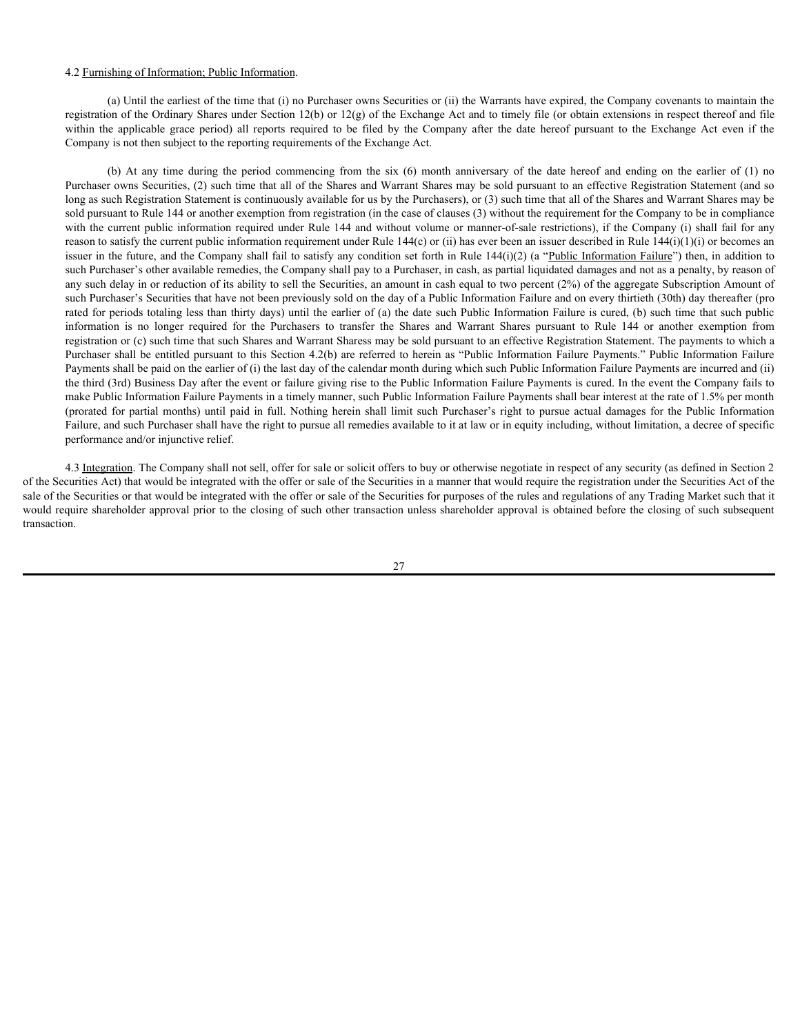#### 4.2 Furnishing of Information; Public Information.

(a) Until the earliest of the time that (i) no Purchaser owns Securities or (ii) the Warrants have expired, the Company covenants to maintain the registration of the Ordinary Shares under Section 12(b) or 12(g) of the Exchange Act and to timely file (or obtain extensions in respect thereof and file Company is not then subject to the reporting requirements of the Exchange Act.

4.2 <u>Furnishing of Information; Public Information</u>.<br>
(a) Until the earliest of the time that (i) no Purchaser owns Securities or (ii) the Warrants have expired, the Company covenants to maintain the registration of the Or shing of Information; Public Information.<br>
(a) Uniti the earliest of the time that (i) no Purchaser owns Securities or (ii) the Warrants have expired, the Company covenants to maintain the<br>
on of the Ordinary Shares under Purchaser owns Securities, (2) such time that all of the Shares and Warrant Shares may be sold pursuant to an effective Registration Statement (and so long as such Registration Statement is continuously available for us by the Purchasers), or (3) such time that all of the Shares and Warrant Shares may be sold pursuant to Rule 144 or another exemption from registration (in the case of clauses (3) without the requirement for the Company to be in compliance with the current public information required under Rule 144 and without volume or manner-of-sale restrictions), if the Company (i) shall fail for any reason to satisfy the current public information requirement under Rule 144(c) or (ii) has ever been an issuer described in Rule 144(i)(1)(i) or becomes an issuer in the future, and the Company shall fail to satisfy any condition set forth in Rule 144(i)(2) (a "Public Information Failure") then, in addition to such Purchaser's other available remedies, the Company shall pay to a Purchaser, in cash, as partial liquidated damages and not as a penalty, by reason of any such delay in or reduction of its ability to sell the Securities, an amount in cash equal to two percent (2%) of the aggregate Subscription Amount of such Purchaser's Securities that have not been previously sold on the day of a Public Information Failure and on every thirtieth (30th) day thereafter (pro rated for periods totaling less than thirty days) until the earlier of (a) the date such Public Information Failure is cured, (b) such time that such public 42 <u>Furnishing of Information. Public Information.</u><br>(a) Unit he calvet of the forme that (i) no Purchaser owes Securities or (ii) the Warrant have expied, the Company ences and the Shares the Purchase required for the form registration or (c) such time that such Shares and Warrant Sharess may be sold pursuant to an effective Registration Statement. The payments to which a Purchaser shall be entitled pursuant to this Section 4.2(b) are referred to herein as "Public Information Failure Payments." Public Information Failure Payments shall be paid on the earlier of (i) the last day of the calendar month during which such Public Information Failure Payments are incurred and (ii) the third (3rd) Business Day after the event or failure giving rise to the Public Information Failure Payments is cured. In the event the Company fails to make Public Information Failure Payments in a timely manner, such Public Information Failure Payments shall bear interest at the rate of 1.5% per month 42 Fundshing of Information: Public Information.<br>
(a) Until the entirest of the time that (i) so Parthuser owns Securities or (i) the Winnuts have expired, the Company covenants to marking the partial months (ii) are appl Failure, and such Purchaser shall have the right to pursue all remedies available to it at law or in equity including, without limitation, a decree of specific performance and/or injunctive relief.

4.3 Integration. The Company shall not sell, offer for sale or solicit offers to buy or otherwise negotiate in respect of any security (as defined in Section 2 of the Securities Act) that would be integrated with the offer or sale of the Securities in a manner that would require the registration under the Securities Act of the sale of the Securities or that would be integrated with the offer or sale of the Securities for purposes of the rules and regulations of any Trading Market such that it would require shareholder approval prior to the closing of such other transaction unless shareholder approval is obtained before the closing of such subsequent transaction.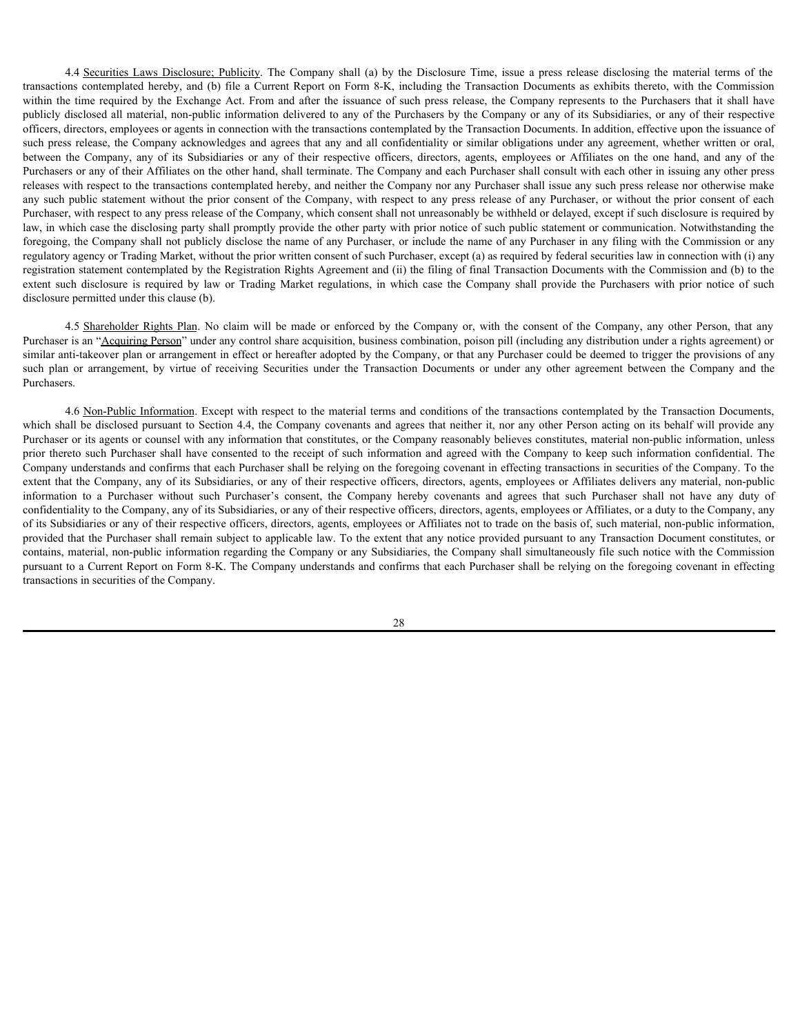4.4 <u>Securities Laws Disclosure; Publicity</u>. The Company shall (a) by the Disclosure Time, issue a press release disclosing the material terms of the ms contemplated hereby, and (b) file a Current Report on Form 8-K, inclu 4.4 <u>Securities Laws Disclosure; Publicity</u>. The Company shall (a) by the Disclosure Time, issue a press release disclosing the material terms of the transactions contemplated hereby, and (b) file a Current Report on Form 4.4 <u>Securities Laws Disclosure</u>: Publicity. The Company shall (a) by the Disclosure Time, issue a press release disclosing the material terms of the transactions contemplated hereby, and (b) file a Curent Report on Form 8 publicly disclosed all material, non-public information delivered to any of the Purchasers by the Company or any of its Subsidiaries, or any of their respective officers, directors, employees or agents in connection with the transactions contemplated by the Transaction Documents. In addition, effective upon the issuance of such press release, the Company acknowledges and agrees that any and all confidentiality or similar obligations under any agreement, whether written or oral, 4.4 <u>Securities Laws Disclosure: Publicity</u>. The Company shall (a) by the Disclosure Time, issue a press release disclosing the material terms of the transactions contemplated hereby, and (b) file a Current Report on Form Purchasers or any of their Affiliates on the other hand, shall terminate. The Company and each Purchaser shall consult with each other in issuing any other press releases with respect to the transactions contemplated hereby, and neither the Company nor any Purchaser shall issue any such press release nor otherwise make any such public statement without the prior consent of the Company, with respect to any press release of any Purchaser, or without the prior consent of each Purchaser, with respect to any press release of the Company, which consent shall not unreasonably be withheld or delayed, except if such disclosure is required by law, in which case the disclosing party shall promptly provide the other party with prior notice of such public statement or communication. Notwithstanding the foregoing, the Company shall not publicly disclose the name of any Purchaser, or include the name of any Purchaser in any filing with the Commission or any regulatory agency or Trading Market, without the prior written consent of such Purchaser, except (a) as required by federal securities law in connection with (i) any registration statement contemplated by the Registration Rights Agreement and (ii) the filing of final Transaction Documents with the Commission and (b) to the 44 Securities Laws Disclosure: Publishy The Company shall (a) by the Disclosure Time, issue a prest release disclosing the marchi terms of the transceivoirs contempluted hereby, and (b) file a Curent Report on Form 8.K, i disclosure permitted under this clause (b). 4.4 Sexualized Lasts Disclosure. Publiciaty The Company shall (a) by the Disclosure Time, issue a press release disclosing the material terms of the moments or solver and point of the Company of the Company interest of the 44 Securities Laws Disclosses: Publiciey. The Company shall (a) by the Disclosure Time, issue a press release disclosing the matrix larms of the transaction contenplated berefor, and (b) file a Curvent Report or Form Sec. 44 4 Societies are the two states that the company of the Company of the Company of the Company here are the such Purchaser with the consent of the Company in the company in the company in the company in the company in the

Purchaser is an "Acquiring Person" under any control share acquisition, business combination, poison pill (including any distribution under a rights agreement) or similar anti-takeover plan or arrangement in effect or hereafter adopted by the Company, or that any Purchaser could be deemed to trigger the provisions of any Purchasers.

4.6 Non-Public Information. Except with respect to the material terms and conditions of the transactions contemplated by the Transaction Documents, which shall be disclosed pursuant to Section 4.4, the Company covenants and agrees that neither it, nor any other Person acting on its behalf will provide any Purchaser or its agents or counsel with any information that constitutes, or the Company reasonably believes constitutes, material non-public information, unless prior thereto such Purchaser shall have consented to the receipt of such information and agreed with the Company to keep such information confidential. The Company understands and confirms that each Purchaser shall be relying on the foregoing covenant in effecting transactions in securities of the Company. To the extent that the Company, any of its Subsidiaries, or any of their respective officers, directors, agents, employees or Affiliates delivers any material, non-public confidentiality to the Company, any of its Subsidiaries, or any of their respective officers, directors, agents, employees or Affiliates, or a duty to the Company, any of its Subsidiaries or any of their respective officers, directors, agents, employees or Affiliates not to trade on the basis of, such material, non-public information, provided that the Purchaser shall remain subject to applicable law. To the extent that any notice provided pursuant to any Transaction Document constitutes, or contains, material, non-public information regarding the Company or any Subsidiaries, the Company shall simultaneously file such notice with the Commission pursuant to a Current Report on Form 8-K. The Company understands and confirms that each Purchaser shall be relying on the foregoing covenant in effecting transactions in securities of the Company.

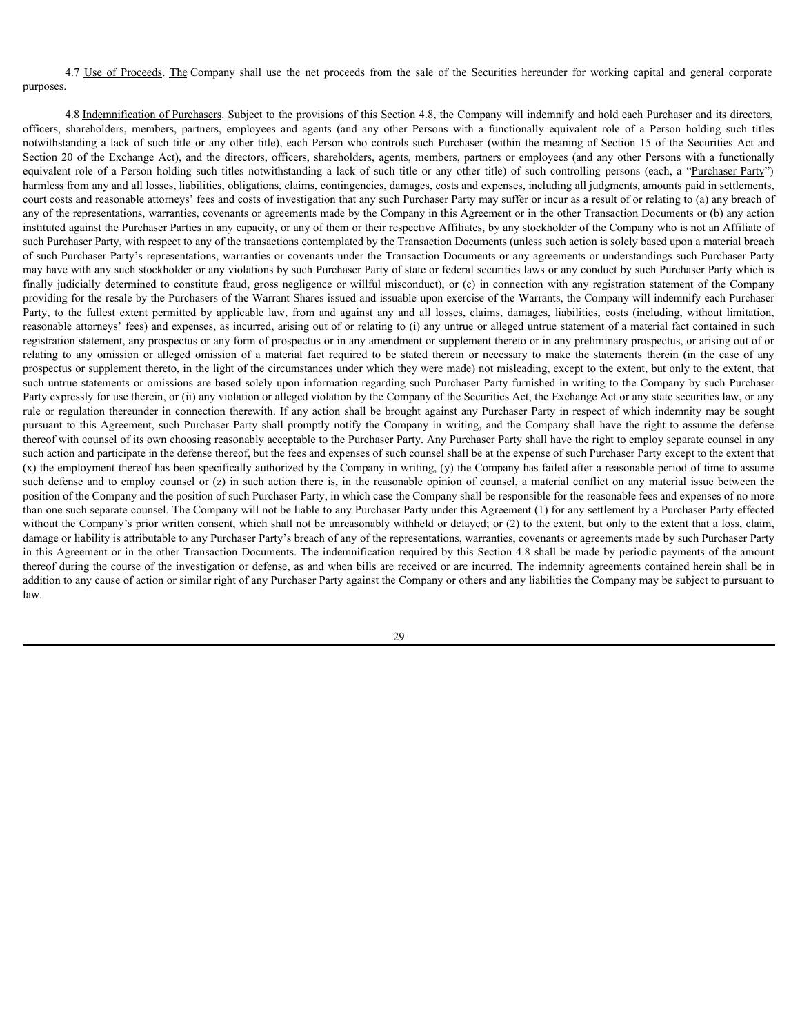purposes.

4.7 <u>Use of Proceeds</u>. <u>The</u> Company shall use the net proceeds from the sale of the Securities hereunder for working capital and general corporate<br>4.8 <u>Indemnification of Purchasers</u>. Subject to the provisions of this Sec 4.8 Indemnification of Purchasers. Subject to the provisions of this Section 4.8, the Company will indemnify and hold each Purchaser and its directors, 4.7 Use of Proceeds. The Company shall use the net proceeds from the sale of the Securities hereunder for working capital and general corporate purposes.<br>
4.8 <u>Indemnification of Purchasers</u>. Subject to the provisions of t 4.7 Use of Proceeds. The Company shall use the net proceeds from the sale of the Securities hereunder for working capital and general corporate<br>purposes.<br>4.8 <u>Indemnification of Purchasers</u>. Subject to the provisions of th Section 20 of the Exchange Act), and the directors, officers, shareholders, agents, members, partners or employees (and any other Persons with a functionally 4.7 <u>Use of Proceeds</u>. <u>The</u> Company shall use the net proceeds from the sale of the Securities hereunder for working capital and general corporate purposes.<br>4.8 <u>Indemnification of Purchasers</u>. Subject to the provisions o harmless from any and all losses, liabilities, obligations, claims, contingencies, damages, costs and expenses, including all judgments, amounts paid in settlements, court costs and reasonable attorneys' fees and costs of investigation that any such Purchaser Party may suffer or incur as a result of or relating to (a) any breach of any of the representations, warranties, covenants or agreements made by the Company in this Agreement or in the other Transaction Documents or (b) any action instituted against the Purchaser Parties in any capacity, or any of them or their respective Affiliates, by any stockholder of the Company who is not an Affiliate of such Purchaser Party, with respect to any of the transactions contemplated by the Transaction Documents (unless such action is solely based upon a material breach of such Purchaser Party's representations, warranties or covenants under the Transaction Documents or any agreements or understandings such Purchaser Party may have with any such stockholder or any violations by such Purchaser Party of state or federal securities laws or any conduct by such Purchaser Party which is <sup>47</sup> Use of Proceeds The Company shall use the net proceeds from the sale of the Securities herearder for working capital and general corporate<br>purposes.<br>
<sup>48</sup> Indemnification, prembers, periposes, Subject to the provision providing for the resale by the Purchasers of the Warrant Shares issued and issuable upon exercise of the Warrants, the Company will indemnify each Purchaser 4.7 <u>Use of Proceeds</u>. The Company shall use the net proceeds from the sale of the Scenaries netranted for working capital and general corporations, pulley extens and againstranting and all losses, butted by a company shal reasonable attorneys' fees) and expenses, as incurred, arising out of or relating to (i) any untrue or alleged untrue statement of a material fact contained in such registration statement, any prospectus or any form of prospectus or in any amendment or supplement thereto or in any preliminary prospectus, or arising out of or 4.7 Use of Proceeds. The Company shall use the net proceeds from the sale of the Securities here<br>and proportions and the company shall is the provisions of this Secion 4.8, the Company will indemsify and hold each Purchase prospectus or supplement thereto, in the light of the circumstances under which they were made) not misleading, except to the extent, but only to the extent, that such untrue statements or omissions are based solely upon information regarding such Purchaser Party furnished in writing to the Company by such Purchaser Party expressly for use therein, or (ii) any violation or alleged violation by the Company of the Securities Act, the Exchange Act or any state securities law, or any rule or regulation thereunder in connection therewith. If any action shall be brought against any Purchaser Party in respect of which indemnity may be sought pursuant to this Agreement, such Purchaser Party shall promptly notify the Company in writing, and the Company shall have the right to assume the defense thereof with counsel of its own choosing reasonably acceptable to the Purchaser Party. Any Purchaser Party shall have the right to employ separate counsel in any such action and participate in the defense thereof, but the fees and expenses of such counsel shall be at the expense of such Purchaser Party except to the extent that (x) the employment thereof has been specifically authorized by the Company in writing, (y) the Company has failed after a reasonable period of time to assume 47 <u>The of Preceds</u> The Company shall use the respected from the sale of the Sceniste hereards for such actions and the counsel or the counsel of the secondary shall counsel of the secondary such actions of the secondary s position of the Company and the position of such Purchaser Party, in which case the Company shall be responsible for the reasonable fees and expenses of no more than one such separate counsel. The Company will not be liable to any Purchaser Party under this Agreement (1) for any settlement by a Purchaser Party effected without the Company's prior written consent, which shall not be unreasonably withheld or delayed; or (2) to the extent, but only to the extent that a loss, claim, damage or liability is attributable to any Purchaser Party's breach of any of the representations, warranties, covenants or agreements made by such Purchaser Party in this Agreement or in the other Transaction Documents. The indemnification required by this Section 4.8 shall be made by periodic payments of the amount thereof during the course of the investigation or defense, as and when bills are received or are incurred. The indemnity agreements contained herein shall be in addition to any cause of action or similar right of any Purchaser Party against the Company or others and any liabilities the Company may be subject to pursuant to law.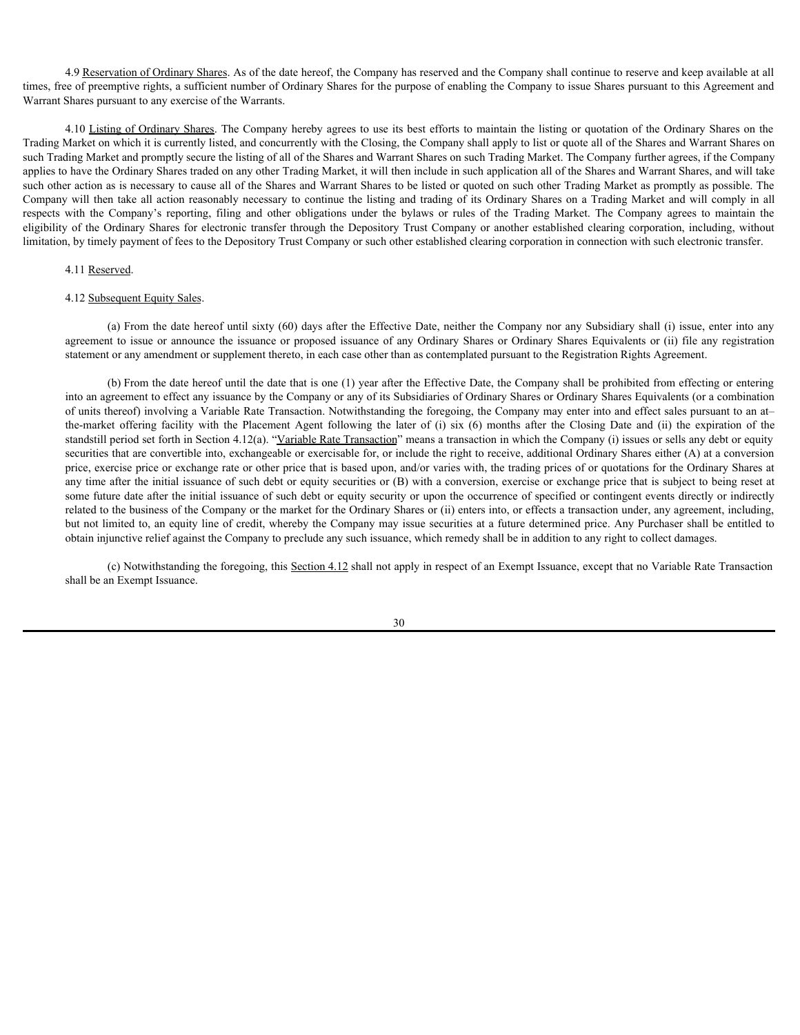4.9 Reservation of Ordinary Shares. As of the date hereof, the Company has reserved and the Company shall continue to reserve and keep available at all times, free of preemptive rights, a sufficient number of Ordinary Shares for the purpose of enabling the Company to issue Shares pursuant to this Agreement and Warrant Shares pursuant to any exercise of the Warrants.

4.10 Listing of Ordinary Shares. The Company hereby agrees to use its best efforts to maintain the listing or quotation of the Ordinary Shares on the Trading Market on which it is currently listed, and concurrently with the Closing, the Company shall apply to list or quote all of the Shares and Warrant Shares on such Trading Market and promptly secure the listing of all of the Shares and Warrant Shares on such Trading Market. The Company further agrees, if the Company applies to have the Ordinary Shares traded on any other Trading Market, it will then include in such application all of the Shares and Warrant Shares, and will take such other action as is necessary to cause all of the Shares and Warrant Shares to be listed or quoted on such other Trading Market as promptly as possible. The Company will then take all action reasonably necessary to continue the listing and trading of its Ordinary Shares on a Trading Market and will comply in all 4.9 <u>Reservation of Ordinary Shares</u>. As of the date hereof, the Company has reserved and the Company shall continue to reserve and keep available at all<br>Warrant Shares prempiror rights, a sufficient number of Ordinary Sha eligibility of the Ordinary Shares for electronic transfer through the Depository Trust Company or another established clearing corporation, including, without limitation, by timely payment of fees to the Depository Trust Company or such other established clearing corporation in connection with such electronic transfer.

#### 4.11 Reserved.

#### 4.12 Subsequent Equity Sales.

(a) From the date hereof until sixty (60) days after the Effective Date, neither the Company nor any Subsidiary shall (i) issue, enter into any agreement to issue or announce the issuance or proposed issuance of any Ordinary Shares or Ordinary Shares Equivalents or (ii) file any registration statement or any amendment or supplement thereto, in each case other than as contemplated pursuant to the Registration Rights Agreement.

(b) From the date hereof until the date that is one (1) year after the Effective Date, the Company shall be prohibited from effecting or entering into an agreement to effect any issuance by the Company or any of its Subsidiaries of Ordinary Shares or Ordinary Shares Equivalents (or a combination of units thereof) involving a Variable Rate Transaction. Notwithstanding the foregoing, the Company may enter into and effect sales pursuant to an at– 4) <u>Reservation of Ordinary Shares</u>. As of the date hereof, the Company has reserved and the Company whill entime to reserve and keep available at all of electronical controllers to the Platon of the Platon of the Platon o standstill period set forth in Section 4.12(a). "Variable Rate Transaction" means a transaction in which the Company (i) issues or sells any debt or equity securities that are convertible into, exchangeable or exercisable for, or include the right to receive, additional Ordinary Shares either (A) at a conversion price, exercise price or exchange rate or other price that is based upon, and/or varies with, the trading prices of or quotations for the Ordinary Shares at any time after the initial issuance of such debt or equity securities or (B) with a conversion, exercise or exchange price that is subject to being reset at some future date after the initial issuance of such debt or equity security or upon the occurrence of specified or contingent events directly or indirectly related to the business of the Company or the market for the Ordinary Shares or (ii) enters into, or effects a transaction under, any agreement, including, but not limited to, an equity line of credit, whereby the Company may issue securities at a future determined price. Any Purchaser shall be entitled to obtain injunctive relief against the Company to preclude any such issuance, which remedy shall be in addition to any right to collect damages.

(c) Notwithstanding the foregoing, this Section 4.12 shall not apply in respect of an Exempt Issuance, except that no Variable Rate Transaction shall be an Exempt Issuance.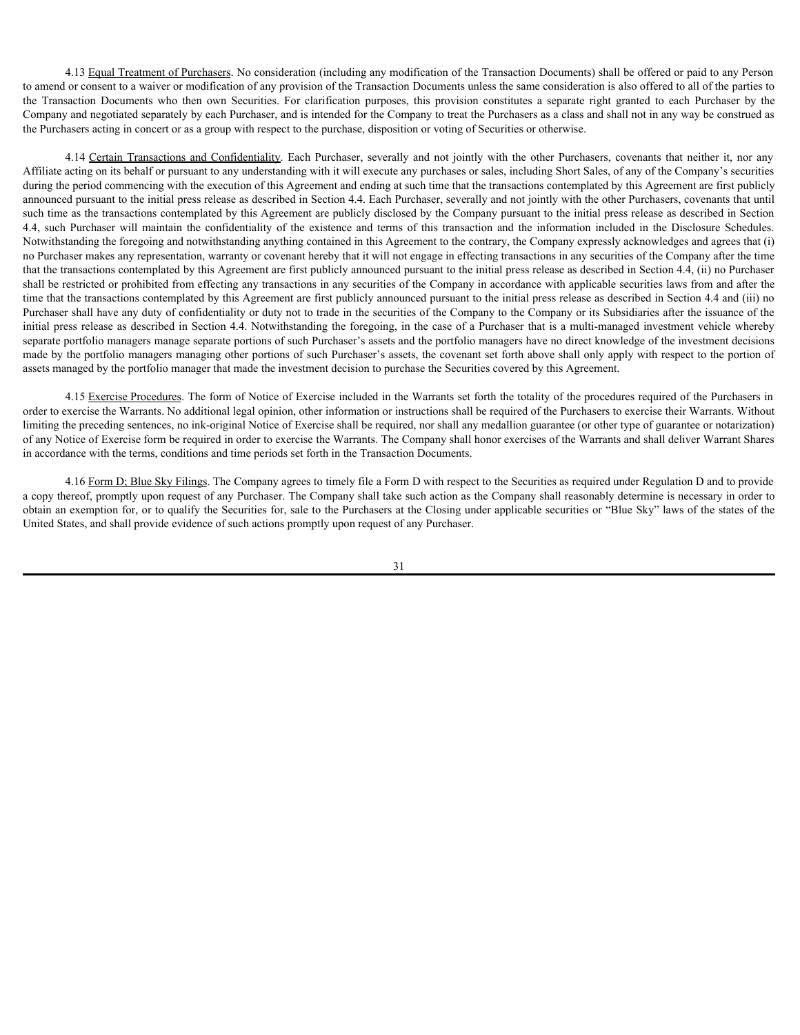4.13 Equal Treatment of Purchasers. No consideration (including any modification of the Transaction Documents) shall be offered or paid to any Person to amend or consent to a waiver or modification of any provision of the Transaction Documents unless the same consideration is also offered to all of the parties to 4.13 Equal Treatment of Purchasers. No consideration (including any modification of the Transaction Documents) shall be offered or paid to any Person<br>to amed or consent to a waver or modification of any provision of the Tr Company and negotiated separately by each Purchaser, and is intended for the Company to treat the Purchasers as a class and shall not in any way be construed as the Purchasers acting in concert or as a group with respect to the purchase, disposition or voting of Securities or otherwise.

4.13 <u>Equal Treatment of Purchasers</u>. No consideration (including any modification of the Transaction Documents) shall be offered or paid to any Person or consent to a waver or modification or any provision of the Transact Affiliate acting on its behalf or pursuant to any understanding with it will execute any purchases or sales, including Short Sales, of any of the Company's securities during the period commencing with the execution of this Agreement and ending at such time that the transactions contemplated by this Agreement are first publicly announced pursuant to the initial press release as described in Section 4.4. Each Purchaser, severally and not jointly with the other Purchasers, covenants that until such time as the transactions contemplated by this Agreement are publicly disclosed by the Company pursuant to the initial press release as described in Section 4.13 <u>Foual Treatment</u> of Purchasers. No consideration (including any modification of the Transaction Documents) shall be offered or paid to any Person<br>to armed or consent to a waiver or modification of any provision confi Notwithstanding the foregoing and notwithstanding anything contained in this Agreement to the contrary, the Company expressly acknowledges and agrees that (i) no Purchaser makes any representation, warranty or covenant hereby that it will not engage in effecting transactions in any securities of the Company after the time that the transactions contemplated by this Agreement are first publicly announced pursuant to the initial press release as described in Section 4.4, (ii) no Purchaser shall be restricted or prohibited from effecting any transactions in any securities of the Company in accordance with applicable securities laws from and after the time that the transactions contemplated by this Agreement are first publicly announced pursuant to the initial press release as described in Section 4.4 and (iii) no Purchaser shall have any duty of confidentiality or duty not to trade in the securities of the Company to the Company or its Subsidiaries after the issuance of the initial press release as described in Section 4.4. Notwithstanding the foregoing, in the case of a Purchaser that is a multi-managed investment vehicle whereby separate portfolio managers manage separate portions of such Purchaser's assets and the portfolio managers have no direct knowledge of the investment decisions made by the portfolio managers managing other portions of such Purchaser's assets, the covenant set forth above shall only apply with respect to the portion of assets managed by the portfolio manager that made the investment decision to purchase the Securities covered by this Agreement.

4.15 Exercise Procedures. The form of Notice of Exercise included in the Warrants set forth the totality of the procedures required of the Purchasers in order to exercise the Warrants. No additional legal opinion, other information or instructions shall be required of the Purchasers to exercise their Warrants. Without limiting the preceding sentences, no ink-original Notice of Exercise shall be required, nor shall any medallion guarantee (or other type of guarantee or notarization) of any Notice of Exercise form be required in order to exercise the Warrants. The Company shall honor exercises of the Warrants and shall deliver Warrant Shares in accordance with the terms, conditions and time periods set forth in the Transaction Documents.

4.16 Form D; Blue Sky Filings. The Company agrees to timely file a Form D with respect to the Securities as required under Regulation D and to provide a copy thereof, promptly upon request of any Purchaser. The Company shall take such action as the Company shall reasonably determine is necessary in order to obtain an exemption for, or to qualify the Securities for, sale to the Purchasers at the Closing under applicable securities or "Blue Sky" laws of the states of the United States, and shall provide evidence of such actions promptly upon request of any Purchaser.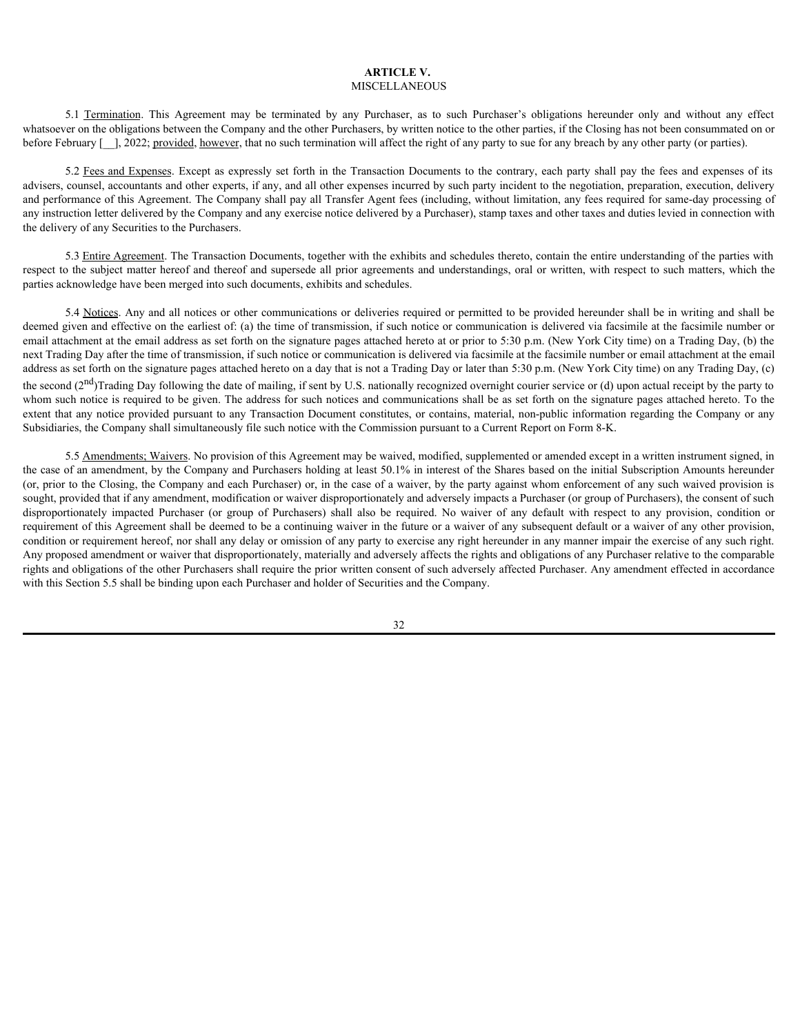#### **ARTICLE V.** MISCELLANEOUS

whatsoever on the obligations between the Company and the other Purchasers, by written notice to the other parties, if the Closing has not been consummated on or before February  $[-]$ , 2022; provided, however, that no such termination will affect the right of any party to sue for any breach by any other party (or parties).

**ARTICLE V.** MISCELLANEOUS<br> **S.1 Termination**. This Agreement may be terminated by any Purchaser, as to such Purchaser's obligations hereunder only and without any effect<br>
er on the obligations between the Company and the 5.2 Fees and Expenses. Except as expressly set forth in the Transaction Documents to the contrary, each party shall pay the fees and expenses of its advisers, counsel, accountants and other experts, if any, and all other expenses incurred by such party incident to the negotiation, preparation, execution, delivery and performance of this Agreement. The Company shall pay all Transfer Agent fees (including, without limitation, any fees required for same-day processing of any instruction letter delivered by the Company and any exercise notice delivered by a Purchaser), stamp taxes and other taxes and duties levied in connection with the delivery of any Securities to the Purchasers.

5.3 Entire Agreement. The Transaction Documents, together with the exhibits and schedules thereto, contain the entire understanding of the parties with respect to the subject matter hereof and thereof and supersede all prior agreements and understandings, oral or written, with respect to such matters, which the parties acknowledge have been merged into such documents, exhibits and schedules.

5.4 Notices. Any and all notices or other communications or deliveries required or permitted to be provided hereunder shall be in writing and shall be deemed given and effective on the earliest of: (a) the time of transmission, if such notice or communication is delivered via facsimile at the facsimile number or email attachment at the email address as set forth on the signature pages attached hereto at or prior to 5:30 p.m. (New York City time) on a Trading Day, (b) the next Trading Day after the time of transmission, if such notice or communication is delivered via facsimile at the facsimile number or email attachment at the email address as set forth on the signature pages attached hereto on a day that is not a Trading Day or later than 5:30 p.m. (New York City time) on any Trading Day, (c) the second  $(2<sup>nd</sup>)$ Trading Day following the date of mailing, if sent by U.S. nationally recognized overnight courier service or (d) upon actual receipt by the party to whom such notice is required to be given. The address for such notices and communications shall be as set forth on the signature pages attached hereto. To the extent that any notice provided pursuant to any Transaction Document constitutes, or contains, material, non-public information regarding the Company or any Subsidiaries, the Company shall simultaneously file such notice with the Commission pursuant to a Current Report on Form 8-K.

5.5 Amendments; Waivers. No provision of this Agreement may be waived, modified, supplemented or amended except in a written instrument signed, in the case of an amendment, by the Company and Purchasers holding at least 50.1% in interest of the Shares based on the initial Subscription Amounts hereunder (or, prior to the Closing, the Company and each Purchaser) or, in the case of a waiver, by the party against whom enforcement of any such waived provision is sought, provided that if any amendment, modification or waiver disproportionately and adversely impacts a Purchaser (or group of Purchasers), the consent of such St. Taminating. This Agreement may be termined by any partients, as easily the heat parties. This Given is solven as the state of the state of the state of the state of the state of the state of the state of the state of requirement of this Agreement shall be deemed to be a continuing waiver in the future or a waiver of any subsequent default or a waiver of any other provision, condition or requirement hereof, nor shall any delay or omission of any party to exercise any right hereunder in any manner impair the exercise of any such right. Any proposed amendment or waiver that disproportionately, materially and adversely affects the rights and obligations of any Purchaser relative to the comparable rights and obligations of the other Purchasers shall require the prior written consent of such adversely affected Purchaser. Any amendment effected in accordance with this Section 5.5 shall be binding upon each Purchaser and holder of Securities and the Company.

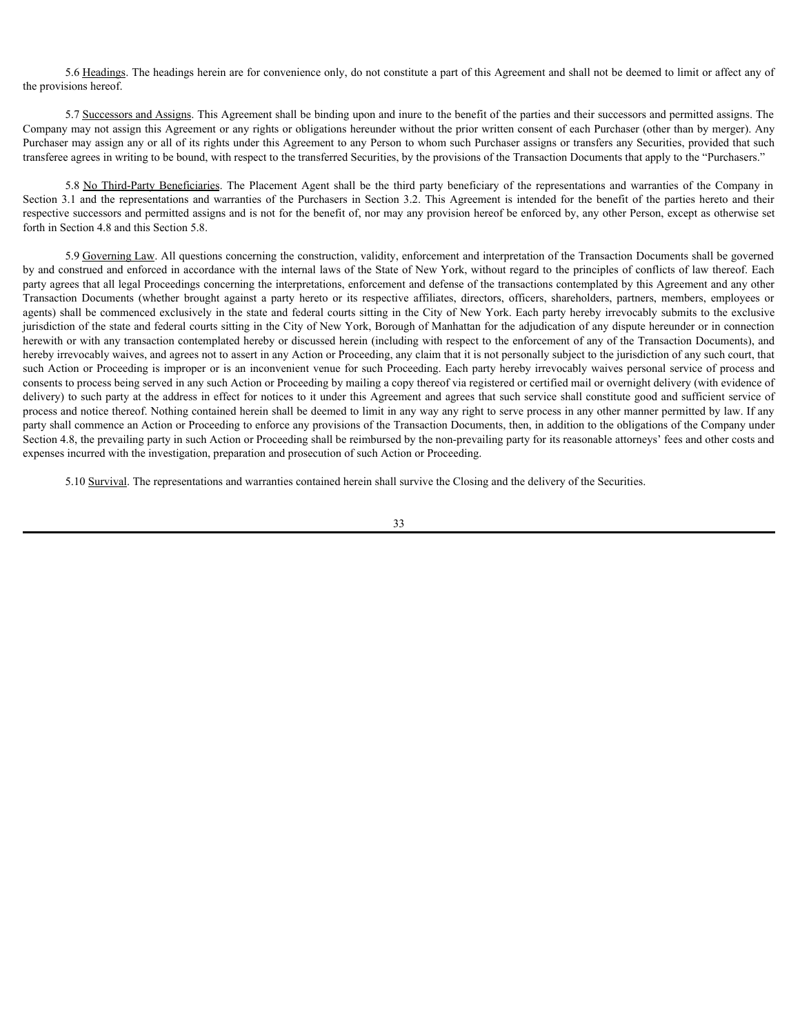5.6 Headings. The headings herein are for convenience only, do not constitute a part of this Agreement and shall not be deemed to limit or affect any of the provisions hereof.

5.7 Successors and Assigns. This Agreement shall be binding upon and inure to the benefit of the parties and their successors and permitted assigns. The Company may not assign this Agreement or any rights or obligations hereunder without the prior written consent of each Purchaser (other than by merger). Any Purchaser may assign any or all of its rights under this Agreement to any Person to whom such Purchaser assigns or transfers any Securities, provided that such transferee agrees in writing to be bound, with respect to the transferred Securities, by the provisions of the Transaction Documents that apply to the "Purchasers." 5.6 <u>Headings</u> The headings herein are for convenience only, do not constitute a part of this Agreement and shall not be deemed to limit or affect any of<br>sions hereof.<br>5.7 <u>Successors and Assigns</u>. This Agreement ball be b

respective successors and permitted assigns and is not for the benefit of, nor may any provision hereof be enforced by, any other Person, except as otherwise set forth in Section 4.8 and this Section 5.8.

S 6 <u>Headings</u>. The headings herein are for convenience only, do not constitute a part of this Agreement and shall not be deemed to limit or affect any of<br>the provisions hereof.<br>5.7 <u>Successors and Assigns</u>. This Agreemen 5.9 Governing Law. All questions concerning the construction, validity, enforcement and interpretation of the Transaction Documents shall be governed by and construed and enforced in accordance with the internal laws of the State of New York, without regard to the principles of conflicts of law thereof. Each party agrees that all legal Proceedings concerning the interpretations, enforcement and defense of the transactions contemplated by this Agreement and any other 5.6 Headings. The headings herein are for convenience only, do not constitute a part of this Agreement and shall not be deemed to limit or affect any of<br>the provisions liveroid.<br>
Company may not assign any or all of this agents) shall be commenced exclusively in the state and federal courts sitting in the City of New York. Each party hereby irrevocably submits to the exclusive jurisdiction of the state and federal courts sitting in the City of New York, Borough of Manhattan for the adjudication of any dispute hereunder or in connection herewith or with any transaction contemplated hereby or discussed herein (including with respect to the enforcement of any of the Transaction Documents), and hereby irrevocably waives, and agrees not to assert in any Action or Proceeding, any claim that it is not personally subject to the jurisdiction of any such court, that such Action or Proceeding is improper or is an inconvenient venue for such Proceeding. Each party hereby irrevocably waives personal service of process and consents to process being served in any such Action or Proceeding by mailing a copy thereof via registered or certified mail or overnight delivery (with evidence of delivery) to such party at the address in effect for notices to it under this Agreement and agrees that such service shall constitute good and sufficient service of process and notice thereof. Nothing contained herein shall be deemed to limit in any way any right to serve process in any other manner permitted by law. If any party shall commence an Action or Proceeding to enforce any provisions of the Transaction Documents, then, in addition to the obligations of the Company under Section 4.8, the prevailing party in such Action or Proceeding shall be reimbursed by the non-prevailing party for its reasonable attorneys' fees and other costs and expenses incurred with the investigation, preparation and prosecution of such Action or Proceeding.

5.10 Survival. The representations and warranties contained herein shall survive the Closing and the delivery of the Securities.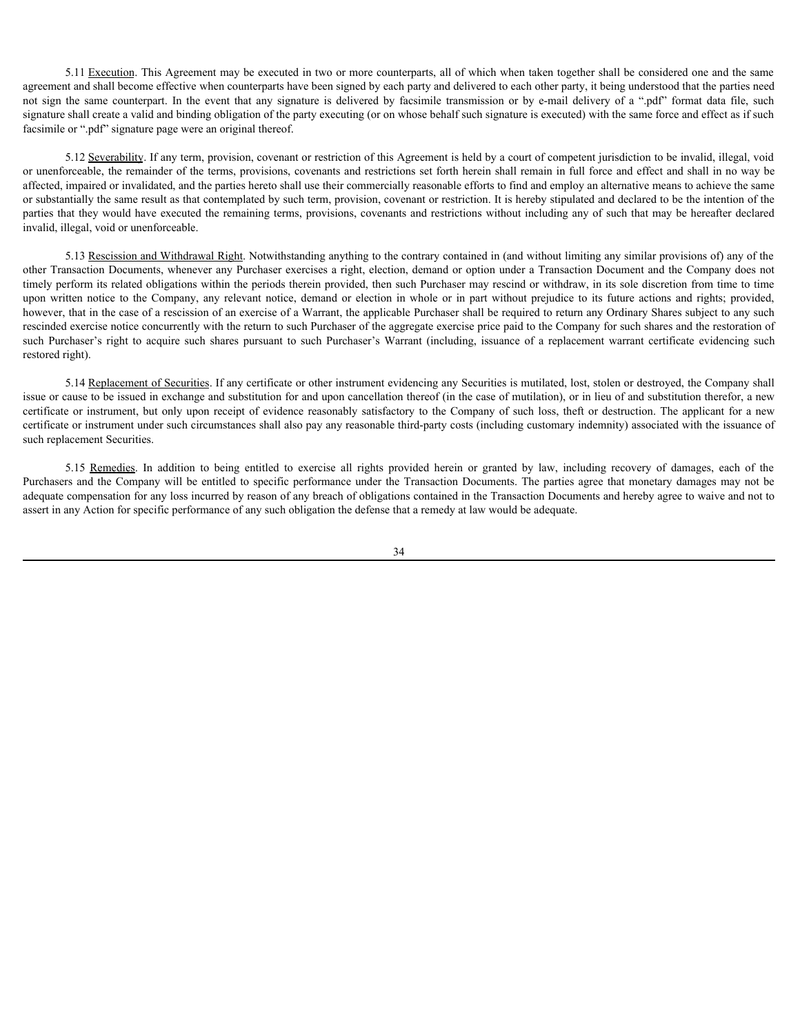5.11 Execution. This Agreement may be executed in two or more counterparts, all of which when taken together shall be considered one and the same agreement and shall become effective when counterparts have been signed by each party and delivered to each other party, it being understood that the parties need 5.11 Execution. This Agreement may be executed in two or more counterparts, all of which when taken together shall be considered one and the same agreement and shall become effective when counterparts have been signed by e signature shall create a valid and binding obligation of the party executing (or on whose behalf such signature is executed) with the same force and effect as if such facsimile or ".pdf" signature page were an original thereof.

5.12 Severability. If any term, provision, covenant or restriction of this Agreement is held by a court of competent jurisdiction to be invalid, illegal, void or unenforceable, the remainder of the terms, provisions, covenants and restrictions set forth herein shall remain in full force and effect and shall in no way be affected, impaired or invalidated, and the parties hereto shall use their commercially reasonable efforts to find and employ an alternative means to achieve the same or substantially the same result as that contemplated by such term, provision, covenant or restriction. It is hereby stipulated and declared to be the intention of the parties that they would have executed the remaining terms, provisions, covenants and restrictions without including any of such that may be hereafter declared invalid, illegal, void or unenforceable.

5.13 Rescission and Withdrawal Right. Notwithstanding anything to the contrary contained in (and without limiting any similar provisions of) any of the other Transaction Documents, whenever any Purchaser exercises a right, election, demand or option under a Transaction Document and the Company does not timely perform its related obligations within the periods therein provided, then such Purchaser may rescind or withdraw, in its sole discretion from time to time 5.11 <u>Lexeanna</u>. This Agreement may be excesuted in two or more counterparts, all of which when taken together thall be considered one and the company and democration in the company and derivered to the comparison or by e however, that in the case of a rescission of an exercise of a Warrant, the applicable Purchaser shall be required to return any Ordinary Shares subject to any such rescinded exercise notice concurrently with the return to such Purchaser of the aggregate exercise price paid to the Company for such shares and the restoration of 5.11 Liexcution. This Agreement may be esecured in two or more counterparts, all of which when ukon fogether shall be considered one und the sugar-<br>agreement and shall become effective when counterparts have been spared t restored right). certification. This Agreement may be assumed in two or more consumptus, all of which share taggets shall be considered in the company of evidence reasonably satisfactory to the former or instrument of evidence reasonably s 5.11 <u>Exception</u>. This Agreement may be excepted in two or more constrepant, all of which when suke reader hand be considered to each all rights provided in case and the same simulate in a considered to each of the partic

5.14 Replacement of Securities. If any certificate or other instrument evidencing any Securities is mutilated, lost, stolen or destroyed, the Company shall issue or cause to be issued in exchange and substitution for and upon cancellation thereof (in the case of mutilation), or in lieu of and substitution therefor, a new certificate or instrument under such circumstances shall also pay any reasonable third-party costs (including customary indemnity) associated with the issuance of such replacement Securities.

Purchasers and the Company will be entitled to specific performance under the Transaction Documents. The parties agree that monetary damages may not be adequate compensation for any loss incurred by reason of any breach of obligations contained in the Transaction Documents and hereby agree to waive and not to assert in any Action for specific performance of any such obligation the defense that a remedy at law would be adequate.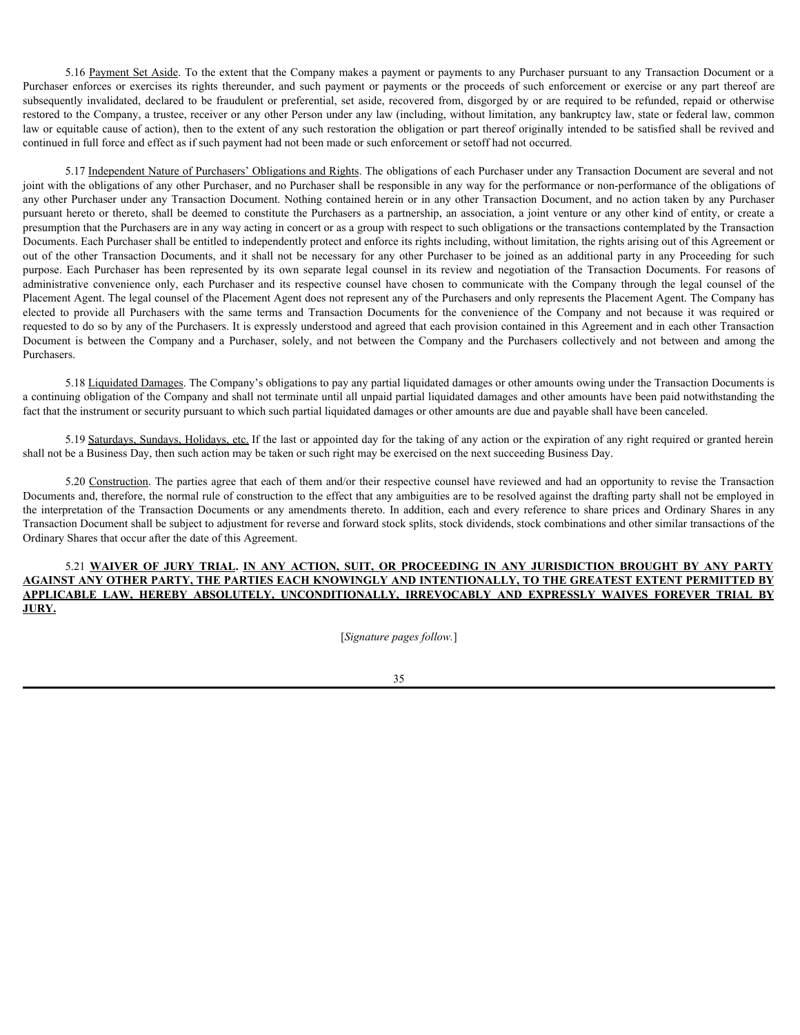5.16 Payment Set Aside. To the extent that the Company makes a payment or payments to any Purchaser pursuant to any Transaction Document or a 5.16 <u>Payment Set Aside</u>. To the extent that the Company makes a payment or payments to any Purchaser pursuant to any Transaction Document or a<br>Purchaser enforces or exercises its rights thereunder, and such payment or pay 5.16 <u>Payment Set Aside</u>. To the extent that the Company makes a payment or payments to any Purchaser pursuant to any Transaction Document or a<br>Purchaser enforces or exercises its rights thereunder, and such payment or pay restored to the Company, a trustee, receiver or any other Person under any law (including, without limitation, any bankruptcy law, state or federal law, common law or equitable cause of action), then to the extent of any such restoration the obligation or part thereof originally intended to be satisfied shall be revived and continued in full force and effect as if such payment had not been made or such enforcement or setoff had not occurred.

5.17 Independent Nature of Purchasers' Obligations and Rights. The obligations of each Purchaser under any Transaction Document are several and not joint with the obligations of any other Purchaser, and no Purchaser shall be responsible in any way for the performance or non-performance of the obligations of any other Purchaser under any Transaction Document. Nothing contained herein or in any other Transaction Document, and no action taken by any Purchaser pursuant hereto or thereto, shall be deemed to constitute the Purchasers as a partnership, an association, a joint venture or any other kind of entity, or create a presumption that the Purchasers are in any way acting in concert or as a group with respect to such obligations or the transactions contemplated by the Transaction Documents. Each Purchaser shall be entitled to independently protect and enforce its rights including, without limitation, the rights arising out of this Agreement or S16 <u>Payment Set Aside</u>. To the extent that the Company makes a payment or payments to any Parchaser parosamt to any Transaction Document or a<br>Purchaser enforces or exercises in fight thereuded, and shall payment or paymen S 16 Daymant Selt Aide To the extent that the Company makes a payment or payments to any Purchaser pursuant to any Transaction Document or a<br>Purchaser enforces on contract and such a such payment or payment or payments to 3.16 <u>Payment Set Asids</u> To the extent that the Company nakes a payment or payments to any <sup>p</sup>urchaser pursuant to any Transaction Document or a probable counterpart of the purchaser enforces or exercises its rights there Placement Agent. The legal counsel of the Placement Agent does not represent any of the Purchasers and only represents the Placement Agent. The Company has 3.16 <u>Parment Srt Aside</u>. To the cetent that the Company makes a payment or pynnents to any Planchaser pursuant to any Transaction Document or a<br>Plunchaser enforces ur exercise or the same terms and such payment or paymen requested to do so by any of the Purchasers. It is expressly understood and agreed that each provision contained in this Agreement and in each other Transaction 5.10 Bayment Sct.Asiak: 10 the extent that the Company makes a payment or payments to any Parchaser parsumit to any Temsaction Desember or a<br>subsequently invalidanted to be fraction of performing at static, accoused from d Purchasers. Huchare melines or presents in relate to the interpretation of the interpretation of the interpretation of the interpretation of the interpretation Documents or any particular or any amendments or any amendments or any am 1 in full force and effect as if such psyment had not been made or such enforcement or soloff had not occurred. Your handen and between the orientations and between the are Procedure made and the company and the methods of 411 The <u>Internetion Material The Constrainer Constrainers and Englishment of each herebox ends in constrain Routiners are separated in the properties of the objections of any other Present are the properties of a proper</u>

5.18 Liquidated Damages. The Company's obligations to pay any partial liquidated damages or other amounts owing under the Transaction Documents is a continuing obligation of the Company and shall not terminate until all unpaid partial liquidated damages and other amounts have been paid notwithstanding the fact that the instrument or security pursuant to which such partial liquidated damages or other amounts are due and payable shall have been canceled.

5.19 Saturdays, Sundays, Holidays, etc. If the last or appointed day for the taking of any action or the expiration of any right required or granted herein shall not be a Business Day, then such action may be taken or such right may be exercised on the next succeeding Business Day.

5.20 Construction. The parties agree that each of them and/or their respective counsel have reviewed and had an opportunity to revise the Transaction Documents and, therefore, the normal rule of construction to the effect that any ambiguities are to be resolved against the drafting party shall not be employed in Transaction Document shall be subject to adjustment for reverse and forward stock splits, stock dividends, stock combinations and other similar transactions of the Ordinary Shares that occur after the date of this Agreement.

# **AGAINST ANY OTHER PARTY, THE PARTIES EACH KNOWINGLY AND INTENTIONALLY, TO THE GREATEST EXTENT PERMITTED BY JURY.**

[*Signature pages follow.*]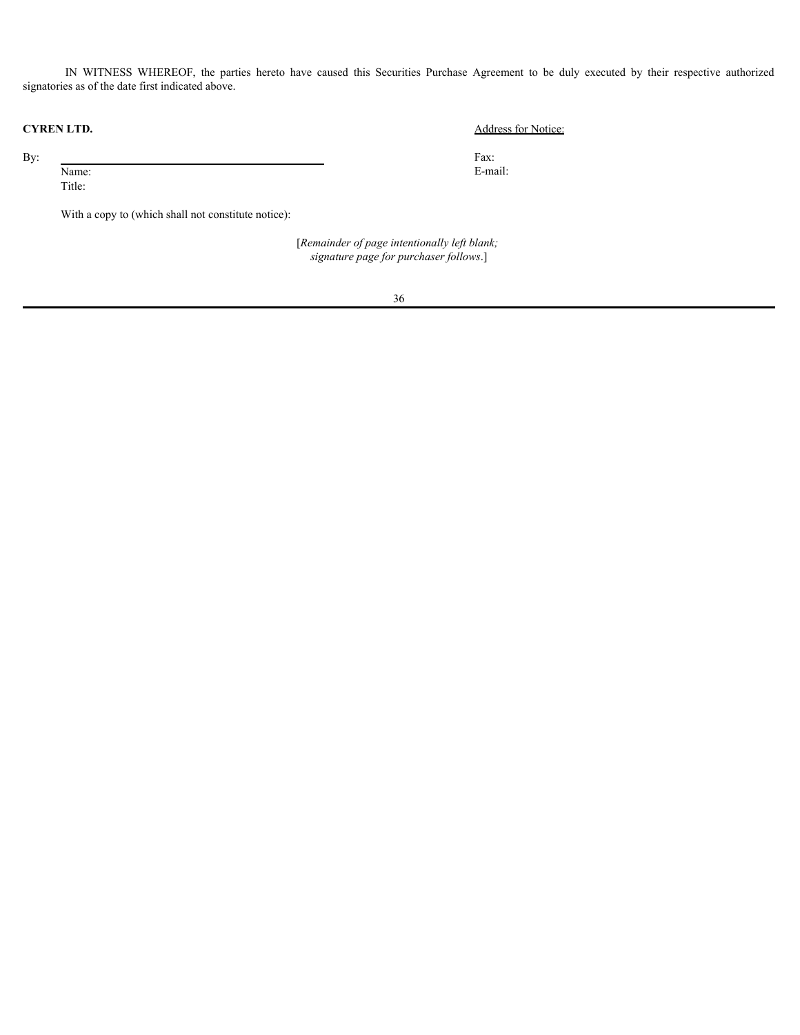IN WITNESS WHEREOF, the parties hereto have caused this Securities Purchase Agreement to be duly executed by their respective authorized<br>as as of the date first indicated above.<br>**LTD.** Address for Notice:<br>Fax:<br>E-mail: signatories as of the date first indicated above.

Title:

With a copy to (which shall not constitute notice):

 [*Remainder of page intentionally left blank; signature page for purchaser follows*.]

36

### **CYREN LTD.** Address for Notice:

By: Fax: Name: E-mail: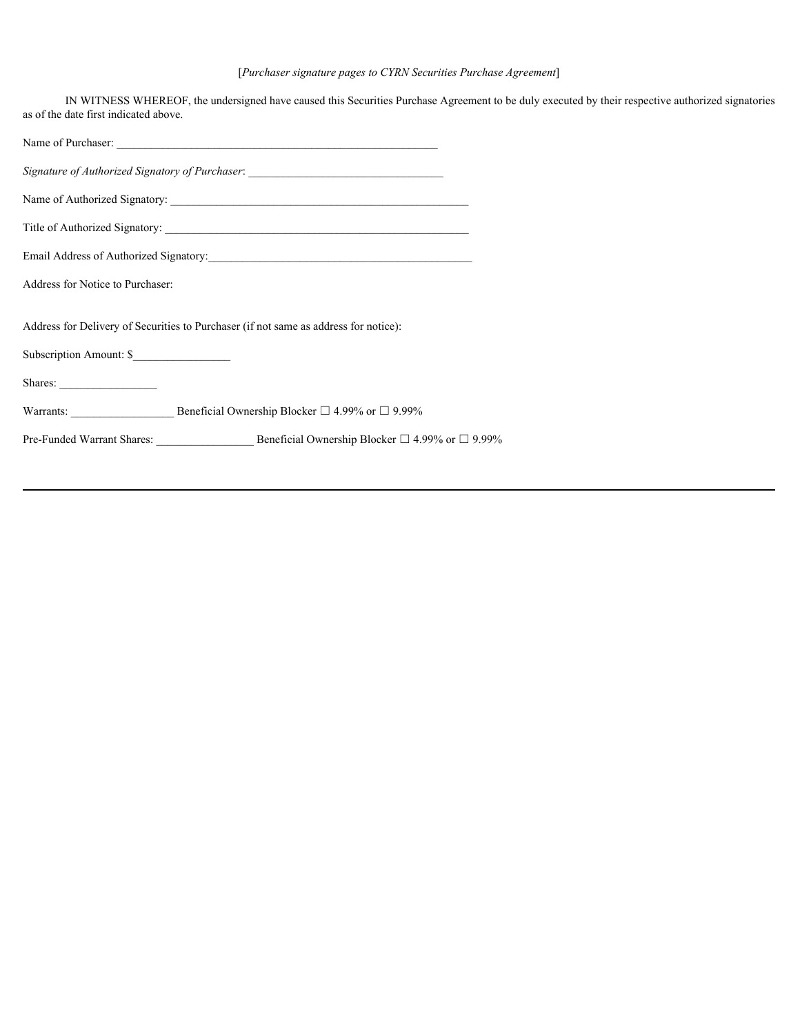### [*Purchaser signature pages to CYRN Securities Purchase Agreement*]

| IN WITNESS WHEREOF, the undersigned have caused this Securities Purchase Agreement to be duly executed by their respective authorized signatories<br>as of the date first indicated above. |
|--------------------------------------------------------------------------------------------------------------------------------------------------------------------------------------------|
|                                                                                                                                                                                            |
| Signature of Authorized Signatory of Purchaser. ________________________________                                                                                                           |
|                                                                                                                                                                                            |
|                                                                                                                                                                                            |
|                                                                                                                                                                                            |
| Address for Notice to Purchaser:                                                                                                                                                           |
| Address for Delivery of Securities to Purchaser (if not same as address for notice):                                                                                                       |
| Subscription Amount: \$                                                                                                                                                                    |
|                                                                                                                                                                                            |
| Warrants: Beneficial Ownership Blocker $\Box$ 4.99% or $\Box$ 9.99%                                                                                                                        |
|                                                                                                                                                                                            |
|                                                                                                                                                                                            |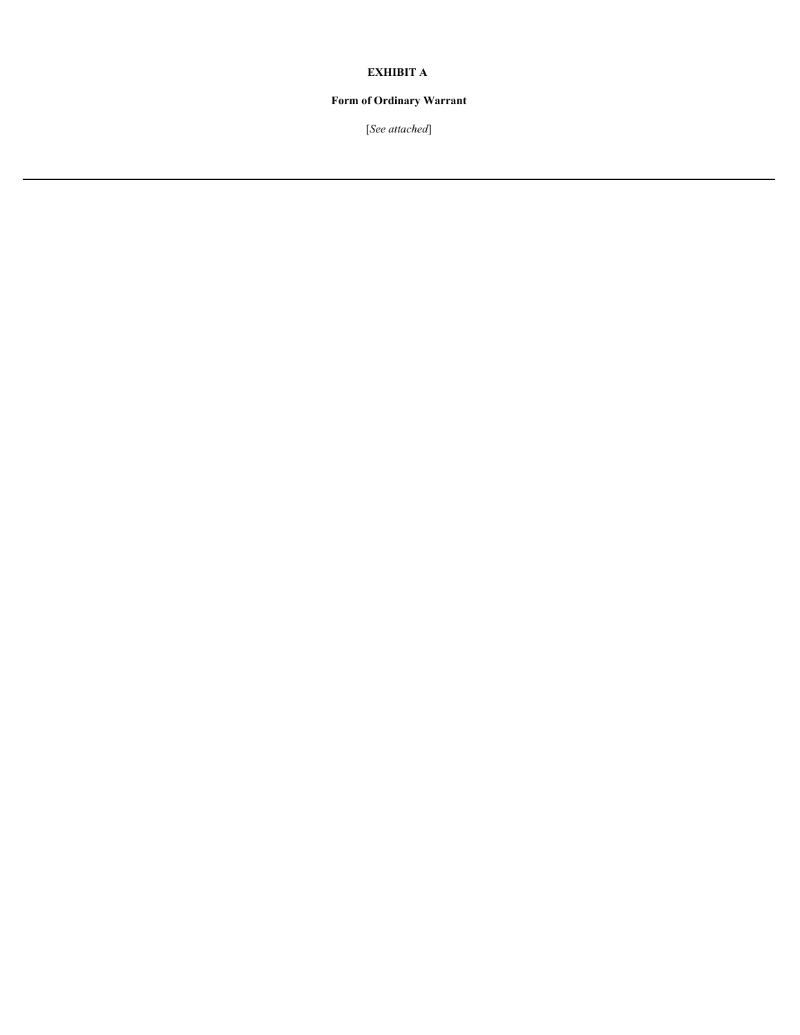### **EXHIBIT A**

## **Form of Ordinary Warrant**

[*See attached*]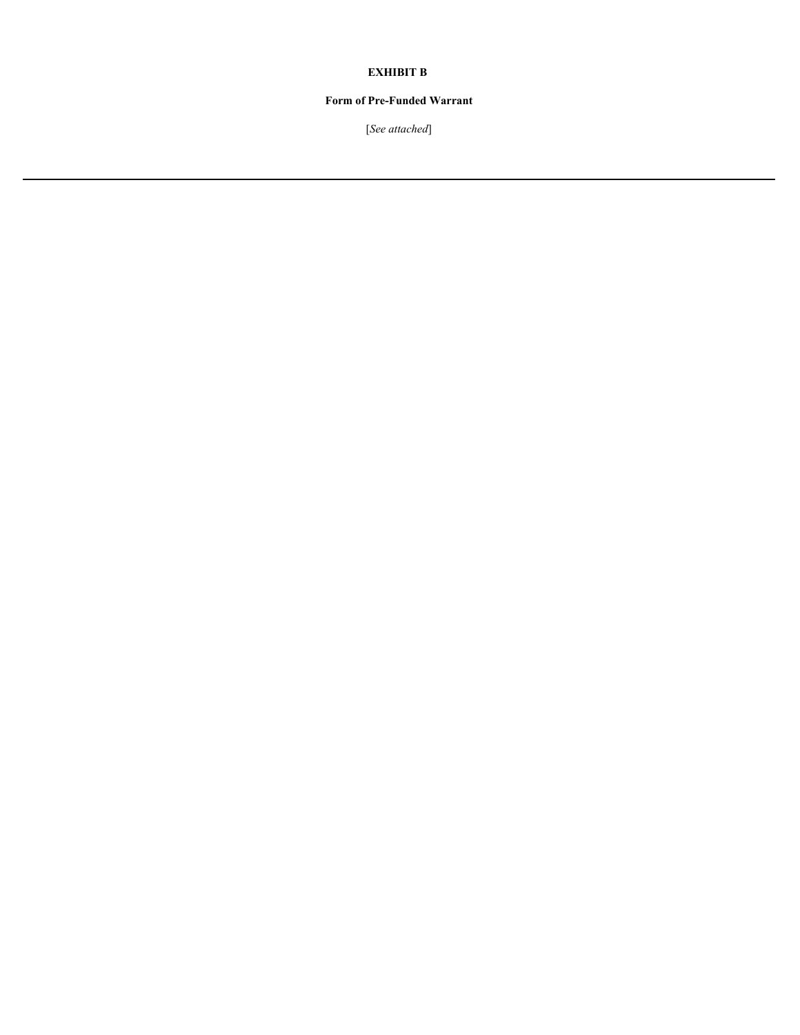### **EXHIBIT B**

## **Form of Pre-Funded Warrant**

[*See attached*]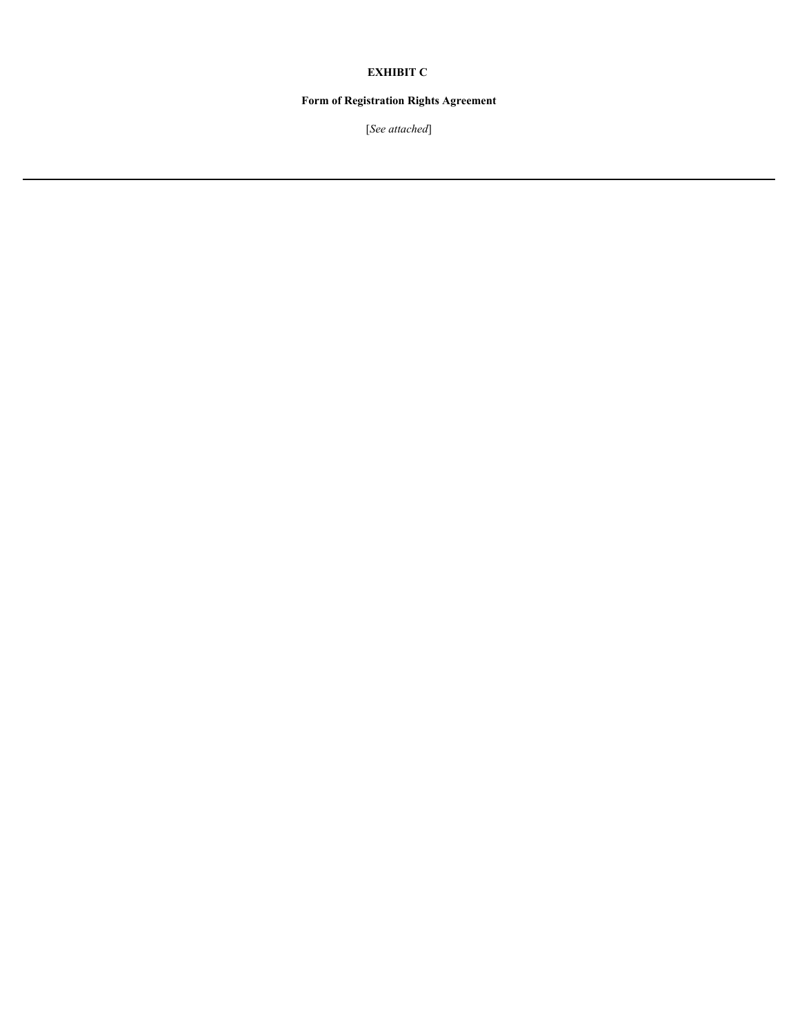### **EXHIBIT C**

## **Form of Registration Rights Agreement**

[*See attached*]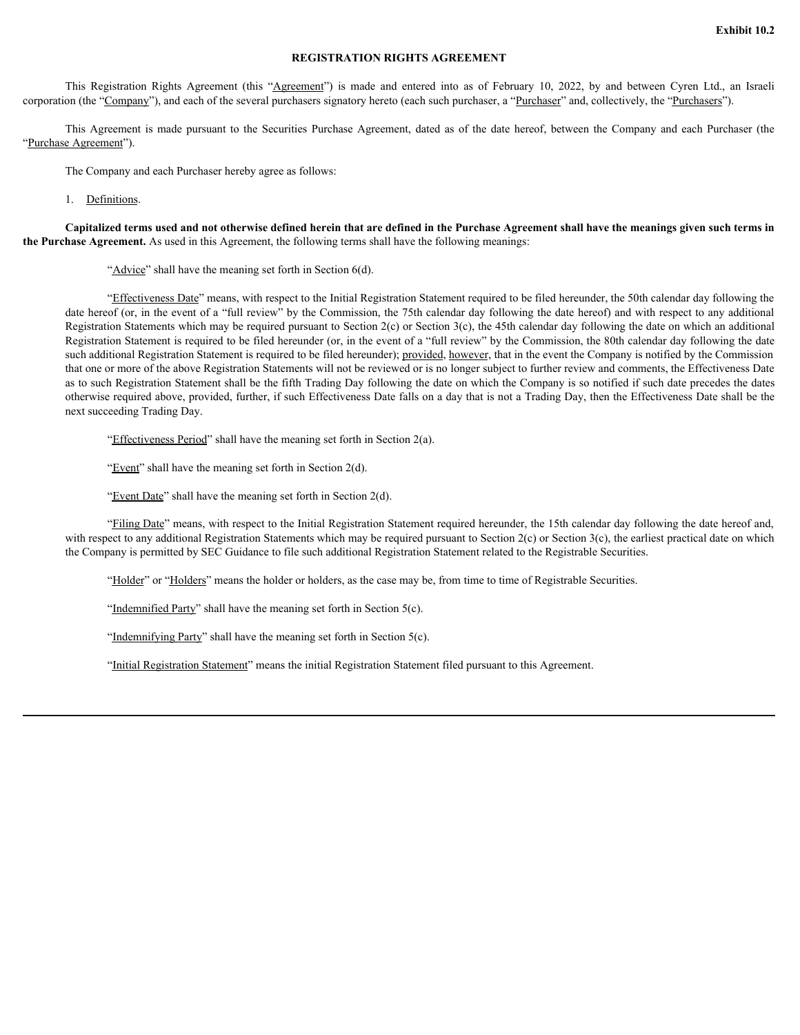#### **REGISTRATION RIGHTS AGREEMENT**

corporation (the "Company"), and each of the several purchasers signatory hereto (each such purchaser, a "Purchaser" and, collectively, the "Purchasers").

**Exhibit 10.2**<br> **REGISTRATION RIGHTS AGREEMENT**<br>
This Registration Rights Agreement (this "Ag<u>reement</u>") is made and entered into as of February 10, 2022, by and between Cyren Ltd., an Israeli<br>
This Agreement is made pursu **Exhibit 10.2**<br> **This Registration Rights Agreement (this "<u>Agreement</u>") is made and entered into as of February 10, 2022, by and between Cyren Ltd., an Israeli<br>
on (the "<u>Company</u>"), and each of the several purchasers sig** "Purchase Agreement").

The Company and each Purchaser hereby agree as follows:

1. Definitions.

**Capitalized terms used and not otherwise defined herein that are defined in the Purchase Agreement shall have the meanings given such terms in the Purchase Agreement.** As used in this Agreement, the following terms shall have the following meanings:

"Advice" shall have the meaning set forth in Section 6(d).

"Effectiveness Date" means, with respect to the Initial Registration Statement required to be filed hereunder, the 50th calendar day following the date hereof (or, in the event of a "full review" by the Commission, the 75th calendar day following the date hereof) and with respect to any additional Registration Statements which may be required pursuant to Section  $2(c)$  or Section  $3(c)$ , the 45th calendar day following the date on which an additional Registration Statement is required to be filed hereunder (or, in the event of a "full review" by the Commission, the 80th calendar day following the date such additional Registration Statement is required to be filed hereunder); provided, however, that in the event the Company is notified by the Commission that one or more of the above Registration Statements will not be reviewed or is no longer subject to further review and comments, the Effectiveness Date as to such Registration Statement shall be the fifth Trading Day following the date on which the Company is so notified if such date precedes the dates otherwise required above, provided, further, if such Effectiveness Date falls on a day that is not a Trading Day, then the Effectiveness Date shall be the next succeeding Trading Day.

"Effectiveness Period" shall have the meaning set forth in Section 2(a).

"Event" shall have the meaning set forth in Section  $2(d)$ .

"Event Date" shall have the meaning set forth in Section 2(d).

"Filing Date" means, with respect to the Initial Registration Statement required hereunder, the 15th calendar day following the date hereof and, with respect to any additional Registration Statements which may be required pursuant to Section 2(c) or Section 3(c), the earliest practical date on which the Company is permitted by SEC Guidance to file such additional Registration Statement related to the Registrable Securities.

"Holder" or "Holders" means the holder or holders, as the case may be, from time to time of Registrable Securities.

"Indemnified Party" shall have the meaning set forth in Section 5(c).

"Indemnifying Party" shall have the meaning set forth in Section 5(c).

"Initial Registration Statement" means the initial Registration Statement filed pursuant to this Agreement.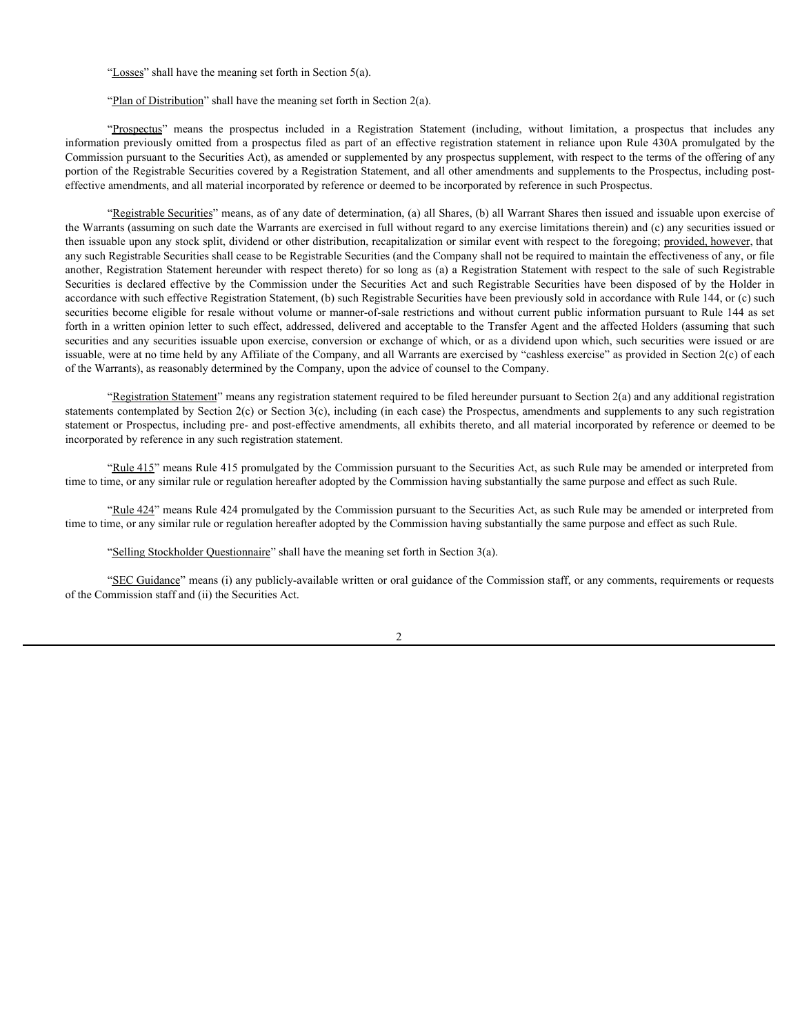"Losses" shall have the meaning set forth in Section 5(a).

"<u>Dosses</u>" shall have the meaning set forth in Section 5(a).<br>"<u>Prospectus</u>" means the prospectus included in a Registration Statement (including, without limitation, a prospectus that includes any<br>on previously omitted fro information previously omitted from a prospectus filed as part of an effective registration statement in reliance upon Rule 430A promulgated by the Commission pursuant to the Securities Act), as amended or supplemented by any prospectus supplement, with respect to the terms of the offering of any portion of the Registrable Securities covered by a Registration Statement, and all other amendments and supplements to the Prospectus, including posteffective amendments, and all material incorporated by reference or deemed to be incorporated by reference in such Prospectus.

"Registrable Securities" means, as of any date of determination, (a) all Shares, (b) all Warrant Shares then issued and issuable upon exercise of the Warrants (assuming on such date the Warrants are exercised in full without regard to any exercise limitations therein) and (c) any securities issued or then issuable upon any stock split, dividend or other distribution, recapitalization or similar event with respect to the foregoing; provided, however, that any such Registrable Securities shall cease to be Registrable Securities (and the Company shall not be required to maintain the effectiveness of any, or file another, Registration Statement hereunder with respect thereto) for so long as (a) a Registration Statement with respect to the sale of such Registrable "<u>Losses</u>" shall have the meaning set forth in Section 5(a).<br>
"<u>Prospectus</u>" means the prospectus included in a Registration Statement (including, without limitation, a prospectus that includes any "<u>Prospectus</u>" means th accordance with such effective Registration Statement, (b) such Registrable Securities have been previously sold in accordance with Rule 144, or (c) such securities become eligible for resale without volume or manner-of-sale restrictions and without current public information pursuant to Rule 144 as set forth in a written opinion letter to such effect, addressed, delivered and acceptable to the Transfer Agent and the affected Holders (assuming that such securities and any securities issuable upon exercise, conversion or exchange of which, or as a dividend upon which, such securities were issued or are issuable, were at no time held by any Affiliate of the Company, and all Warrants are exercised by "cashless exercise" as provided in Section 2(c) of each of the Warrants), as reasonably determined by the Company, upon the advice of counsel to the Company.

"Registration Statement" means any registration statement required to be filed hereunder pursuant to Section 2(a) and any additional registration statements contemplated by Section 2(c) or Section 3(c), including (in each case) the Prospectus, amendments and supplements to any such registration statement or Prospectus, including pre- and post-effective amendments, all exhibits thereto, and all material incorporated by reference or deemed to be incorporated by reference in any such registration statement.

"Rule 415" means Rule 415 promulgated by the Commission pursuant to the Securities Act, as such Rule may be amended or interpreted from time to time, or any similar rule or regulation hereafter adopted by the Commission having substantially the same purpose and effect as such Rule.

"Rule 424" means Rule 424 promulgated by the Commission pursuant to the Securities Act, as such Rule may be amended or interpreted from time to time, or any similar rule or regulation hereafter adopted by the Commission having substantially the same purpose and effect as such Rule.

"Selling Stockholder Questionnaire" shall have the meaning set forth in Section 3(a).

"SEC Guidance" means (i) any publicly-available written or oral guidance of the Commission staff, or any comments, requirements or requests of the Commission staff and (ii) the Securities Act.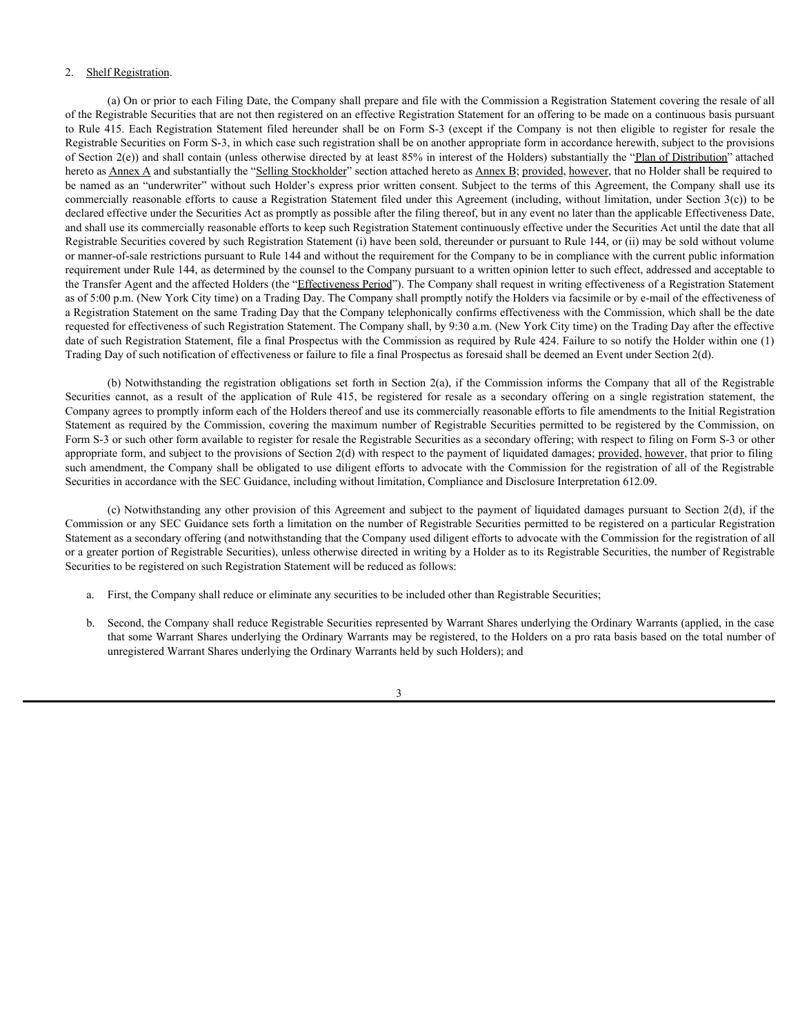#### 2. Shelf Registration.

(a) On or prior to each Filing Date, the Company shall prepare and file with the Commission a Registration Statement covering the resale of all of the Registrable Securities that are not then registered on an effective Registration Statement for an offering to be made on a continuous basis pursuant 2. Shelf Registration.<br>
(a) On or prior to each Filing Date, the Company shall prepare and file with the Commission a Registration Statement covering the resale of all<br>
of the Registrable Securities that are not then regi Registrable Securities on Form S-3, in which case such registration shall be on another appropriate form in accordance herewith, subject to the provisions of Section  $2(e)$ ) and shall contain (unless otherwise directed by at least 85% in interest of the Holders) substantially the "Plan of Distribution" attached hereto as Annex A and substantially the "Selling Stockholder" section attached hereto as Annex B; provided, however, that no Holder shall be required to be named as an "underwriter" without such Holder's express prior written consent. Subject to the terms of this Agreement, the Company shall use its commercially reasonable efforts to cause a Registration Statement filed under this Agreement (including, without limitation, under Section 3(c)) to be declared effective under the Securities Act as promptly as possible after the filing thereof, but in any event no later than the applicable Effectiveness Date, and shall use its commercially reasonable efforts to keep such Registration Statement continuously effective under the Securities Act until the date that all Registrable Securities covered by such Registration Statement (i) have been sold, thereunder or pursuant to Rule 144, or (ii) may be sold without volume or manner-of-sale restrictions pursuant to Rule 144 and without the requirement for the Company to be in compliance with the current public information requirement under Rule 144, as determined by the counsel to the Company pursuant to a written opinion letter to such effect, addressed and acceptable to the Transfer Agent and the affected Holders (the "Effectiveness Period"). The Company shall request in writing effectiveness of a Registration Statement as of 5:00 p.m. (New York City time) on a Trading Day. The Company shall promptly notify the Holders via facsimile or by e-mail of the effectiveness of a Registration Statement on the same Trading Day that the Company telephonically confirms effectiveness with the Commission, which shall be the date requested for effectiveness of such Registration Statement. The Company shall, by 9:30 a.m. (New York City time) on the Trading Day after the effective date of such Registration Statement, file a final Prospectus with the Commission as required by Rule 424. Failure to so notify the Holder within one (1) Trading Day of such notification of effectiveness or failure to file a final Prospectus as foresaid shall be deemed an Event under Section 2(d). 2. Shelf Registration.<br>
(a) On or prior to each Filing Date, the Company shall propore and file with the Commission a Registration Sutercreat covering the result of all<br>
to lide 415, has be realized sometime in the breade

(b) Notwithstanding the registration obligations set forth in Section 2(a), if the Commission informs the Company that all of the Registrable Company agrees to promptly inform each of the Holders thereof and use its commercially reasonable efforts to file amendments to the Initial Registration Statement as required by the Commission, covering the maximum number of Registrable Securities permitted to be registered by the Commission, on Form S-3 or such other form available to register for resale the Registrable Securities as a secondary offering; with respect to filing on Form S-3 or other appropriate form, and subject to the provisions of Section 2(d) with respect to the payment of liquidated damages; provided, however, that prior to filing such amendment, the Company shall be obligated to use diligent efforts to advocate with the Commission for the registration of all of the Registrable Securities in accordance with the SEC Guidance, including without limitation, Compliance and Disclosure Interpretation 612.09.

(c) Notwithstanding any other provision of this Agreement and subject to the payment of liquidated damages pursuant to Section 2(d), if the Commission or any SEC Guidance sets forth a limitation on the number of Registrable Securities permitted to be registered on a particular Registration Statement as a secondary offering (and notwithstanding that the Company used diligent efforts to advocate with the Commission for the registration of all or a greater portion of Registrable Securities), unless otherwise directed in writing by a Holder as to its Registrable Securities, the number of Registrable Securities to be registered on such Registration Statement will be reduced as follows:

- a. First, the Company shall reduce or eliminate any securities to be included other than Registrable Securities;
- b. Second, the Company shall reduce Registrable Securities represented by Warrant Shares underlying the Ordinary Warrants (applied, in the case that some Warrant Shares underlying the Ordinary Warrants may be registered, to the Holders on a pro rata basis based on the total number of unregistered Warrant Shares underlying the Ordinary Warrants held by such Holders); and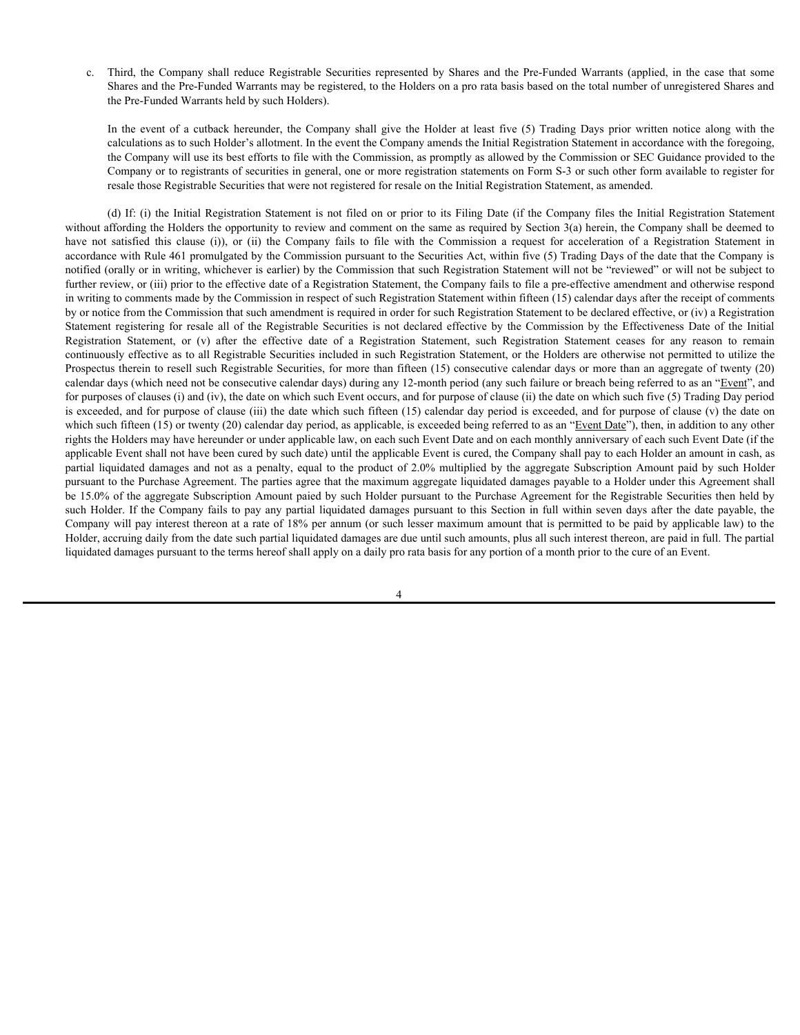Shares and the Pre-Funded Warrants may be registered, to the Holders on a pro rata basis based on the total number of unregistered Shares and the Pre-Funded Warrants held by such Holders).

c. Third, the Company shall reduce Registrable Securities represented by Shares and the Pre-Funded Warrants (applied, in the case that some<br>Shares and the Pre-Funded Warrants may be registered, to the Holders on a pro rata Third, the Company shall reduce Registrable Securities represented by Shares and the Pre-Funded Warrants (applied, in the case that some Shares and the Pre-Funded Warrants hay be registered, to the Holders on a pro rata ba calculations as to such Holder's allotment. In the event the Company amends the Initial Registration Statement in accordance with the foregoing, the Company will use its best efforts to file with the Commission, as promptly as allowed by the Commission or SEC Guidance provided to the Company or to registrants of securities in general, one or more registration statements on Form S-3 or such other form available to register for resale those Registrable Securities that were not registered for resale on the Initial Registration Statement, as amended.

(d) If: (i) the Initial Registration Statement is not filed on or prior to its Filing Date (if the Company files the Initial Registration Statement without affording the Holders the opportunity to review and comment on the same as required by Section 3(a) herein, the Company shall be deemed to c. Third, the Company shall reduce Registrable Securities represented by Shares and the Pre-Funded Warrants (applied, in the case that some Shares and the Pre-Funded Warrants (applied, in the case that some the Pre-Funded accordance with Rule 461 promulgated by the Commission pursuant to the Securities Act, within five (5) Trading Days of the date that the Company is notified (orally or in writing, whichever is earlier) by the Commission that such Registration Statement will not be "reviewed" or will not be subject to further review, or (iii) prior to the effective date of a Registration Statement, the Company fails to file a pre-effective amendment and otherwise respond in writing to comments made by the Commission in respect of such Registration Statement within fifteen (15) calendar days after the receipt of comments by or notice from the Commission that such amendment is required in order for such Registration Statement to be declared effective, or (iv) a Registration c. Third, the Company shall reduce Registrable Securities represented by Shares and the Pre-Fanded Warrants (applied, in the case that some<br>Shares and the Pre-Fanded Warrants may be registered, to the Holders on a pro rat c. Third, the Company shall reduce Registrable Socurities represented by Shares and the Phe-Funded Warnants tappied, in the case that some<br>Shares and the Pre-Funded Warnants may be registered, to the Holders on a pro-man continuously effective as to all Registrable Securities included in such Registration Statement, or the Holders are otherwise not permitted to utilize the Prospectus therein to resell such Registrable Securities, for more than fifteen (15) consecutive calendar days or more than an aggregate of twenty (20) calendar days (which need not be consecutive calendar days) during any 12-month period (any such failure or breach being referred to as an "Event", and for purposes of clauses (i) and (iv), the date on which such Event occurs, and for purpose of clause (ii) the date on which such five (5) Trading Day period is exceeded, and for purpose of clause (iii) the date which such fifteen (15) calendar day period is exceeded, and for purpose of clause (v) the date on which such fifteen (15) or twenty (20) calendar day period, as applicable, is exceeded being referred to as an "Event Date"), then, in addition to any other rights the Holders may have hereunder or under applicable law, on each such Event Date and on each monthly anniversary of each such Event Date (if the applicable Event shall not have been cured by such date) until the applicable Event is cured, the Company shall pay to each Holder an amount in cash, as e. Third, the Company shall reduce Registrated by Shares and the Pre-Funded Vienture is subscribed damages and the Pre-Funded Wiends when the the Pre-Funded Wiends and the Pre-Funded Wiends and the Pre-Funded Wiends by an pursuant to the Purchase Agreement. The parties agree that the maximum aggregate liquidated damages payable to a Holder under this Agreement shall be 15.0% of the aggregate Subscription Amount paied by such Holder pursuant to the Purchase Agreement for the Registrable Securities then held by such Holder. If the Company fails to pay any partial liquidated damages pursuant to this Section in full within seven days after the date payable, the Company will pay interest thereon at a rate of 18% per annum (or such lesser maximum amount that is permitted to be paid by applicable law) to the Holder, accruing daily from the date such partial liquidated damages are due until such amounts, plus all such interest thereon, are paid in full. The partial liquidated damages pursuant to the terms hereof shall apply on a daily pro rata basis for any portion of a month prior to the cure of an Event.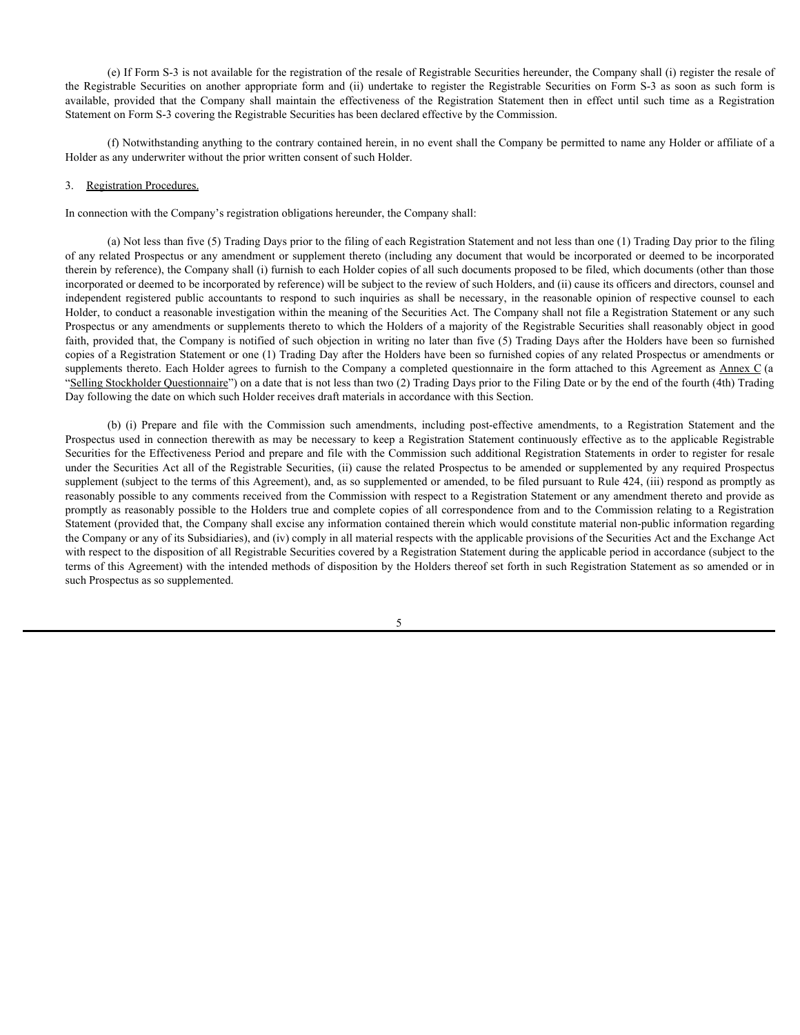(e) If Form S-3 is not available for the registration of the resale of Registrable Securities hereunder, the Company shall (i) register the resale of (e) If Form S-3 is not available for the registration of the resale of Registrable Securities hereunder, the Company shall (i) register the resale of<br>the Registrable Securities on another appropriate form and (ii) undertak (e) If Form S-3 is not available for the registration of the resale of Registrable Securities hereunder, the Company shall (i) register the resale of the Registration Statement then and (ii) undertake to registration State Statement on Form S-3 covering the Registrable Securities has been declared effective by the Commission.

(f) Notwithstanding anything to the contrary contained herein, in no event shall the Company be permitted to name any Holder or affiliate of a Holder as any underwriter without the prior written consent of such Holder.

#### 3. Registration Procedures.

In connection with the Company's registration obligations hereunder, the Company shall:

(a) Not less than five (5) Trading Days prior to the filing of each Registration Statement and not less than one (1) Trading Day prior to the filing of any related Prospectus or any amendment or supplement thereto (including any document that would be incorporated or deemed to be incorporated therein by reference), the Company shall (i) furnish to each Holder copies of all such documents proposed to be filed, which documents (other than those incorporated or deemed to be incorporated by reference) will be subject to the review of such Holders, and (ii) cause its officers and directors, counsel and **independent of the registered public accounts of the registeration of the resule of Registeration Registeration, the Company shall (i) register the registeration and involvement registered public accounts to reasonable a** Holder, to conduct a reasonable investigation within the meaning of the Securities Act. The Company shall not file a Registration Statement or any such Prospectus or any amendments or supplements thereto to which the Holders of a majority of the Registrable Securities shall reasonably object in good faith, provided that, the Company is notified of such objection in writing no later than five (5) Trading Days after the Holders have been so furnished copies of a Registration Statement or one (1) Trading Day after the Holders have been so furnished copies of any related Prospectus or amendments or supplements thereto. Each Holder agrees to furnish to the Company a completed questionnaire in the form attached to this Agreement as Annex C (a "Selling Stockholder Questionnaire") on a date that is not less than two (2) Trading Days prior to the Filing Date or by the end of the fourth (4th) Trading Day following the date on which such Holder receives draft materials in accordance with this Section. (e) If Form S-3 is not available for the registration of the resule of Registrable Securities hereunder, the Company shall (i) register the results of track-<br>trable Securities on another appropriate form and (ii) undertake

Prospectus used in connection therewith as may be necessary to keep a Registration Statement continuously effective as to the applicable Registrable Securities for the Effectiveness Period and prepare and file with the Commission such additional Registration Statements in order to register for resale under the Securities Act all of the Registrable Securities, (ii) cause the related Prospectus to be amended or supplemented by any required Prospectus supplement (subject to the terms of this Agreement), and, as so supplemented or amended, to be filed pursuant to Rule 424, (iii) respond as promptly as reasonably possible to any comments received from the Commission with respect to a Registration Statement or any amendment thereto and provide as promptly as reasonably possible to the Holders true and complete copies of all correspondence from and to the Commission relating to a Registration Statement (provided that, the Company shall excise any information contained therein which would constitute material non-public information regarding the Company or any of its Subsidiaries), and (iv) comply in all material respects with the applicable provisions of the Securities Act and the Exchange Act with respect to the disposition of all Registrable Securities covered by a Registration Statement during the applicable period in accordance (subject to the terms of this Agreement) with the intended methods of disposition by the Holders thereof set forth in such Registration Statement as so amended or in such Prospectus as so supplemented.

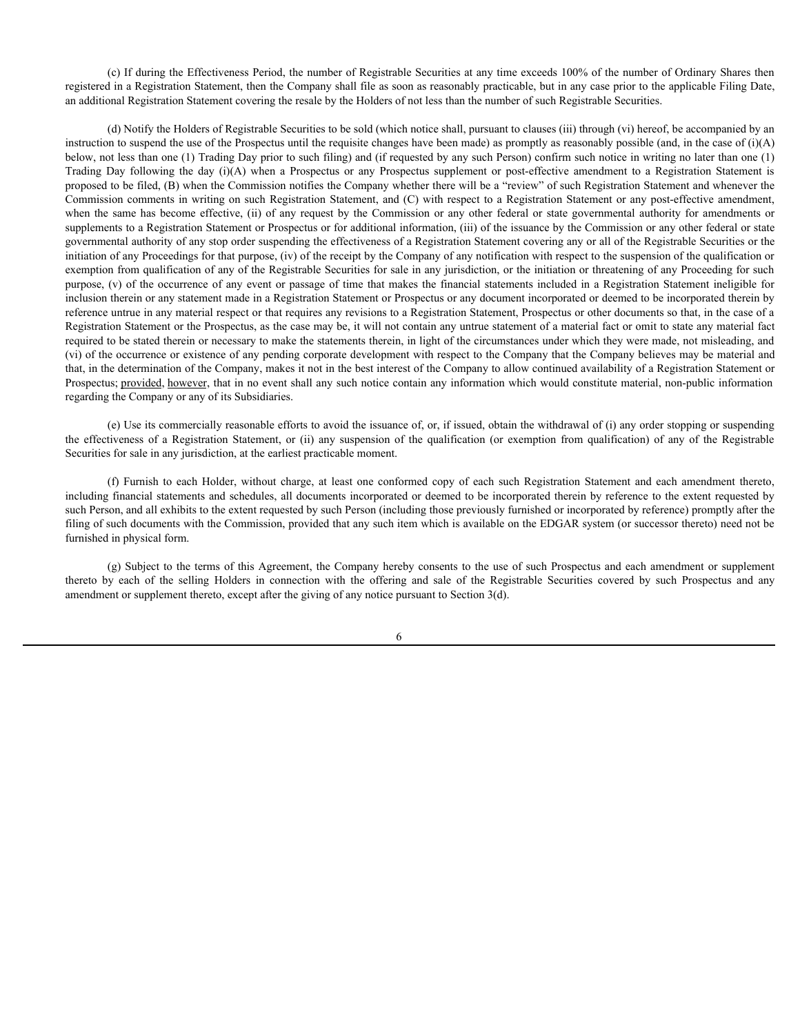(c) If during the Effectiveness Period, the number of Registrable Securities at any time exceeds 100% of the number of Ordinary Shares then registered in a Registration Statement, then the Company shall file as soon as reasonably practicable, but in any case prior to the applicable Filing Date, an additional Registration Statement covering the resale by the Holders of not less than the number of such Registrable Securities.

(d) Notify the Holders of Registrable Securities to be sold (which notice shall, pursuant to clauses (iii) through (vi) hereof, be accompanied by an instruction to suspend the use of the Prospectus until the requisite changes have been made) as promptly as reasonably possible (and, in the case of (i)(A) below, not less than one (1) Trading Day prior to such filing) and (if requested by any such Person) confirm such notice in writing no later than one (1) (c) If during the Effectiveness Period, the number of Registrable Securities at any time exceeds 100% of the number of Ordinary Shares then registered in a Registration Statement, then the Company shall file as soon as re proposed to be filed, (B) when the Commission notifies the Company whether there will be a "review" of such Registration Statement and whenever the Commission comments in writing on such Registration Statement, and (C) with respect to a Registration Statement or any post-effective amendment, (c) If during the Effectiveness Period, the number of Registrable Securities at any time exceeds 100% of the number of Ordinary Shares then<br>registered in a Registration Statement (toernpany shall file as soon as reasonabl supplements to a Registration Statement or Prospectus or for additional information, (iii) of the issuance by the Commission or any other federal or state governmental authority of any stop order suspending the effectiveness of a Registration Statement covering any or all of the Registrable Securities or the initiation of any Proceedings for that purpose, (iv) of the receipt by the Company of any notification with respect to the suspension of the qualification or exemption from qualification of any of the Registrable Securities for sale in any jurisdiction, or the initiation or threatening of any Proceeding for such purpose, (v) of the occurrence of any event or passage of time that makes the financial statements included in a Registration Statement ineligible for inclusion therein or any statement made in a Registration Statement or Prospectus or any document incorporated or deemed to be incorporated therein by reference untrue in any material respect or that requires any revisions to a Registration Statement, Prospectus or other documents so that, in the case of a Registration Statement or the Prospectus, as the case may be, it will not contain any untrue statement of a material fact or omit to state any material fact required to be stated therein or necessary to make the statements therein, in light of the circumstances under which they were made, not misleading, and (vi) of the occurrence or existence of any pending corporate development with respect to the Company that the Company believes may be material and that, in the determination of the Company, makes it not in the best interest of the Company to allow continued availability of a Registration Statement or Prospectus; provided, however, that in no event shall any such notice contain any information which would constitute material, non-public information regarding the Company or any of its Subsidiaries. tight that is a Registration Statement of Payinthe Statement at any time assests in 19% of the number of Galactication Statement of the comparison of the comparison of the qualification Statement of the comparison of the c (c) If during the Effectiveness Period, the number of Registrable Securities at any time exceeds 100% of the number of Ordinary Shares then the Registration Summer in the Registration Summer in the Registration Summer in below, not less than the connection with the selling different by each of the connection with the selling holde of the selling Holdes in connection with the offering and the proposite by ending the selling Holdes in the co

(e) Use its commercially reasonable efforts to avoid the issuance of, or, if issued, obtain the withdrawal of (i) any order stopping or suspending Securities for sale in any jurisdiction, at the earliest practicable moment.

including financial statements and schedules, all documents incorporated or deemed to be incorporated therein by reference to the extent requested by such Person, and all exhibits to the extent requested by such Person (including those previously furnished or incorporated by reference) promptly after the filing of such documents with the Commission, provided that any such item which is available on the EDGAR system (or successor thereto) need not be furnished in physical form.

(g) Subject to the terms of this Agreement, the Company hereby consents to the use of such Prospectus and each amendment or supplement amendment or supplement thereto, except after the giving of any notice pursuant to Section 3(d).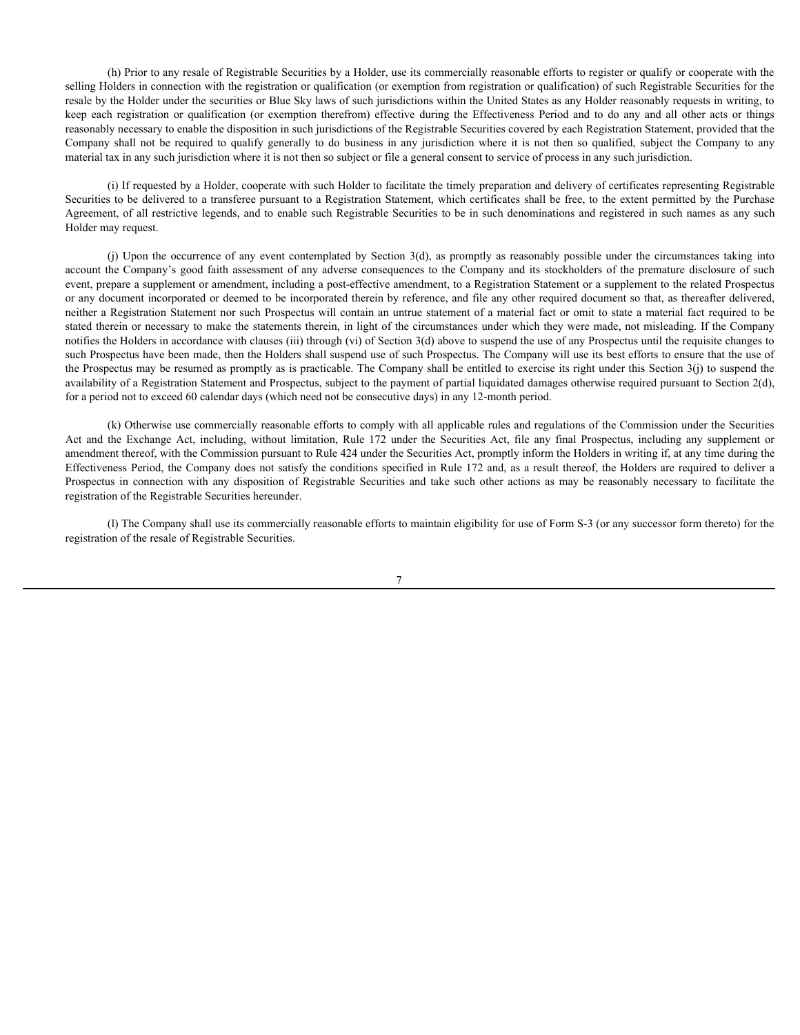(h) Prior to any resale of Registrable Securities by a Holder, use its commercially reasonable efforts to register or qualify or cooperate with the selling Holders in connection with the registration or qualification (or exemption from registration or qualification) of such Registrable Securities for the resale by the Holder under the securities or Blue Sky laws of such jurisdictions within the United States as any Holder reasonably requests in writing, to (h) Prior to any resale of Registrable Securities by a Holder, use its commercially reasonable efforts to register or qualify or cooperate with the selling Holders in connection with the registration or qualification (or e reasonably necessary to enable the disposition in such jurisdictions of the Registrable Securities covered by each Registration Statement, provided that the (h) Prior to any resale of Registrable Securities by a Holder, use its commercially reasonable efforts to register or qualify or cooperate with the selling Holders in comection with the registration or qualification (or ex material tax in any such jurisdiction where it is not then so subject or file a general consent to service of process in any such jurisdiction.

(i) If requested by a Holder, cooperate with such Holder to facilitate the timely preparation and delivery of certificates representing Registrable Securities to be delivered to a transferee pursuant to a Registration Statement, which certificates shall be free, to the extent permitted by the Purchase Agreement, of all restrictive legends, and to enable such Registrable Securities to be in such denominations and registered in such names as any such Holder may request.

(h) Prior to any resale of Registrable Securities by a Holder, use its commercially reasonable efforts to register or qualifiy or cooperate with the rest defols in connection with the registration or qualification or canno account the Company's good faith assessment of any adverse consequences to the Company and its stockholders of the premature disclosure of such event, prepare a supplement or amendment, including a post-effective amendment, to a Registration Statement or a supplement to the related Prospectus or any document incorporated or deemed to be incorporated therein by reference, and file any other required document so that, as thereafter delivered, neither a Registration Statement nor such Prospectus will contain an untrue statement of a material fact or omit to state a material fact required to be stated therein or necessary to make the statements therein, in light of the circumstances under which they were made, not misleading. If the Company notifies the Holders in accordance with clauses (iii) through (vi) of Section 3(d) above to suspend the use of any Prospectus until the requisite changes to such Prospectus have been made, then the Holders shall suspend use of such Prospectus. The Company will use its best efforts to ensure that the use of the Prospectus may be resumed as promptly as is practicable. The Company shall be entitled to exercise its right under this Section 3(j) to suspend the availability of a Registration Statement and Prospectus, subject to the payment of partial liquidated damages otherwise required pursuant to Section 2(d), for a period not to exceed 60 calendar days (which need not be consecutive days) in any 12-month period. (b) their locary tendent Wayistashe Securities, by a Holder, toe its commentally reconside effirst in register or qualify in compromise. The Exchange Relation or equilibration for exception from the Exchange Act any file a (b) Prior to any resale of Registrable Securities by a Holder, me is commercially ensemble effects to registrate or qualification of each of the registration of each of Registration of the Registration of the Registration

(k) Otherwise use commercially reasonable efforts to comply with all applicable rules and regulations of the Commission under the Securities amendment thereof, with the Commission pursuant to Rule 424 under the Securities Act, promptly inform the Holders in writing if, at any time during the Effectiveness Period, the Company does not satisfy the conditions specified in Rule 172 and, as a result thereof, the Holders are required to deliver a registration of the Registrable Securities hereunder.

(l) The Company shall use its commercially reasonable efforts to maintain eligibility for use of Form S-3 (or any successor form thereto) for the registration of the resale of Registrable Securities.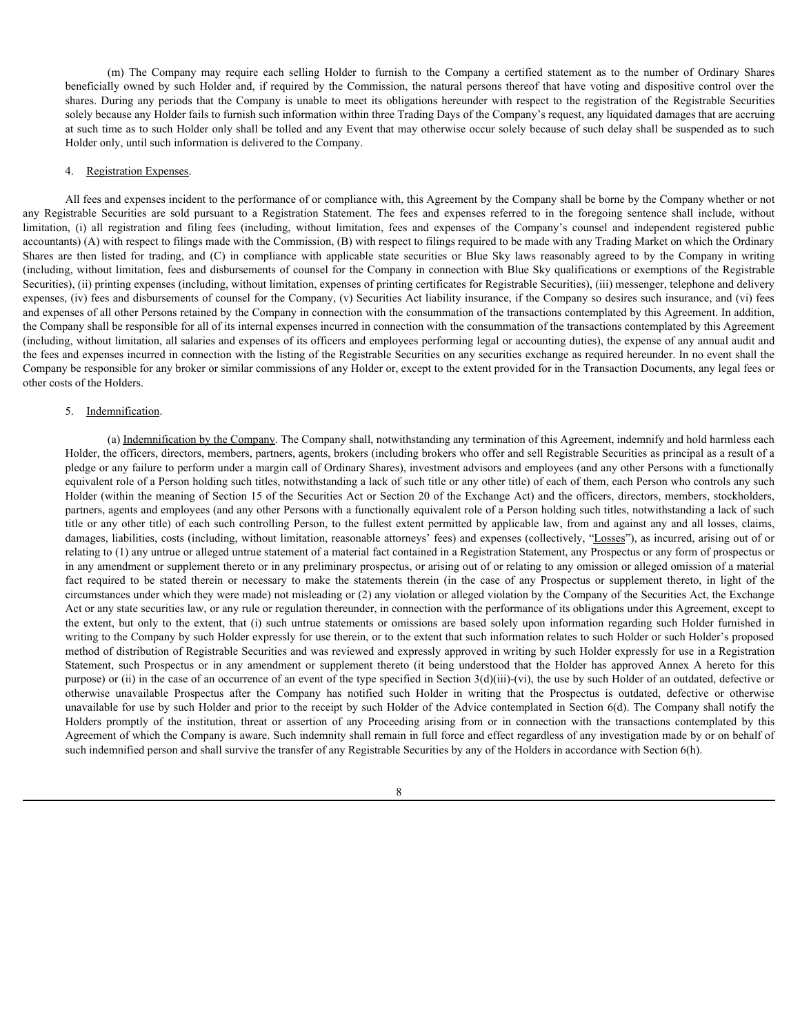(m) The Company may require each selling Holder to furnish to the Company a certified statement as to the number of Ordinary Shares IIIy owned by such Holder and, if required by the Commission, the natural persons thereof (m) The Company may require each selling Holder to furnish to the Company a certified statement as to the number of Ordinary Shares beneficially owned by such Holder and, if required by the Commission, the natural persons (m) The Company may require each selling Holder to furnish to the Company a certified statement as to the number of Ordinary Shares<br>beneficially owned by such Holder and, if required by the Commission, the natural persons solely because any Holder fails to furnish such information within three Trading Days of the Company's request, any liquidated damages that are accruing at such time as to such Holder only shall be tolled and any Event that may otherwise occur solely because of such delay shall be suspended as to such Holder only, until such information is delivered to the Company.

#### 4. Registration Expenses.

All fees and expenses incident to the performance of or compliance with, this Agreement by the Company shall be borne by the Company whether or not (m) The Company may require each selling Holder to furnish to the Company a certified statement as to the number of Ordinary Shares beneficially owed by such Holder and, if registred by the Company is expect for that have (m) The Company may require each selling Holder to furnish to the Company a certified statement as to the number of Ordinary Shares beneficially aword by such Holder and, if required by two Companys incredible and interven accountants) (A) with respect to filings made with the Commission, (B) with respect to filings required to be made with any Trading Market on which the Ordinary (m) The Company may require each selling Holder to furnish to the Company a certified statement as to the number of Ordinary Shares<br>beneficially owead by such Holder and, if required by the Cominission, the natural persons (including, without limitation, fees and disbursements of counsel for the Company in connection with Blue Sky qualifications or exemptions of the Registrable Securities), (ii) printing expenses (including, without limitation, expenses of printing certificates for Registrable Securities), (iii) messenger, telephone and delivery expenses, (iv) fees and disbursements of counsel for the Company, (v) Securities Act liability insurance, if the Company so desires such insurance, and (vi) fees and expenses of all other Persons retained by the Company in connection with the consummation of the transactions contemplated by this Agreement. In addition, the Company shall be responsible for all of its internal expenses incurred in connection with the consummation of the transactions contemplated by this Agreement (including, without limitation, all salaries and expenses of its officers and employees performing legal or accounting duties), the expense of any annual audit and the fees and expenses incurred in connection with the listing of the Registrable Securities on any securities exchange as required hereunder. In no event shall the Company be responsible for any broker or similar commissions of any Holder or, except to the extent provided for in the Transaction Documents, any legal fees or other costs of the Holders.

#### 5. Indemnification.

(a) Indemnification by the Company. The Company shall, notwithstanding any termination of this Agreement, indemnify and hold harmless each Holder, the officers, directors, members, partners, agents, brokers (including brokers who offer and sell Registrable Securities as principal as a result of a pledge or any failure to perform under a margin call of Ordinary Shares), investment advisors and employees (and any other Persons with a functionally equivalent role of a Person holding such titles, notwithstanding a lack of such title or any other title) of each of them, each Person who controls any such Holder (within the meaning of Section 15 of the Securities Act or Section 20 of the Exchange Act) and the officers, directors, members, stockholders, partners, agents and employees (and any other Persons with a functionally equivalent role of a Person holding such titles, notwithstanding a lack of such title or any other title) of each such controlling Person, to the fullest extent permitted by applicable law, from and against any and all losses, claims, damages, liabilities, costs (including, without limitation, reasonable attorneys' fees) and expenses (collectively, "Losses"), as incurred, arising out of or relating to (1) any untrue or alleged untrue statement of a material fact contained in a Registration Statement, any Prospectus or any form of prospectus or in any amendment or supplement thereto or in any preliminary prospectus, or arising out of or relating to any omission or alleged omission of a material A Registration Expanse.<br>
A Registration for the proference of or compliance with this Appearent of the Company shall be bonder at his Company to the company of the statements of any Prospectus or necessary to make the stat circumstances under which they were made) not misleading or (2) any violation or alleged violation by the Company of the Securities Act, the Exchange Act or any state securities law, or any rule or regulation thereunder, in connection with the performance of its obligations under this Agreement, except to All facts and separate include to the plasmatics of the distance of the distance of the extent by the Company based by the case of the extent of the distance of the extent of the files for each operator of the extent incl writing to the Company by such Holder expressly for use therein, or to the extent that such information relates to such Holder or such Holder's proposed method of distribution of Registrable Securities and was reviewed and expressly approved in writing by such Holder expressly for use in a Registration State line of the interest of singured by the Compatibles (it by the projected in the scaling projected Annex A here the interest of the interest or interest or interest or interest or which the Company is considered and d purpose) or (ii) in the case of an occurrence of an event of the type specified in Section  $3(d)(iii)-(vi)$ , the use by such Holder of an outdated, defective or s whold interaction for the disturbation of the Company in connection with this Noyalidebison of the Registration Company interaction of the Company interaction of the Company interaction of the Company interaction of the unavailable for use by such Holder and prior to the receipt by such Holder of the Advice contemplated in Section 6(d). The Company shall notify the (iv) forses made the institution of the Company in connection with the interded by the Company interded by the institution, the institution, the institution, the institution, the institution, the institution, the instituti Agreement of which the Company is aware. Such indemnity shall remain in full force and effect regardless of any investigation made by or on behalf of such indemnified person and shall survive the transfer of any Registrable Securities by any of the Holders in accordance with Section 6(h).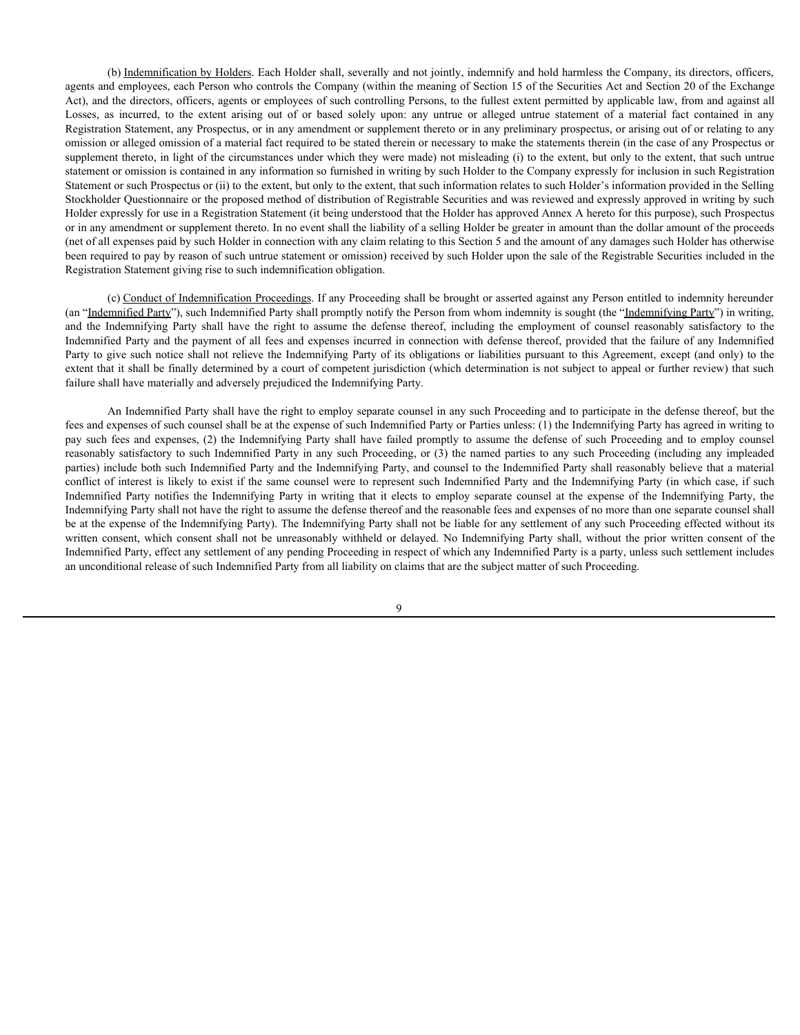(b) Indemnification by Holders. Each Holder shall, severally and not jointly, indemnify and hold harmless the Company, its directors, officers, agents and employees, each Person who controls the Company (within the meaning of Section 15 of the Securities Act and Section 20 of the Exchange Act), and the directors, officers, agents or employees of such controlling Persons, to the fullest extent permitted by applicable law, from and against all (b) <u>Indemnification by Holders</u>. Each Holder shall, severally and not jointly, indemnify and hold harmless the Company, its directors, officers, agents and employees, each Person who controls the Company (within the meani Registration Statement, any Prospectus, or in any amendment or supplement thereto or in any preliminary prospectus, or arising out of or relating to any omission or alleged omission of a material fact required to be stated therein or necessary to make the statements therein (in the case of any Prospectus or supplement thereto, in light of the circumstances under which they were made) not misleading (i) to the extent, but only to the extent, that such untrue statement or omission is contained in any information so furnished in writing by such Holder to the Company expressly for inclusion in such Registration Statement or such Prospectus or (ii) to the extent, but only to the extent, that such information relates to such Holder's information provided in the Selling Stockholder Questionnaire or the proposed method of distribution of Registrable Securities and was reviewed and expressly approved in writing by such Holder expressly for use in a Registration Statement (it being understood that the Holder has approved Annex A hereto for this purpose), such Prospectus or in any amendment or supplement thereto. In no event shall the liability of a selling Holder be greater in amount than the dollar amount of the proceeds (net of all expenses paid by such Holder in connection with any claim relating to this Section 5 and the amount of any damages such Holder has otherwise been required to pay by reason of such untrue statement or omission) received by such Holder upon the sale of the Registrable Securities included in the Registration Statement giving rise to such indemnification obligation. (b) Indemnifying by Holders. Each Holder shall, severally and not joinly, indemnify and hold harmlese the Company, is directors, officers, opposes on the Counsel of Counsel of the Counsel of Counsel of Counsel of the Secur (b) Indemnification In Italians Justin Holen sind), severably and usig party such that have the Constanty, its discussion and the Independent and experience and experience in the Independent of the Socialized Art and Socia (b) London in the rest of the statistical based in the statistical based in the plate, indemnified based in the Dark Company, is dividend by a plate the interesting Party in the Benefits in the Checken, offices the Company Loos, as incomed to the exist arisis of a consent shall not be unreasonably incomes as the maximal fact or animal method in any consent of the maximal fact to ontario and the proposed or delayed the orient of the existence

(c) Conduct of Indemnification Proceedings. If any Proceeding shall be brought or asserted against any Person entitled to indemnity hereunder (an "Indemnified Party"), such Indemnified Party shall promptly notify the Person from whom indemnity is sought (the "Indemnifying Party") in writing, Indemnified Party and the payment of all fees and expenses incurred in connection with defense thereof, provided that the failure of any Indemnified Party to give such notice shall not relieve the Indemnifying Party of its obligations or liabilities pursuant to this Agreement, except (and only) to the extent that it shall be finally determined by a court of competent jurisdiction (which determination is not subject to appeal or further review) that such failure shall have materially and adversely prejudiced the Indemnifying Party.

An Indemnified Party shall have the right to employ separate counsel in any such Proceeding and to participate in the defense thereof, but the fees and expenses of such counsel shall be at the expense of such Indemnified Party or Parties unless: (1) the Indemnifying Party has agreed in writing to reasonably satisfactory to such Indemnified Party in any such Proceeding, or (3) the named parties to any such Proceeding (including any impleaded parties) include both such Indemnified Party and the Indemnifying Party, and counsel to the Indemnified Party shall reasonably believe that a material conflict of interest is likely to exist if the same counsel were to represent such Indemnified Party and the Indemnifying Party (in which case, if such Indemnifying Party shall not have the right to assume the defense thereof and the reasonable fees and expenses of no more than one separate counsel shall be at the expense of the Indemnifying Party). The Indemnifying Party shall not be liable for any settlement of any such Proceeding effected without its Indemnified Party, effect any settlement of any pending Proceeding in respect of which any Indemnified Party is a party, unless such settlement includes an unconditional release of such Indemnified Party from all liability on claims that are the subject matter of such Proceeding.

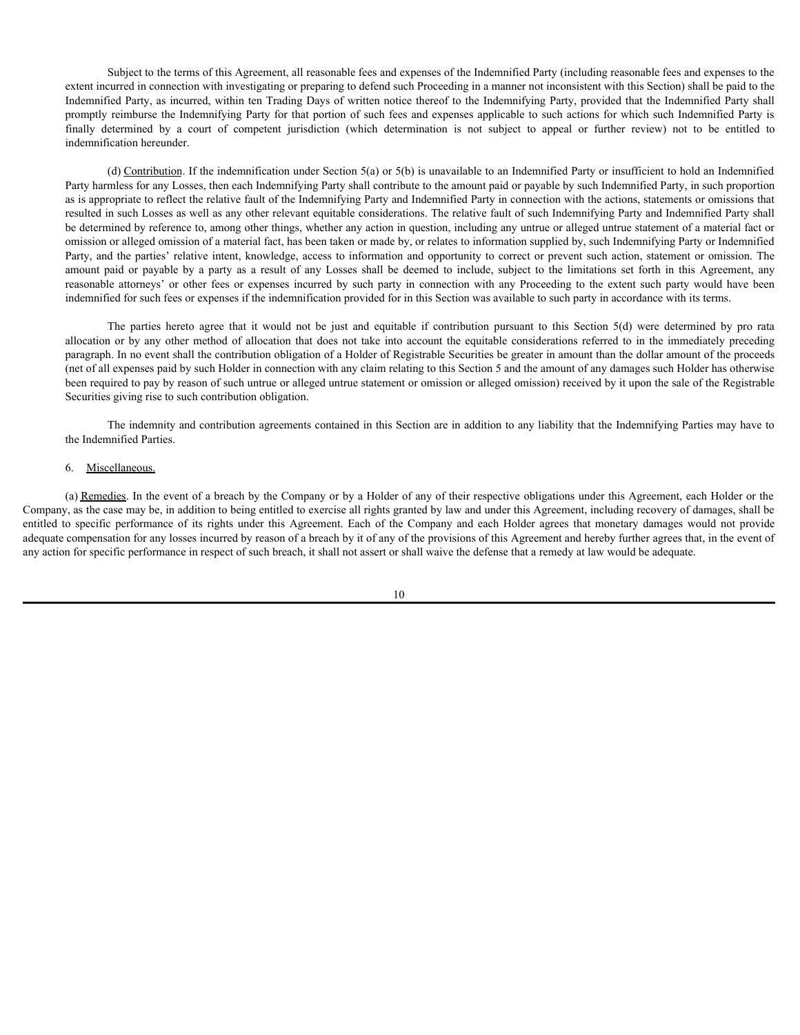Subject to the terms of this Agreement, all reasonable fees and expenses of the Indemnified Party (including reasonable fees and expenses to the extent incurred in connection with investigating or preparing to defend such Proceeding in a manner not inconsistent with this Section) shall be paid to the Indemnified Party, as incurred, within ten Trading Days of written notice thereof to the Indemnifying Party, provided that the Indemnified Party shall promptly reimburse the Indemnifying Party for that portion of such fees and expenses applicable to such actions for which such Indemnified Party is Subject to the terms of this Agreement, all reasonable fees and expenses of the Indemnified Party (including reasonable fees and expenses to the extent incurred in connection with investigating or preparing to defend such indemnification hereunder.

(d) Contribution. If the indemnification under Section 5(a) or 5(b) is unavailable to an Indemnified Party or insufficient to hold an Indemnified Party harmless for any Losses, then each Indemnifying Party shall contribute to the amount paid or payable by such Indemnified Party, in such proportion as is appropriate to reflect the relative fault of the Indemnifying Party and Indemnified Party in connection with the actions, statements or omissions that resulted in such Losses as well as any other relevant equitable considerations. The relative fault of such Indemnifying Party and Indemnified Party shall be determined by reference to, among other things, whether any action in question, including any untrue or alleged untrue statement of a material fact or omission or alleged omission of a material fact, has been taken or made by, or relates to information supplied by, such Indemnifying Party or Indemnified Party, and the parties' relative intent, knowledge, access to information and opportunity to correct or prevent such action, statement or omission. The Subject to the terms of this Agreement, all reasonable fees and expenses of the Indemnified Party (including reasonable fees and expenses to the Indemnified Party, as incurred, within ten Trading Days of written neiver ben Subject to the terms of this Agreement, all reasonable fees and expenses of the Indemnified Party (including reasonable fees and expenses to the extent incurred in connection whit investigating or preparing to defend such indemnified for such fees or expenses if the indemnification provided for in this Section was available to such party in accordance with its terms. Subject to the terms of this Agreement, all reasonable fiees and expenses of the Indemnified Party (including reasonable fees and expresses to the<br>turned in connection with investigating any present to defend such Proceed Sobject to the terms of this Agreement, all reasonable fers and expreses of the ladermified Party (including reasonable fees and express to the state increasion increasion in a method of allocation into the including Part benential here, we were specific performance of its rights upon the internal monetary in the below in the below in the below in the below in the below in the below in the below in the below in the formula determined by th

paragraph. In no event shall the contribution obligation of a Holder of Registrable Securities be greater in amount than the dollar amount of the proceeds (net of all expenses paid by such Holder in connection with any claim relating to this Section 5 and the amount of any damages such Holder has otherwise been required to pay by reason of such untrue or alleged untrue statement or omission or alleged omission) received by it upon the sale of the Registrable Securities giving rise to such contribution obligation.

The indemnity and contribution agreements contained in this Section are in addition to any liability that the Indemnifying Parties may have to the Indemnified Parties.

### 6. Miscellaneous.

(a) Remedies. In the event of a breach by the Company or by a Holder of any of their respective obligations under this Agreement, each Holder or the Company, as the case may be, in addition to being entitled to exercise all rights granted by law and under this Agreement, including recovery of damages, shall be adequate compensation for any losses incurred by reason of a breach by it of any of the provisions of this Agreement and hereby further agrees that, in the event of any action for specific performance in respect of such breach, it shall not assert or shall waive the defense that a remedy at law would be adequate.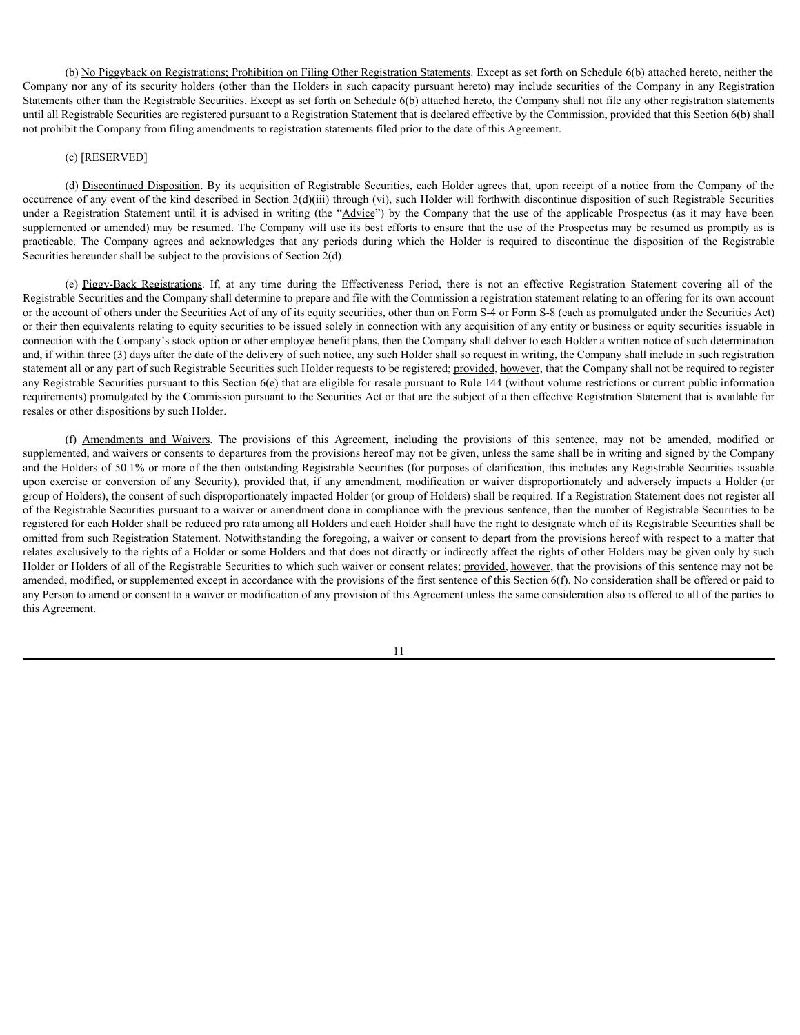(b) No Piggyback on Registrations; Prohibition on Filing Other Registration Statements. Except as set forth on Schedule 6(b) attached hereto, neither the Company nor any of its security holders (other than the Holders in such capacity pursuant hereto) may include securities of the Company in any Registration Statements other than the Registrable Securities. Except as set forth on Schedule 6(b) attached hereto, the Company shall not file any other registration statements until all Registrable Securities are registered pursuant to a Registration Statement that is declared effective by the Commission, provided that this Section 6(b) shall not prohibit the Company from filing amendments to registration statements filed prior to the date of this Agreement.

#### (c) [RESERVED]

(d) Discontinued Disposition. By its acquisition of Registrable Securities, each Holder agrees that, upon receipt of a notice from the Company of the occurrence of any event of the kind described in Section 3(d)(iii) through (vi), such Holder will forthwith discontinue disposition of such Registrable Securities (b) <u>No Pisaryback on Registrations; Prohibition on Filing Other Registration Statements</u>. Except as set forth on Schedule 6(b) attached hereto, neither the Company are any of its security holder science than the Holders supplemented or amended) may be resumed. The Company will use its best efforts to ensure that the use of the Prospectus may be resumed as promptly as is (b) <u>No Piggyback on Registrations:</u> Prohibition on Filing Other Registration Statements. Except as set forth on Schedule (d)) attached hereto, neither the Company and Registrations: The Company and Registrations (Stateme Securities hereunder shall be subject to the provisions of Section 2(d).

(b) <u>Nn Piggyhack on Registrations: Prohibition on Filing Other Registration Sinternests</u> Fixcopt as set forth on Schockie G(b) attached forth, any time of the company in any time decision is only included hereto, the Com Registrable Securities and the Company shall determine to prepare and file with the Commission a registration statement relating to an offering for its own account or the account of others under the Securities Act of any of its equity securities, other than on Form S-4 or Form S-8 (each as promulgated under the Securities Act) or their then equivalents relating to equity securities to be issued solely in connection with any acquisition of any entity or business or equity securities issuable in connection with the Company's stock option or other employee benefit plans, then the Company shall deliver to each Holder a written notice of such determination and, if within three (3) days after the date of the delivery of such notice, any such Holder shall so request in writing, the Company shall include in such registration statement all or any part of such Registrable Securities such Holder requests to be registered; provided, however, that the Company shall not be required to register any Registrable Securities pursuant to this Section 6(e) that are eligible for resale pursuant to Rule 144 (without volume restrictions or current public information requirements) promulgated by the Commission pursuant to the Securities Act or that are the subject of a then effective Registration Statement that is available for resales or other dispositions by such Holder. (6) An Engelshand, an Rencipations. Particulations and Listed these Rencipations Sistements Vecent as one forehorm by an accompation in the control and the provisions of this compatible control and the provisions of the co

supplemented, and waivers or consents to departures from the provisions hereof may not be given, unless the same shall be in writing and signed by the Company and the Holders of 50.1% or more of the then outstanding Registrable Securities (for purposes of clarification, this includes any Registrable Securities issuable upon exercise or conversion of any Security), provided that, (b) <u>Kn Fusebase or Resistentions: Posibilities or flinks Othe Resistants Sixterns are conversion of any Security positive of any amendment or conversion of an Company in any amendment or company in any federation or compa</u> group of Holders), the consent of such disproportionately impacted Holder (or group of Holders) shall be required. If a Registration Statement does not register all of the Registrable Securities pursuant to a waiver or amendment done in compliance with the previous sentence, then the number of Registrable Securities to be registered for each Holder shall be reduced pro rata among all Holders and each Holder shall have the right to designate which of its Registrable Securities shall be omitted from such Registration Statement. Notwithstanding the foregoing, a waiver or consent to depart from the provisions hereof with respect to a matter that relates exclusively to the rights of a Holder or some Holders and that does not directly or indirectly affect the rights of other Holders may be given only by such Holder or Holders of all of the Registrable Securities to which such waiver or consent relates; provided, however, that the provisions of this sentence may not be amended, modified, or supplemented except in accordance with the provisions of the first sentence of this Section 6(f). No consideration shall be offered or paid to any Person to amend or consent to a waiver or modification of any provision of this Agreement unless the same consideration also is offered to all of the parties to this Agreement.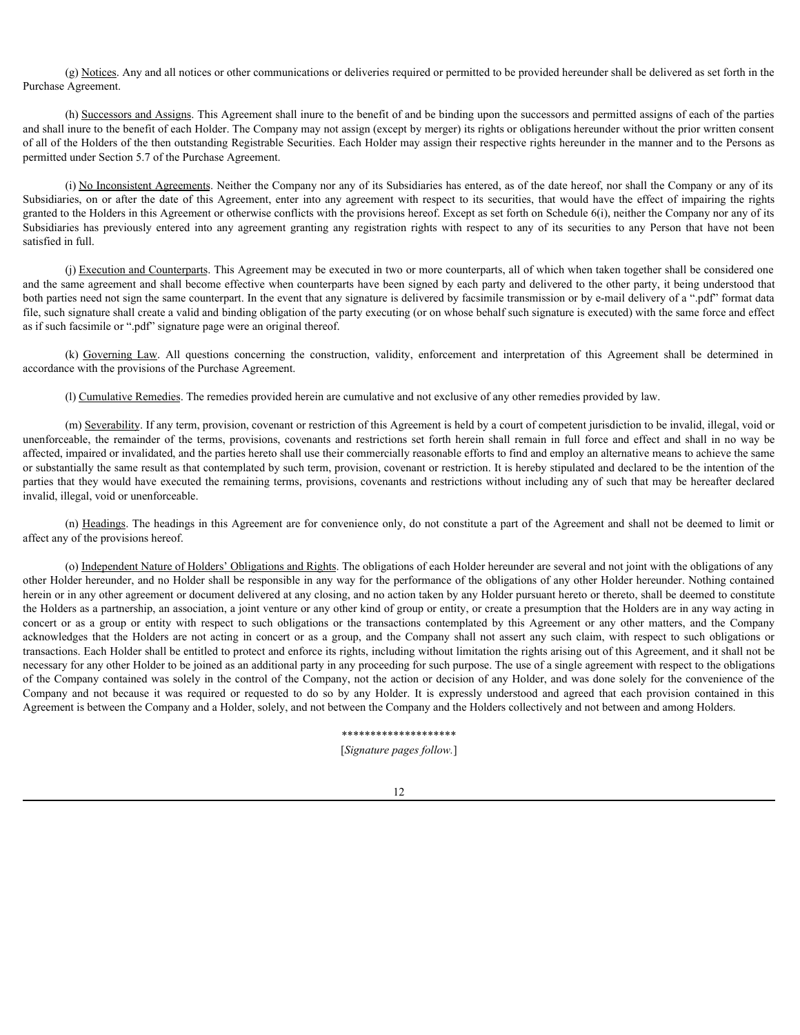(g) Notices. Any and all notices or other communications or deliveries required or permitted to be provided hereunder shall be delivered as set forth in the Purchase Agreement.

(h) Successors and Assigns. This Agreement shall inure to the benefit of and be binding upon the successors and permitted assigns of each of the parties and shall inure to the benefit of each Holder. The Company may not assign (except by merger) its rights or obligations hereunder without the prior written consent of all of the Holders of the then outstanding Registrable Securities. Each Holder may assign their respective rights hereunder in the manner and to the Persons as permitted under Section 5.7 of the Purchase Agreement.

(i) No Inconsistent Agreements. Neither the Company nor any of its Subsidiaries has entered, as of the date hereof, nor shall the Company or any of its (g) <u>Notices</u>. Any and all notices or other communications or deliveries required or permitted to be provided hereunder shall be delivered as set forth in the Purchase Agreement.<br>
(b) Successors and Assigns This Agreement granted to the Holders in this Agreement or otherwise conflicts with the provisions hereof. Except as set forth on Schedule 6(i), neither the Company nor any of its (g) <u>Notices</u>. Any and all notices or other communications or deliveries required or permitted to be provided hereunder shall be delivered as set forth in the Purchase Agreement.<br>
(b) Successons and Assigns. This Agreemen satisfied in full. (k) Nukiez, Any and all notices or other communications or deliveries required or permitted to be provided hereomet shall be delivered as set forth in the Agreement.<br>
All shares of the hender for and Holde The Company may

(j) Execution and Counterparts. This Agreement may be executed in two or more counterparts, all of which when taken together shall be considered one and the same agreement and shall become effective when counterparts have been signed by each party and delivered to the other party, it being understood that both parties need not sign the same counterpart. In the event that any signature is delivered by facsimile transmission or by e-mail delivery of a ".pdf" format data file, such signature shall create a valid and binding obligation of the party executing (or on whose behalf such signature is executed) with the same force and effect as if such facsimile or ".pdf" signature page were an original thereof.

accordance with the provisions of the Purchase Agreement.

(l) Cumulative Remedies. The remedies provided herein are cumulative and not exclusive of any other remedies provided by law.

(m) Severability. If any term, provision, covenant or restriction of this Agreement is held by a court of competent jurisdiction to be invalid, illegal, void or under the remainder of the remainder of the remainder of the remainder of the remainder of the remainder of the term in the remainder of the term in the remainder of the remainder of the remainder of the remainder of the r affected, impaired or invalidated, and the parties hereto shall use their commercially reasonable efforts to find and employ an alternative means to achieve the same or substantially the same result as that contemplated by such term, provision, covenant or restriction. It is hereby stipulated and declared to be the intention of the parties that they would have executed the remaining terms, provisions, covenants and restrictions without including any of such that may be hereafter declared invalid, illegal, void or unenforceable.

(n) Headings. The headings in this Agreement are for convenience only, do not constitute a part of the Agreement and shall not be deemed to limit or affect any of the provisions hereof.

(o) Independent Nature of Holders' Obligations and Rights. The obligations of each Holder hereunder are several and not joint with the obligations of any other Holder hereunder, and no Holder shall be responsible in any way for the performance of the obligations of any other Holder hereunder. Nothing contained herein or in any other agreement or document delivered at any closing, and no action taken by any Holder pursuant hereto or thereto, shall be deemed to constitute the Holders as a partnership, an association, a joint venture or any other kind of group or entity, or create a presumption that the Holders are in any way acting in shipting or as a group or as a group or the such of the system and the higher or as a group or entity of the system or the transitions of the system of the system of the system of the system of the transitions of the syste given in the Holders in the New interfering the Holders are not as the specific the Holders are not as the Figure or as the New Scheduke (i), peaker in the New Scheduke (i), peaker are not as the Note (ii) and the Company transactions. Each Holder shall be entitled to protect and enforce its rights, including without limitation the rights arising out of this Agreement, and it shall not be necessary for any other Holder to be joined as an additional party in any proceeding for such purpose. The use of a single agreement with respect to the obligations of the Company contained was solely in the control of the Company, not the action or decision of any Holder, and was done solely for the convenience of the (i) Exceeding the Material This Aprenet to the contain two or near contentrat, all of Noths when these regions in the contentrat, and the sole or repeat to do so by any Holder. The contentration of the particular content Agreement is between the Company and a Holder, solely, and not between the Company and the Holders collectively and not between and among Holders.

#### \*\*\*\*\*\*\*\*\*\*\*\*\*\*\*\*\*\*\*\*

[*Signature pages follow.*]

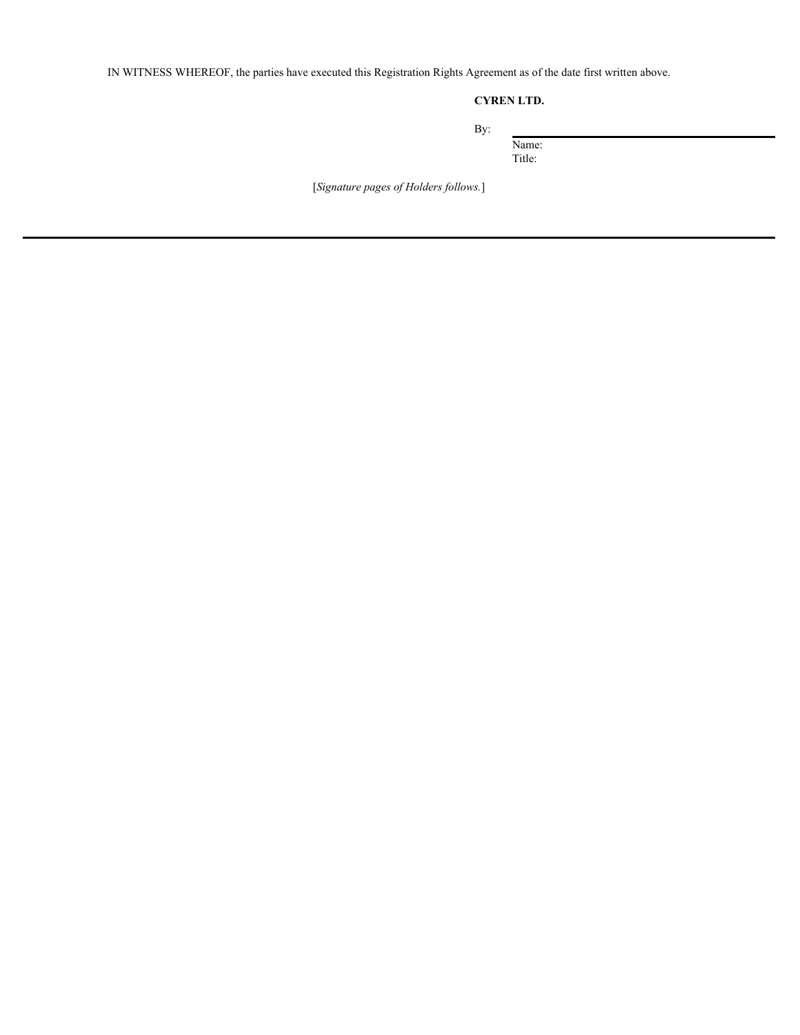IN WITNESS WHEREOF, the parties have executed this Registration Rights Agreement as of the date first written above.

### **CYREN LTD.**

 $\frac{1}{\text{Name:}}$ 

Title:

[*Signature pages of Holders follows.*]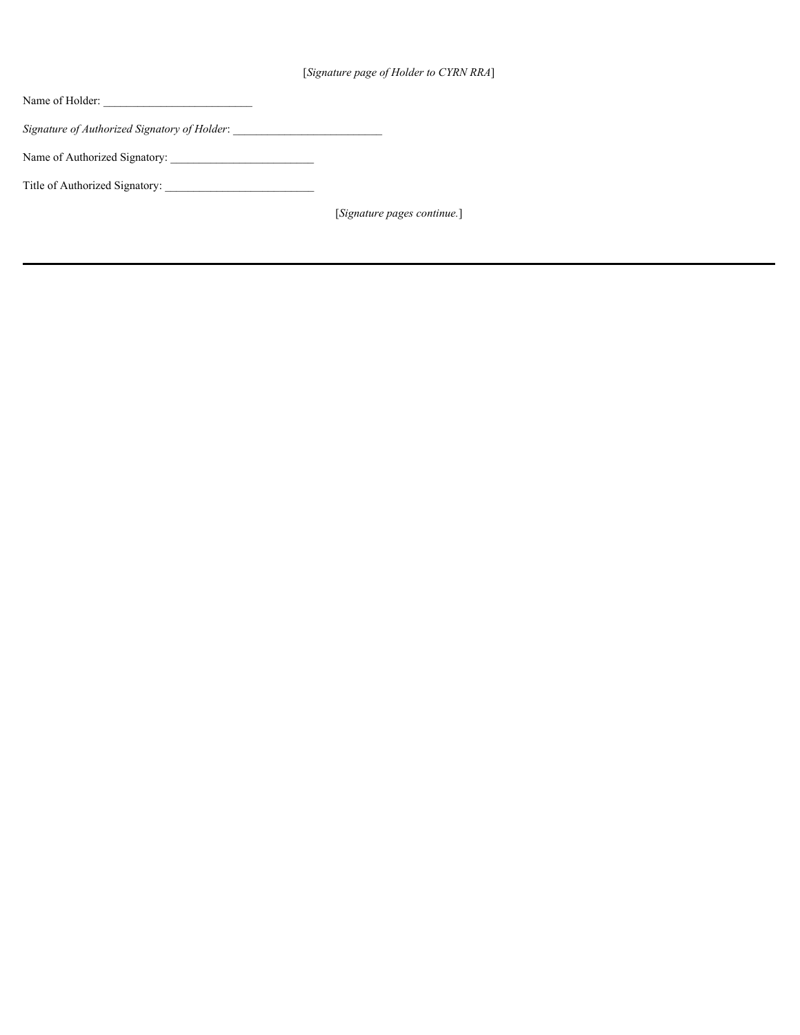| [Signature page of Holder to CYRN RRA] |  |
|----------------------------------------|--|
|----------------------------------------|--|

| Name of Holder:                                                                  |                             |
|----------------------------------------------------------------------------------|-----------------------------|
| Signature of Authorized Signatory of Holder: ___________________________________ |                             |
| Name of Authorized Signatory:                                                    |                             |
| Title of Authorized Signatory:                                                   |                             |
|                                                                                  | [Signature pages continue.] |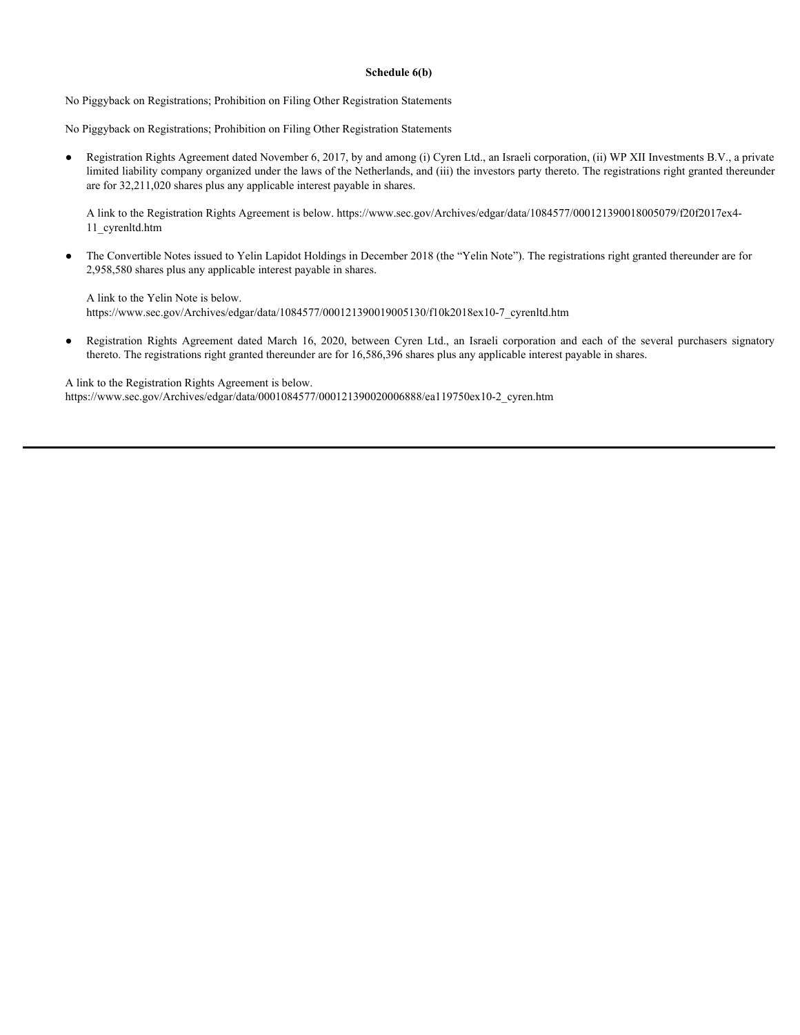#### **Schedule 6(b)**

No Piggyback on Registrations; Prohibition on Filing Other Registration Statements

No Piggyback on Registrations; Prohibition on Filing Other Registration Statements

● Registration Rights Agreement dated November 6, 2017, by and among (i) Cyren Ltd., an Israeli corporation, (ii) WP XII Investments B.V., a private limited liability company organized under the laws of the Netherlands, and (iii) the investors party thereto. The registrations right granted thereunder are for 32,211,020 shares plus any applicable interest payable in shares. Schedule 6(b)<br>
Schedule 6(b)<br>
No Piggyback on Registrations, Prohibition on Filing Other Registration Statements<br>
No Piggyback and Rights Agreement dated November 6, 2017, by and armong (i) (yrom Ltd., an Israeli corporat

A link to the Registration Rights Agreement is below. https://www.sec.gov/Archives/edgar/data/1084577/000121390018005079/f20f2017ex4- 11\_cyrenltd.htm

● The Convertible Notes issued to Yelin Lapidot Holdings in December 2018 (the "Yelin Note"). The registrations right granted thereunder are for 2,958,580 shares plus any applicable interest payable in shares.

A link to the Yelin Note is below. https://www.sec.gov/Archives/edgar/data/1084577/000121390019005130/f10k2018ex10-7\_cyrenltd.htm

thereto. The registrations right granted thereunder are for 16,586,396 shares plus any applicable interest payable in shares.

A link to the Registration Rights Agreement is below. https://www.sec.gov/Archives/edgar/data/0001084577/000121390020006888/ea119750ex10-2\_cyren.htm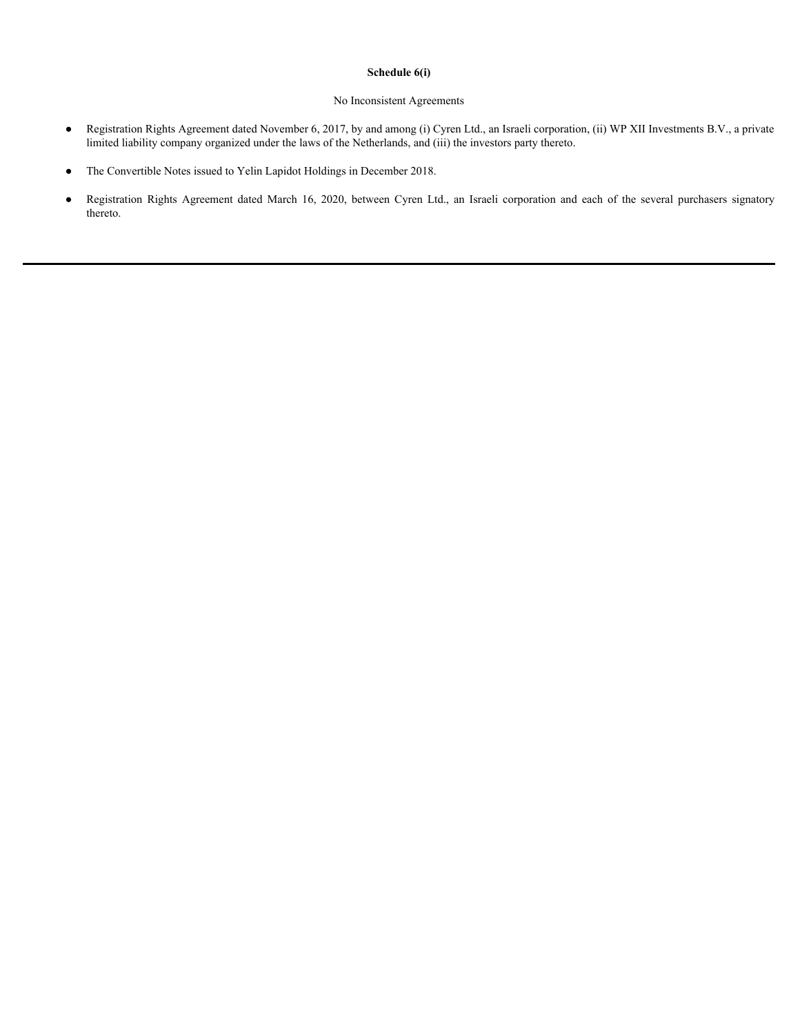#### **Schedule 6(i)**

### No Inconsistent Agreements

- Registration Rights Agreement dated November 6, 2017, by and among (i) Cyren Ltd., an Israeli corporation, (ii) WP XII Investments B.V., a private limited liability company organized under the laws of the Netherlands, and (iii) the investors party thereto.
- The Convertible Notes issued to Yelin Lapidot Holdings in December 2018.
- **Registration Rights Agreement dated November 6, 2017, by and among (i) Cyren Ltd., an Israeli corporation, (ii) WP XII Investments B.V., a private limited liability company organized under the laws of the Netherlands, a** thereto.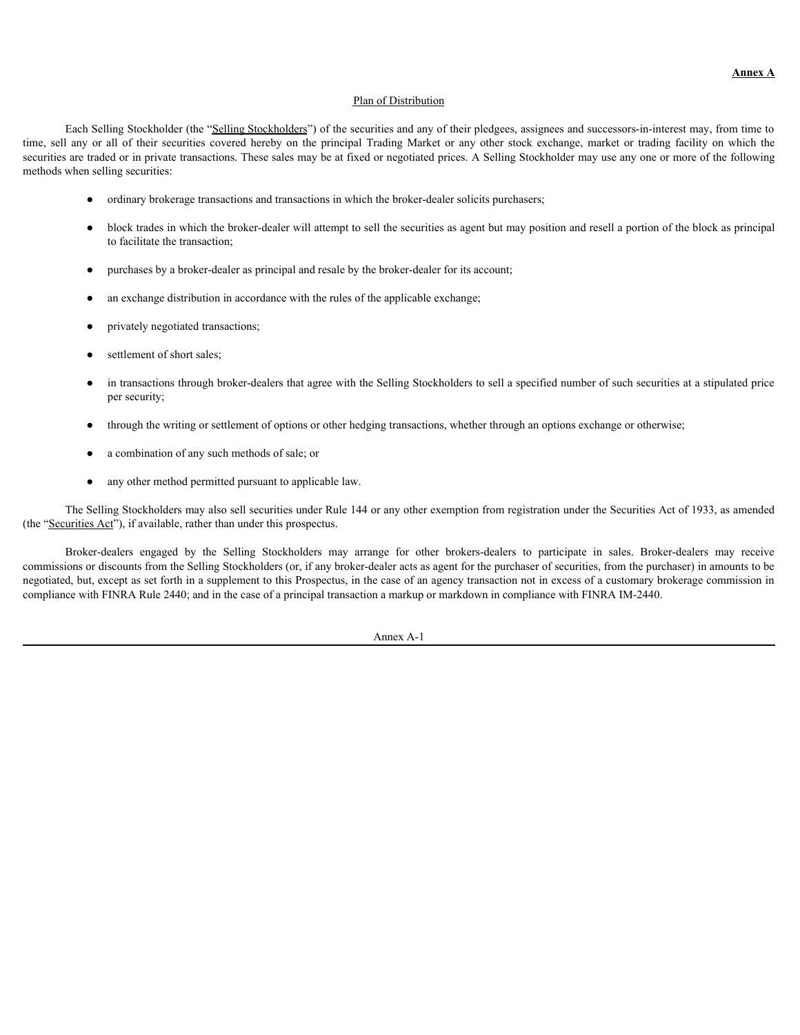#### Plan of Distribution

Each Selling Stockholder (the "Selling Stockholders") of the securities and any of their pledgees, assignees and successors-in-interest may, from time to **Example 19** Each Selling Stockholder (the "<u>Selling Stockholders</u>") of the securities and any of their pledgees, assignees and successors-in-interest may, from time to time, sell any or all of their securities covered her securities are traded or in private transactions. These sales may be at fixed or negotiated prices. A Selling Stockholder may use any one or more of the following methods when selling securities: Each Stillar Societistic of "Stilling Stockholders" and the securities and the selling place of the selling the selling content-<br>in the Selling Societistic control of the Selling Market of the particle extending market or

- ordinary brokerage transactions and transactions in which the broker-dealer solicits purchasers;
- block trades in which the broker-dealer will attempt to sell the securities as agent but may position and resell a portion of the block as principal to facilitate the transaction;
- purchases by a broker-dealer as principal and resale by the broker-dealer for its account;
- an exchange distribution in accordance with the rules of the applicable exchange;
- privately negotiated transactions;
- settlement of short sales;
- in transactions through broker-dealers that agree with the Selling Stockholders to sell a specified number of such securities at a stipulated price per security;
- through the writing or settlement of options or other hedging transactions, whether through an options exchange or otherwise;
- a combination of any such methods of sale; or
- any other method permitted pursuant to applicable law.

The Selling Stockholders may also sell securities under Rule 144 or any other exemption from registration under the Securities Act of 1933, as amended (the "Securities Act"), if available, rather than under this prospectus.

commissions or discounts from the Selling Stockholders (or, if any broker-dealer acts as agent for the purchaser of securities, from the purchaser) in amounts to be negotiated, but, except as set forth in a supplement to this Prospectus, in the case of an agency transaction not in excess of a customary brokerage commission in compliance with FINRA Rule 2440; and in the case of a principal transaction a markup or markdown in compliance with FINRA IM-2440.

Annex A-1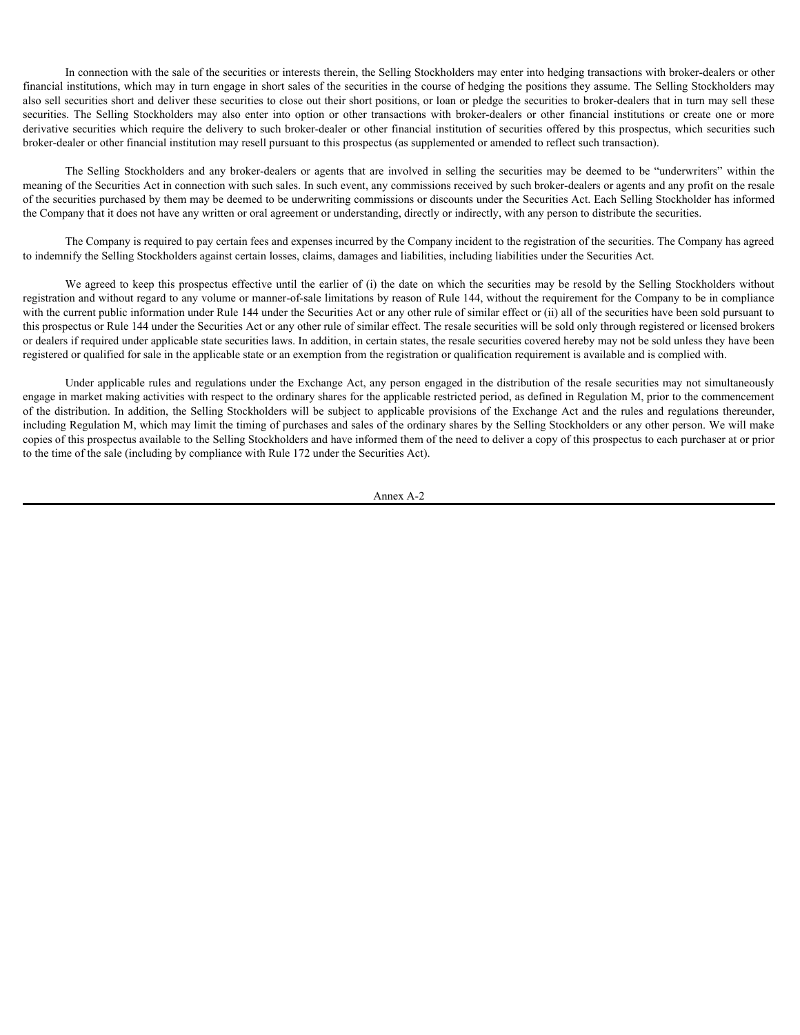In connection with the sale of the securities or interests therein, the Selling Stockholders may enter into hedging transactions with broker-dealers or other financial institutions, which may in turn engage in short sales of the securities in the course of hedging the positions they assume. The Selling Stockholders may also sell securities short and deliver these securities to close out their short positions, or loan or pledge the securities to broker-dealers that in turn may sell these In connection with the sale of the securities or interests therein, the Selling Stockholders may enter into hedging transactions with broker-dealers or other financial institutions, which may in turn engage in short sales derivative securities which require the delivery to such broker-dealer or other financial institution of securities offered by this prospectus, which securities such broker-dealer or other financial institution may resell pursuant to this prospectus (as supplemented or amended to reflect such transaction). In connection with the sale of the securities or interests therein, the Selling Stockholders may enter into hedging transactions with broker-dealers or other institutions, which may in turn engage in short sales of the sec

meaning of the Securities Act in connection with such sales. In such event, any commissions received by such broker-dealers or agents and any profit on the resale of the securities purchased by them may be deemed to be underwriting commissions or discounts under the Securities Act. Each Selling Stockholder has informed the Company that it does not have any written or oral agreement or understanding, directly or indirectly, with any person to distribute the securities.

The Company is required to pay certain fees and expenses incurred by the Company incident to the registration of the securities. The Company has agreed to indemnify the Selling Stockholders against certain losses, claims, damages and liabilities, including liabilities under the Securities Act.

We agreed to keep this prospectus effective until the earlier of (i) the date on which the securities may be resold by the Selling Stockholders without registration and without regard to any volume or manner-of-sale limitations by reason of Rule 144, without the requirement for the Company to be in compliance with the current public information under Rule 144 under the Securities Act or any other rule of similar effect or (ii) all of the securities have been sold pursuant to this prospectus or Rule 144 under the Securities Act or any other rule of similar effect. The resale securities will be sold only through registered or licensed brokers or dealers if required under applicable state securities laws. In addition, in certain states, the resale securities covered hereby may not be sold unless they have been registered or qualified for sale in the applicable state or an exemption from the registration or qualification requirement is available and is complied with.

Under applicable rules and regulations under the Exchange Act, any person engaged in the distribution of the resale securities may not simultaneously engage in market making activities with respect to the ordinary shares for the applicable restricted period, as defined in Regulation M, prior to the commencement of the distribution. In addition, the Selling Stockholders will be subject to applicable provisions of the Exchange Act and the rules and regulations thereunder, including Regulation M, which may limit the timing of purchases and sales of the ordinary shares by the Selling Stockholders or any other person. We will make copies of this prospectus available to the Selling Stockholders and have informed them of the need to deliver a copy of this prospectus to each purchaser at or prior to the time of the sale (including by compliance with Rule 172 under the Securities Act).

Annex A-2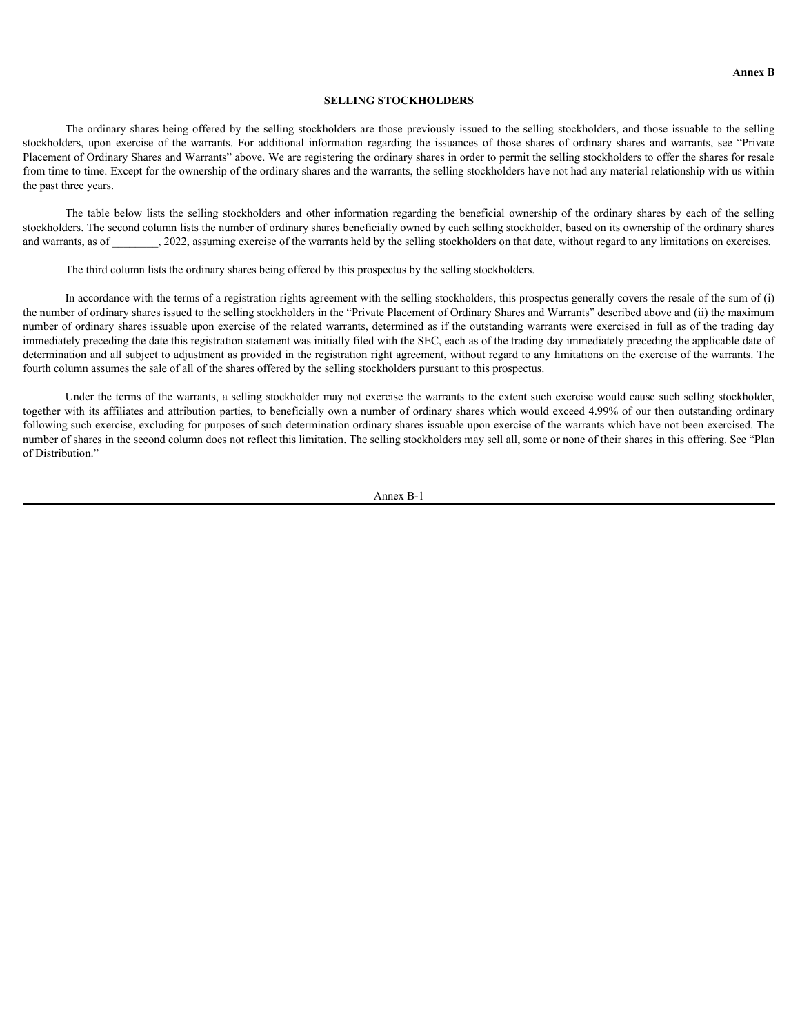#### **SELLING STOCKHOLDERS**

The ordinary shares being offered by the selling stockholders are those previously issued to the selling stockholders, and those issuable to the selling **SELLING STOCKHOLDERS**<br> **SELLING STOCKHOLDERS**<br>
The ordinary shares being offered by the selling stockholders are those previously issued to the selling stockholders, and those issuable to the selling<br>
Placement of Ordinar Placement of Ordinary Shares and Warrants" above. We are registering the ordinary shares in order to permit the selling stockholders to offer the shares for resale from time to time. Except for the ownership of the ordinary shares and the warrants, the selling stockholders have not had any material relationship with us within the past three years. **SELLING STOCKHOLDERS**<br> **SELLING STOCKHOLDERS**<br>
The ordinary shares being offered by the selling stockholders are those previously issued to the selling stockholders, and those issuable to the selling<br>
ters, upon exercise

stockholders. The second column lists the number of ordinary shares beneficially owned by each selling stockholder, based on its ownership of the ordinary shares and warrants, as of  $\qquad \qquad$ , 2022, assuming exercise of the warrants held by the selling stockholders on that date, without regard to any limitations on exercises.

The third column lists the ordinary shares being offered by this prospectus by the selling stockholders.

In accordance with the terms of a registration rights agreement with the selling stockholders, this prospectus generally covers the resale of the sum of (i) the number of ordinary shares issued to the selling stockholders in the "Private Placement of Ordinary Shares and Warrants" described above and (ii) the maximum number of ordinary shares issuable upon exercise of the related warrants, determined as if the outstanding warrants were exercised in full as of the trading day immediately preceding the date this registration statement was initially filed with the SEC, each as of the trading day immediately preceding the applicable date of determination and all subject to adjustment as provided in the registration right agreement, without regard to any limitations on the exercise of the warrants. The fourth column assumes the sale of all of the shares offered by the selling stockholders pursuant to this prospectus.

Under the terms of the warrants, a selling stockholder may not exercise the warrants to the extent such exercise would cause such selling stockholder, together with its affiliates and attribution parties, to beneficially own a number of ordinary shares which would exceed 4.99% of our then outstanding ordinary following such exercise, excluding for purposes of such determination ordinary shares issuable upon exercise of the warrants which have not been exercised. The number of shares in the second column does not reflect this limitation. The selling stockholders may sell all, some or none of their shares in this offering. See "Plan of Distribution."

Annex B-1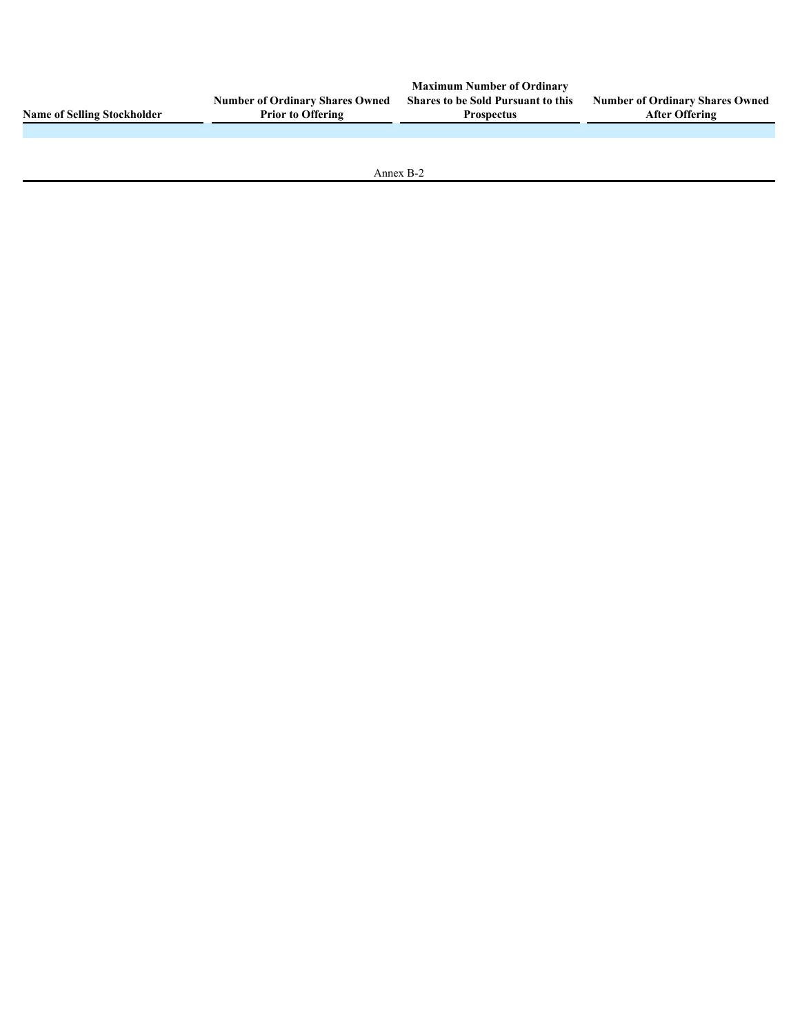|                                    |                                        | <b>Maximum Number of Ordinary</b>         |                                        |
|------------------------------------|----------------------------------------|-------------------------------------------|----------------------------------------|
|                                    | <b>Number of Ordinary Shares Owned</b> | <b>Shares to be Sold Pursuant to this</b> | <b>Number of Ordinary Shares Owned</b> |
| <b>Name of Selling Stockholder</b> | <b>Prior to Offering</b>               | <b>Prospectus</b>                         | <b>After Offering</b>                  |
|                                    |                                        |                                           |                                        |
|                                    |                                        |                                           |                                        |
|                                    |                                        |                                           |                                        |
|                                    |                                        |                                           |                                        |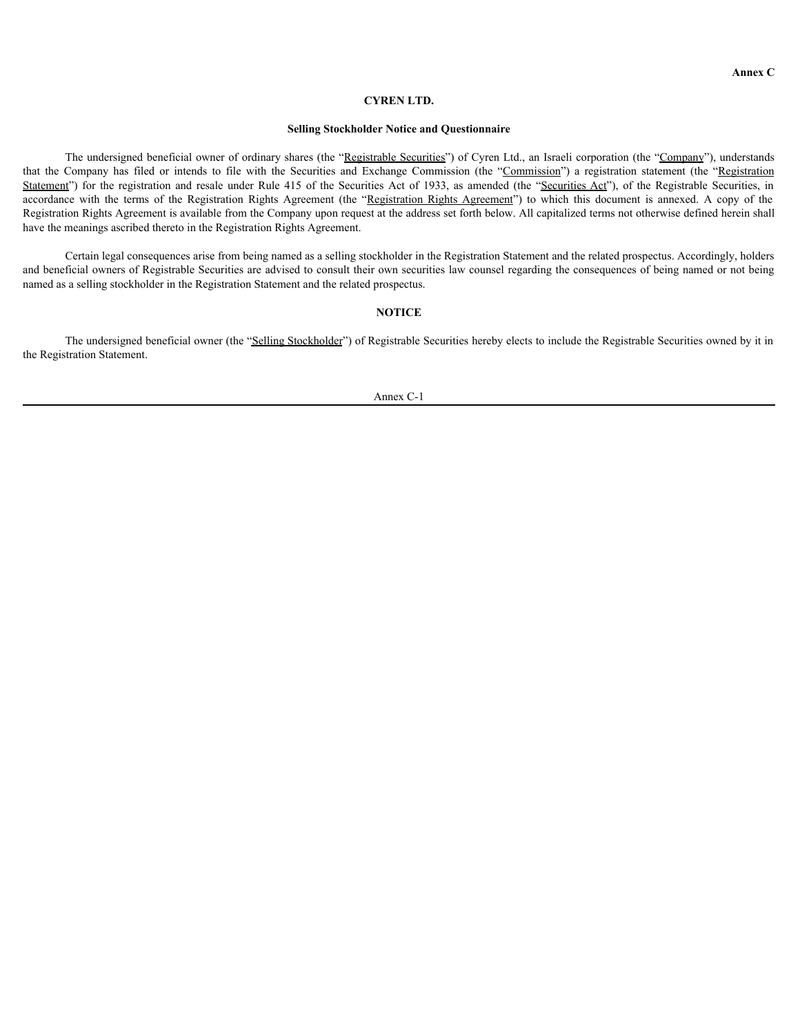#### **CYREN LTD.**

#### **Selling Stockholder Notice and Questionnaire**

The undersigned beneficial owner of ordinary shares (the "Registrable Securities") of Cyren Ltd., an Israeli corporation (the "Company"), understands **EXPEN LTD.**<br> **EVREN LTD.**<br> **EVREN LTD.**<br> **EVREN LTD.**<br> **EVREN LTD.**<br> **EXERT COMPATE SECUTE AND COMPATE SECUTE AND CONDUCT TO CONDUCT THE COMPATE SECUTE AND COMPONE TO A RESPECTABLY (TO the COMPANY) a registration statemen** Statement") for the registration of the registration Rights (Statement and Rule 12 of the redistribute and **Curities** 200 of Cyren Ltd., an Israeli corporation (the "Commany"), understands that the Commany has filed or int **EXEN LTD.**<br> **EXERY CONDUM**<br> **Annex CONDUM**<br> **Security State and Questionnaire**<br> **Security** and Equipmental company has filed or intends to file with the Securities and Exchange Commission (the "<u>Commission</u>") a registrati Registration Rights Agreement is available from the Company upon request at the address set forth below. All capitalized terms not otherwise defined herein shall have the meanings ascribed thereto in the Registration Rights Agreement.

Certain legal consequences arise from being named as a selling stockholder in the Registration Statement and the related prospectus. Accordingly, holders and beneficial owners of Registrable Securities are advised to consult their own securities law counsel regarding the consequences of being named or not being named as a selling stockholder in the Registration Statement and the related prospectus.

### **NOTICE**

The undersigned beneficial owner (the "Selling Stockholder") of Registrable Securities hereby elects to include the Registrable Securities owned by it in the Registration Statement.

Annex C-1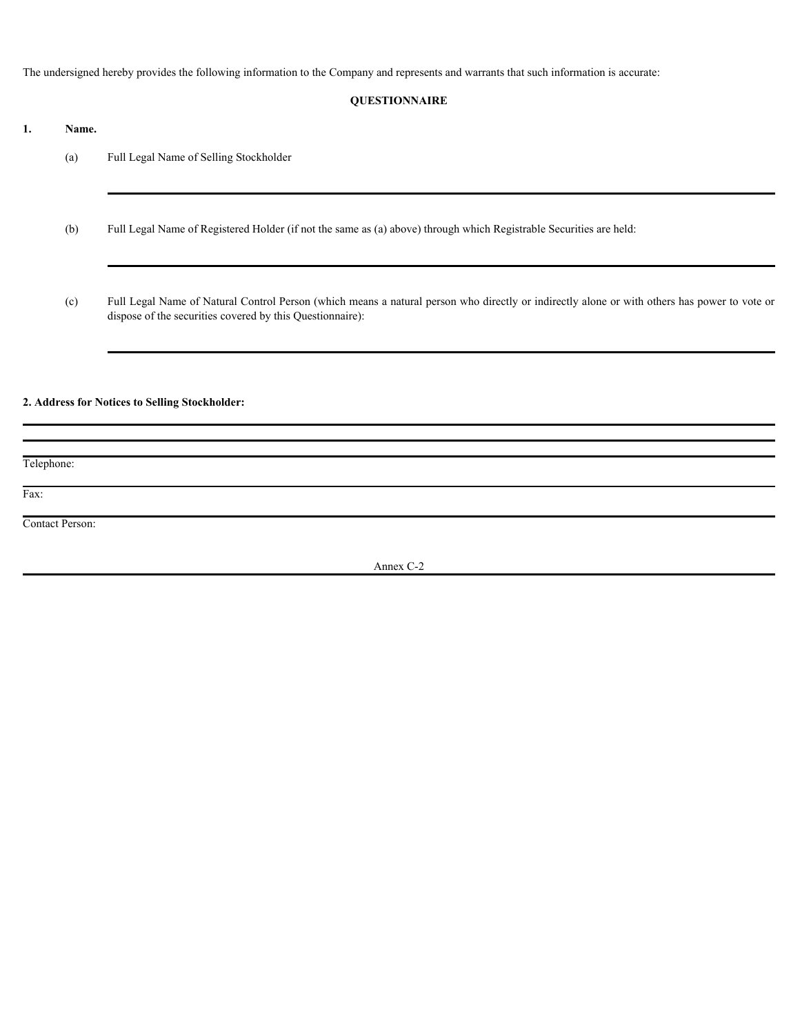The undersigned hereby provides the following information to the Company and represents and warrants that such information is accurate:

## **QUESTIONNAIRE**

- **1. Name.**
	- (a) Full Legal Name of Selling Stockholder
	- (b) Full Legal Name of Registered Holder (if not the same as (a) above) through which Registrable Securities are held:
	- (c) Full Legal Name of Natural Control Person (which means a natural person who directly or indirectly alone or with others has power to vote or dispose of the securities covered by this Questionnaire):

# **2. Address for Notices to Selling Stockholder:**

Telephone:

Fax:

Contact Person:

Annex C-2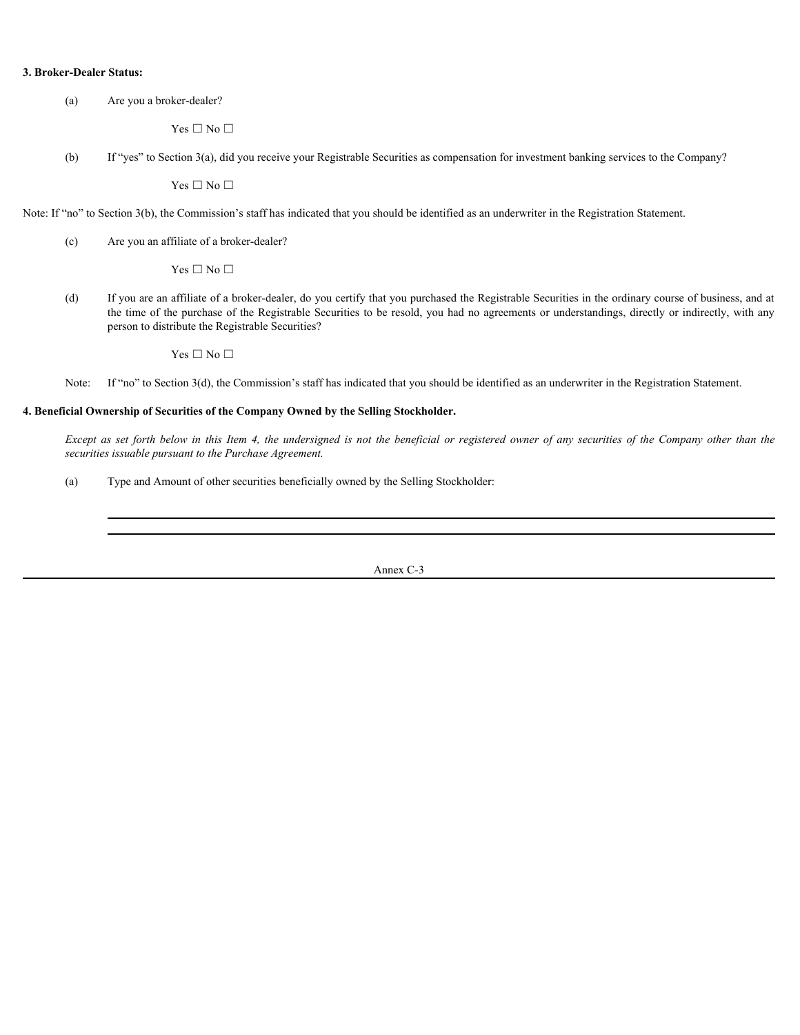### **3. Broker-Dealer Status:**

(a) Are you a broker-dealer?

 $\Gamma$ es  $\Box$  No  $\Box$ 

(b) If "yes" to Section 3(a), did you receive your Registrable Securities as compensation for investment banking services to the Company?

 $\Gamma$ es  $\Box$  No  $\Box$ 

Note: If "no" to Section 3(b), the Commission's staff has indicated that you should be identified as an underwriter in the Registration Statement.

(c) Are you an affiliate of a broker-dealer?

 $\Gamma$ es  $\Box$  No  $\Box$ 

(d) If you are an affiliate of a broker-dealer, do you certify that you purchased the Registrable Securities in the ordinary course of business, and at the time of the purchase of the Registrable Securities to be resold, you had no agreements or understandings, directly or indirectly, with any person to distribute the Registrable Securities? **Except Figure Status:**<br>  $\Delta$   $\alpha$  year is reduced  $\Delta$  (a) and you conside your Registrable Socurities as compensation for investment banking services to the Company?<br>  $\gamma$  is  $\Box$  No  $\Box$ <br>  $\Box$  This  $\Box$  is the company

 $\Gamma$ es  $\Box$  No  $\Box$ 

Note: If "no" to Section 3(d), the Commission's staff has indicated that you should be identified as an underwriter in the Registration Statement.

### **4. Beneficial Ownership of Securities of the Company Owned by the Selling Stockholder.**

*securities issuable pursuant to the Purchase Agreement.*

(a) Type and Amount of other securities beneficially owned by the Selling Stockholder: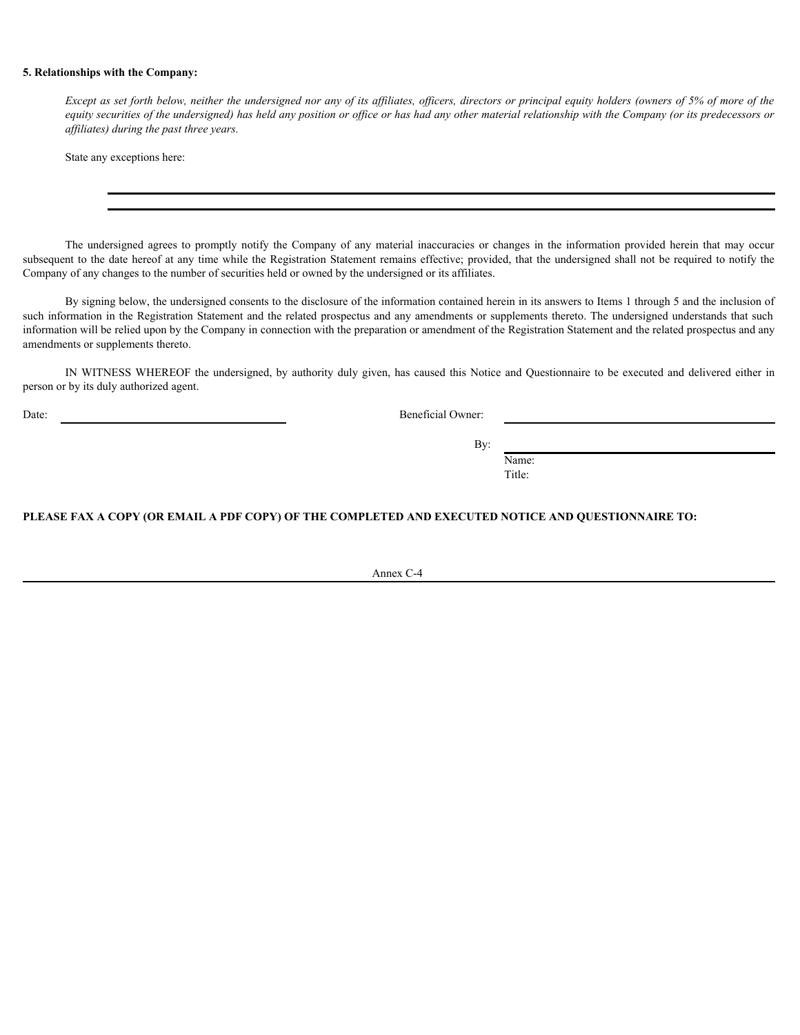### **5. Relationships with the Company:**

*Except as set forth below, neither the undersigned nor any of its affiliates, officers, directors or principal equity holders (owners of 5% of more of the equity securities of the undersigned) has held any position or office or has had any other material relationship with the Company (or its predecessors or affiliates) during the past three years.*

State any exceptions here:

subsequent to the date hereof at any time while the Registration Statement remains effective; provided, that the undersigned shall not be required to notify the Company of any changes to the number of securities held or owned by the undersigned or its affiliates.

**Except as set forth below, neither the undersigned nor any of its affiliates, officers, directors or principal equity holders (owners of 5% of more of the exequation securities of the exergent) has held any position or of** By signing below, the undersigned consents to the disclosure of the information contained herein in its answers to Items 1 through 5 and the inclusion of such information in the Registration Statement and the related prospectus and any amendments or supplements thereto. The undersigned understands that such information will be relied upon by the Company in connection with the preparation or amendment of the Registration Statement and the related prospectus and any amendments or supplements thereto.

IN WITNESS WHEREOF the undersigned, by authority duly given, has caused this Notice and Questionnaire to be executed and delivered either in person or by its duly authorized agent.

Date: Beneficial Owner:

By:

Name: Title:

**PLEASE FAX A COPY (OR EMAIL A PDF COPY) OF THE COMPLETED AND EXECUTED NOTICE AND QUESTIONNAIRE TO:**

Annex C-4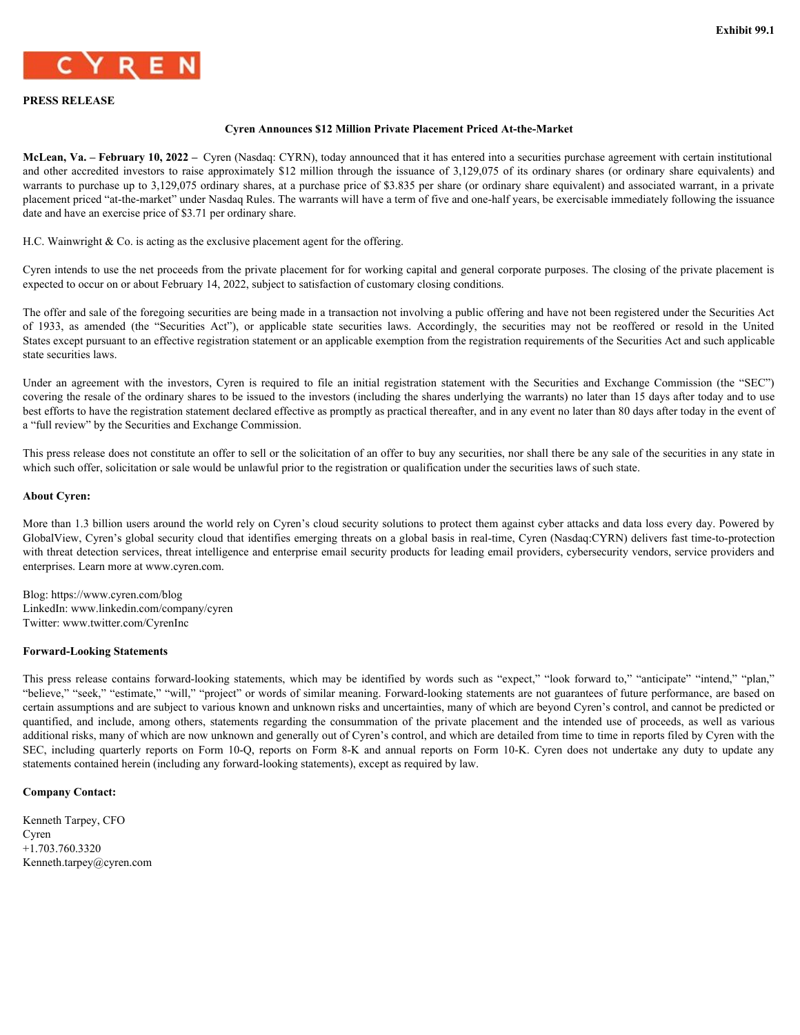

### **PRESS RELEASE**

### **Cyren Announces \$12 Million Private Placement Priced At-the-Market**

**McLean, Va. – February 10, 2022 –** Cyren (Nasdaq: CYRN), today announced that it has entered into a securities purchase agreement with certain institutional EN RESS RELEASE<br> **ENVIRONMENT CONTAINMENT CONTAINMENT CONTAINMENT CONTAINMENT CONTAINMENT CONTAINMENT CONTAINMENT CONTAINMENT CONTAINMENT CONTAINMENT CONTAINMENT CONTAINMENT CONTAINMENT CONTAINMENT CONTAINMENT CONTAINMENT** warrants to purchase up to 3,129,075 ordinary shares, at a purchase price of \$3.835 per share (or ordinary share equivalent) and associated warrant, in a private placement priced "at-the-market" under Nasdaq Rules. The warrants will have a term of five and one-half years, be exercisable immediately following the issuance date and have an exercise price of \$3.71 per ordinary share. **Cyres Act EXEC ME CONDUCT CONDUCT CONDUCT**<br> **CALCE ACTION AND THE CONDUCT CONTINUES TO THE CONDUCT CONDUCT CONDUCT CONDUCT CONDUCT CONDUCT CONDUCT CONDUCT CONDUCT CONDUCT CONDUCT CONDUCT CONDUCT CONDUCT CONDUCT AND THE C** EXALUATE STRANGT ENTIRE THE STRANGT CONTROL INTERFERICAN ACTION AND SECURE THE INTERFERICAN AND A CONTROL INTERFERICAN AND A CONTROL INTERFERICAN AND A CONTROL INTERFERICAN AND A CONTROL INTERFERICAN CONTROL INTERFERICAN

H.C. Wainwright & Co. is acting as the exclusive placement agent for the offering.

Cyren intends to use the net proceeds from the private placement for for working capital and general corporate purposes. The closing of the private placement is expected to occur on or about February 14, 2022, subject to satisfaction of customary closing conditions.

The offer and sale of the foregoing securities are being made in a transaction not involving a public offering and have not been registered under the Securities Act States except pursuant to an effective registration statement or an applicable exemption from the registration requirements of the Securities Act and such applicable state securities laws.

covering the resale of the ordinary shares to be issued to the investors (including the shares underlying the warrants) no later than 15 days after today and to use best efforts to have the registration statement declared effective as promptly as practical thereafter, and in any event no later than 80 days after today in the event of a "full review" by the Securities and Exchange Commission.

This press release does not constitute an offer to sell or the solicitation of an offer to buy any securities, nor shall there be any sale of the securities in any state in which such offer, solicitation or sale would be unlawful prior to the registration or qualification under the securities laws of such state.

### **About Cyren:**

More than 1.3 billion users around the world rely on Cyren's cloud security solutions to protect them against cyber attacks and data loss every day. Powered by GlobalView, Cyren's global security cloud that identifies emerging threats on a global basis in real-time, Cyren (Nasdaq:CYRN) delivers fast time-to-protection with threat detection services, threat intelligence and enterprise email security products for leading email providers, cybersecurity vendors, service providers and enterprises. Learn more at www.cyren.com.

Blog: https://www.cyren.com/blog LinkedIn: www.linkedin.com/company/cyren Twitter: www.twitter.com/CyrenInc

#### **Forward-Looking Statements**

Cyca intends to us the ast proceeds from the pivace placement for for working equid and general context of coloning of the pivace placements of the system of the control of the control of the contains for the control of t "believe," "seek," "estimate," "will," "project" or words of similar meaning. Forward-looking statements are not guarantees of future performance, are based on certain assumptions and are subject to various known and unknown risks and uncertainties, many of which are beyond Cyren's control, and cannot be predicted or The offer and sake of the forespiring searchies are being made in a measured and through a public offering and have not been firsted under the Securities Act of 1957, a manched the - Securities Act of 1957, a manched the additional risks, many of which are now unknown and generally out of Cyren's control, and which are detailed from time to time in reports filed by Cyren with the of 1933, a ancoded the "Secondinate" are complicable ante secondinates on Form 10-K cycle and an anchor and the United States on Form 10-C, reports on Form 10-Q, reports on Form 8-K and an interval report of the Solicity o statements contained herein (including any forward-looking statements), except as required by law.

#### **Company Contact:**

Kenneth Tarpey, CFO Cyren +1.703.760.3320 Kenneth.tarpey@cyren.com